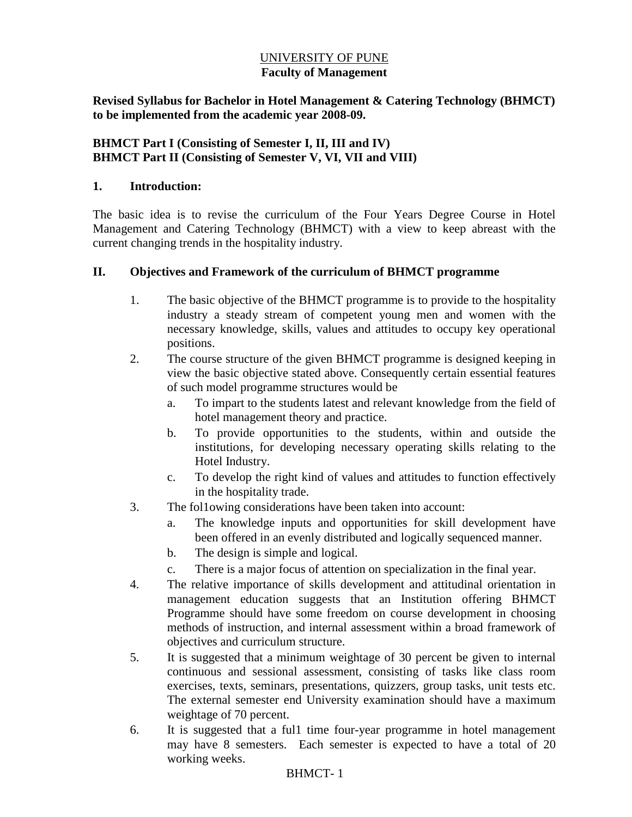## UNIVERSITY OF PUNE **Faculty of Management**

**Revised Syllabus for Bachelor in Hotel Management & Catering Technology (BHMCT) to be implemented from the academic year 2008-09.** 

## **BHMCT Part I (Consisting of Semester I, II, III and IV) BHMCT Part II (Consisting of Semester V, VI, VII and VIII)**

### **1. Introduction:**

The basic idea is to revise the curriculum of the Four Years Degree Course in Hotel Management and Catering Technology (BHMCT) with a view to keep abreast with the current changing trends in the hospitality industry.

### **II. Objectives and Framework of the curriculum of BHMCT programme**

- 1. The basic objective of the BHMCT programme is to provide to the hospitality industry a steady stream of competent young men and women with the necessary knowledge, skills, values and attitudes to occupy key operational positions.
- 2. The course structure of the given BHMCT programme is designed keeping in view the basic objective stated above. Consequently certain essential features of such model programme structures would be
	- a. To impart to the students latest and relevant knowledge from the field of hotel management theory and practice.
	- b. To provide opportunities to the students, within and outside the institutions, for developing necessary operating skills relating to the Hotel Industry.
	- c. To develop the right kind of values and attitudes to function effectively in the hospitality trade.
- 3. The fol1owing considerations have been taken into account:
	- a. The knowledge inputs and opportunities for skill development have been offered in an evenly distributed and logically sequenced manner.
	- b. The design is simple and logical.
	- c. There is a major focus of attention on specialization in the final year.
- 4. The relative importance of skills development and attitudinal orientation in management education suggests that an Institution offering BHMCT Programme should have some freedom on course development in choosing methods of instruction, and internal assessment within a broad framework of objectives and curriculum structure.
- 5. It is suggested that a minimum weightage of 30 percent be given to internal continuous and sessional assessment, consisting of tasks like class room exercises, texts, seminars, presentations, quizzers, group tasks, unit tests etc. The external semester end University examination should have a maximum weightage of 70 percent.
- 6. It is suggested that a ful1 time four-year programme in hotel management may have 8 semesters. Each semester is expected to have a total of 20 working weeks.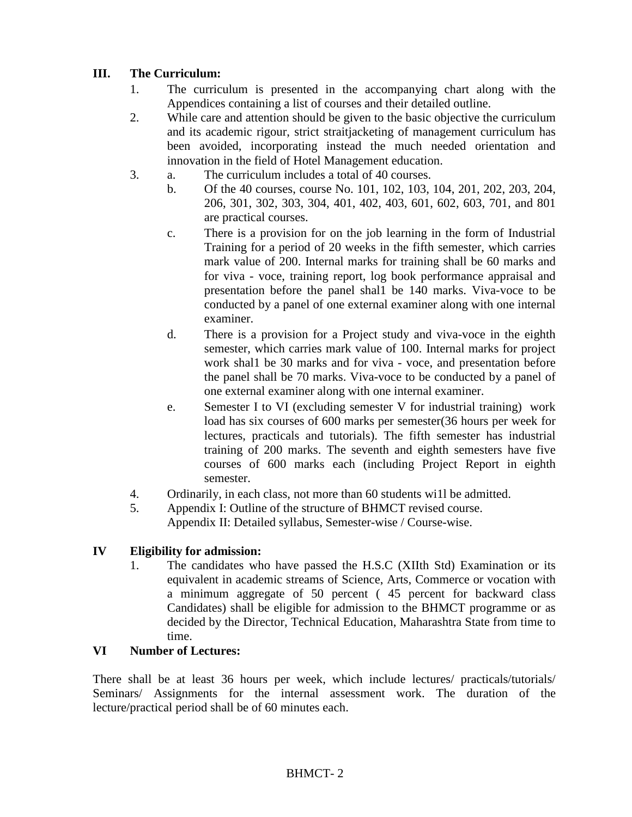## **III. The Curriculum:**

- 1. The curriculum is presented in the accompanying chart along with the Appendices containing a list of courses and their detailed outline.
- 2. While care and attention should be given to the basic objective the curriculum and its academic rigour, strict straitjacketing of management curriculum has been avoided, incorporating instead the much needed orientation and innovation in the field of Hotel Management education.
- 3. a. The curriculum includes a total of 40 courses.
	- b. Of the 40 courses, course No. 101, 102, 103, 104, 201, 202, 203, 204, 206, 301, 302, 303, 304, 401, 402, 403, 601, 602, 603, 701, and 801 are practical courses.
	- c. There is a provision for on the job learning in the form of Industrial Training for a period of 20 weeks in the fifth semester, which carries mark value of 200. Internal marks for training shall be 60 marks and for viva - voce, training report, log book performance appraisal and presentation before the panel shal1 be 140 marks. Viva-voce to be conducted by a panel of one external examiner along with one internal examiner.
	- d. There is a provision for a Project study and viva-voce in the eighth semester, which carries mark value of 100. Internal marks for project work shal1 be 30 marks and for viva - voce, and presentation before the panel shall be 70 marks. Viva-voce to be conducted by a panel of one external examiner along with one internal examiner.
	- e. Semester I to VI (excluding semester V for industrial training) work load has six courses of 600 marks per semester(36 hours per week for lectures, practicals and tutorials). The fifth semester has industrial training of 200 marks. The seventh and eighth semesters have five courses of 600 marks each (including Project Report in eighth semester.
- 4. Ordinarily, in each class, not more than 60 students wi1l be admitted.
- 5. Appendix I: Outline of the structure of BHMCT revised course. Appendix II: Detailed syllabus, Semester-wise / Course-wise.

## **IV Eligibility for admission:**

1. The candidates who have passed the H.S.C (XIIth Std) Examination or its equivalent in academic streams of Science, Arts, Commerce or vocation with a minimum aggregate of 50 percent ( 45 percent for backward class Candidates) shall be eligible for admission to the BHMCT programme or as decided by the Director, Technical Education, Maharashtra State from time to time.

#### **VI Number of Lectures:**

There shall be at least 36 hours per week, which include lectures/ practicals/tutorials/ Seminars/ Assignments for the internal assessment work. The duration of the lecture/practical period shall be of 60 minutes each.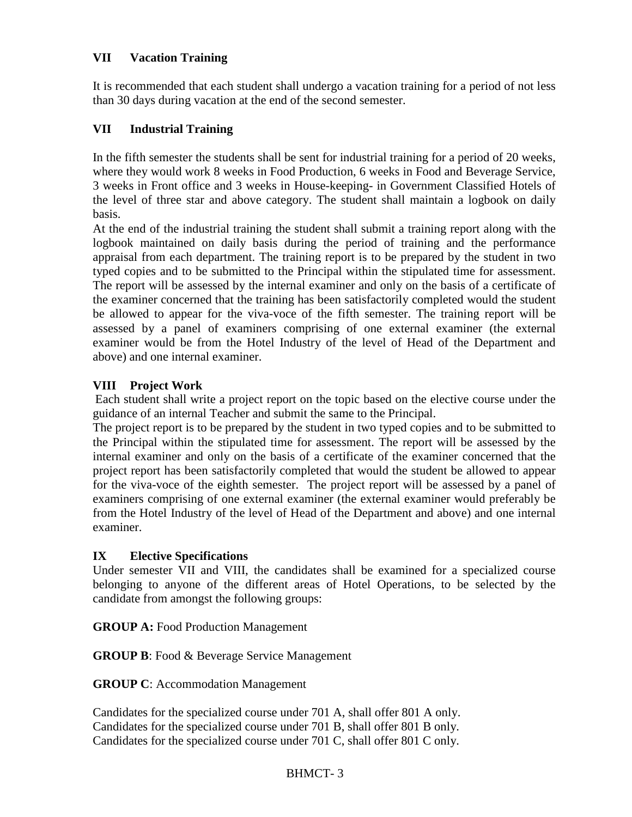## **VII Vacation Training**

It is recommended that each student shall undergo a vacation training for a period of not less than 30 days during vacation at the end of the second semester.

## **VII Industrial Training**

In the fifth semester the students shall be sent for industrial training for a period of 20 weeks, where they would work 8 weeks in Food Production, 6 weeks in Food and Beverage Service, 3 weeks in Front office and 3 weeks in House-keeping- in Government Classified Hotels of the level of three star and above category. The student shall maintain a logbook on daily basis.

At the end of the industrial training the student shall submit a training report along with the logbook maintained on daily basis during the period of training and the performance appraisal from each department. The training report is to be prepared by the student in two typed copies and to be submitted to the Principal within the stipulated time for assessment. The report will be assessed by the internal examiner and only on the basis of a certificate of the examiner concerned that the training has been satisfactorily completed would the student be allowed to appear for the viva-voce of the fifth semester. The training report will be assessed by a panel of examiners comprising of one external examiner (the external examiner would be from the Hotel Industry of the level of Head of the Department and above) and one internal examiner.

## **VIII Project Work**

Each student shall write a project report on the topic based on the elective course under the guidance of an internal Teacher and submit the same to the Principal.

The project report is to be prepared by the student in two typed copies and to be submitted to the Principal within the stipulated time for assessment. The report will be assessed by the internal examiner and only on the basis of a certificate of the examiner concerned that the project report has been satisfactorily completed that would the student be allowed to appear for the viva-voce of the eighth semester. The project report will be assessed by a panel of examiners comprising of one external examiner (the external examiner would preferably be from the Hotel Industry of the level of Head of the Department and above) and one internal examiner.

## **IX Elective Specifications**

Under semester VII and VIII, the candidates shall be examined for a specialized course belonging to anyone of the different areas of Hotel Operations, to be selected by the candidate from amongst the following groups:

**GROUP A:** Food Production Management

**GROUP B**: Food & Beverage Service Management

**GROUP C**: Accommodation Management

Candidates for the specialized course under 701 A, shall offer 801 A only. Candidates for the specialized course under 701 B, shall offer 801 B only. Candidates for the specialized course under 701 C, shall offer 801 C only.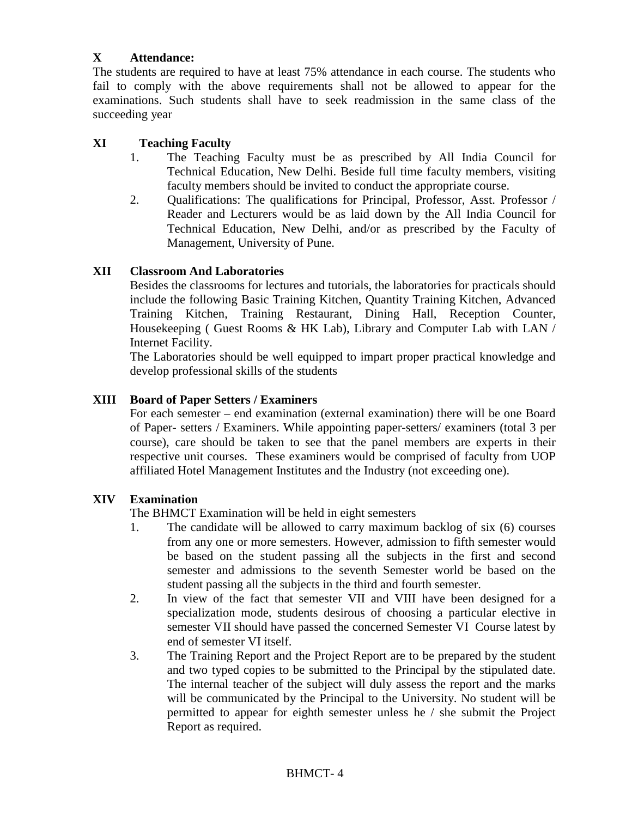## **X Attendance:**

The students are required to have at least 75% attendance in each course. The students who fail to comply with the above requirements shall not be allowed to appear for the examinations. Such students shall have to seek readmission in the same class of the succeeding year

## **XI Teaching Faculty**

- 1. The Teaching Faculty must be as prescribed by All India Council for Technical Education, New Delhi. Beside full time faculty members, visiting faculty members should be invited to conduct the appropriate course.
- 2. Qualifications: The qualifications for Principal, Professor, Asst. Professor / Reader and Lecturers would be as laid down by the All India Council for Technical Education, New Delhi, and/or as prescribed by the Faculty of Management, University of Pune.

### **XII Classroom And Laboratories**

Besides the classrooms for lectures and tutorials, the laboratories for practicals should include the following Basic Training Kitchen, Quantity Training Kitchen, Advanced Training Kitchen, Training Restaurant, Dining Hall, Reception Counter, Housekeeping ( Guest Rooms & HK Lab), Library and Computer Lab with LAN / Internet Facility.

The Laboratories should be well equipped to impart proper practical knowledge and develop professional skills of the students

### **XIII Board of Paper Setters / Examiners**

For each semester – end examination (external examination) there will be one Board of Paper- setters / Examiners. While appointing paper-setters/ examiners (total 3 per course), care should be taken to see that the panel members are experts in their respective unit courses. These examiners would be comprised of faculty from UOP affiliated Hotel Management Institutes and the Industry (not exceeding one).

#### **XIV Examination**

The BHMCT Examination will be held in eight semesters

- 1. The candidate will be allowed to carry maximum backlog of six (6) courses from any one or more semesters. However, admission to fifth semester would be based on the student passing all the subjects in the first and second semester and admissions to the seventh Semester world be based on the student passing all the subjects in the third and fourth semester.
- 2. In view of the fact that semester VII and VIII have been designed for a specialization mode, students desirous of choosing a particular elective in semester VII should have passed the concerned Semester VI Course latest by end of semester VI itself.
- 3. The Training Report and the Project Report are to be prepared by the student and two typed copies to be submitted to the Principal by the stipulated date. The internal teacher of the subject will duly assess the report and the marks will be communicated by the Principal to the University. No student will be permitted to appear for eighth semester unless he / she submit the Project Report as required.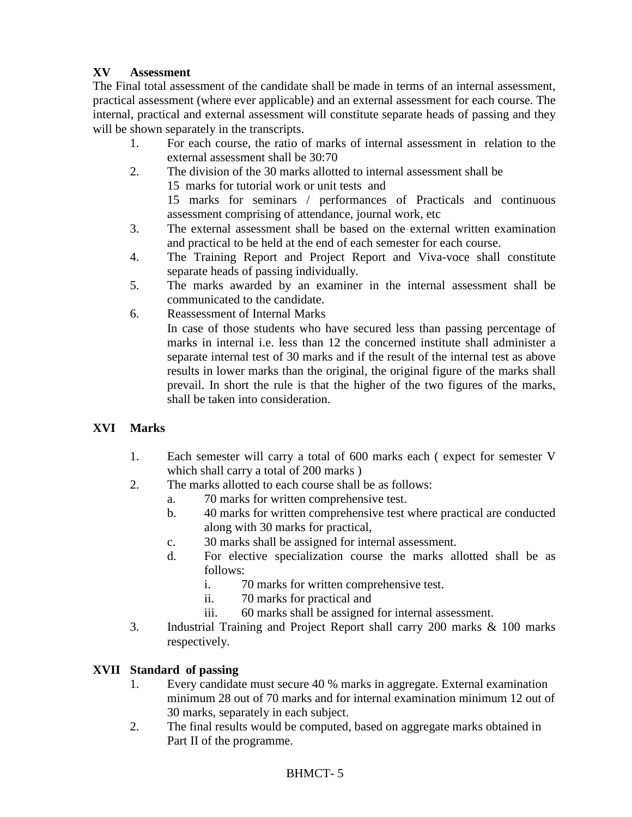## **XV Assessment**

The Final total assessment of the candidate shall be made in terms of an internal assessment, practical assessment (where ever applicable) and an external assessment for each course. The internal, practical and external assessment will constitute separate heads of passing and they will be shown separately in the transcripts.

- 1. For each course, the ratio of marks of internal assessment in relation to the external assessment shall be 30:70
- 2. The division of the 30 marks allotted to internal assessment shall be 15 marks for tutorial work or unit tests and 15 marks for seminars / performances of Practicals and continuous assessment comprising of attendance, journal work, etc
- 3. The external assessment shall be based on the external written examination and practical to be held at the end of each semester for each course.
- 4. The Training Report and Project Report and Viva-voce shall constitute separate heads of passing individually.
- 5. The marks awarded by an examiner in the internal assessment shall be communicated to the candidate.
- 6. Reassessment of Internal Marks In case of those students who have secured less than passing percentage of marks in internal i.e. less than 12 the concerned institute shall administer a separate internal test of 30 marks and if the result of the internal test as above results in lower marks than the original, the original figure of the marks shall

## **XVI Marks**

- 1. Each semester will carry a total of 600 marks each ( expect for semester V which shall carry a total of 200 marks )
- 2. The marks allotted to each course shall be as follows:

shall be taken into consideration.

- a. 70 marks for written comprehensive test.
- b. 40 marks for written comprehensive test where practical are conducted along with 30 marks for practical,

prevail. In short the rule is that the higher of the two figures of the marks,

- c. 30 marks shall be assigned for internal assessment.
- d. For elective specialization course the marks allotted shall be as follows:
	- i. 70 marks for written comprehensive test.
	- ii. 70 marks for practical and
	- iii. 60 marks shall be assigned for internal assessment.
- 3. Industrial Training and Project Report shall carry 200 marks & 100 marks respectively.

## **XVII Standard of passing**

- 1. Every candidate must secure 40 % marks in aggregate. External examination minimum 28 out of 70 marks and for internal examination minimum 12 out of 30 marks, separately in each subject.
- 2. The final results would be computed, based on aggregate marks obtained in Part II of the programme.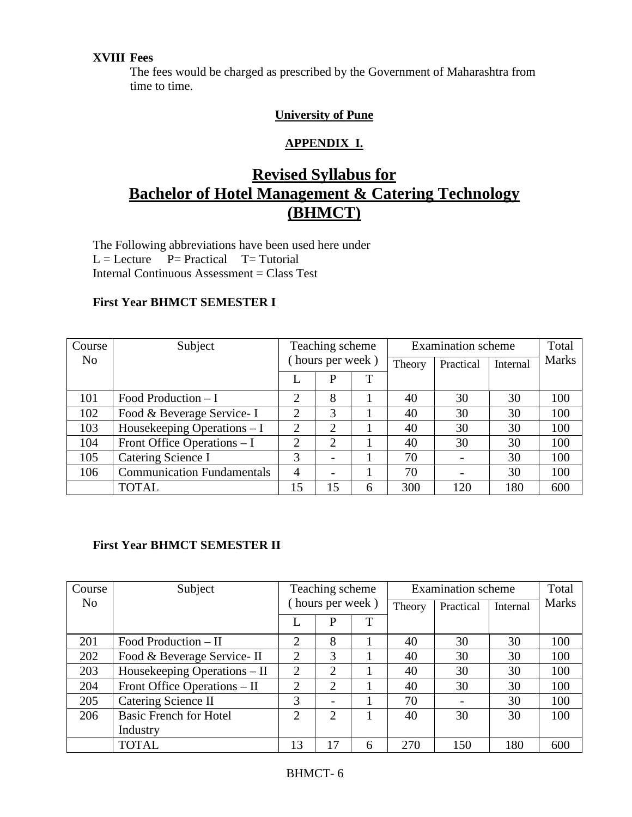## **XVIII Fees**

The fees would be charged as prescribed by the Government of Maharashtra from time to time.

## **University of Pune**

## **APPENDIX I.**

# **Revised Syllabus for Bachelor of Hotel Management & Catering Technology (BHMCT)**

The Following abbreviations have been used here under  $L =$  Lecture  $P =$  Practical  $T =$  Tutorial Internal Continuous Assessment = Class Test

## **First Year BHMCT SEMESTER I**

| Course         | Subject                           | Teaching scheme |                |        | <b>Examination</b> scheme | Total          |              |     |
|----------------|-----------------------------------|-----------------|----------------|--------|---------------------------|----------------|--------------|-----|
| N <sub>o</sub> |                                   | hours per week) |                | Theory | Practical                 | Internal       | <b>Marks</b> |     |
|                |                                   |                 | P              | T      |                           |                |              |     |
| 101            | Food Production $-I$              | 2               | 8              |        | 40                        | 30             | 30           | 100 |
| 102            | Food & Beverage Service-I         | 2               | 3              |        | 40                        | 30             | 30           | 100 |
| 103            | Housekeeping Operations - I       | 2               | $\overline{2}$ |        | 40                        | 30             | 30           | 100 |
| 104            | Front Office Operations $-I$      | 2               | $\overline{2}$ |        | 40                        | 30             | 30           | 100 |
| 105            | Catering Science I                | 3               | $\blacksquare$ |        | 70                        | $\blacksquare$ | 30           | 100 |
| 106            | <b>Communication Fundamentals</b> | $\overline{4}$  | $\blacksquare$ |        | 70                        |                | 30           | 100 |
|                | <b>TOTAL</b>                      | 15              | 15             | 6      | 300                       | 120            | 180          | 600 |

## **First Year BHMCT SEMESTER II**

| Course         | Subject                       | Teaching scheme |                             |        | <b>Examination</b> scheme | Total    |              |     |
|----------------|-------------------------------|-----------------|-----------------------------|--------|---------------------------|----------|--------------|-----|
| N <sub>0</sub> |                               | hours per week) |                             | Theory | Practical                 | Internal | <b>Marks</b> |     |
|                |                               | T<br>P          |                             |        |                           |          |              |     |
| 201            | Food Production $-$ II        | 2               | 8                           |        | 40                        | 30       | 30           | 100 |
| 202            | Food & Beverage Service-II    | $\overline{2}$  | 3                           |        | 40                        | 30       | 30           | 100 |
| 203            | Housekeeping Operations – II  | $\overline{2}$  | $\overline{2}$              |        | 40                        | 30       | 30           | 100 |
| 204            | Front Office Operations – II  | 2               | 2                           |        | 40                        | 30       | 30           | 100 |
| 205            | Catering Science II           | 3               |                             |        | 70                        |          | 30           | 100 |
| 206            | <b>Basic French for Hotel</b> | $\overline{2}$  | $\mathcal{D}_{\mathcal{L}}$ |        | 40                        | 30       | 30           | 100 |
|                | Industry                      |                 |                             |        |                           |          |              |     |
|                | <b>TOTAL</b>                  | 13              | 17                          | 6      | 270                       | 150      | 180          | 600 |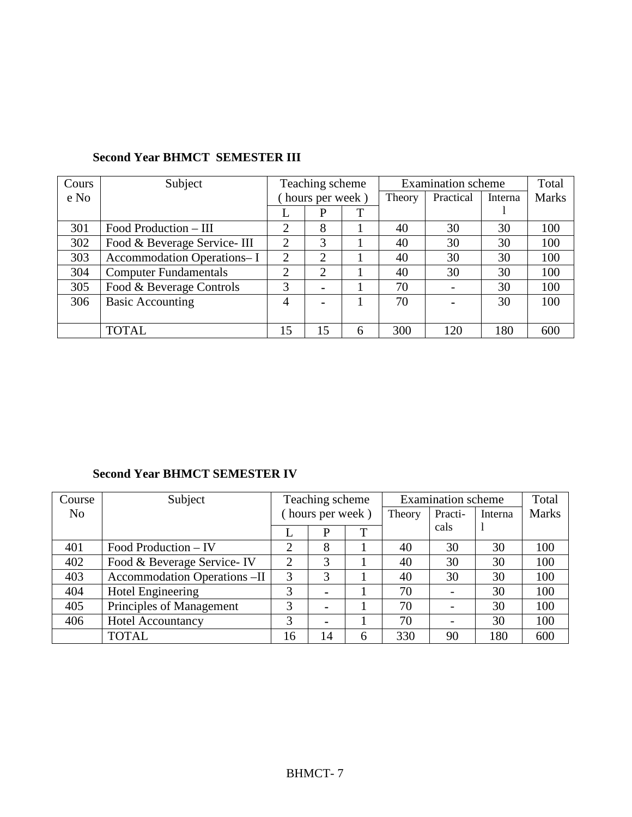| Cours | Subject                      | Teaching scheme |                 | <b>Examination</b> scheme | Total  |           |         |              |
|-------|------------------------------|-----------------|-----------------|---------------------------|--------|-----------|---------|--------------|
| e No  |                              |                 | hours per week) |                           | Theory | Practical | Interna | <b>Marks</b> |
|       |                              | T<br>P          |                 |                           |        |           |         |              |
| 301   | Food Production – III        | 2               | 8               |                           | 40     | 30        | 30      | 100          |
| 302   | Food & Beverage Service- III | ↑               | 3               |                           | 40     | 30        | 30      | 100          |
| 303   | Accommodation Operations- I  | 2               | $\overline{2}$  |                           | 40     | 30        | 30      | 100          |
| 304   | <b>Computer Fundamentals</b> | 2               | 2               |                           | 40     | 30        | 30      | 100          |
| 305   | Food & Beverage Controls     | 3               | $\blacksquare$  |                           | 70     |           | 30      | 100          |
| 306   | <b>Basic Accounting</b>      | 4               | $\blacksquare$  |                           | 70     |           | 30      | 100          |
|       |                              |                 |                 |                           |        |           |         |              |
|       | <b>TOTAL</b>                 | 15              | 15              | 6                         | 300    | 120       | 180     | 600          |

## **Second Year BHMCT SEMESTER III**

## **Second Year BHMCT SEMESTER IV**

| Course | Subject                             | Teaching scheme |                |   | <b>Examination</b> scheme | Total   |         |              |
|--------|-------------------------------------|-----------------|----------------|---|---------------------------|---------|---------|--------------|
| No     |                                     | hours per week) |                |   | Theory                    | Practi- | Interna | <b>Marks</b> |
|        |                                     | ᠇<br>P<br>L     |                |   | cals                      |         |         |              |
| 401    | Food Production – IV                | 2               | 8              |   | 40                        | 30      | 30      | 100          |
| 402    | Food & Beverage Service-IV          | $\overline{2}$  | 3              |   | 40                        | 30      | 30      | 100          |
| 403    | <b>Accommodation Operations -II</b> | 3               | 3              |   | 40                        | 30      | 30      | 100          |
| 404    | <b>Hotel Engineering</b>            | 3               | $\blacksquare$ |   | 70                        |         | 30      | 100          |
| 405    | Principles of Management            | 3               | $\blacksquare$ |   | 70                        |         | 30      | 100          |
| 406    | <b>Hotel Accountancy</b>            | 3               | $\blacksquare$ |   | 70                        |         | 30      | 100          |
|        | TOTAL                               | 16              | 14             | 6 | 330                       | 90      | 180     | 600          |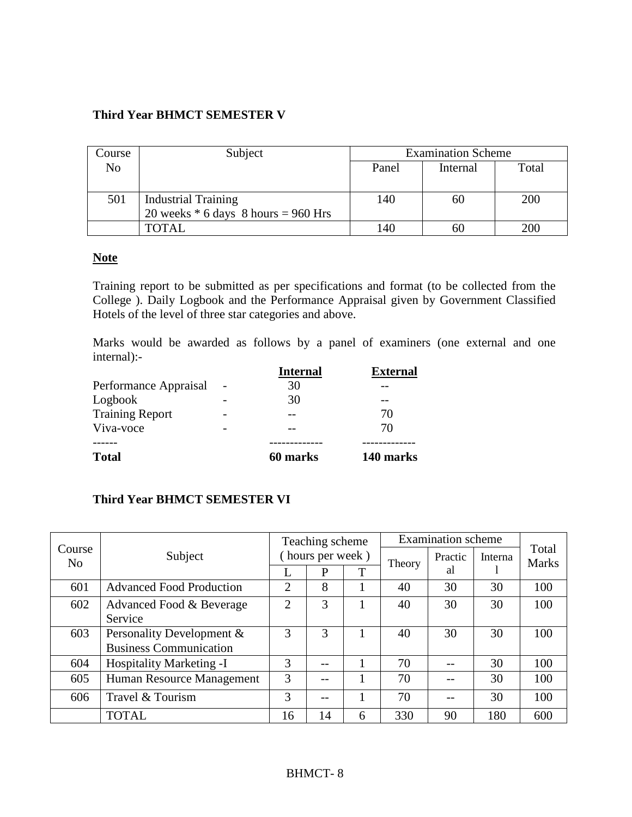## **Third Year BHMCT SEMESTER V**

| Course | Subject                               | <b>Examination Scheme</b>  |    |     |  |  |
|--------|---------------------------------------|----------------------------|----|-----|--|--|
| No     |                                       | Panel<br>Total<br>Internal |    |     |  |  |
|        |                                       |                            |    |     |  |  |
| 501    | <b>Industrial Training</b>            | 140                        | 60 | 200 |  |  |
|        | 20 weeks $*$ 6 days 8 hours = 960 Hrs |                            |    |     |  |  |
|        | TOTAL                                 | 140                        | 60 | 200 |  |  |

## **Note**

Training report to be submitted as per specifications and format (to be collected from the College ). Daily Logbook and the Performance Appraisal given by Government Classified Hotels of the level of three star categories and above.

Marks would be awarded as follows by a panel of examiners (one external and one internal):-

|                        | <b>Internal</b> | <b>External</b> |
|------------------------|-----------------|-----------------|
| Performance Appraisal  | 30              |                 |
| Logbook                | 30              |                 |
| <b>Training Report</b> |                 | 70              |
| Viva-voce              |                 | 70              |
|                        |                 |                 |
| <b>Total</b>           | 60 marks        | 140 marks       |

## **Third Year BHMCT SEMESTER VI**

|                          |                                 | Teaching scheme |                 |   | <b>Examination</b> scheme | Total   |         |              |
|--------------------------|---------------------------------|-----------------|-----------------|---|---------------------------|---------|---------|--------------|
| Course<br>N <sub>0</sub> | Subject                         |                 | hours per week) |   | Theory                    | Practic | Interna | <b>Marks</b> |
|                          |                                 |                 | P               | T |                           | al      |         |              |
| 601                      | <b>Advanced Food Production</b> | 2               | 8               |   | 40<br>30                  |         | 30      | 100          |
| 602                      | Advanced Food & Beverage        | $\overline{2}$  | 3               |   | 40                        | 30      | 30      | 100          |
|                          | Service                         |                 |                 |   |                           |         |         |              |
| 603                      | Personality Development &       | 3               | 3               |   | 40                        | 30      | 30      | 100          |
|                          | <b>Business Communication</b>   |                 |                 |   |                           |         |         |              |
| 604                      | Hospitality Marketing -I        | 3               |                 |   | 70                        |         | 30      | 100          |
| 605                      | Human Resource Management       | 3               |                 |   | 70                        |         | 30      | 100          |
| 606                      | Travel & Tourism                | 3               | --              |   | 70                        |         | 30      | 100          |
|                          | <b>TOTAL</b>                    | 16              | 14              | 6 | 330                       | 90      | 180     | 600          |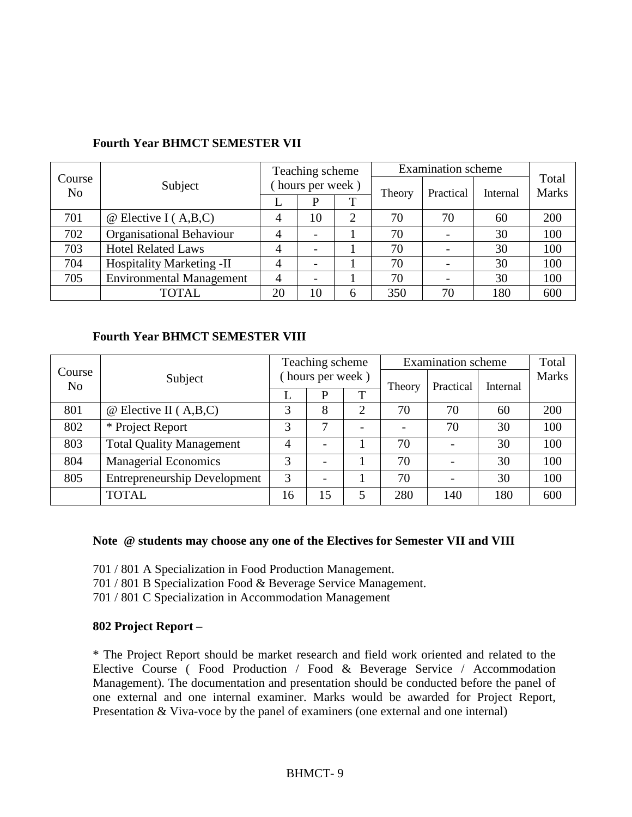|              |                                  |                 | Teaching scheme |   |        | <b>Examination</b> scheme |          |                       |  |
|--------------|----------------------------------|-----------------|-----------------|---|--------|---------------------------|----------|-----------------------|--|
| Course<br>No | Subject                          | hours per week) |                 |   | Theory | Practical                 | Internal | Total<br><b>Marks</b> |  |
|              |                                  | L               |                 | T |        |                           |          |                       |  |
| 701          | $\omega$ Elective I (A,B,C)      | 4               | 10              | 2 | 70     | 70                        | 60       | 200                   |  |
| 702          | Organisational Behaviour         | 4               |                 |   | 70     |                           | 30       | 100                   |  |
| 703          | <b>Hotel Related Laws</b>        | 4               |                 |   | 70     |                           | 30       | 100                   |  |
| 704          | <b>Hospitality Marketing -II</b> | 4               |                 |   | 70     |                           | 30       | 100                   |  |
| 705          | <b>Environmental Management</b>  | 4               |                 |   | 70     |                           | 30       | 100                   |  |
|              | <b>TOTAL</b>                     | 20              | 10              | h | 350    | 70                        | 180      | 600                   |  |

### **Fourth Year BHMCT SEMESTER VII**

#### **Fourth Year BHMCT SEMESTER VIII**

|                          |                                     | Teaching scheme |                  |   | <b>Examination</b> scheme | Total     |          |              |
|--------------------------|-------------------------------------|-----------------|------------------|---|---------------------------|-----------|----------|--------------|
| Course<br>N <sub>o</sub> | Subject                             |                 | (hours per week) |   | Theory                    | Practical | Internal | <b>Marks</b> |
|                          |                                     |                 | P                | T |                           |           |          |              |
| 801                      | $\omega$ Elective II (A,B,C)        | 3               | 8                | 2 | 70                        | 70        | 60       | 200          |
| 802                      | * Project Report                    | 3               | 7                | - |                           | 70        | 30       | 100          |
| 803                      | <b>Total Quality Management</b>     | 4               |                  |   | 70                        |           | 30       | 100          |
| 804                      | <b>Managerial Economics</b>         | 3               |                  |   | 70                        |           | 30       | 100          |
| 805                      | <b>Entrepreneurship Development</b> | 3               |                  |   | 70                        |           | 30       | 100          |
|                          | <b>TOTAL</b>                        | 16              | 15               | 5 | 280                       | 140       | 180      | 600          |

#### **Note @ students may choose any one of the Electives for Semester VII and VIII**

701 / 801 A Specialization in Food Production Management.

701 / 801 B Specialization Food & Beverage Service Management.

701 / 801 C Specialization in Accommodation Management

#### **802 Project Report –**

\* The Project Report should be market research and field work oriented and related to the Elective Course ( Food Production / Food & Beverage Service / Accommodation Management). The documentation and presentation should be conducted before the panel of one external and one internal examiner. Marks would be awarded for Project Report, Presentation & Viva-voce by the panel of examiners (one external and one internal)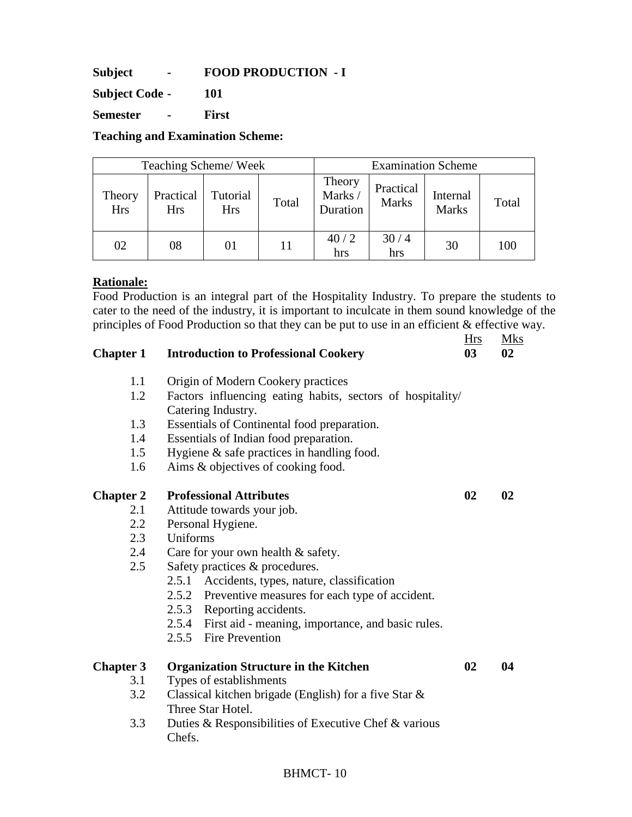**Subject - FOOD PRODUCTION - I** 

**Subject Code - 101** 

**Semester - First** 

**Teaching and Examination Scheme:** 

| Teaching Scheme/Week |                         |                        |       | <b>Examination Scheme</b>    |                           |                          |       |  |
|----------------------|-------------------------|------------------------|-------|------------------------------|---------------------------|--------------------------|-------|--|
| Theory<br><b>Hrs</b> | Practical<br><b>Hrs</b> | Tutorial<br><b>Hrs</b> | Total | Theory<br>Marks/<br>Duration | Practical<br><b>Marks</b> | Internal<br><b>Marks</b> | Total |  |
| 02                   | 08                      |                        |       | 40/2<br>hrs                  | 30/4<br>hrs               | 30                       | 100   |  |

### **Rationale:**

Food Production is an integral part of the Hospitality Industry. To prepare the students to cater to the need of the industry, it is important to inculcate in them sound knowledge of the principles of Food Production so that they can be put to use in an efficient & effective way. Hrs Mks

| <b>Chapter 1</b> | <b>Introduction to Professional Cookery</b>                                      | ====<br>0 <sub>3</sub> | --------<br>02 |
|------------------|----------------------------------------------------------------------------------|------------------------|----------------|
| 1.1              | Origin of Modern Cookery practices                                               |                        |                |
| 1.2              | Factors influencing eating habits, sectors of hospitality/<br>Catering Industry. |                        |                |
| 1.3              | Essentials of Continental food preparation.                                      |                        |                |
| 1.4              | Essentials of Indian food preparation.                                           |                        |                |
| 1.5              | Hygiene $\&$ safe practices in handling food.                                    |                        |                |
| 1.6              | Aims & objectives of cooking food.                                               |                        |                |
| <b>Chapter 2</b> | <b>Professional Attributes</b>                                                   | 02                     | 02             |
| 2.1              | Attitude towards your job.                                                       |                        |                |
| 2.2              | Personal Hygiene.                                                                |                        |                |
| 2.3              | Uniforms                                                                         |                        |                |
| 2.4              | Care for your own health $&$ safety.                                             |                        |                |
| 2.5              | Safety practices & procedures.                                                   |                        |                |
|                  | 2.5.1 Accidents, types, nature, classification                                   |                        |                |
|                  | 2.5.2 Preventive measures for each type of accident.                             |                        |                |
|                  | 2.5.3 Reporting accidents.                                                       |                        |                |
|                  | 2.5.4 First aid - meaning, importance, and basic rules.                          |                        |                |
|                  | 2.5.5 Fire Prevention                                                            |                        |                |
| <b>Chapter 3</b> | <b>Organization Structure in the Kitchen</b>                                     | 02                     | 04             |
| 3.1              | Types of establishments                                                          |                        |                |
| 3.2              | Classical kitchen brigade (English) for a five Star &                            |                        |                |
|                  | Three Star Hotel.                                                                |                        |                |
| 3.3              | Duties & Responsibilities of Executive Chef & various                            |                        |                |
|                  | Chefs.                                                                           |                        |                |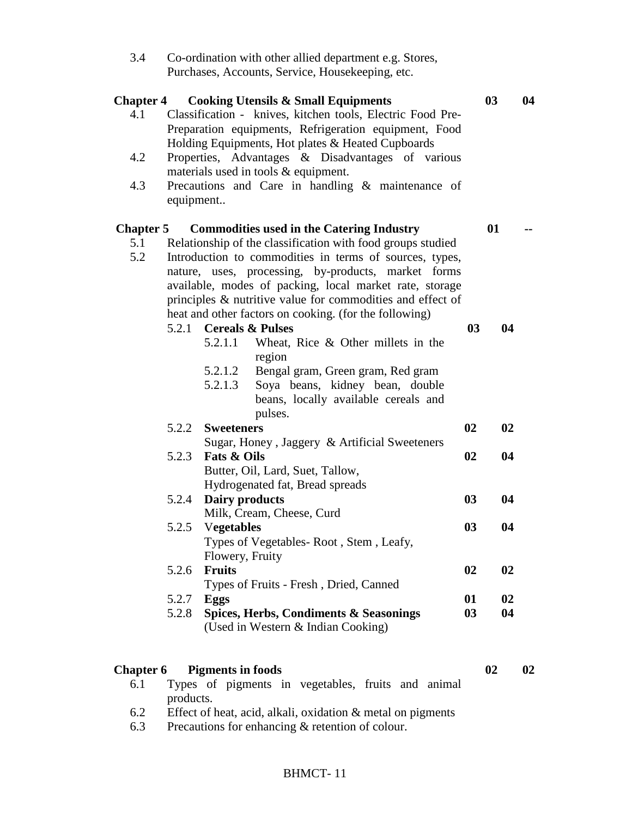| 3.4                     | Co-ordination with other allied department e.g. Stores,                                                                                                                                                                    |                |                |    |
|-------------------------|----------------------------------------------------------------------------------------------------------------------------------------------------------------------------------------------------------------------------|----------------|----------------|----|
|                         | Purchases, Accounts, Service, Housekeeping, etc.                                                                                                                                                                           |                |                |    |
| <b>Chapter 4</b><br>4.1 | <b>Cooking Utensils &amp; Small Equipments</b><br>Classification - knives, kitchen tools, Electric Food Pre-<br>Preparation equipments, Refrigeration equipment, Food<br>Holding Equipments, Hot plates & Heated Cupboards |                | 0 <sub>3</sub> | 04 |
| 4.2                     | Properties, Advantages & Disadvantages of various<br>materials used in tools & equipment.                                                                                                                                  |                |                |    |
| 4.3                     | Precautions and Care in handling & maintenance of<br>equipment                                                                                                                                                             |                |                |    |
| <b>Chapter 5</b>        | <b>Commodities used in the Catering Industry</b>                                                                                                                                                                           |                | 01             |    |
| 5.1                     | Relationship of the classification with food groups studied                                                                                                                                                                |                |                |    |
| 5.2                     | Introduction to commodities in terms of sources, types,<br>nature, uses, processing, by-products, market forms                                                                                                             |                |                |    |
|                         | available, modes of packing, local market rate, storage                                                                                                                                                                    |                |                |    |
|                         | principles & nutritive value for commodities and effect of                                                                                                                                                                 |                |                |    |
|                         | heat and other factors on cooking. (for the following)                                                                                                                                                                     |                |                |    |
|                         | 5.2.1 Cereals & Pulses                                                                                                                                                                                                     | 0 <sub>3</sub> | 04             |    |
|                         | 5.2.1.1<br>Wheat, Rice $\&$ Other millets in the<br>region                                                                                                                                                                 |                |                |    |
|                         | 5.2.1.2<br>Bengal gram, Green gram, Red gram                                                                                                                                                                               |                |                |    |
|                         | Soya beans, kidney bean, double<br>5.2.1.3                                                                                                                                                                                 |                |                |    |
|                         | beans, locally available cereals and                                                                                                                                                                                       |                |                |    |
|                         | pulses.                                                                                                                                                                                                                    |                |                |    |
|                         | 5.2.2<br><b>Sweeteners</b>                                                                                                                                                                                                 | 02             | 02             |    |
|                         | Sugar, Honey, Jaggery & Artificial Sweeteners<br>5.2.3<br><b>Fats &amp; Oils</b>                                                                                                                                           | 02             | 04             |    |
|                         | Butter, Oil, Lard, Suet, Tallow,                                                                                                                                                                                           |                |                |    |
|                         | Hydrogenated fat, Bread spreads                                                                                                                                                                                            |                |                |    |
|                         | Dairy products<br>5.2.4                                                                                                                                                                                                    | 03             | 04             |    |
|                         | Milk, Cream, Cheese, Curd                                                                                                                                                                                                  |                |                |    |
|                         | <b>Vegetables</b><br>5.2.5                                                                                                                                                                                                 | 0 <sub>3</sub> | 04             |    |
|                         | Types of Vegetables-Root, Stem, Leafy,                                                                                                                                                                                     |                |                |    |
|                         | Flowery, Fruity                                                                                                                                                                                                            |                |                |    |
|                         | <b>Fruits</b><br>5.2.6<br>Types of Fruits - Fresh, Dried, Canned                                                                                                                                                           | 02             | 02             |    |
|                         | 5.2.7<br>Eggs                                                                                                                                                                                                              | 01             | 02             |    |
|                         | Spices, Herbs, Condiments & Seasonings<br>5.2.8                                                                                                                                                                            | 03             | 04             |    |
|                         | (Used in Western & Indian Cooking)                                                                                                                                                                                         |                |                |    |
|                         |                                                                                                                                                                                                                            |                |                |    |
| <b>Chapter 6</b><br>6.1 | <b>Pigments in foods</b><br>Types of pigments in vegetables, fruits and animal                                                                                                                                             |                | 02             | 02 |
|                         | products.                                                                                                                                                                                                                  |                |                |    |

- 6.2 Effect of heat, acid, alkali, oxidation & metal on pigments<br>6.3 Precautions for enhancing & retention of colour.
- Precautions for enhancing & retention of colour.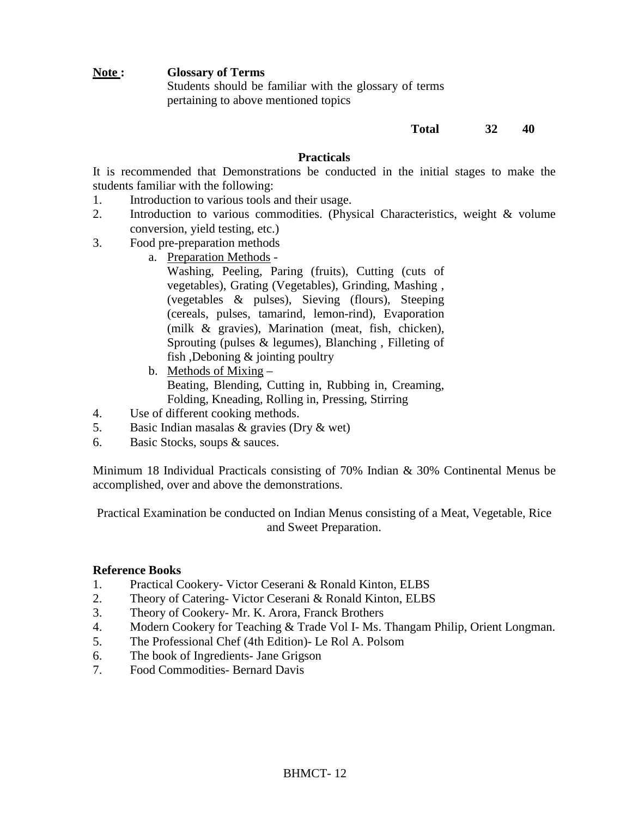#### **Note : Glossary of Terms**

Students should be familiar with the glossary of terms pertaining to above mentioned topics

### **Total 32 40**

#### **Practicals**

It is recommended that Demonstrations be conducted in the initial stages to make the students familiar with the following:

- 1. Introduction to various tools and their usage.
- 2. Introduction to various commodities. (Physical Characteristics, weight & volume conversion, yield testing, etc.)
- 3. Food pre-preparation methods
	- a. Preparation Methods
		- Washing, Peeling, Paring (fruits), Cutting (cuts of vegetables), Grating (Vegetables), Grinding, Mashing , (vegetables & pulses), Sieving (flours), Steeping (cereals, pulses, tamarind, lemon-rind), Evaporation (milk & gravies), Marination (meat, fish, chicken), Sprouting (pulses & legumes), Blanching , Filleting of fish ,Deboning & jointing poultry
	- b. Methods of Mixing Beating, Blending, Cutting in, Rubbing in, Creaming, Folding, Kneading, Rolling in, Pressing, Stirring
- 4. Use of different cooking methods.
- 5. Basic Indian masalas & gravies (Dry & wet)
- 6. Basic Stocks, soups & sauces.

Minimum 18 Individual Practicals consisting of 70% Indian & 30% Continental Menus be accomplished, over and above the demonstrations.

Practical Examination be conducted on Indian Menus consisting of a Meat, Vegetable, Rice and Sweet Preparation.

#### **Reference Books**

- 1. Practical Cookery- Victor Ceserani & Ronald Kinton, ELBS
- 2. Theory of Catering-Victor Ceserani & Ronald Kinton, ELBS
- 3. Theory of Cookery- Mr. K. Arora, Franck Brothers
- 4. Modern Cookery for Teaching & Trade Vol I- Ms. Thangam Philip, Orient Longman.
- 5. The Professional Chef (4th Edition)- Le Rol A. Polsom
- 6. The book of Ingredients- Jane Grigson
- 7. Food Commodities- Bernard Davis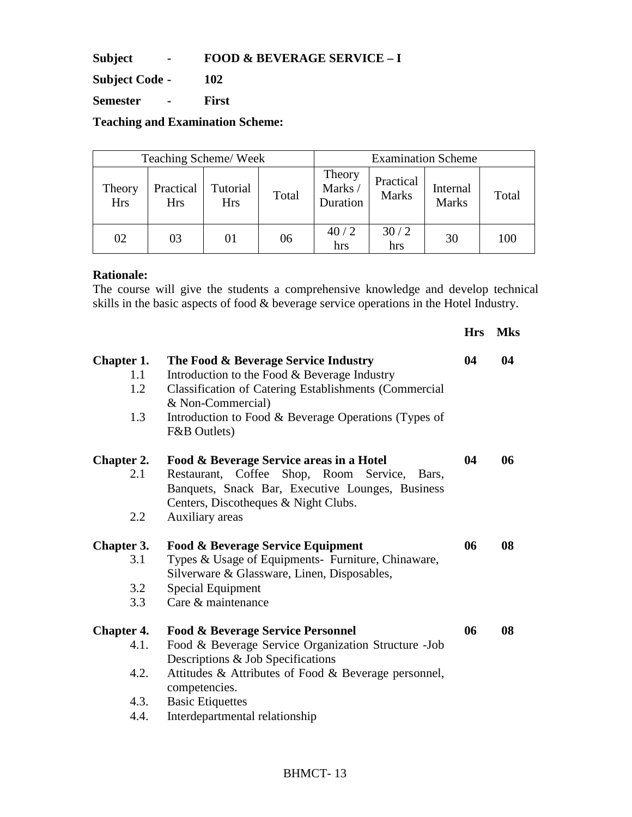**Subject - FOOD & BEVERAGE SERVICE – I** 

**Subject Code - 102** 

**Semester - First** 

**Teaching and Examination Scheme:** 

| Teaching Scheme/Week |                         |                        |       | <b>Examination Scheme</b>    |                           |                          |       |
|----------------------|-------------------------|------------------------|-------|------------------------------|---------------------------|--------------------------|-------|
| Theory<br><b>Hrs</b> | Practical<br><b>Hrs</b> | Tutorial<br><b>Hrs</b> | Total | Theory<br>Marks/<br>Duration | Practical<br><b>Marks</b> | Internal<br><b>Marks</b> | Total |
| 02                   | 03                      | 01                     | 06    | 40/2<br>hrs                  | 30/2<br>hrs               | 30                       | 100   |

### **Rationale:**

The course will give the students a comprehensive knowledge and develop technical skills in the basic aspects of food & beverage service operations in the Hotel Industry.

|                                                   |                                                                                                                                                                                                                                                                                 | <b>Hrs</b> | <b>Mks</b> |
|---------------------------------------------------|---------------------------------------------------------------------------------------------------------------------------------------------------------------------------------------------------------------------------------------------------------------------------------|------------|------------|
| Chapter 1.<br>1.1<br>1.2<br>1.3                   | The Food & Beverage Service Industry<br>Introduction to the Food & Beverage Industry<br><b>Classification of Catering Establishments (Commercial</b><br>& Non-Commercial)<br>Introduction to Food & Beverage Operations (Types of<br>F&B Outlets)                               | 04         | 04         |
| <b>Chapter 2.</b><br>2.1<br>2.2                   | Food & Beverage Service areas in a Hotel<br>Shop, Room<br>Restaurant, Coffee<br>Service,<br>Bars.<br>Banquets, Snack Bar, Executive Lounges, Business<br>Centers, Discotheques & Night Clubs.<br>Auxiliary areas                                                                | 04         | 06         |
| Chapter 3.<br>3.1<br>3.2<br>3.3                   | <b>Food &amp; Beverage Service Equipment</b><br>Types & Usage of Equipments- Furniture, Chinaware,<br>Silverware & Glassware, Linen, Disposables,<br><b>Special Equipment</b><br>Care & maintenance                                                                             | 06         | 08         |
| <b>Chapter 4.</b><br>4.1.<br>4.2.<br>4.3.<br>4.4. | <b>Food &amp; Beverage Service Personnel</b><br>Food & Beverage Service Organization Structure - Job<br>Descriptions & Job Specifications<br>Attitudes & Attributes of Food & Beverage personnel,<br>competencies.<br><b>Basic Etiquettes</b><br>Interdepartmental relationship | 06         | 08         |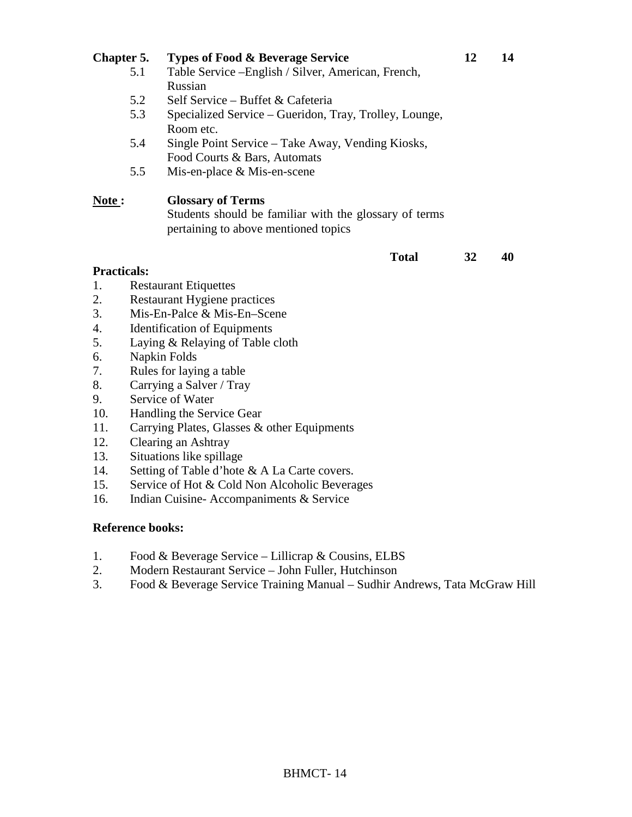#### **Chapter 5.** Types of Food & Beverage Service 12 14 5.1 Table Service –English / Silver, American, French, Russian

- 5.2 Self Service Buffet & Cafeteria
- 5.3 Specialized Service Gueridon, Tray, Trolley, Lounge, Room etc.
- 5.4 Single Point Service Take Away, Vending Kiosks, Food Courts & Bars, Automats
- 5.5 Mis-en-place & Mis-en-scene

## **Note : Glossary of Terms**

Students should be familiar with the glossary of terms pertaining to above mentioned topics

#### **Total 32 40**

#### **Practicals:**

- 1. Restaurant Etiquettes
- 2. Restaurant Hygiene practices
- 3. Mis-En-Palce & Mis-En–Scene
- 4. Identification of Equipments
- 5. Laying & Relaying of Table cloth
- 6. Napkin Folds
- 7. Rules for laying a table
- 8. Carrying a Salver / Tray
- 9. Service of Water
- 10. Handling the Service Gear
- 11. Carrying Plates, Glasses & other Equipments
- 12. Clearing an Ashtray
- 13. Situations like spillage
- 14. Setting of Table d'hote & A La Carte covers.
- 15. Service of Hot & Cold Non Alcoholic Beverages
- 16. Indian Cuisine- Accompaniments & Service

#### **Reference books:**

- 1. Food & Beverage Service Lillicrap & Cousins, ELBS
- 2. Modern Restaurant Service John Fuller, Hutchinson
- 3. Food & Beverage Service Training Manual Sudhir Andrews, Tata McGraw Hill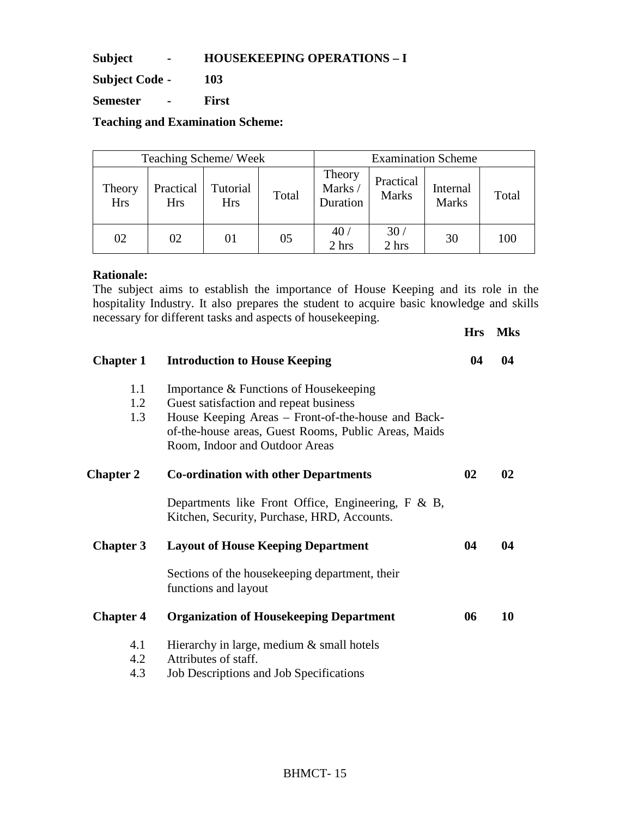**Subject - HOUSEKEEPING OPERATIONS – I** 

**Subject Code - 103** 

**Semester - First** 

**Teaching and Examination Scheme:** 

| Teaching Scheme/Week |                         |                        |       | <b>Examination Scheme</b>    |                           |                          |       |
|----------------------|-------------------------|------------------------|-------|------------------------------|---------------------------|--------------------------|-------|
| Theory<br><b>Hrs</b> | Practical<br><b>Hrs</b> | Tutorial<br><b>Hrs</b> | Total | Theory<br>Marks/<br>Duration | Practical<br><b>Marks</b> | Internal<br><b>Marks</b> | Total |
| 02                   | 02                      | 01                     | 05    | 40 <sub>l</sub><br>2 hrs     | 30 <sub>l</sub><br>2 hrs  | 30                       | 100   |

### **Rationale:**

The subject aims to establish the importance of House Keeping and its role in the hospitality Industry. It also prepares the student to acquire basic knowledge and skills necessary for different tasks and aspects of housekeeping. **Hrs Mks** 

|                   |                                                                                                                                                                                                                                  | 1115 | <b>IVINS</b> |
|-------------------|----------------------------------------------------------------------------------------------------------------------------------------------------------------------------------------------------------------------------------|------|--------------|
| <b>Chapter 1</b>  | <b>Introduction to House Keeping</b>                                                                                                                                                                                             | 04   | 04           |
| 1.1<br>1.2<br>1.3 | Importance & Functions of Housekeeping<br>Guest satisfaction and repeat business<br>House Keeping Areas - Front-of-the-house and Back-<br>of-the-house areas, Guest Rooms, Public Areas, Maids<br>Room, Indoor and Outdoor Areas |      |              |
| <b>Chapter 2</b>  | <b>Co-ordination with other Departments</b>                                                                                                                                                                                      | 02   | 02           |
|                   | Departments like Front Office, Engineering, F & B,<br>Kitchen, Security, Purchase, HRD, Accounts.                                                                                                                                |      |              |
| <b>Chapter 3</b>  | <b>Layout of House Keeping Department</b>                                                                                                                                                                                        | 04   | 04           |
|                   | Sections of the house keeping department, their<br>functions and layout                                                                                                                                                          |      |              |
| <b>Chapter 4</b>  | <b>Organization of Housekeeping Department</b>                                                                                                                                                                                   | 06   | 10           |
| 4.1<br>4.2<br>4.3 | Hierarchy in large, medium & small hotels<br>Attributes of staff.<br>Job Descriptions and Job Specifications                                                                                                                     |      |              |
|                   |                                                                                                                                                                                                                                  |      |              |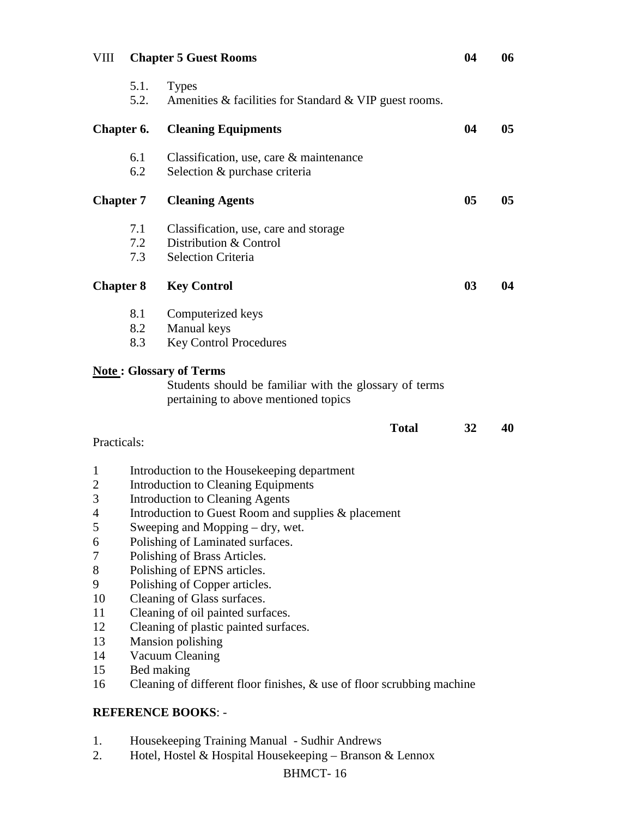| VIII                                                                                           |                   | <b>Chapter 5 Guest Rooms</b>                                                                                                                                                                                                                                                                                                                                                                                                                                                                                                                                                                         | 04 | 06             |
|------------------------------------------------------------------------------------------------|-------------------|------------------------------------------------------------------------------------------------------------------------------------------------------------------------------------------------------------------------------------------------------------------------------------------------------------------------------------------------------------------------------------------------------------------------------------------------------------------------------------------------------------------------------------------------------------------------------------------------------|----|----------------|
|                                                                                                | 5.1.<br>5.2.      | <b>Types</b><br>Amenities & facilities for Standard & VIP guest rooms.                                                                                                                                                                                                                                                                                                                                                                                                                                                                                                                               |    |                |
| Chapter 6.                                                                                     |                   | <b>Cleaning Equipments</b>                                                                                                                                                                                                                                                                                                                                                                                                                                                                                                                                                                           | 04 | 0 <sub>5</sub> |
|                                                                                                | 6.1<br>6.2        | Classification, use, care $\&$ maintenance<br>Selection & purchase criteria                                                                                                                                                                                                                                                                                                                                                                                                                                                                                                                          |    |                |
| <b>Chapter 7</b>                                                                               |                   | <b>Cleaning Agents</b>                                                                                                                                                                                                                                                                                                                                                                                                                                                                                                                                                                               | 05 | 0 <sub>5</sub> |
|                                                                                                | 7.1<br>7.2<br>7.3 | Classification, use, care and storage<br>Distribution & Control<br><b>Selection Criteria</b>                                                                                                                                                                                                                                                                                                                                                                                                                                                                                                         |    |                |
| <b>Chapter 8</b>                                                                               |                   | <b>Key Control</b>                                                                                                                                                                                                                                                                                                                                                                                                                                                                                                                                                                                   | 03 | 04             |
|                                                                                                | 8.1<br>8.2<br>8.3 | Computerized keys<br>Manual keys<br><b>Key Control Procedures</b>                                                                                                                                                                                                                                                                                                                                                                                                                                                                                                                                    |    |                |
|                                                                                                |                   | <b>Note: Glossary of Terms</b><br>Students should be familiar with the glossary of terms<br>pertaining to above mentioned topics                                                                                                                                                                                                                                                                                                                                                                                                                                                                     |    |                |
| Practicals:                                                                                    |                   | <b>Total</b>                                                                                                                                                                                                                                                                                                                                                                                                                                                                                                                                                                                         | 32 | 40             |
| $\mathbf{1}$<br>2<br>3<br>4<br>5<br>6<br>7<br>8<br>9<br>10<br>11<br>12<br>13<br>14<br>15<br>16 | Bed making        | Introduction to the Housekeeping department<br>Introduction to Cleaning Equipments<br><b>Introduction to Cleaning Agents</b><br>Introduction to Guest Room and supplies & placement<br>Sweeping and Mopping – dry, wet.<br>Polishing of Laminated surfaces.<br>Polishing of Brass Articles.<br>Polishing of EPNS articles.<br>Polishing of Copper articles.<br>Cleaning of Glass surfaces.<br>Cleaning of oil painted surfaces.<br>Cleaning of plastic painted surfaces.<br><b>Mansion polishing</b><br>Vacuum Cleaning<br>Cleaning of different floor finishes, $\&$ use of floor scrubbing machine |    |                |
|                                                                                                |                   | <b>REFERENCE BOOKS: -</b>                                                                                                                                                                                                                                                                                                                                                                                                                                                                                                                                                                            |    |                |

- 1. Housekeeping Training Manual Sudhir Andrews
- 2. Hotel, Hostel & Hospital Housekeeping Branson & Lennox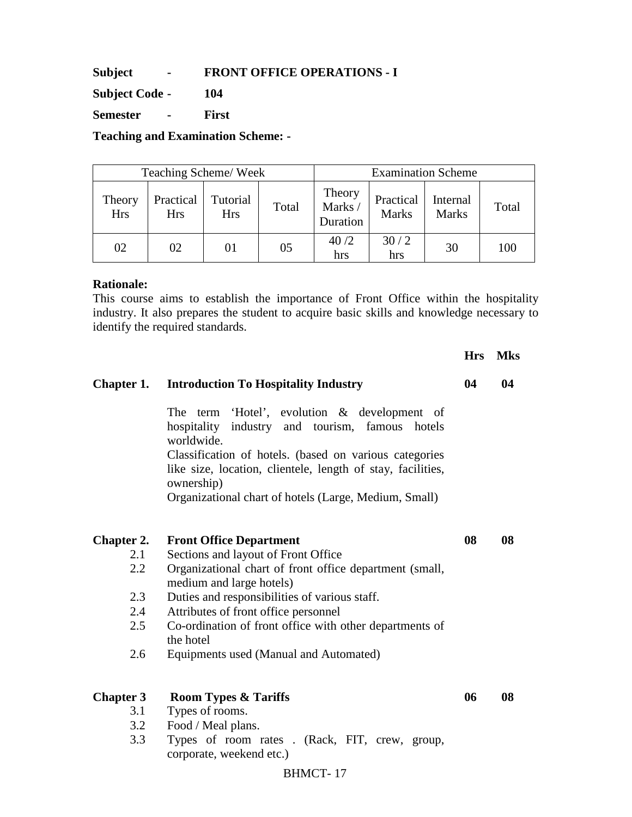**Subject - FRONT OFFICE OPERATIONS - I** 

**Subject Code - 104** 

**Semester - First** 

**Teaching and Examination Scheme: -** 

| Teaching Scheme/Week |                  |                        |       | <b>Examination Scheme</b>    |                           |                          |       |
|----------------------|------------------|------------------------|-------|------------------------------|---------------------------|--------------------------|-------|
| Theory<br><b>Hrs</b> | Practical<br>Hrs | Tutorial<br><b>Hrs</b> | Total | Theory<br>Marks/<br>Duration | Practical<br><b>Marks</b> | Internal<br><b>Marks</b> | Total |
| 02                   | 02               |                        | 05    | 40/2<br>hrs                  | 30/2<br>hrs               | 30                       | 100   |

### **Rationale:**

This course aims to establish the importance of Front Office within the hospitality industry. It also prepares the student to acquire basic skills and knowledge necessary to identify the required standards.

|                   |                                                                                                                                                                                                                                                                                                                               | <b>Hrs</b> | <b>Mks</b> |
|-------------------|-------------------------------------------------------------------------------------------------------------------------------------------------------------------------------------------------------------------------------------------------------------------------------------------------------------------------------|------------|------------|
| Chapter 1.        | <b>Introduction To Hospitality Industry</b>                                                                                                                                                                                                                                                                                   | 04         | 04         |
|                   | 'Hotel', evolution & development of<br><b>The</b><br>term<br>hospitality<br>industry and tourism, famous hotels<br>worldwide.<br>Classification of hotels. (based on various categories<br>like size, location, clientele, length of stay, facilities,<br>ownership)<br>Organizational chart of hotels (Large, Medium, Small) |            |            |
| <b>Chapter 2.</b> | <b>Front Office Department</b>                                                                                                                                                                                                                                                                                                | 08         | 08         |
| 2.1               | Sections and layout of Front Office                                                                                                                                                                                                                                                                                           |            |            |
| 2.2               | Organizational chart of front office department (small,<br>medium and large hotels)                                                                                                                                                                                                                                           |            |            |
| 2.3               | Duties and responsibilities of various staff.                                                                                                                                                                                                                                                                                 |            |            |
| 2.4               | Attributes of front office personnel                                                                                                                                                                                                                                                                                          |            |            |
| 2.5               | Co-ordination of front office with other departments of<br>the hotel                                                                                                                                                                                                                                                          |            |            |
| 2.6               | Equipments used (Manual and Automated)                                                                                                                                                                                                                                                                                        |            |            |
| <b>Chapter 3</b>  | <b>Room Types &amp; Tariffs</b>                                                                                                                                                                                                                                                                                               | 06         | 08         |
| 3.1               | Types of rooms.                                                                                                                                                                                                                                                                                                               |            |            |
| 3.2               | Food / Meal plans.                                                                                                                                                                                                                                                                                                            |            |            |
| 3.3               | Types of room rates . (Rack, FIT, crew, group,<br>corporate, weekend etc.)                                                                                                                                                                                                                                                    |            |            |
|                   | <b>BHMCT-17</b>                                                                                                                                                                                                                                                                                                               |            |            |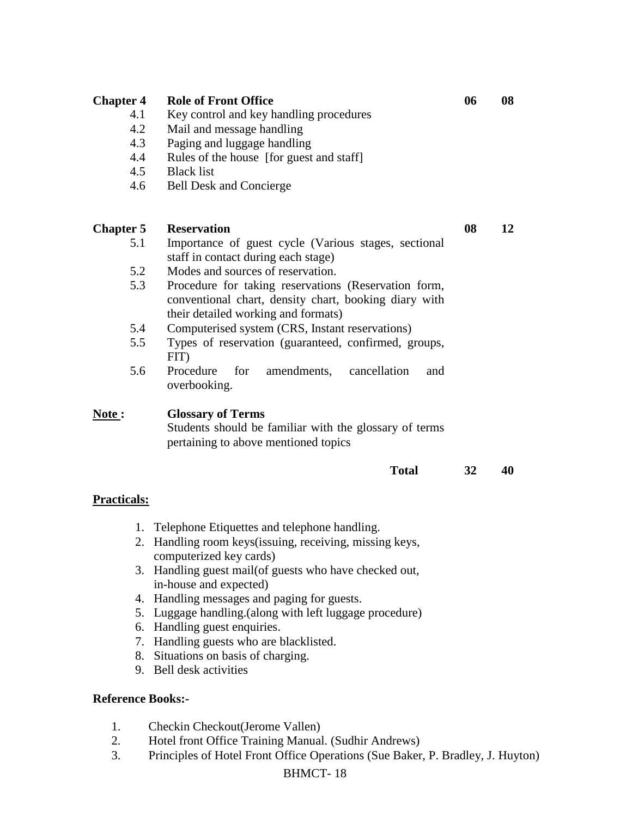| <b>Chapter 4</b><br>4.1<br>4.2<br>4.3<br>4.4<br>4.5<br>4.6 | <b>Role of Front Office</b><br>Key control and key handling procedures<br>Mail and message handling<br>Paging and luggage handling<br>Rules of the house [for guest and staff]<br><b>Black list</b><br><b>Bell Desk and Concierge</b>                                                                                                                                                                                                                                                       | 06 | 08 |
|------------------------------------------------------------|---------------------------------------------------------------------------------------------------------------------------------------------------------------------------------------------------------------------------------------------------------------------------------------------------------------------------------------------------------------------------------------------------------------------------------------------------------------------------------------------|----|----|
| <b>Chapter 5</b><br>5.1<br>5.2<br>5.3<br>5.4<br>5.5<br>5.6 | <b>Reservation</b><br>Importance of guest cycle (Various stages, sectional<br>staff in contact during each stage)<br>Modes and sources of reservation.<br>Procedure for taking reservations (Reservation form,<br>conventional chart, density chart, booking diary with<br>their detailed working and formats)<br>Computerised system (CRS, Instant reservations)<br>Types of reservation (guaranteed, confirmed, groups,<br>FIT)<br>Procedure<br>for<br>amendments,<br>cancellation<br>and | 08 | 12 |
| Note:<br><b>Practicals:</b>                                | overbooking.<br><b>Glossary of Terms</b><br>Students should be familiar with the glossary of terms<br>pertaining to above mentioned topics<br><b>Total</b>                                                                                                                                                                                                                                                                                                                                  | 32 | 40 |
| 1.<br>2.<br><b>Reference Books:-</b>                       | Telephone Etiquettes and telephone handling.<br>Handling room keys(issuing, receiving, missing keys,<br>computerized key cards)<br>3. Handling guest mail(of guests who have checked out,<br>in-house and expected)<br>4. Handling messages and paging for guests.<br>5. Luggage handling. (along with left luggage procedure)<br>6. Handling guest enquiries.<br>7. Handling guests who are blacklisted.<br>8. Situations on basis of charging.<br>9. Bell desk activities                 |    |    |

- 1. Checkin Checkout(Jerome Vallen)
- 2. Hotel front Office Training Manual. (Sudhir Andrews)
- 3. Principles of Hotel Front Office Operations (Sue Baker, P. Bradley, J. Huyton)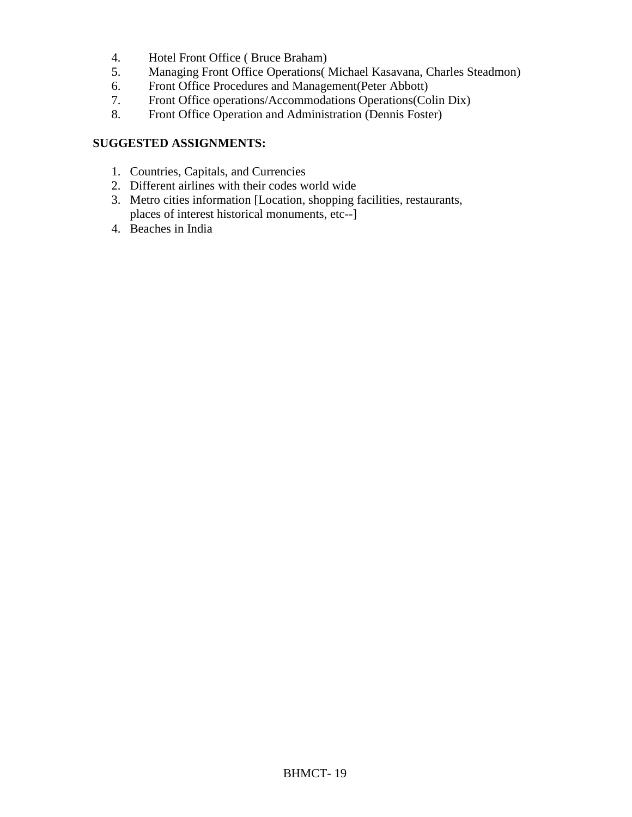- 4. Hotel Front Office ( Bruce Braham)
- 5. Managing Front Office Operations( Michael Kasavana, Charles Steadmon)
- 6. Front Office Procedures and Management(Peter Abbott)
- 7. Front Office operations/Accommodations Operations(Colin Dix)<br>8. Front Office Operation and Administration (Dennis Foster)
- Front Office Operation and Administration (Dennis Foster)

## **SUGGESTED ASSIGNMENTS:**

- 1. Countries, Capitals, and Currencies
- 2. Different airlines with their codes world wide
- 3. Metro cities information [Location, shopping facilities, restaurants, places of interest historical monuments, etc--]
- 4. Beaches in India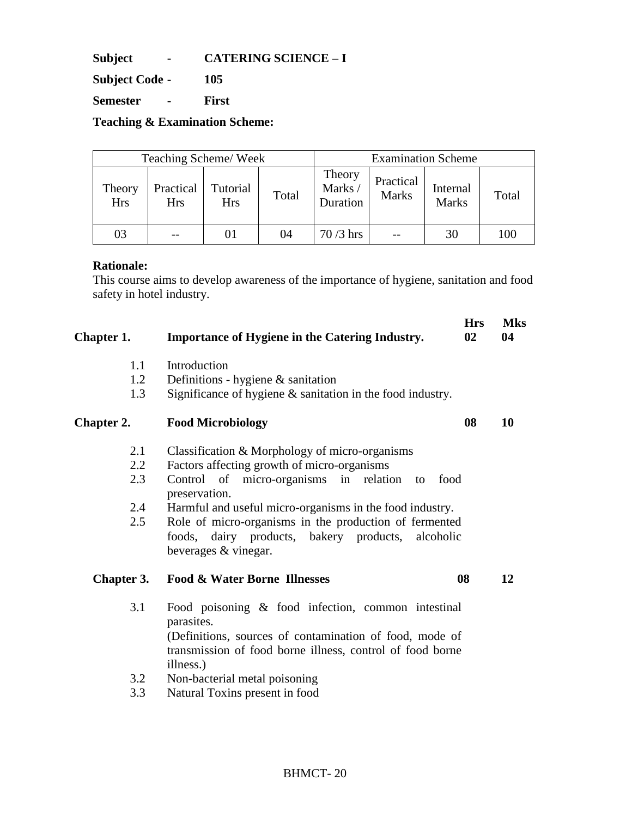**Subject - CATERING SCIENCE – I** 

**Subject Code - 105** 

**Semester - First** 

**Teaching & Examination Scheme:** 

| Teaching Scheme/Week |                         |                        |       |                              |                           | <b>Examination Scheme</b> |       |
|----------------------|-------------------------|------------------------|-------|------------------------------|---------------------------|---------------------------|-------|
| Theory<br><b>Hrs</b> | Practical<br><b>Hrs</b> | Tutorial<br><b>Hrs</b> | Total | Theory<br>Marks/<br>Duration | Practical<br><b>Marks</b> | Internal<br><b>Marks</b>  | Total |
| 03                   |                         |                        | 04    | 70 /3 hrs                    |                           | 30                        | 100   |

### **Rationale:**

This course aims to develop awareness of the importance of hygiene, sanitation and food safety in hotel industry.

| Chapter 1. | <b>Importance of Hygiene in the Catering Industry.</b>                                                                                                                                                | <b>Hrs</b><br>02 | <b>Mks</b><br>04 |
|------------|-------------------------------------------------------------------------------------------------------------------------------------------------------------------------------------------------------|------------------|------------------|
| 1.1        | Introduction                                                                                                                                                                                          |                  |                  |
| 1.2        | Definitions - hygiene $\&$ sanitation                                                                                                                                                                 |                  |                  |
| 1.3        | Significance of hygiene $\&$ sanitation in the food industry.                                                                                                                                         |                  |                  |
| Chapter 2. | <b>Food Microbiology</b>                                                                                                                                                                              | 08               | 10               |
| 2.1        | Classification & Morphology of micro-organisms                                                                                                                                                        |                  |                  |
| 2.2        | Factors affecting growth of micro-organisms                                                                                                                                                           |                  |                  |
| 2.3        | Control of micro-organisms in relation to<br>food<br>preservation.                                                                                                                                    |                  |                  |
| 2.4        | Harmful and useful micro-organisms in the food industry.                                                                                                                                              |                  |                  |
| 2.5        | Role of micro-organisms in the production of fermented<br>foods, dairy products, bakery products, alcoholic<br>beverages & vinegar.                                                                   |                  |                  |
| Chapter 3. | <b>Food &amp; Water Borne Illnesses</b>                                                                                                                                                               | 08               | 12               |
| 3.1        | Food poisoning & food infection, common intestinal<br>parasites.<br>(Definitions, sources of contamination of food, mode of<br>transmission of food borne illness, control of food borne<br>illness.) |                  |                  |
| 3.2        | Non-bacterial metal poisoning                                                                                                                                                                         |                  |                  |
| 3.3        | Natural Toxins present in food                                                                                                                                                                        |                  |                  |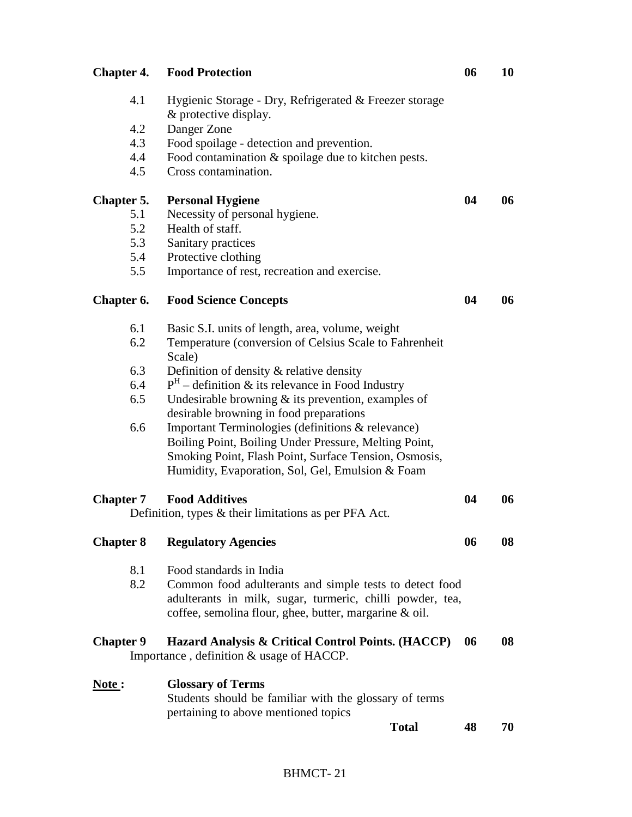| <b>Chapter 4.</b> | <b>Food Protection</b>                                                                                                                                                         | 06 | 10 |
|-------------------|--------------------------------------------------------------------------------------------------------------------------------------------------------------------------------|----|----|
| 4.1               | Hygienic Storage - Dry, Refrigerated & Freezer storage<br>& protective display.                                                                                                |    |    |
| 4.2               | Danger Zone                                                                                                                                                                    |    |    |
| 4.3               | Food spoilage - detection and prevention.                                                                                                                                      |    |    |
| 4.4               | Food contamination $\&$ spoilage due to kitchen pests.                                                                                                                         |    |    |
| 4.5               | Cross contamination.                                                                                                                                                           |    |    |
| <b>Chapter 5.</b> | <b>Personal Hygiene</b>                                                                                                                                                        | 04 | 06 |
| 5.1               | Necessity of personal hygiene.                                                                                                                                                 |    |    |
| 5.2               | Health of staff.                                                                                                                                                               |    |    |
| 5.3               | Sanitary practices                                                                                                                                                             |    |    |
| 5.4               | Protective clothing                                                                                                                                                            |    |    |
| 5.5               | Importance of rest, recreation and exercise.                                                                                                                                   |    |    |
| Chapter 6.        | <b>Food Science Concepts</b>                                                                                                                                                   | 04 | 06 |
| 6.1               | Basic S.I. units of length, area, volume, weight                                                                                                                               |    |    |
| 6.2               | Temperature (conversion of Celsius Scale to Fahrenheit<br>Scale)                                                                                                               |    |    |
| 6.3               | Definition of density & relative density                                                                                                                                       |    |    |
| 6.4               | $PH$ – definition & its relevance in Food Industry                                                                                                                             |    |    |
| 6.5               | Undesirable browning $\&$ its prevention, examples of<br>desirable browning in food preparations                                                                               |    |    |
| 6.6               | Important Terminologies (definitions & relevance)                                                                                                                              |    |    |
|                   | Boiling Point, Boiling Under Pressure, Melting Point,                                                                                                                          |    |    |
|                   | Smoking Point, Flash Point, Surface Tension, Osmosis,<br>Humidity, Evaporation, Sol, Gel, Emulsion & Foam                                                                      |    |    |
|                   |                                                                                                                                                                                |    |    |
| <b>Chapter 7</b>  | <b>Food Additives</b>                                                                                                                                                          | 04 | 06 |
|                   | Definition, types $\&$ their limitations as per PFA Act.                                                                                                                       |    |    |
| <b>Chapter 8</b>  | <b>Regulatory Agencies</b>                                                                                                                                                     | 06 | 08 |
| 8.1               | Food standards in India                                                                                                                                                        |    |    |
| 8.2               | Common food adulterants and simple tests to detect food<br>adulterants in milk, sugar, turmeric, chilli powder, tea,<br>coffee, semolina flour, ghee, butter, margarine & oil. |    |    |
| <b>Chapter 9</b>  | Hazard Analysis & Critical Control Points. (HACCP)<br>Importance, definition & usage of HACCP.                                                                                 | 06 | 08 |
| Note:             | <b>Glossary of Terms</b>                                                                                                                                                       |    |    |
|                   | Students should be familiar with the glossary of terms                                                                                                                         |    |    |
|                   | pertaining to above mentioned topics                                                                                                                                           |    |    |
|                   | <b>Total</b>                                                                                                                                                                   | 48 | 70 |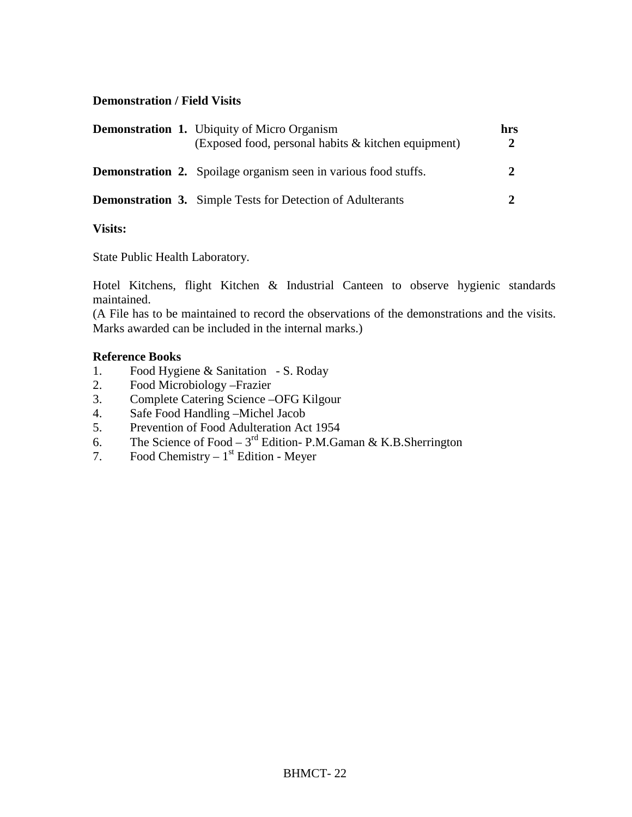### **Demonstration / Field Visits**

| <b>Demonstration 1.</b> Ubiquity of Micro Organism<br>(Exposed food, personal habits & kitchen equipment) | hrs |
|-----------------------------------------------------------------------------------------------------------|-----|
| <b>Demonstration 2.</b> Spoilage organism seen in various food stuffs.                                    |     |
| <b>Demonstration 3.</b> Simple Tests for Detection of Adulterants                                         |     |

## **Visits:**

State Public Health Laboratory.

Hotel Kitchens, flight Kitchen & Industrial Canteen to observe hygienic standards maintained.

(A File has to be maintained to record the observations of the demonstrations and the visits. Marks awarded can be included in the internal marks.)

### **Reference Books**

- 1. Food Hygiene & Sanitation S. Roday
- 2. Food Microbiology –Frazier
- 3. Complete Catering Science –OFG Kilgour
- 4. Safe Food Handling –Michel Jacob
- 5. Prevention of Food Adulteration Act 1954
- 6. The Science of Food  $3<sup>rd</sup>$  Edition- P.M.Gaman & K.B.Sherrington
- 7. Food Chemistry  $1<sup>st</sup>$  Edition Meyer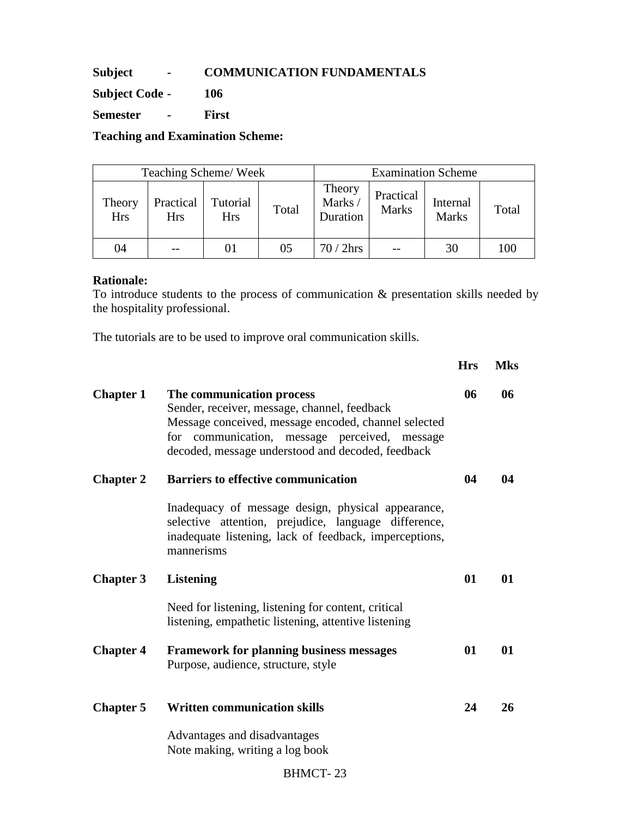## **Subject - COMMUNICATION FUNDAMENTALS**

**Subject Code - 106** 

**Semester - First** 

**Teaching and Examination Scheme:** 

| Teaching Scheme/Week |                  |                        |       | <b>Examination Scheme</b>    |                           |                          |       |
|----------------------|------------------|------------------------|-------|------------------------------|---------------------------|--------------------------|-------|
| Theory<br><b>Hrs</b> | Practical<br>Hrs | Tutorial<br><b>Hrs</b> | Total | Theory<br>Marks/<br>Duration | Practical<br><b>Marks</b> | Internal<br><b>Marks</b> | Total |
| 04                   |                  |                        | 05    | 70 / 2hrs                    |                           | 30                       | 100   |

#### **Rationale:**

To introduce students to the process of communication & presentation skills needed by the hospitality professional.

**Hrs Mks** 

The tutorials are to be used to improve oral communication skills.

| <b>Chapter 1</b> | The communication process<br>Sender, receiver, message, channel, feedback<br>Message conceived, message encoded, channel selected<br>for communication, message perceived, message<br>decoded, message understood and decoded, feedback | 06 | 06 |
|------------------|-----------------------------------------------------------------------------------------------------------------------------------------------------------------------------------------------------------------------------------------|----|----|
| <b>Chapter 2</b> | <b>Barriers to effective communication</b>                                                                                                                                                                                              | 04 | 04 |
|                  | Inadequacy of message design, physical appearance,<br>selective attention, prejudice, language difference,<br>inadequate listening, lack of feedback, imperceptions,<br>mannerisms                                                      |    |    |
| <b>Chapter 3</b> | <b>Listening</b>                                                                                                                                                                                                                        | 01 | 01 |
|                  | Need for listening, listening for content, critical<br>listening, empathetic listening, attentive listening                                                                                                                             |    |    |
| <b>Chapter 4</b> | <b>Framework for planning business messages</b><br>Purpose, audience, structure, style                                                                                                                                                  | 01 | 01 |
| <b>Chapter 5</b> | <b>Written communication skills</b>                                                                                                                                                                                                     | 24 | 26 |
|                  | Advantages and disadvantages<br>Note making, writing a log book                                                                                                                                                                         |    |    |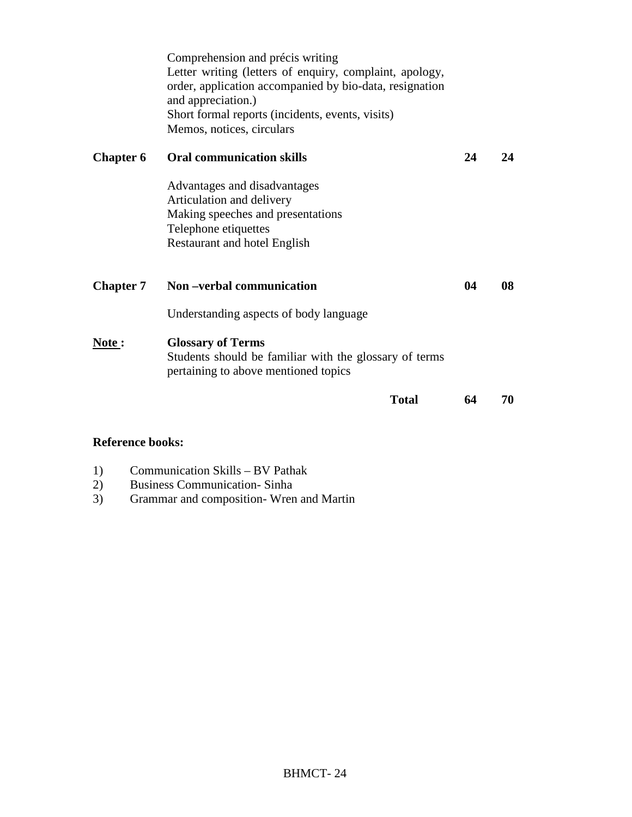|                  | <b>Total</b>                                                                                                                                                                                                                                                  | 64 | 70 |
|------------------|---------------------------------------------------------------------------------------------------------------------------------------------------------------------------------------------------------------------------------------------------------------|----|----|
| <u>Note</u> :    | <b>Glossary of Terms</b><br>Students should be familiar with the glossary of terms<br>pertaining to above mentioned topics                                                                                                                                    |    |    |
|                  | Understanding aspects of body language                                                                                                                                                                                                                        |    |    |
| <b>Chapter 7</b> | Non-verbal communication                                                                                                                                                                                                                                      | 04 | 08 |
|                  | Advantages and disadvantages<br>Articulation and delivery<br>Making speeches and presentations<br>Telephone etiquettes<br>Restaurant and hotel English                                                                                                        |    |    |
| <b>Chapter 6</b> | <b>Oral communication skills</b>                                                                                                                                                                                                                              | 24 | 24 |
|                  | Comprehension and précis writing<br>Letter writing (letters of enquiry, complaint, apology,<br>order, application accompanied by bio-data, resignation<br>and appreciation.)<br>Short formal reports (incidents, events, visits)<br>Memos, notices, circulars |    |    |

## **Reference books:**

- 1) Communication Skills BV Pathak<br>2) Business Communication-Sinha
- 2) Business Communication-Sinha<br>3) Grammar and composition-Wren
- 3) Grammar and composition- Wren and Martin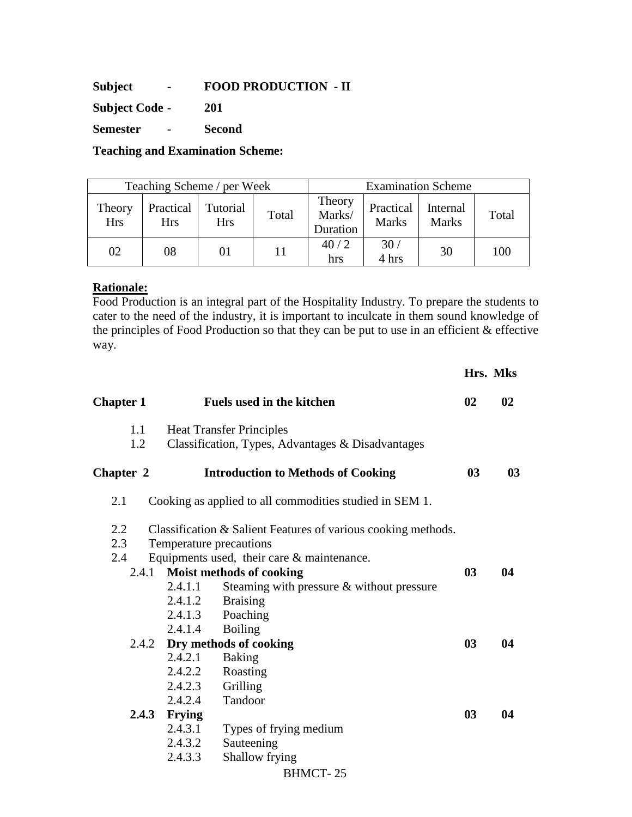**Subject - FOOD PRODUCTION - II** 

**Subject Code - 201** 

**Semester - Second** 

**Teaching and Examination Scheme:** 

| Teaching Scheme / per Week |                         |                        |       | <b>Examination Scheme</b>    |                           |                          |       |
|----------------------------|-------------------------|------------------------|-------|------------------------------|---------------------------|--------------------------|-------|
| Theory<br><b>Hrs</b>       | Practical<br><b>Hrs</b> | Tutorial<br><b>Hrs</b> | Total | Theory<br>Marks/<br>Duration | Practical<br><b>Marks</b> | Internal<br><b>Marks</b> | Total |
| 02                         | 08                      | 01                     | 11    | 40/2<br>hrs                  | 30/<br>4 hrs              | 30                       | 100   |

## **Rationale:**

Food Production is an integral part of the Hospitality Industry. To prepare the students to cater to the need of the industry, it is important to inculcate in them sound knowledge of the principles of Food Production so that they can be put to use in an efficient & effective way.

|                  |               |                                                               |                | Hrs. Mks |  |  |
|------------------|---------------|---------------------------------------------------------------|----------------|----------|--|--|
| <b>Chapter 1</b> |               | <b>Fuels used in the kitchen</b>                              | 02             | 02       |  |  |
| 1.1              |               | <b>Heat Transfer Principles</b>                               |                |          |  |  |
| 1.2              |               | Classification, Types, Advantages & Disadvantages             |                |          |  |  |
| Chapter 2        |               | <b>Introduction to Methods of Cooking</b>                     |                |          |  |  |
| 2.1              |               | Cooking as applied to all commodities studied in SEM 1.       |                |          |  |  |
| 2.2              |               | Classification & Salient Features of various cooking methods. |                |          |  |  |
| 2.3              |               | Temperature precautions                                       |                |          |  |  |
| 2.4              |               | Equipments used, their care $\&$ maintenance.                 |                |          |  |  |
| 2.4.1            |               | Moist methods of cooking                                      | 03             | 04       |  |  |
|                  | 2.4.1.1       | Steaming with pressure $&$ without pressure                   |                |          |  |  |
|                  | 2.4.1.2       | <b>Braising</b>                                               |                |          |  |  |
|                  | 2.4.1.3       | Poaching                                                      |                |          |  |  |
|                  | 2.4.1.4       | <b>Boiling</b>                                                |                |          |  |  |
|                  |               | 2.4.2 Dry methods of cooking                                  | 0 <sub>3</sub> | 04       |  |  |
|                  | 2.4.2.1       | <b>Baking</b>                                                 |                |          |  |  |
|                  | 2.4.2.2       | Roasting                                                      |                |          |  |  |
|                  | 2.4.2.3       | Grilling                                                      |                |          |  |  |
|                  | 2.4.2.4       | Tandoor                                                       |                |          |  |  |
| 2.4.3            | <b>Frying</b> |                                                               | 03             | 04       |  |  |
|                  | 2.4.3.1       | Types of frying medium                                        |                |          |  |  |
|                  | 2.4.3.2       | Sauteening                                                    |                |          |  |  |
|                  | 2.4.3.3       | Shallow frying                                                |                |          |  |  |
|                  |               | <b>BHMCT-25</b>                                               |                |          |  |  |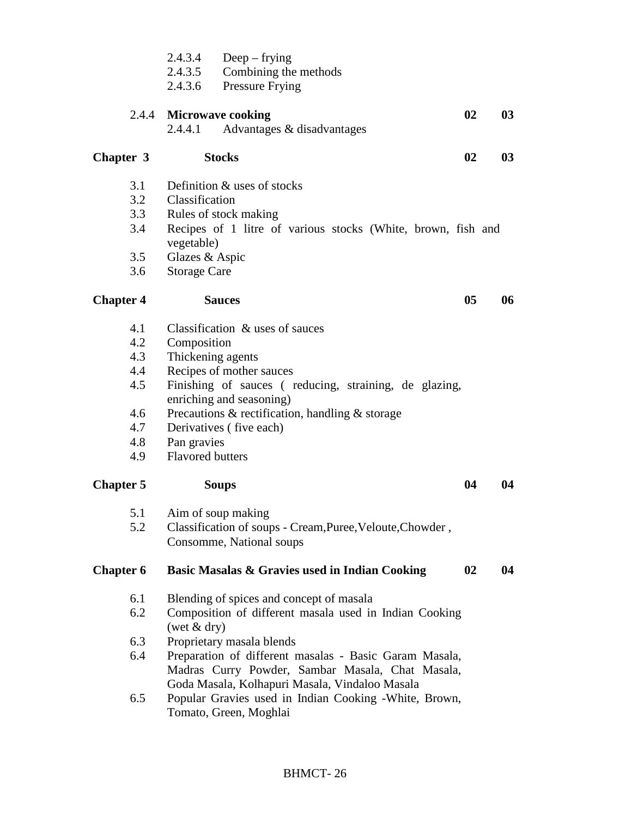|                                                             | 2.4.3.4<br>$Deep - frying$<br>Combining the methods<br>2.4.3.5<br>2.4.3.6<br>Pressure Frying                                                                                                                                                                                                                   |    |
|-------------------------------------------------------------|----------------------------------------------------------------------------------------------------------------------------------------------------------------------------------------------------------------------------------------------------------------------------------------------------------------|----|
|                                                             | 02<br>2.4.4 Microwave cooking<br>Advantages & disadvantages<br>2.4.4.1                                                                                                                                                                                                                                         | 03 |
| Chapter 3                                                   | 02<br><b>Stocks</b>                                                                                                                                                                                                                                                                                            | 03 |
| 3.1<br>3.2<br>3.3<br>3.4<br>3.5<br>3.6                      | Definition & uses of stocks<br>Classification<br>Rules of stock making<br>Recipes of 1 litre of various stocks (White, brown, fish and<br>vegetable)<br>Glazes & Aspic<br><b>Storage Care</b>                                                                                                                  |    |
| <b>Chapter 4</b>                                            | 05<br><b>Sauces</b>                                                                                                                                                                                                                                                                                            | 06 |
| 4.1<br>4.2<br>4.3<br>4.4<br>4.5<br>4.6<br>4.7<br>4.8<br>4.9 | Classification & uses of sauces<br>Composition<br>Thickening agents<br>Recipes of mother sauces<br>Finishing of sauces (reducing, straining, de glazing,<br>enriching and seasoning)<br>Precautions & rectification, handling $&$ storage<br>Derivatives (five each)<br>Pan gravies<br><b>Flavored butters</b> |    |
| <b>Chapter 5</b>                                            | 04<br><b>Soups</b>                                                                                                                                                                                                                                                                                             | 04 |
| 5.2                                                         | 5.1 Aim of soup making<br>Classification of soups - Cream, Puree, Veloute, Chowder,<br>Consomme, National soups                                                                                                                                                                                                |    |
| <b>Chapter 6</b>                                            | 02<br>Basic Masalas & Gravies used in Indian Cooking                                                                                                                                                                                                                                                           | 04 |
| 6.1<br>6.2                                                  | Blending of spices and concept of masala<br>Composition of different masala used in Indian Cooking<br>(wet $&$ dry)                                                                                                                                                                                            |    |
| 6.3                                                         | Proprietary masala blends                                                                                                                                                                                                                                                                                      |    |
| 6.4                                                         | Preparation of different masalas - Basic Garam Masala,<br>Madras Curry Powder, Sambar Masala, Chat Masala,<br>Goda Masala, Kolhapuri Masala, Vindaloo Masala                                                                                                                                                   |    |
| 6.5                                                         | Popular Gravies used in Indian Cooking -White, Brown,<br>Tomato, Green, Moghlai                                                                                                                                                                                                                                |    |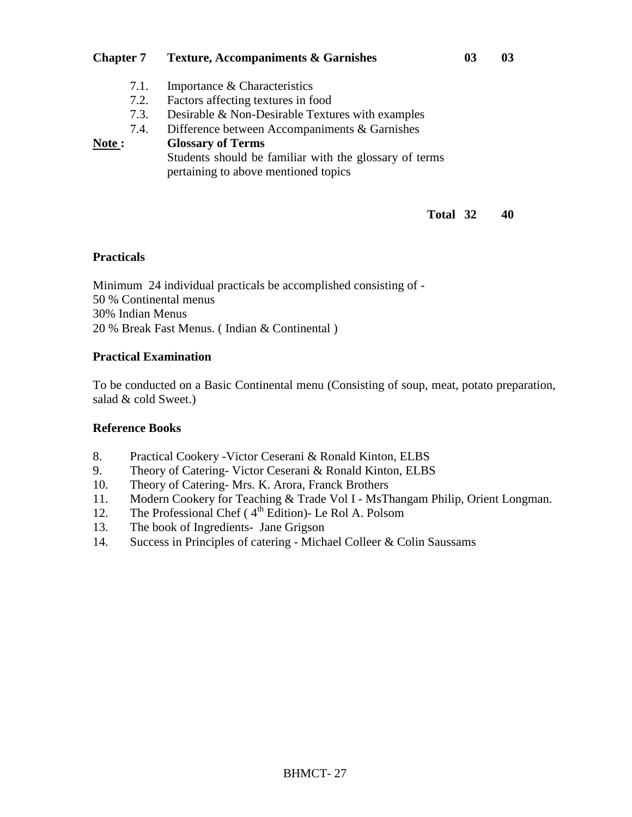## **Chapter 7 Texture, Accompaniments & Garnishes 03 03** 7.1. Importance & Characteristics 7.2. Factors affecting textures in food 7.3. Desirable & Non-Desirable Textures with examples 7.4. Difference between Accompaniments & Garnishes **Note : Glossary of Terms**  Students should be familiar with the glossary of terms pertaining to above mentioned topics

### **Total 32 40**

## **Practicals**

Minimum 24 individual practicals be accomplished consisting of - 50 % Continental menus 30% Indian Menus 20 % Break Fast Menus. ( Indian & Continental )

## **Practical Examination**

To be conducted on a Basic Continental menu (Consisting of soup, meat, potato preparation, salad & cold Sweet.)

#### **Reference Books**

- 8. Practical Cookery -Victor Ceserani & Ronald Kinton, ELBS
- 9. Theory of Catering- Victor Ceserani & Ronald Kinton, ELBS
- 10. Theory of Catering- Mrs. K. Arora, Franck Brothers
- 11. Modern Cookery for Teaching & Trade Vol I MsThangam Philip, Orient Longman.
- 12. The Professional Chef ( $4<sup>th</sup>$  Edition)- Le Rol A. Polsom
- 13. The book of Ingredients- Jane Grigson
- 14. Success in Principles of catering Michael Colleer & Colin Saussams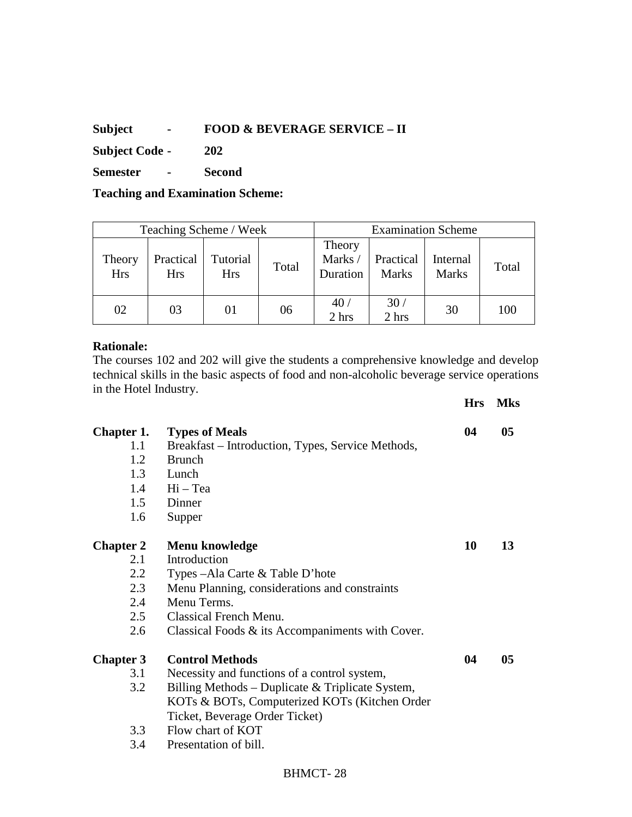## **Subject - FOOD & BEVERAGE SERVICE – II**

**Subject Code - 202** 

**Semester - Second** 

**Teaching and Examination Scheme:** 

| Teaching Scheme / Week |                         |                        |       | <b>Examination Scheme</b>    |                           |                          |       |
|------------------------|-------------------------|------------------------|-------|------------------------------|---------------------------|--------------------------|-------|
| Theory<br><b>Hrs</b>   | Practical<br><b>Hrs</b> | Tutorial<br><b>Hrs</b> | Total | Theory<br>Marks/<br>Duration | Practical<br><b>Marks</b> | Internal<br><b>Marks</b> | Total |
| 02                     | 03                      | 01                     | 06    | 40 <sub>l</sub><br>2 hrs     | 30 <sub>1</sub><br>2 hrs  | 30                       | 100   |

#### **Rationale:**

The courses 102 and 202 will give the students a comprehensive knowledge and develop technical skills in the basic aspects of food and non-alcoholic beverage service operations in the Hotel Industry.

|                   |                                                     | <b>Hrs</b> | <b>Mks</b> |
|-------------------|-----------------------------------------------------|------------|------------|
| <b>Chapter 1.</b> | <b>Types of Meals</b>                               | 04         | 05         |
| 1.1               | Breakfast – Introduction, Types, Service Methods,   |            |            |
| 1.2               | <b>Brunch</b>                                       |            |            |
| 1.3               | Lunch                                               |            |            |
| 1.4               | $Hi - Tea$                                          |            |            |
| 1.5               | Dinner                                              |            |            |
| 1.6               | Supper                                              |            |            |
| <b>Chapter 2</b>  | Menu knowledge                                      | 10         | 13         |
| 2.1               | Introduction                                        |            |            |
| 2.2               | Types – Ala Carte & Table D'hote                    |            |            |
| 2.3               | Menu Planning, considerations and constraints       |            |            |
| 2.4               | Menu Terms.                                         |            |            |
| 2.5               | Classical French Menu.                              |            |            |
| 2.6               | Classical Foods $\&$ its Accompaniments with Cover. |            |            |
| <b>Chapter 3</b>  | <b>Control Methods</b>                              | 04         | 05         |
| 3.1               | Necessity and functions of a control system,        |            |            |
| 3.2               | Billing Methods – Duplicate & Triplicate System,    |            |            |
|                   | KOTs & BOTs, Computerized KOTs (Kitchen Order       |            |            |
|                   | Ticket, Beverage Order Ticket)                      |            |            |
| 3.3               | Flow chart of KOT                                   |            |            |
|                   |                                                     |            |            |

3.4 Presentation of bill.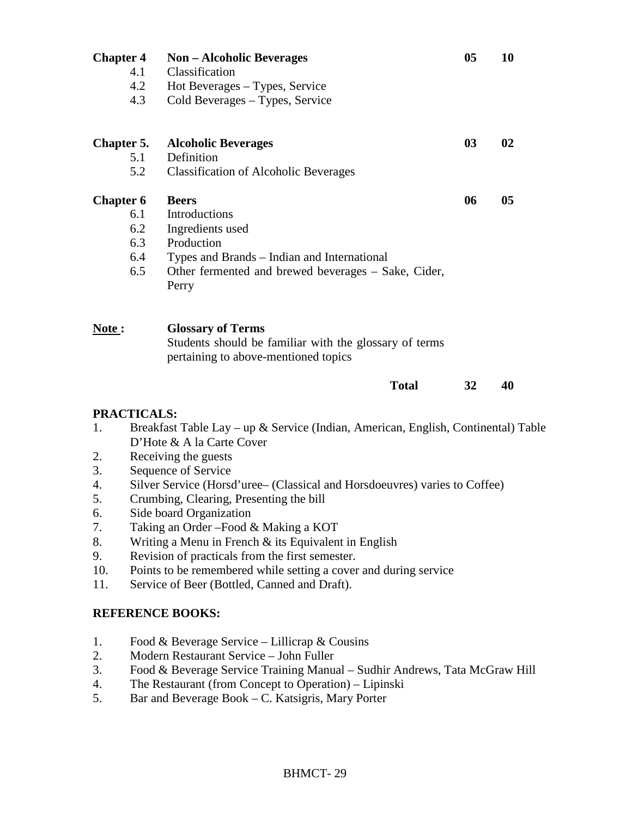| <b>Chapter 4</b><br>4.1<br>4.2<br>4.3 | <b>Non</b> – Alcoholic Beverages<br>Classification<br>Hot Beverages – Types, Service<br>Cold Beverages - Types, Service    | 05 | 10 |
|---------------------------------------|----------------------------------------------------------------------------------------------------------------------------|----|----|
| Chapter 5.                            | <b>Alcoholic Beverages</b>                                                                                                 | 03 | 02 |
| 5.1                                   | Definition                                                                                                                 |    |    |
| 5.2                                   | <b>Classification of Alcoholic Beverages</b>                                                                               |    |    |
| <b>Chapter 6</b>                      | <b>Beers</b>                                                                                                               | 06 | 05 |
| 6.1                                   | Introductions                                                                                                              |    |    |
| 6.2                                   | Ingredients used                                                                                                           |    |    |
| 6.3                                   | Production                                                                                                                 |    |    |
| 6.4                                   | Types and Brands – Indian and International                                                                                |    |    |
| 6.5                                   | Other fermented and brewed beverages – Sake, Cider,<br>Perry                                                               |    |    |
| Note :                                | <b>Glossary of Terms</b><br>Students should be familiar with the glossary of terms<br>pertaining to above-mentioned topics |    |    |

#### **Total 32 40**

## **PRACTICALS:**

- 1. Breakfast Table Lay up & Service (Indian, American, English, Continental) Table D'Hote & A la Carte Cover
- 2. Receiving the guests
- 3. Sequence of Service
- 4. Silver Service (Horsd'uree– (Classical and Horsdoeuvres) varies to Coffee)
- 5. Crumbing, Clearing, Presenting the bill
- 6. Side board Organization
- 7. Taking an Order –Food & Making a KOT
- 8. Writing a Menu in French & its Equivalent in English
- 9. Revision of practicals from the first semester.
- 10. Points to be remembered while setting a cover and during service
- 11. Service of Beer (Bottled, Canned and Draft).

#### **REFERENCE BOOKS:**

- 1. Food & Beverage Service Lillicrap & Cousins
- 2. Modern Restaurant Service John Fuller
- 3. Food & Beverage Service Training Manual Sudhir Andrews, Tata McGraw Hill
- 4. The Restaurant (from Concept to Operation) Lipinski
- 5. Bar and Beverage Book C. Katsigris, Mary Porter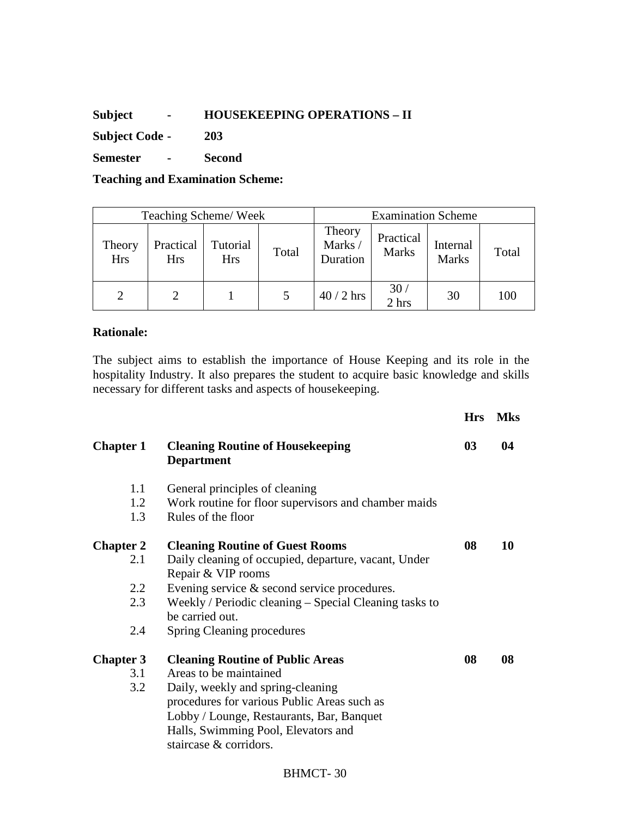## **Subject - HOUSEKEEPING OPERATIONS – II**

**Subject Code - 203** 

**Semester - Second** 

**Teaching and Examination Scheme:** 

| Teaching Scheme/Week |                  |                        |       | <b>Examination Scheme</b>    |                           |                          |       |
|----------------------|------------------|------------------------|-------|------------------------------|---------------------------|--------------------------|-------|
| Theory<br><b>Hrs</b> | Practical<br>Hrs | Tutorial<br><b>Hrs</b> | Total | Theory<br>Marks/<br>Duration | Practical<br><b>Marks</b> | Internal<br><b>Marks</b> | Total |
|                      |                  |                        |       | $40/2$ hrs                   | $\frac{30}{2}$ hrs        | 30                       | 100   |

## **Rationale:**

The subject aims to establish the importance of House Keeping and its role in the hospitality Industry. It also prepares the student to acquire basic knowledge and skills necessary for different tasks and aspects of housekeeping.

|                  |                                                                            | <b>Hrs</b> | <b>Mks</b> |
|------------------|----------------------------------------------------------------------------|------------|------------|
| <b>Chapter 1</b> | <b>Cleaning Routine of Housekeeping</b><br><b>Department</b>               | 03         | 04         |
| 1.1              | General principles of cleaning                                             |            |            |
| 1.2              | Work routine for floor supervisors and chamber maids                       |            |            |
| 1.3              | Rules of the floor                                                         |            |            |
| <b>Chapter 2</b> | <b>Cleaning Routine of Guest Rooms</b>                                     | 08         | 10         |
| 2.1              | Daily cleaning of occupied, departure, vacant, Under<br>Repair & VIP rooms |            |            |
| 2.2              | Evening service $\&$ second service procedures.                            |            |            |
| 2.3              | Weekly / Periodic cleaning – Special Cleaning tasks to<br>be carried out.  |            |            |
| 2.4              | <b>Spring Cleaning procedures</b>                                          |            |            |
| <b>Chapter 3</b> | <b>Cleaning Routine of Public Areas</b>                                    | 08         | 08         |
| 3.1              | Areas to be maintained                                                     |            |            |
| 3.2              | Daily, weekly and spring-cleaning                                          |            |            |
|                  | procedures for various Public Areas such as                                |            |            |
|                  | Lobby / Lounge, Restaurants, Bar, Banquet                                  |            |            |
|                  | Halls, Swimming Pool, Elevators and                                        |            |            |
|                  | staircase & corridors.                                                     |            |            |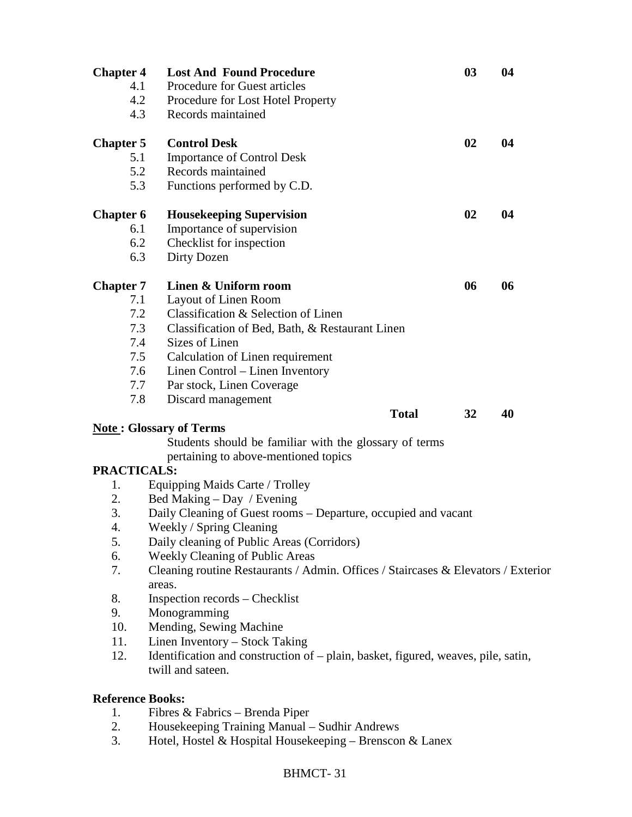| <b>Chapter 4</b>        | <b>Lost And Found Procedure</b>                                                                        | 03 | 04 |  |
|-------------------------|--------------------------------------------------------------------------------------------------------|----|----|--|
| 4.1                     | <b>Procedure for Guest articles</b>                                                                    |    |    |  |
| 4.2                     | Procedure for Lost Hotel Property                                                                      |    |    |  |
| 4.3                     | Records maintained                                                                                     |    |    |  |
| <b>Chapter 5</b>        | <b>Control Desk</b>                                                                                    | 02 | 04 |  |
| 5.1                     | <b>Importance of Control Desk</b>                                                                      |    |    |  |
| 5.2                     | Records maintained                                                                                     |    |    |  |
| 5.3                     | Functions performed by C.D.                                                                            |    |    |  |
| <b>Chapter 6</b>        | <b>Housekeeping Supervision</b>                                                                        | 02 | 04 |  |
| 6.1                     | Importance of supervision                                                                              |    |    |  |
| 6.2                     | Checklist for inspection                                                                               |    |    |  |
| 6.3                     | Dirty Dozen                                                                                            |    |    |  |
| <b>Chapter 7</b>        | Linen & Uniform room                                                                                   | 06 | 06 |  |
| 7.1                     | Layout of Linen Room                                                                                   |    |    |  |
| 7.2                     | Classification & Selection of Linen                                                                    |    |    |  |
| 7.3                     | Classification of Bed, Bath, & Restaurant Linen                                                        |    |    |  |
| 7.4                     | Sizes of Linen                                                                                         |    |    |  |
| 7.5                     | Calculation of Linen requirement                                                                       |    |    |  |
| 7.6                     | Linen Control – Linen Inventory                                                                        |    |    |  |
| 7.7                     | Par stock, Linen Coverage                                                                              |    |    |  |
| 7.8                     | Discard management                                                                                     |    |    |  |
|                         | <b>Total</b>                                                                                           | 32 | 40 |  |
|                         | <b>Note: Glossary of Terms</b>                                                                         |    |    |  |
|                         | Students should be familiar with the glossary of terms                                                 |    |    |  |
|                         | pertaining to above-mentioned topics                                                                   |    |    |  |
| <b>PRACTICALS:</b>      |                                                                                                        |    |    |  |
| 1.                      | Equipping Maids Carte / Trolley                                                                        |    |    |  |
| 2.                      | Bed Making – Day / Evening                                                                             |    |    |  |
| 3.                      | Daily Cleaning of Guest rooms – Departure, occupied and vacant                                         |    |    |  |
| 4.                      | Weekly / Spring Cleaning                                                                               |    |    |  |
| 5.                      | Daily cleaning of Public Areas (Corridors)                                                             |    |    |  |
| 6.                      | <b>Weekly Cleaning of Public Areas</b>                                                                 |    |    |  |
| 7.                      | Cleaning routine Restaurants / Admin. Offices / Staircases & Elevators / Exterior<br>areas.            |    |    |  |
| 8.                      | Inspection records – Checklist                                                                         |    |    |  |
| 9.                      | Monogramming                                                                                           |    |    |  |
| 10.                     | Mending, Sewing Machine                                                                                |    |    |  |
| 11.                     | Linen Inventory – Stock Taking                                                                         |    |    |  |
| 12.                     | Identification and construction of – plain, basket, figured, weaves, pile, satin,<br>twill and sateen. |    |    |  |
| <b>Reference Books:</b> |                                                                                                        |    |    |  |
| 1.                      | Fibres & Fabrics - Brenda Piper                                                                        |    |    |  |

- 2. Housekeeping Training Manual Sudhir Andrews
- 3. Hotel, Hostel & Hospital Housekeeping Brenscon & Lanex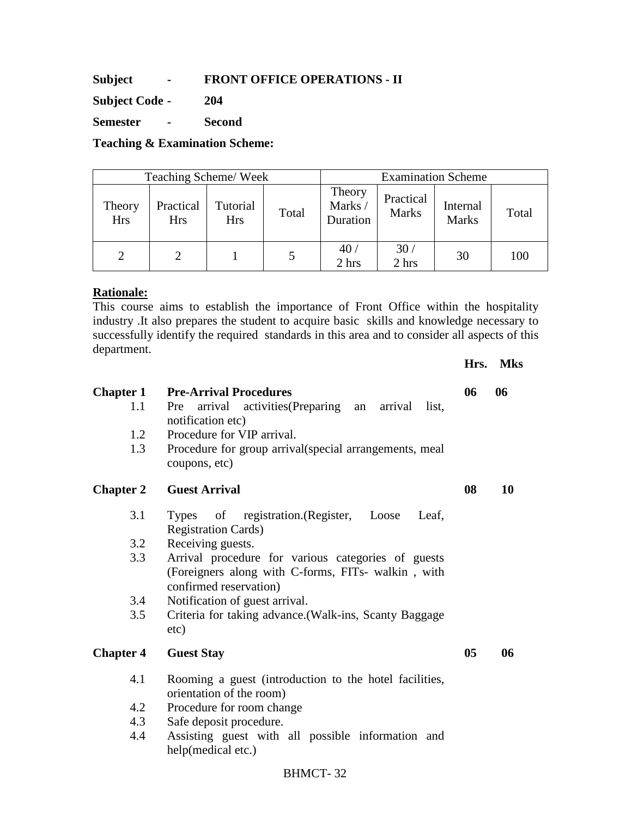**Subject - FRONT OFFICE OPERATIONS - II** 

**Subject Code - 204** 

**Semester - Second** 

**Teaching & Examination Scheme:** 

| Teaching Scheme/Week |                         |                        |       | <b>Examination Scheme</b>    |                           |                          |       |
|----------------------|-------------------------|------------------------|-------|------------------------------|---------------------------|--------------------------|-------|
| Theory<br><b>Hrs</b> | Practical<br><b>Hrs</b> | Tutorial<br><b>Hrs</b> | Total | Theory<br>Marks/<br>Duration | Practical<br><b>Marks</b> | Internal<br><b>Marks</b> | Total |
| 2                    |                         |                        |       | 40 <sub>l</sub><br>2 hrs     | 30 <sub>1</sub><br>2 hrs  | 30                       | 100   |

#### **Rationale:**

This course aims to establish the importance of Front Office within the hospitality industry .It also prepares the student to acquire basic skills and knowledge necessary to successfully identify the required standards in this area and to consider all aspects of this department.

**Hrs. Mks** 

| <b>Chapter 1</b><br>1.1<br>1.2<br>1.3 | <b>Pre-Arrival Procedures</b><br>Pre arrival activities (Preparing an arrival<br>list.<br>notification etc)<br>Procedure for VIP arrival.<br>Procedure for group arrival (special arrangements, meal<br>coupons, etc) | 06             | 06 |
|---------------------------------------|-----------------------------------------------------------------------------------------------------------------------------------------------------------------------------------------------------------------------|----------------|----|
| <b>Chapter 2</b>                      | <b>Guest Arrival</b>                                                                                                                                                                                                  | 08             | 10 |
| 3.1                                   | of registration.(Register, Loose<br><b>Types</b><br>Leaf.<br><b>Registration Cards</b> )                                                                                                                              |                |    |
| 3.2                                   | Receiving guests.                                                                                                                                                                                                     |                |    |
| 3.3                                   | Arrival procedure for various categories of guests<br>(Foreigners along with C-forms, FITs- walkin, with<br>confirmed reservation)                                                                                    |                |    |
| 3.4                                   | Notification of guest arrival.                                                                                                                                                                                        |                |    |
| 3.5                                   | Criteria for taking advance.(Walk-ins, Scanty Baggage<br>etc)                                                                                                                                                         |                |    |
| <b>Chapter 4</b>                      | <b>Guest Stay</b>                                                                                                                                                                                                     | 0 <sub>5</sub> | 06 |
| 4.1                                   | Rooming a guest (introduction to the hotel facilities,<br>orientation of the room)                                                                                                                                    |                |    |
| 4.2                                   | Procedure for room change                                                                                                                                                                                             |                |    |
| 4.3                                   | Safe deposit procedure.                                                                                                                                                                                               |                |    |
| 4.4                                   | Assisting guest with all possible information and<br>help(medical etc.)                                                                                                                                               |                |    |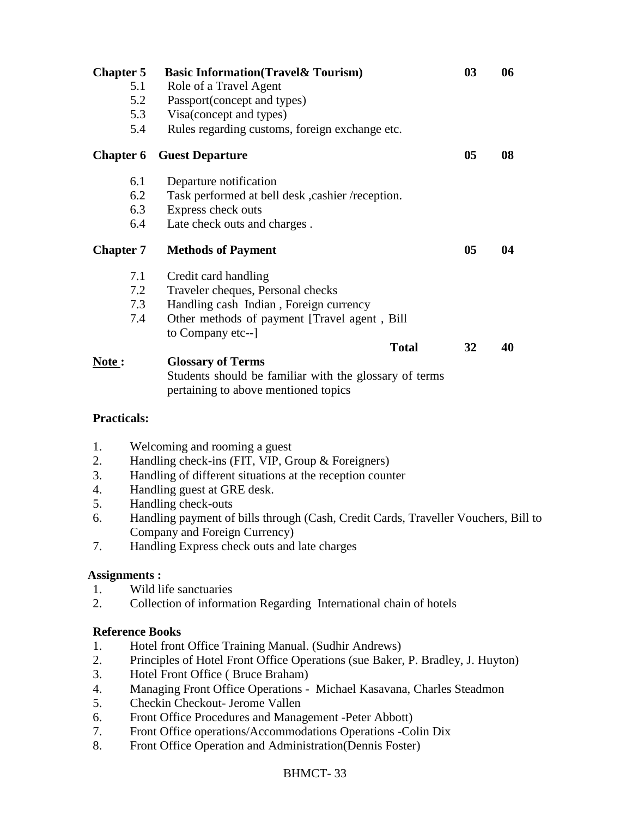| <b>Chapter 5</b> | <b>Basic Information (Travel &amp; Tourism)</b>        | 03             | 06 |
|------------------|--------------------------------------------------------|----------------|----|
| 5.1              | Role of a Travel Agent                                 |                |    |
| 5.2              | Passport(concept and types)                            |                |    |
| 5.3              | Visa(concept and types)                                |                |    |
| 5.4              | Rules regarding customs, foreign exchange etc.         |                |    |
| <b>Chapter 6</b> | <b>Guest Departure</b>                                 | 05             | 08 |
| 6.1              | Departure notification                                 |                |    |
| 6.2              | Task performed at bell desk, cashier /reception.       |                |    |
| 6.3              | Express check outs                                     |                |    |
| 6.4              | Late check outs and charges.                           |                |    |
| <b>Chapter 7</b> | <b>Methods of Payment</b>                              | 0 <sub>5</sub> | 04 |
| 7.1              | Credit card handling                                   |                |    |
| 7.2              | Traveler cheques, Personal checks                      |                |    |
| 7.3              | Handling cash Indian, Foreign currency                 |                |    |
| 7.4              | Other methods of payment [Travel agent, Bill           |                |    |
|                  | to Company etc--                                       |                |    |
|                  | <b>Total</b>                                           | 32             | 40 |
|                  |                                                        |                |    |
|                  | <b>Glossary of Terms</b>                               |                |    |
| Note:            | Students should be familiar with the glossary of terms |                |    |

#### **Practicals:**

- 1. Welcoming and rooming a guest
- 2. Handling check-ins (FIT, VIP, Group & Foreigners)
- 3. Handling of different situations at the reception counter
- 4. Handling guest at GRE desk.
- 5. Handling check-outs
- 6. Handling payment of bills through (Cash, Credit Cards, Traveller Vouchers, Bill to Company and Foreign Currency)
- 7. Handling Express check outs and late charges

## **Assignments :**

- 1. Wild life sanctuaries
- 2. Collection of information Regarding International chain of hotels

## **Reference Books**

- 1. Hotel front Office Training Manual. (Sudhir Andrews)
- 2. Principles of Hotel Front Office Operations (sue Baker, P. Bradley, J. Huyton)
- 3. Hotel Front Office ( Bruce Braham)
- 4. Managing Front Office Operations Michael Kasavana, Charles Steadmon
- 5. Checkin Checkout- Jerome Vallen
- 6. Front Office Procedures and Management -Peter Abbott)
- 7. Front Office operations/Accommodations Operations -Colin Dix
- 8. Front Office Operation and Administration(Dennis Foster)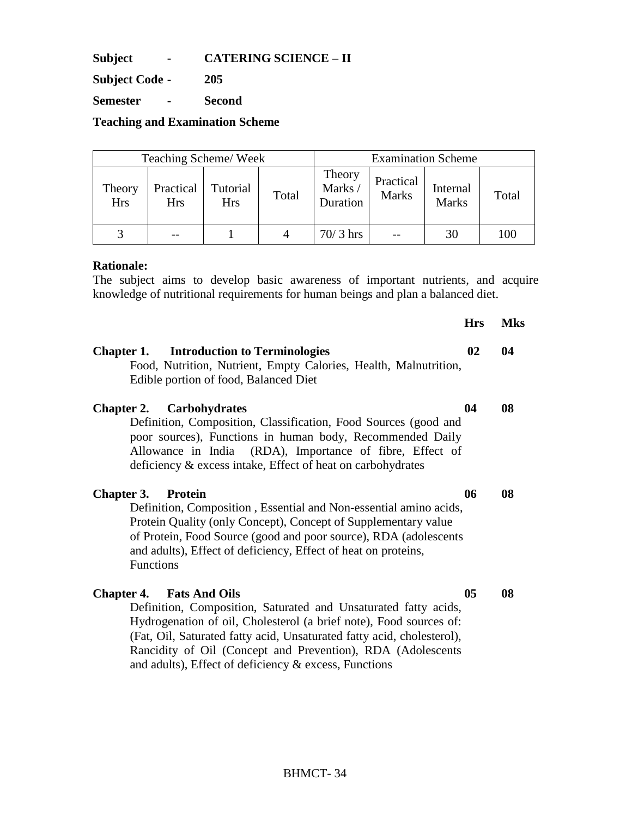**Subject - CATERING SCIENCE – II** 

**Subject Code - 205** 

**Semester - Second** 

**Teaching and Examination Scheme** 

|                      | <b>Examination Scheme</b><br>Teaching Scheme/Week |                        |       |                              |                           |                          |       |
|----------------------|---------------------------------------------------|------------------------|-------|------------------------------|---------------------------|--------------------------|-------|
| Theory<br><b>Hrs</b> | Practical<br><b>Hrs</b>                           | Tutorial<br><b>Hrs</b> | Total | Theory<br>Marks/<br>Duration | Practical<br><b>Marks</b> | Internal<br><b>Marks</b> | Total |
| $\mathcal{R}$        |                                                   |                        |       | $70/3$ hrs                   |                           | 30                       | 100   |

#### **Rationale:**

The subject aims to develop basic awareness of important nutrients, and acquire knowledge of nutritional requirements for human beings and plan a balanced diet.

|                                                                                                                                                                                                                                                                                                                                                                                      | <b>Hrs</b>     | <b>Mks</b> |
|--------------------------------------------------------------------------------------------------------------------------------------------------------------------------------------------------------------------------------------------------------------------------------------------------------------------------------------------------------------------------------------|----------------|------------|
| <b>Introduction to Terminologies</b><br>Chapter 1.<br>Food, Nutrition, Nutrient, Empty Calories, Health, Malnutrition,<br>Edible portion of food, Balanced Diet                                                                                                                                                                                                                      | 02             | 04         |
| <b>Carbohydrates</b><br><b>Chapter 2.</b><br>Definition, Composition, Classification, Food Sources (good and<br>poor sources), Functions in human body, Recommended Daily<br>Allowance in India (RDA), Importance of fibre, Effect of<br>deficiency & excess intake, Effect of heat on carbohydrates                                                                                 | 04             | 08         |
| <b>Chapter 3.</b><br><b>Protein</b><br>Definition, Composition, Essential and Non-essential amino acids,<br>Protein Quality (only Concept), Concept of Supplementary value<br>of Protein, Food Source (good and poor source), RDA (adolescents<br>and adults), Effect of deficiency, Effect of heat on proteins,<br><b>Functions</b>                                                 | 06             | 08         |
| <b>Fats And Oils</b><br><b>Chapter 4.</b><br>Definition, Composition, Saturated and Unsaturated fatty acids,<br>Hydrogenation of oil, Cholesterol (a brief note), Food sources of:<br>(Fat, Oil, Saturated fatty acid, Unsaturated fatty acid, cholesterol),<br>Rancidity of Oil (Concept and Prevention), RDA (Adolescents<br>and adults), Effect of deficiency & excess, Functions | 0 <sub>5</sub> | 08         |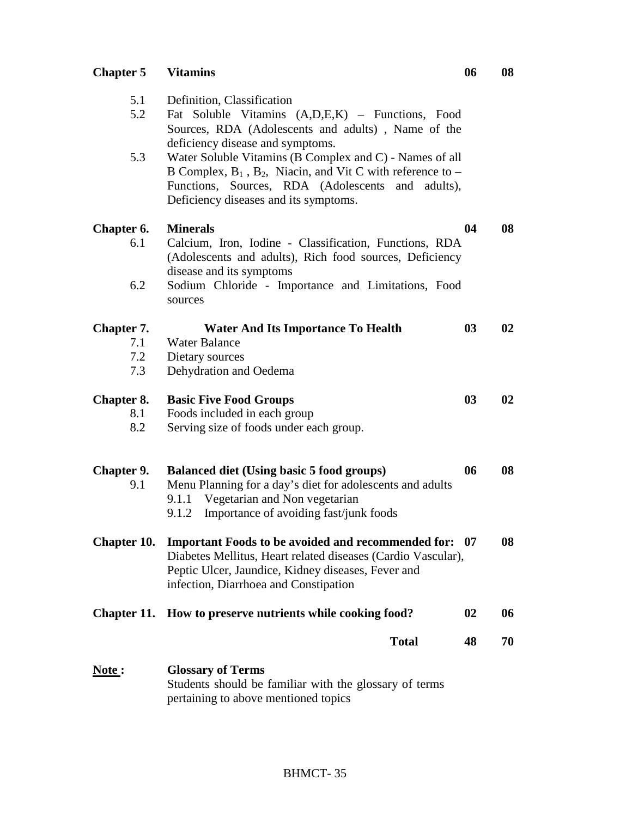## **Chapter 5 Vitamins 06 08**

| 5.1<br>5.2        | Definition, Classification<br>Fat Soluble Vitamins (A,D,E,K) - Functions, Food<br>Sources, RDA (Adolescents and adults), Name of the                                                                                                                          |    |    |
|-------------------|---------------------------------------------------------------------------------------------------------------------------------------------------------------------------------------------------------------------------------------------------------------|----|----|
| 5.3               | deficiency disease and symptoms.<br>Water Soluble Vitamins (B Complex and C) - Names of all<br>B Complex, $B_1$ , $B_2$ , Niacin, and Vit C with reference to –<br>Functions, Sources, RDA (Adolescents and adults),<br>Deficiency diseases and its symptoms. |    |    |
| Chapter 6.        | <b>Minerals</b>                                                                                                                                                                                                                                               | 04 | 08 |
| 6.1               | Calcium, Iron, Iodine - Classification, Functions, RDA<br>(Adolescents and adults), Rich food sources, Deficiency<br>disease and its symptoms                                                                                                                 |    |    |
| 6.2               | Sodium Chloride - Importance and Limitations, Food<br>sources                                                                                                                                                                                                 |    |    |
| Chapter 7.        | <b>Water And Its Importance To Health</b>                                                                                                                                                                                                                     | 03 | 02 |
| 7.1               | <b>Water Balance</b>                                                                                                                                                                                                                                          |    |    |
| 7.2               | Dietary sources                                                                                                                                                                                                                                               |    |    |
| 7.3               | Dehydration and Oedema                                                                                                                                                                                                                                        |    |    |
| Chapter 8.        | <b>Basic Five Food Groups</b>                                                                                                                                                                                                                                 | 03 | 02 |
| 8.1               | Foods included in each group                                                                                                                                                                                                                                  |    |    |
| 8.2               | Serving size of foods under each group.                                                                                                                                                                                                                       |    |    |
| Chapter 9.<br>9.1 | <b>Balanced diet (Using basic 5 food groups)</b><br>Menu Planning for a day's diet for adolescents and adults<br>9.1.1 Vegetarian and Non vegetarian<br>Importance of avoiding fast/junk foods<br>9.1.2                                                       | 06 | 08 |
| Chapter 10.       | <b>Important Foods to be avoided and recommended for: 07</b><br>Diabetes Mellitus, Heart related diseases (Cardio Vascular).<br>Peptic Ulcer, Jaundice, Kidney diseases, Fever and<br>infection, Diarrhoea and Constipation                                   |    | 08 |
|                   | Chapter 11. How to preserve nutrients while cooking food?                                                                                                                                                                                                     | 02 | 06 |
|                   | <b>Total</b>                                                                                                                                                                                                                                                  | 48 | 70 |
| <u>Note</u> :     | <b>Glossary of Terms</b><br>Students should be familiar with the glossary of terms                                                                                                                                                                            |    |    |

pertaining to above mentioned topics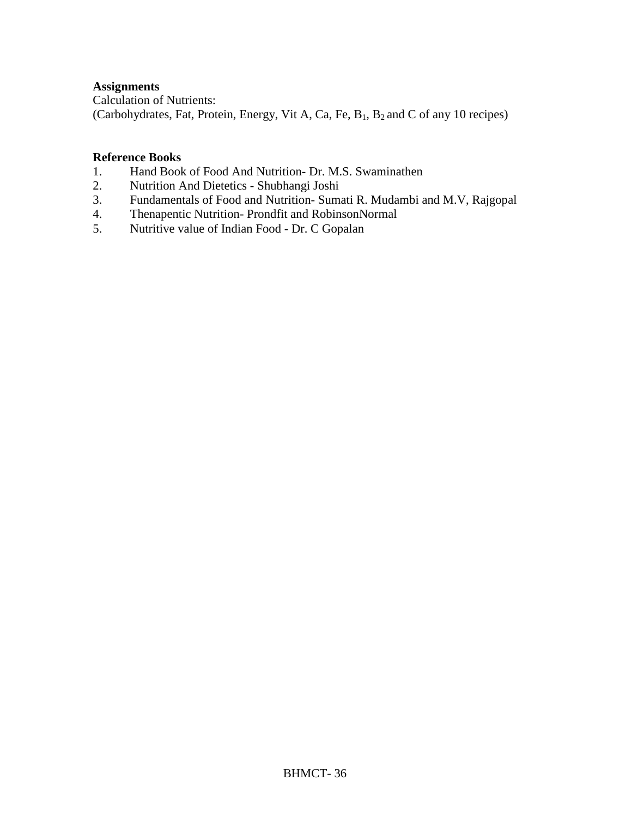## **Assignments**

Calculation of Nutrients: (Carbohydrates, Fat, Protein, Energy, Vit A, Ca, Fe, B1, B2 and C of any 10 recipes)

#### **Reference Books**

- 1. Hand Book of Food And Nutrition- Dr. M.S. Swaminathen
- 2. Nutrition And Dietetics Shubhangi Joshi
- 3. Fundamentals of Food and Nutrition- Sumati R. Mudambi and M.V, Rajgopal
- 4. Thenapentic Nutrition- Prondfit and RobinsonNormal
- 5. Nutritive value of Indian Food Dr. C Gopalan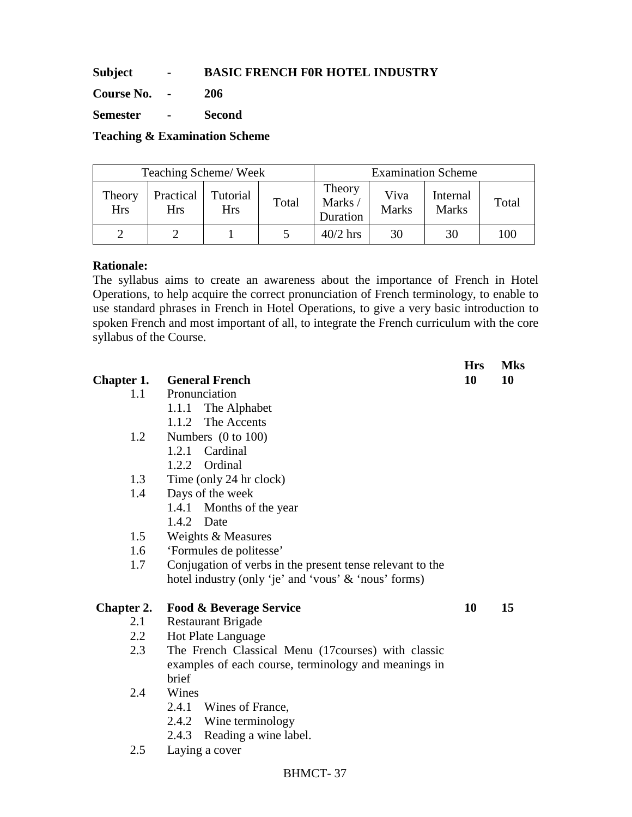# **Subject - BASIC FRENCH F0R HOTEL INDUSTRY**

**Course No. - 206** 

**Semester - Second** 

**Teaching & Examination Scheme** 

|                      | Teaching Scheme/Week    |                        |       | <b>Examination Scheme</b>    |                      |                          |       |
|----------------------|-------------------------|------------------------|-------|------------------------------|----------------------|--------------------------|-------|
| Theory<br><b>Hrs</b> | Practical<br><b>Hrs</b> | Tutorial<br><b>Hrs</b> | Total | Theory<br>Marks/<br>Duration | Viva<br><b>Marks</b> | Internal<br><b>Marks</b> | Total |
|                      |                         |                        |       | $40/2$ hrs                   | 30                   | 30                       | 100   |

#### **Rationale:**

The syllabus aims to create an awareness about the importance of French in Hotel Operations, to help acquire the correct pronunciation of French terminology, to enable to use standard phrases in French in Hotel Operations, to give a very basic introduction to spoken French and most important of all, to integrate the French curriculum with the core syllabus of the Course.

|                   |                                                           | <b>Hrs</b> | <b>Mks</b> |
|-------------------|-----------------------------------------------------------|------------|------------|
| Chapter 1.        | <b>General French</b>                                     | 10         | 10         |
| 1.1               | Pronunciation                                             |            |            |
|                   | 1.1.1 The Alphabet                                        |            |            |
|                   | The Accents<br>1.1.2                                      |            |            |
| 1.2               | Numbers $(0 \text{ to } 100)$                             |            |            |
|                   | 1.2.1 Cardinal                                            |            |            |
|                   | 1.2.2 Ordinal                                             |            |            |
| 1.3               | Time (only 24 hr clock)                                   |            |            |
| 1.4               | Days of the week                                          |            |            |
|                   | 1.4.1 Months of the year                                  |            |            |
|                   | 1.4.2 Date                                                |            |            |
| 1.5               | Weights & Measures                                        |            |            |
| 1.6               | 'Formules de politesse'                                   |            |            |
| 1.7               | Conjugation of verbs in the present tense relevant to the |            |            |
|                   | hotel industry (only 'je' and 'vous' & 'nous' forms)      |            |            |
| <b>Chapter 2.</b> | <b>Food &amp; Beverage Service</b>                        | 10         | 15         |
| 2.1               | <b>Restaurant Brigade</b>                                 |            |            |
| 2.2               | <b>Hot Plate Language</b>                                 |            |            |
| 2.3               | The French Classical Menu (17 courses) with classic       |            |            |
|                   | examples of each course, terminology and meanings in      |            |            |
|                   | brief                                                     |            |            |
| 2.4               | Wines                                                     |            |            |
|                   | 2.4.1 Wines of France,                                    |            |            |
|                   | 2.4.2 Wine terminology                                    |            |            |
|                   | 2.4.3 Reading a wine label.                               |            |            |
| 2.5               | Laying a cover                                            |            |            |
|                   |                                                           |            |            |

BHMCT- 37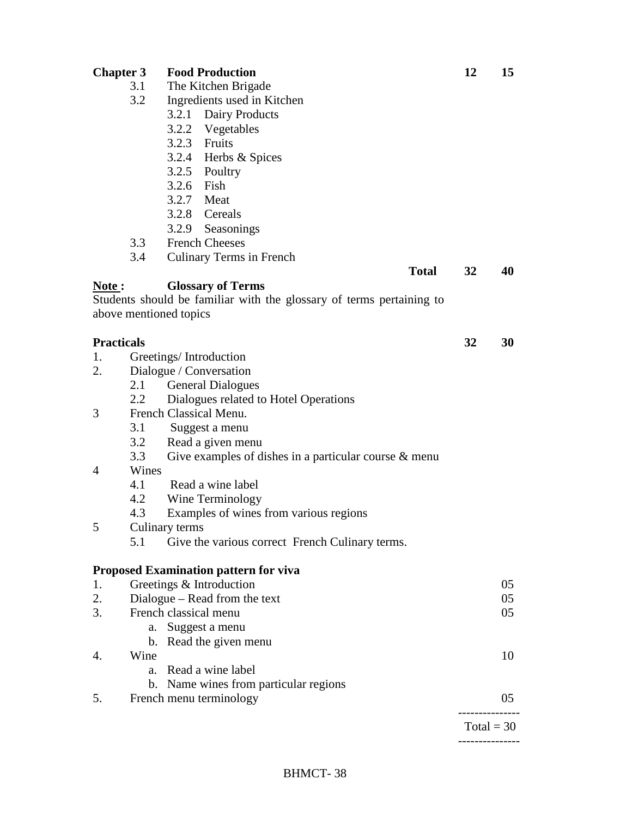| <b>Chapter 3</b>  |       | <b>Food Production</b>                                               | 12           | 15 |
|-------------------|-------|----------------------------------------------------------------------|--------------|----|
|                   | 3.1   | The Kitchen Brigade                                                  |              |    |
|                   | 3.2   | Ingredients used in Kitchen                                          |              |    |
|                   |       | 3.2.1 Dairy Products                                                 |              |    |
|                   |       | 3.2.2 Vegetables                                                     |              |    |
|                   |       | 3.2.3 Fruits                                                         |              |    |
|                   |       | 3.2.4 Herbs & Spices                                                 |              |    |
|                   |       | 3.2.5 Poultry                                                        |              |    |
|                   |       | 3.2.6 Fish                                                           |              |    |
|                   |       | 3.2.7 Meat                                                           |              |    |
|                   |       | 3.2.8 Cereals                                                        |              |    |
|                   |       | 3.2.9 Seasonings                                                     |              |    |
|                   | 3.3   | <b>French Cheeses</b>                                                |              |    |
|                   | 3.4   | Culinary Terms in French                                             |              |    |
|                   |       | <b>Total</b>                                                         | 32           | 40 |
| Note:             |       | <b>Glossary of Terms</b>                                             |              |    |
|                   |       | Students should be familiar with the glossary of terms pertaining to |              |    |
|                   |       | above mentioned topics                                               |              |    |
|                   |       |                                                                      |              |    |
| <b>Practicals</b> |       |                                                                      | 32           | 30 |
| 1.                |       | Greetings/Introduction                                               |              |    |
| 2.                |       | Dialogue / Conversation                                              |              |    |
|                   | 2.1   | <b>General Dialogues</b>                                             |              |    |
|                   | 2.2   | Dialogues related to Hotel Operations                                |              |    |
| 3                 |       | French Classical Menu.                                               |              |    |
|                   | 3.1   | Suggest a menu                                                       |              |    |
|                   | 3.2   | Read a given menu                                                    |              |    |
|                   | 3.3   | Give examples of dishes in a particular course $\&$ menu             |              |    |
| $\overline{4}$    | Wines |                                                                      |              |    |
|                   | 4.1   | Read a wine label                                                    |              |    |
|                   | 4.2   | Wine Terminology                                                     |              |    |
|                   | 4.3   | Examples of wines from various regions                               |              |    |
| 5                 |       | Culinary terms                                                       |              |    |
|                   | 5.1   | Give the various correct French Culinary terms.                      |              |    |
|                   |       |                                                                      |              |    |
|                   |       | <b>Proposed Examination pattern for viva</b>                         |              |    |
| 1.                |       | Greetings & Introduction                                             |              | 05 |
| 2.                |       | Dialogue – Read from the text                                        |              | 05 |
| 3.                |       | French classical menu                                                |              | 05 |
|                   |       | a. Suggest a menu                                                    |              |    |
|                   |       | b. Read the given menu                                               |              |    |
| 4.                | Wine  |                                                                      |              | 10 |
|                   |       | a. Read a wine label                                                 |              |    |
|                   |       | b. Name wines from particular regions                                |              |    |
| 5.                |       | French menu terminology                                              |              | 05 |
|                   |       |                                                                      |              |    |
|                   |       |                                                                      | $Total = 30$ |    |
|                   |       |                                                                      |              |    |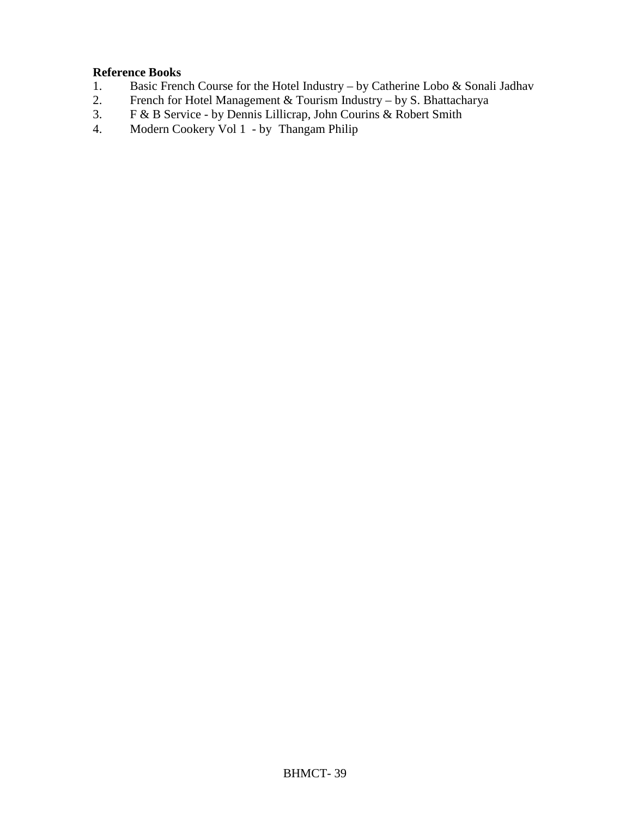# **Reference Books**<br>1. **Basic Frence**

- 1. Basic French Course for the Hotel Industry by Catherine Lobo & Sonali Jadhav
- 2. French for Hotel Management & Tourism Industry by S. Bhattacharya
- 3. F & B Service by Dennis Lillicrap, John Courins & Robert Smith
- 4. Modern Cookery Vol 1 by Thangam Philip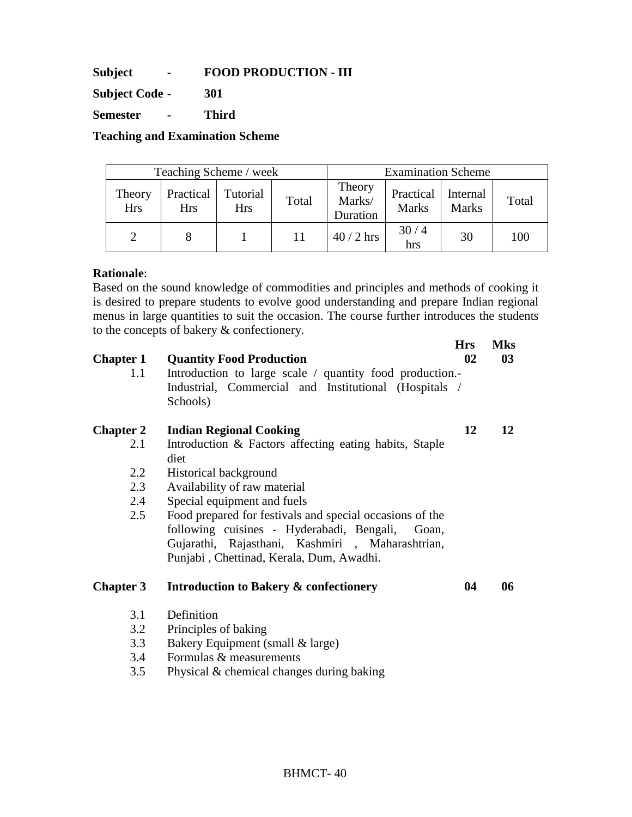**Subject - FOOD PRODUCTION - III** 

**Subject Code - 301** 

**Semester - Third** 

**Teaching and Examination Scheme** 

|                      | Teaching Scheme / week  |                        |       | <b>Examination Scheme</b>    |                           |                          |       |
|----------------------|-------------------------|------------------------|-------|------------------------------|---------------------------|--------------------------|-------|
| Theory<br><b>Hrs</b> | Practical<br><b>Hrs</b> | Tutorial<br><b>Hrs</b> | Total | Theory<br>Marks/<br>Duration | Practical<br><b>Marks</b> | Internal<br><b>Marks</b> | Total |
|                      |                         |                        |       | $40/2$ hrs                   | 30/4<br>hrs               | 30                       | 100   |

#### **Rationale**:

Based on the sound knowledge of commodities and principles and methods of cooking it is desired to prepare students to evolve good understanding and prepare Indian regional menus in large quantities to suit the occasion. The course further introduces the students to the concepts of bakery & confectionery.

| <b>Chapter 1</b><br>1.1 | <b>Quantity Food Production</b><br>Introduction to large scale / quantity food production. | <b>Hrs</b><br>02 | <b>Mks</b><br>03 |
|-------------------------|--------------------------------------------------------------------------------------------|------------------|------------------|
|                         | Industrial, Commercial and Institutional (Hospitals /<br>Schools)                          |                  |                  |
| <b>Chapter 2</b>        | <b>Indian Regional Cooking</b>                                                             | 12               | 12               |
| 2.1                     | Introduction & Factors affecting eating habits, Staple<br>diet                             |                  |                  |
| 2.2                     | Historical background                                                                      |                  |                  |
| 2.3                     | Availability of raw material                                                               |                  |                  |
| 2.4                     | Special equipment and fuels                                                                |                  |                  |
| 2.5                     | Food prepared for festivals and special occasions of the                                   |                  |                  |
|                         | following cuisines - Hyderabadi, Bengali,<br>Goan,                                         |                  |                  |
|                         | Gujarathi, Rajasthani, Kashmiri , Maharashtrian,                                           |                  |                  |
|                         | Punjabi, Chettinad, Kerala, Dum, Awadhi.                                                   |                  |                  |
| <b>Chapter 3</b>        | <b>Introduction to Bakery &amp; confectionery</b>                                          | 04               | 06               |
| 3.1                     | Definition                                                                                 |                  |                  |
| 3.2                     | Principles of baking                                                                       |                  |                  |
| 3.3                     | Bakery Equipment (small & large)                                                           |                  |                  |
| 3.4                     | Formulas & measurements                                                                    |                  |                  |

3.5 Physical & chemical changes during baking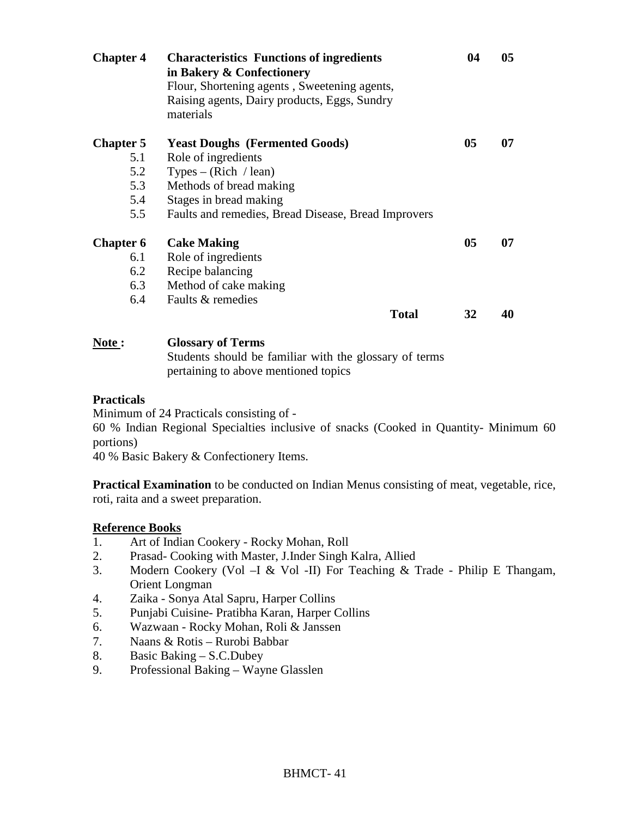| <b>Chapter 4</b> | <b>Characteristics Functions of ingredients</b><br>in Bakery & Confectionery<br>Flour, Shortening agents, Sweetening agents,<br>Raising agents, Dairy products, Eggs, Sundry<br>materials | 04 | 05 |
|------------------|-------------------------------------------------------------------------------------------------------------------------------------------------------------------------------------------|----|----|
| <b>Chapter 5</b> | <b>Yeast Doughs (Fermented Goods)</b>                                                                                                                                                     | 05 | 07 |
| 5.1              | Role of ingredients                                                                                                                                                                       |    |    |
| 5.2              | Types – (Rich / lean)                                                                                                                                                                     |    |    |
| 5.3              | Methods of bread making                                                                                                                                                                   |    |    |
| 5.4              | Stages in bread making                                                                                                                                                                    |    |    |
| 5.5              | Faults and remedies, Bread Disease, Bread Improvers                                                                                                                                       |    |    |
| <b>Chapter 6</b> | <b>Cake Making</b>                                                                                                                                                                        | 05 | 07 |
| 6.1              | Role of ingredients                                                                                                                                                                       |    |    |
| 6.2              | Recipe balancing                                                                                                                                                                          |    |    |
| 6.3              | Method of cake making                                                                                                                                                                     |    |    |
| 6.4              | Faults & remedies                                                                                                                                                                         |    |    |
|                  | <b>Total</b>                                                                                                                                                                              | 32 | 40 |
|                  |                                                                                                                                                                                           |    |    |

**Note : Glossary of Terms** 

Students should be familiar with the glossary of terms pertaining to above mentioned topics

#### **Practicals**

Minimum of 24 Practicals consisting of -

60 % Indian Regional Specialties inclusive of snacks (Cooked in Quantity- Minimum 60 portions)

40 % Basic Bakery & Confectionery Items.

**Practical Examination** to be conducted on Indian Menus consisting of meat, vegetable, rice, roti, raita and a sweet preparation.

- 1. Art of Indian Cookery Rocky Mohan, Roll
- 2. Prasad- Cooking with Master, J.Inder Singh Kalra, Allied
- 3. Modern Cookery (Vol –I & Vol -II) For Teaching & Trade Philip E Thangam, Orient Longman
- 4. Zaika Sonya Atal Sapru, Harper Collins
- 5. Punjabi Cuisine- Pratibha Karan, Harper Collins
- 6. Wazwaan Rocky Mohan, Roli & Janssen
- 7. Naans & Rotis Rurobi Babbar
- 8. Basic Baking S.C.Dubey
- 9. Professional Baking Wayne Glasslen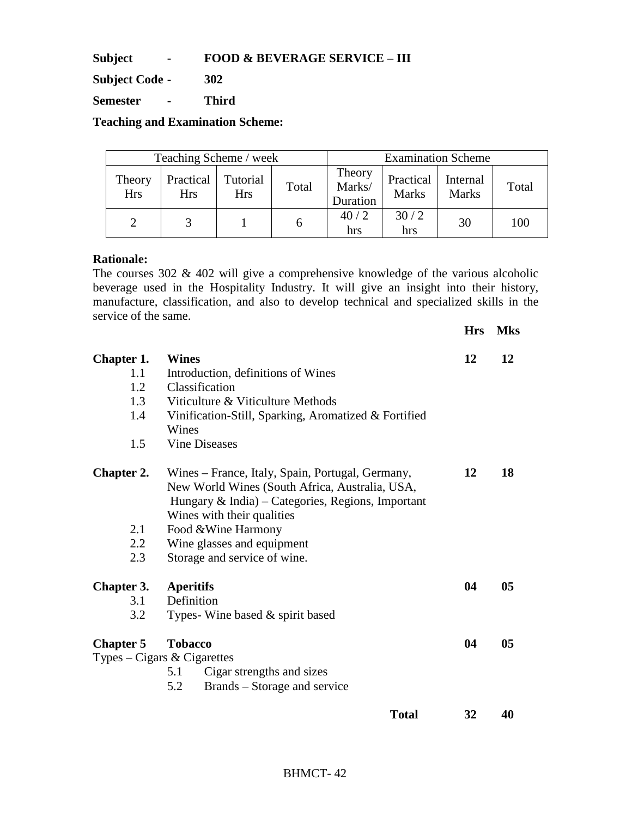**Subject - FOOD & BEVERAGE SERVICE – III** 

**Subject Code - 302** 

**Semester - Third** 

**Teaching and Examination Scheme:** 

|                      | Teaching Scheme / week  |                        |       | <b>Examination Scheme</b>    |                           |                          |       |
|----------------------|-------------------------|------------------------|-------|------------------------------|---------------------------|--------------------------|-------|
| Theory<br><b>Hrs</b> | Practical<br><b>Hrs</b> | Tutorial<br><b>Hrs</b> | Total | Theory<br>Marks/<br>Duration | Practical<br><b>Marks</b> | Internal<br><b>Marks</b> | Total |
|                      |                         |                        |       | 40/2<br>hrs                  | 30/2<br>hrs               | 30                       | 100   |

#### **Rationale:**

The courses 302 & 402 will give a comprehensive knowledge of the various alcoholic beverage used in the Hospitality Industry. It will give an insight into their history, manufacture, classification, and also to develop technical and specialized skills in the service of the same.

|                   |                                                      | <b>Hrs</b> | <b>Mks</b>     |
|-------------------|------------------------------------------------------|------------|----------------|
| <b>Chapter 1.</b> | Wines                                                | 12         | 12             |
| 1.1               | Introduction, definitions of Wines                   |            |                |
| 1.2               | Classification                                       |            |                |
| 1.3               | Viticulture & Viticulture Methods                    |            |                |
| 1.4               | Vinification-Still, Sparking, Aromatized & Fortified |            |                |
|                   | Wines                                                |            |                |
| 1.5               | <b>Vine Diseases</b>                                 |            |                |
| <b>Chapter 2.</b> | Wines – France, Italy, Spain, Portugal, Germany,     | 12         | 18             |
|                   | New World Wines (South Africa, Australia, USA,       |            |                |
|                   | Hungary $\&$ India) – Categories, Regions, Important |            |                |
|                   | Wines with their qualities                           |            |                |
| 2.1               | Food & Wine Harmony                                  |            |                |
| 2.2               | Wine glasses and equipment                           |            |                |
| 2.3               | Storage and service of wine.                         |            |                |
| <b>Chapter 3.</b> | <b>Aperitifs</b>                                     | 04         | 05             |
| 3.1               | Definition                                           |            |                |
| 3.2               | Types-Wine based $\&$ spirit based                   |            |                |
| <b>Chapter 5</b>  | <b>Tobacco</b>                                       | 04         | 0 <sub>5</sub> |
|                   | Types – Cigars & Cigarettes                          |            |                |
|                   | Cigar strengths and sizes<br>5.1                     |            |                |
|                   | Brands – Storage and service<br>5.2                  |            |                |
|                   | <b>Total</b>                                         | 32         | 40             |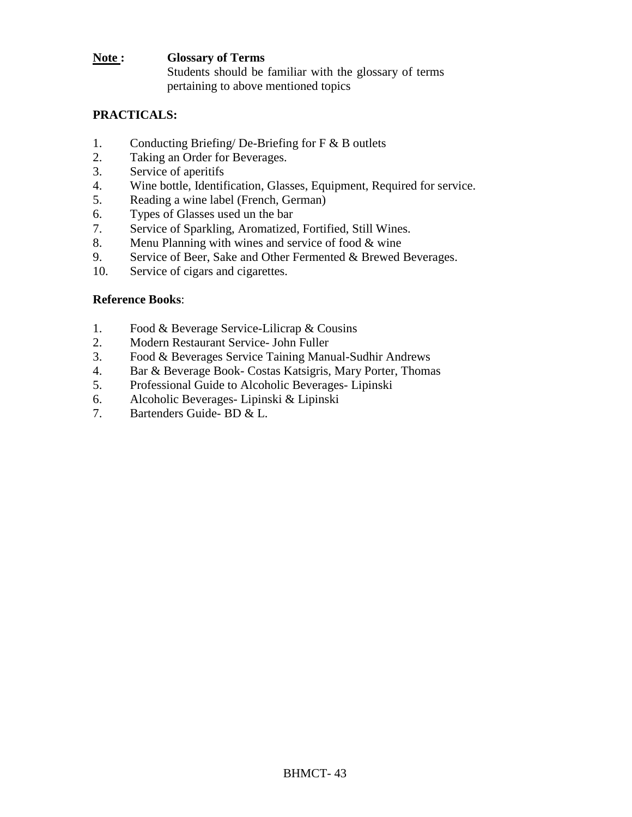#### **Note : Glossary of Terms**  Students should be familiar with the glossary of terms pertaining to above mentioned topics

# **PRACTICALS:**

- 1. Conducting Briefing/ De-Briefing for F & B outlets
- 2. Taking an Order for Beverages.
- 3. Service of aperitifs
- 4. Wine bottle, Identification, Glasses, Equipment, Required for service.
- 5. Reading a wine label (French, German)
- 6. Types of Glasses used un the bar
- 7. Service of Sparkling, Aromatized, Fortified, Still Wines.
- 8. Menu Planning with wines and service of food & wine
- 9. Service of Beer, Sake and Other Fermented & Brewed Beverages.
- 10. Service of cigars and cigarettes.

- 1. Food & Beverage Service-Lilicrap & Cousins
- 2. Modern Restaurant Service- John Fuller
- 3. Food & Beverages Service Taining Manual-Sudhir Andrews
- 4. Bar & Beverage Book- Costas Katsigris, Mary Porter, Thomas
- 5. Professional Guide to Alcoholic Beverages- Lipinski
- 6. Alcoholic Beverages- Lipinski & Lipinski
- 7. Bartenders Guide- BD & L.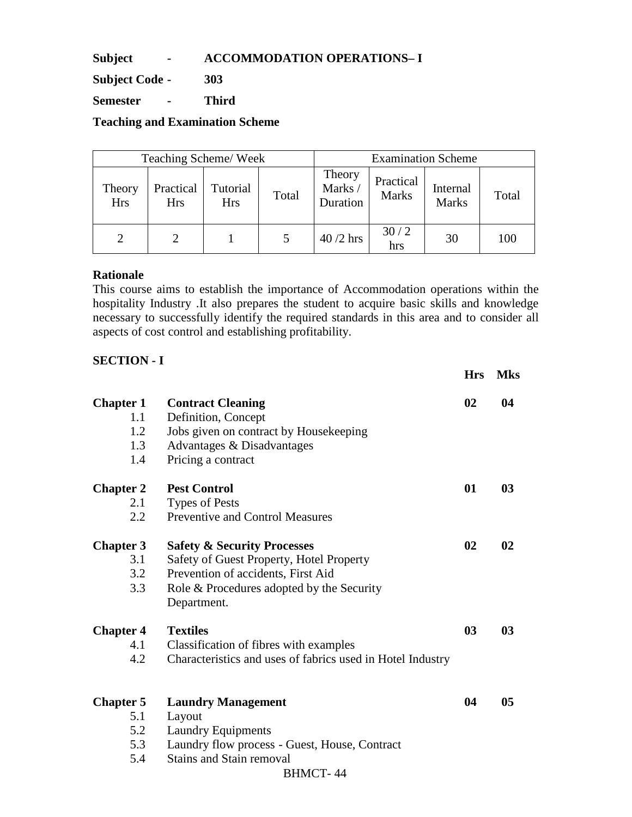**Subject - ACCOMMODATION OPERATIONS– I** 

**Subject Code - 303** 

**Semester - Third** 

**Teaching and Examination Scheme** 

| Teaching Scheme/Week  |                         |                        |       | <b>Examination Scheme</b>    |                           |                          |       |
|-----------------------|-------------------------|------------------------|-------|------------------------------|---------------------------|--------------------------|-------|
| Theory<br><b>Hrs</b>  | Practical<br><b>Hrs</b> | Tutorial<br><b>Hrs</b> | Total | Theory<br>Marks/<br>Duration | Practical<br><b>Marks</b> | Internal<br><b>Marks</b> | Total |
| $\mathcal{D}_{\cdot}$ | 2                       |                        |       | $40/2$ hrs                   | 30/2<br>hrs               | 30                       | 100   |

#### **Rationale**

This course aims to establish the importance of Accommodation operations within the hospitality Industry .It also prepares the student to acquire basic skills and knowledge necessary to successfully identify the required standards in this area and to consider all aspects of cost control and establishing profitability.

**Hrs Mks** 

# **SECTION - I**

| <b>Chapter 1</b> | <b>Contract Cleaning</b>                                   | 02             | 04             |
|------------------|------------------------------------------------------------|----------------|----------------|
| 1.1              | Definition, Concept                                        |                |                |
| 1.2              | Jobs given on contract by Housekeeping                     |                |                |
| 1.3              | Advantages & Disadvantages                                 |                |                |
| 1.4              | Pricing a contract                                         |                |                |
| <b>Chapter 2</b> | <b>Pest Control</b>                                        | 01             | 0 <sub>3</sub> |
| 2.1              | <b>Types of Pests</b>                                      |                |                |
| 2.2              | <b>Preventive and Control Measures</b>                     |                |                |
| <b>Chapter 3</b> | <b>Safety &amp; Security Processes</b>                     | 02             | 02             |
| 3.1              | Safety of Guest Property, Hotel Property                   |                |                |
| 3.2              | Prevention of accidents, First Aid                         |                |                |
| 3.3              | Role & Procedures adopted by the Security                  |                |                |
|                  | Department.                                                |                |                |
| <b>Chapter 4</b> | <b>Textiles</b>                                            | 0 <sub>3</sub> | 03             |
| 4.1              | Classification of fibres with examples                     |                |                |
| 4.2              | Characteristics and uses of fabrics used in Hotel Industry |                |                |
|                  |                                                            |                |                |
| <b>Chapter 5</b> | <b>Laundry Management</b>                                  | 04             | 0 <sub>5</sub> |
| 5.1              | Layout                                                     |                |                |
| 5.2              | <b>Laundry Equipments</b>                                  |                |                |
| 5.3              | Laundry flow process - Guest, House, Contract              |                |                |
| 5.4              | <b>Stains and Stain removal</b>                            |                |                |
|                  | <b>BHMCT-44</b>                                            |                |                |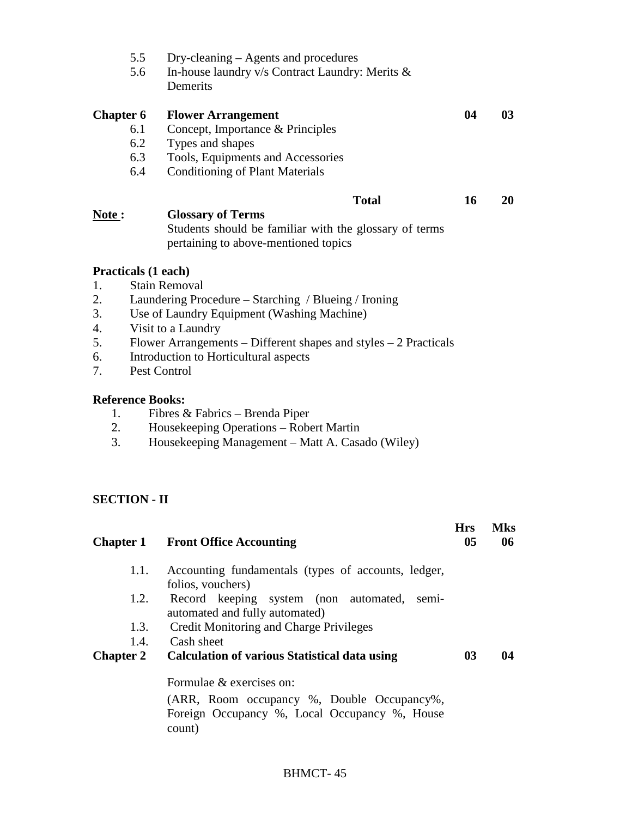|                                                          | 5.5<br>5.6                                                            | Dry-cleaning – Agents and procedures<br>In-house laundry v/s Contract Laundry: Merits &<br>Demerits                                                                                                                                                                                                                                                                                              |            |            |
|----------------------------------------------------------|-----------------------------------------------------------------------|--------------------------------------------------------------------------------------------------------------------------------------------------------------------------------------------------------------------------------------------------------------------------------------------------------------------------------------------------------------------------------------------------|------------|------------|
| <b>Chapter 6</b>                                         | 6.1<br>6.2<br>6.3<br>6.4                                              | <b>Flower Arrangement</b><br>Concept, Importance & Principles<br>Types and shapes<br>Tools, Equipments and Accessories<br><b>Conditioning of Plant Materials</b>                                                                                                                                                                                                                                 | 04         | 03         |
| Note:                                                    |                                                                       | <b>Total</b><br><b>Glossary of Terms</b><br>Students should be familiar with the glossary of terms<br>pertaining to above-mentioned topics                                                                                                                                                                                                                                                       | 16         | 20         |
| 1.<br>2.<br>3.<br>4.<br>5.<br>6.<br>7.<br>1.<br>2.<br>3. | <b>Practicals (1 each)</b><br>Pest Control<br><b>Reference Books:</b> | <b>Stain Removal</b><br>Laundering Procedure – Starching / Blueing / Ironing<br>Use of Laundry Equipment (Washing Machine)<br>Visit to a Laundry<br>Flower Arrangements – Different shapes and styles $-2$ Practicals<br>Introduction to Horticultural aspects<br>Fibres & Fabrics - Brenda Piper<br>Housekeeping Operations - Robert Martin<br>Housekeeping Management – Matt A. Casado (Wiley) |            |            |
|                                                          | <b>SECTION - II</b>                                                   |                                                                                                                                                                                                                                                                                                                                                                                                  | <b>Hrs</b> | <b>Mks</b> |
| <b>Chapter 1</b>                                         |                                                                       | <b>Front Office Accounting</b>                                                                                                                                                                                                                                                                                                                                                                   | 05         | 06         |
|                                                          | 1.1.<br>1.2.<br>1.3.                                                  | Accounting fundamentals (types of accounts, ledger,<br>folios, vouchers)<br>Record keeping system (non automated, semi-<br>automated and fully automated)<br>Credit Monitoring and Charge Privileges                                                                                                                                                                                             |            |            |
| <b>Chapter 2</b>                                         | 1.4.                                                                  | Cash sheet<br><b>Calculation of various Statistical data using</b>                                                                                                                                                                                                                                                                                                                               | 03         | 04         |
|                                                          |                                                                       | Formulae & exercises on:<br>$(ARR$ Room occupancy % Double Occupancy%                                                                                                                                                                                                                                                                                                                            |            |            |

(ARR, Room occupancy %, Double Occupancy%, Foreign Occupancy %, Local Occupancy %, House count)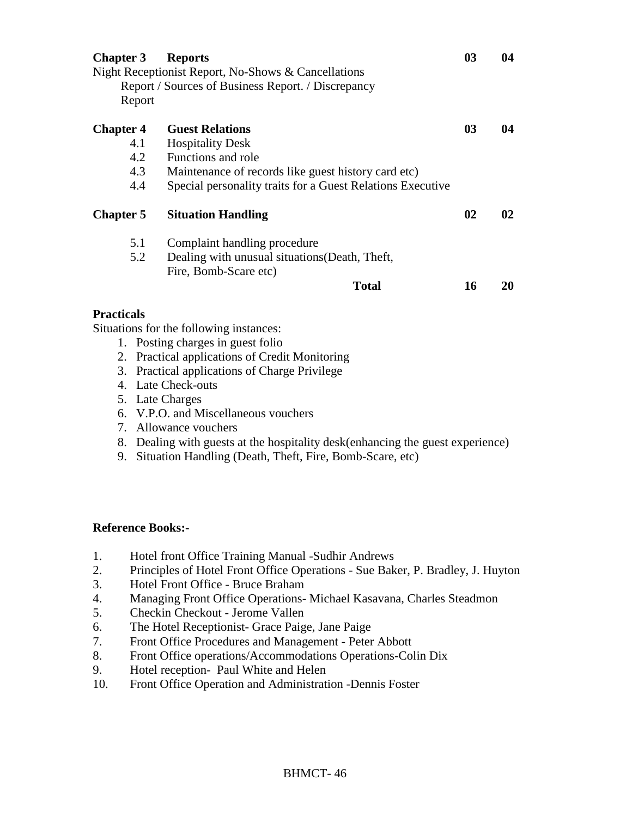| <b>Chapter 3</b>  | <b>Reports</b><br>Night Receptionist Report, No-Shows & Cancellations | 0 <sub>3</sub> | 04            |
|-------------------|-----------------------------------------------------------------------|----------------|---------------|
|                   | Report / Sources of Business Report. / Discrepancy                    |                |               |
| Report            |                                                                       |                |               |
| <b>Chapter 4</b>  | <b>Guest Relations</b>                                                | 0 <sub>3</sub> | 04            |
| 4.1               | <b>Hospitality Desk</b>                                               |                |               |
| 4.2               | Functions and role                                                    |                |               |
| 4.3               | Maintenance of records like guest history card etc)                   |                |               |
| 4.4               | Special personality traits for a Guest Relations Executive            |                |               |
| <b>Chapter 5</b>  | <b>Situation Handling</b>                                             | 02             | $\mathbf{02}$ |
| 5.1               | Complaint handling procedure                                          |                |               |
| 5.2               | Dealing with unusual situations (Death, Theft,                        |                |               |
|                   | Fire, Bomb-Scare etc)                                                 |                |               |
|                   | Total                                                                 | 16             | 20            |
| <b>Practicals</b> |                                                                       |                |               |

Situations for the following instances:

- 1. Posting charges in guest folio
- 2. Practical applications of Credit Monitoring
- 3. Practical applications of Charge Privilege
- 4. Late Check-outs
- 5. Late Charges
- 6. V.P.O. and Miscellaneous vouchers
- 7. Allowance vouchers
- 8. Dealing with guests at the hospitality desk(enhancing the guest experience)
- 9. Situation Handling (Death, Theft, Fire, Bomb-Scare, etc)

- 1. Hotel front Office Training Manual -Sudhir Andrews
- 2. Principles of Hotel Front Office Operations Sue Baker, P. Bradley, J. Huyton
- 3. Hotel Front Office Bruce Braham
- 4. Managing Front Office Operations- Michael Kasavana, Charles Steadmon
- 5. Checkin Checkout Jerome Vallen
- 6. The Hotel Receptionist- Grace Paige, Jane Paige
- 7. Front Office Procedures and Management Peter Abbott
- 8. Front Office operations/Accommodations Operations-Colin Dix
- 9. Hotel reception- Paul White and Helen
- 10. Front Office Operation and Administration -Dennis Foster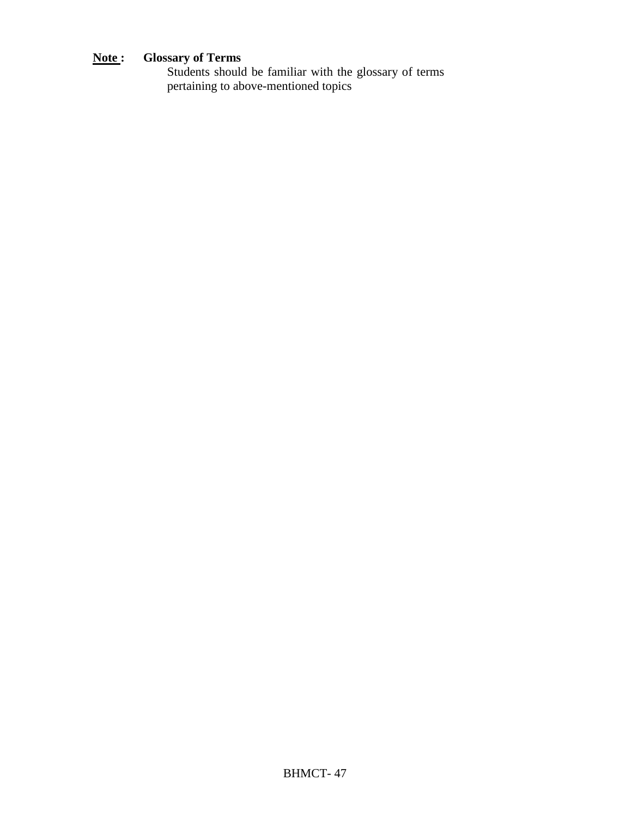# **Note : Glossary of Terms**

Students should be familiar with the glossary of terms pertaining to above-mentioned topics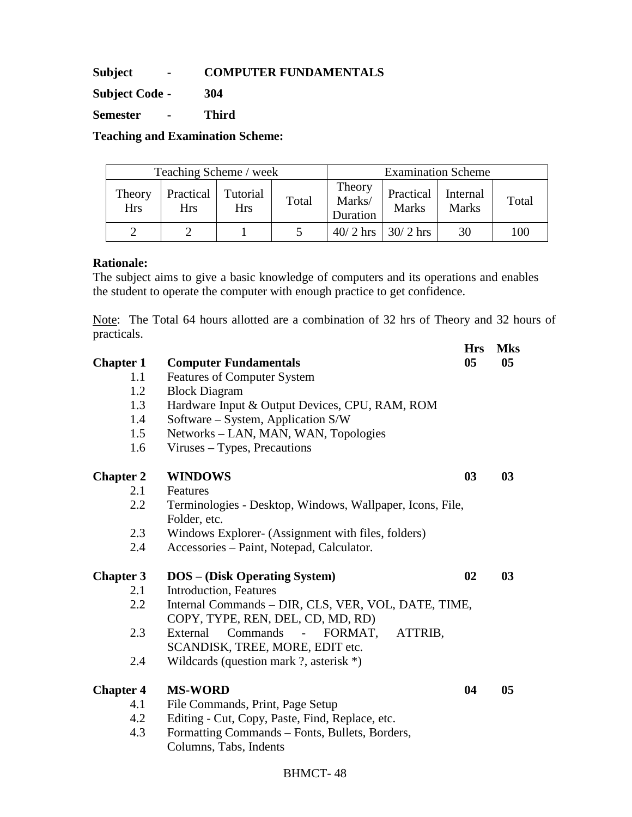**Subject - COMPUTER FUNDAMENTALS** 

**Subject Code - 304** 

**Semester - Third** 

**Teaching and Examination Scheme:** 

| Teaching Scheme / week |                         |                        |       |                              |                           | <b>Examination Scheme</b> |       |
|------------------------|-------------------------|------------------------|-------|------------------------------|---------------------------|---------------------------|-------|
| Theory<br><b>Hrs</b>   | Practical<br><b>Hrs</b> | Tutorial<br><b>Hrs</b> | Total | Theory<br>Marks/<br>Duration | Practical<br><b>Marks</b> | Internal<br><b>Marks</b>  | Total |
|                        |                         |                        |       |                              | $40/2$ hrs   30/2 hrs     | 30                        | 100   |

#### **Rationale:**

The subject aims to give a basic knowledge of computers and its operations and enables the student to operate the computer with enough practice to get confidence.

Note: The Total 64 hours allotted are a combination of 32 hrs of Theory and 32 hours of practicals. **Hrs Mks** 

| <b>Chapter 1</b> | <b>Computer Fundamentals</b>                                                                              | 0 <sub>5</sub> | 05             |
|------------------|-----------------------------------------------------------------------------------------------------------|----------------|----------------|
| 1.1              | <b>Features of Computer System</b>                                                                        |                |                |
| 1.2              | <b>Block Diagram</b>                                                                                      |                |                |
| 1.3              | Hardware Input & Output Devices, CPU, RAM, ROM                                                            |                |                |
| 1.4              | Software – System, Application S/W                                                                        |                |                |
| 1.5              | Networks – LAN, MAN, WAN, Topologies                                                                      |                |                |
| 1.6              | Viruses – Types, Precautions                                                                              |                |                |
| <b>Chapter 2</b> | <b>WINDOWS</b>                                                                                            | 0 <sub>3</sub> | 03             |
| 2.1              | Features                                                                                                  |                |                |
| 2.2              | Terminologies - Desktop, Windows, Wallpaper, Icons, File,<br>Folder, etc.                                 |                |                |
| 2.3              | Windows Explorer- (Assignment with files, folders)                                                        |                |                |
| 2.4              | Accessories - Paint, Notepad, Calculator.                                                                 |                |                |
| <b>Chapter 3</b> | <b>DOS</b> - (Disk Operating System)                                                                      | 02             | 0 <sub>3</sub> |
| 2.1              | Introduction, Features                                                                                    |                |                |
| 2.2              | Internal Commands - DIR, CLS, VER, VOL, DATE, TIME,<br>COPY, TYPE, REN, DEL, CD, MD, RD)                  |                |                |
| 2.3              | Commands<br>External<br>FORMAT,<br>ATTRIB,<br>$\overline{\phantom{a}}$<br>SCANDISK, TREE, MORE, EDIT etc. |                |                |
| 2.4              | Wildcards (question mark ?, asterisk $*)$                                                                 |                |                |
| <b>Chapter 4</b> | <b>MS-WORD</b>                                                                                            | 04             | 05             |
| 4.1              | File Commands, Print, Page Setup                                                                          |                |                |
| 4.2              | Editing - Cut, Copy, Paste, Find, Replace, etc.                                                           |                |                |
| 4.3              | Formatting Commands - Fonts, Bullets, Borders,                                                            |                |                |
|                  | Columns, Tabs, Indents                                                                                    |                |                |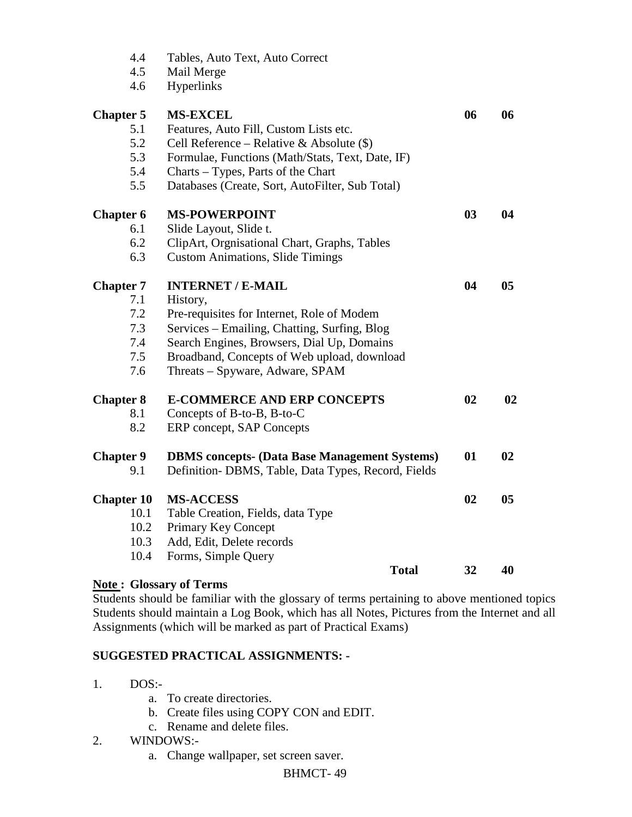| 4.4               | Tables, Auto Text, Auto Correct                      |                |    |
|-------------------|------------------------------------------------------|----------------|----|
| 4.5               | Mail Merge                                           |                |    |
| 4.6               | Hyperlinks                                           |                |    |
| <b>Chapter 5</b>  | <b>MS-EXCEL</b>                                      | 06             | 06 |
| 5.1               | Features, Auto Fill, Custom Lists etc.               |                |    |
| 5.2               | Cell Reference – Relative & Absolute $(\$)$          |                |    |
| 5.3               | Formulae, Functions (Math/Stats, Text, Date, IF)     |                |    |
| 5.4               | Charts – Types, Parts of the Chart                   |                |    |
| 5.5               | Databases (Create, Sort, AutoFilter, Sub Total)      |                |    |
| <b>Chapter 6</b>  | <b>MS-POWERPOINT</b>                                 | 0 <sub>3</sub> | 04 |
| 6.1               | Slide Layout, Slide t.                               |                |    |
| 6.2               | ClipArt, Orgnisational Chart, Graphs, Tables         |                |    |
| 6.3               | <b>Custom Animations, Slide Timings</b>              |                |    |
| <b>Chapter 7</b>  | <b>INTERNET / E-MAIL</b>                             | 04             | 05 |
| 7.1               | History,                                             |                |    |
| 7.2               | Pre-requisites for Internet, Role of Modem           |                |    |
| 7.3               | Services – Emailing, Chatting, Surfing, Blog         |                |    |
| 7.4               | Search Engines, Browsers, Dial Up, Domains           |                |    |
| 7.5               | Broadband, Concepts of Web upload, download          |                |    |
| 7.6               | Threats - Spyware, Adware, SPAM                      |                |    |
| <b>Chapter 8</b>  | <b>E-COMMERCE AND ERP CONCEPTS</b>                   | 02             | 02 |
| 8.1               | Concepts of B-to-B, B-to-C                           |                |    |
| 8.2               | ERP concept, SAP Concepts                            |                |    |
| <b>Chapter 9</b>  | <b>DBMS</b> concepts- (Data Base Management Systems) | 01             | 02 |
| 9.1               | Definition- DBMS, Table, Data Types, Record, Fields  |                |    |
| <b>Chapter 10</b> | <b>MS-ACCESS</b>                                     | 02             | 05 |
| 10.1              | Table Creation, Fields, data Type                    |                |    |
| 10.2              | Primary Key Concept                                  |                |    |
| 10.3              | Add, Edit, Delete records                            |                |    |
| 10.4              | Forms, Simple Query                                  |                |    |
|                   | <b>Total</b>                                         | 32             | 40 |
|                   | <b>Note: Glossary of Terms</b>                       |                |    |

Students should be familiar with the glossary of terms pertaining to above mentioned topics Students should maintain a Log Book, which has all Notes, Pictures from the Internet and all Assignments (which will be marked as part of Practical Exams)

#### **SUGGESTED PRACTICAL ASSIGNMENTS: -**

- 1. DOS:
	- a. To create directories.
	- b. Create files using COPY CON and EDIT.
	- c. Rename and delete files.
- 2. WINDOWS:
	- a. Change wallpaper, set screen saver.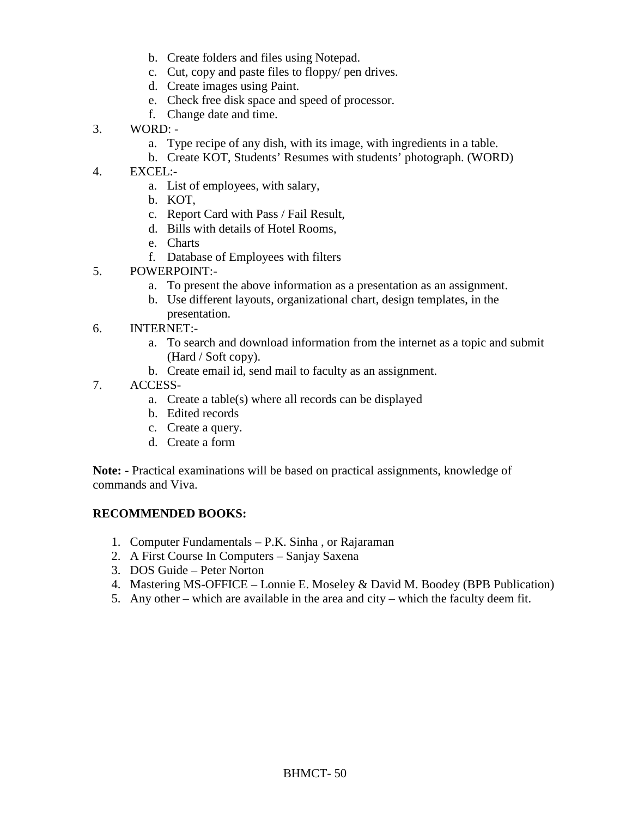- b. Create folders and files using Notepad.
- c. Cut, copy and paste files to floppy/ pen drives.
- d. Create images using Paint.
- e. Check free disk space and speed of processor.
- f. Change date and time.
- 3. WORD:
	- a. Type recipe of any dish, with its image, with ingredients in a table.
	- b. Create KOT, Students' Resumes with students' photograph. (WORD)
- 4. EXCEL:
	- a. List of employees, with salary,
	- b. KOT,
	- c. Report Card with Pass / Fail Result,
	- d. Bills with details of Hotel Rooms,
	- e. Charts
	- f. Database of Employees with filters
- 5. POWERPOINT:
	- a. To present the above information as a presentation as an assignment.
	- b. Use different layouts, organizational chart, design templates, in the presentation.
- 6. INTERNET:
	- a. To search and download information from the internet as a topic and submit (Hard / Soft copy).
	- b. Create email id, send mail to faculty as an assignment.
- 7. ACCESS
	- a. Create a table(s) where all records can be displayed
	- b. Edited records
	- c. Create a query.
	- d. Create a form

**Note: -** Practical examinations will be based on practical assignments, knowledge of commands and Viva.

#### **RECOMMENDED BOOKS:**

- 1. Computer Fundamentals P.K. Sinha , or Rajaraman
- 2. A First Course In Computers Sanjay Saxena
- 3. DOS Guide Peter Norton
- 4. Mastering MS-OFFICE Lonnie E. Moseley & David M. Boodey (BPB Publication)
- 5. Any other which are available in the area and city which the faculty deem fit.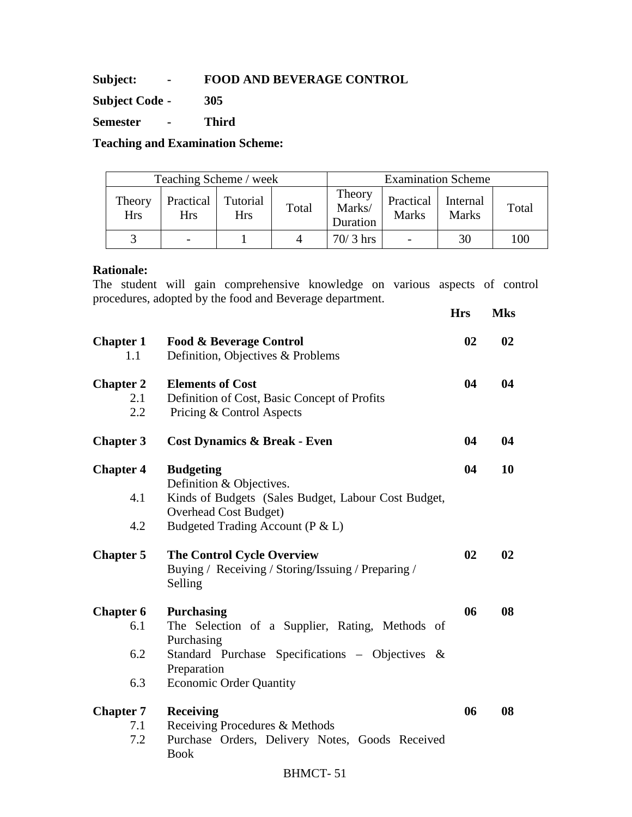#### **Subject: - FOOD AND BEVERAGE CONTROL**

**Subject Code - 305** 

**Semester - Third** 

**Teaching and Examination Scheme:** 

| Teaching Scheme / week |                         |                        |       | <b>Examination Scheme</b>    |                           |                          |       |
|------------------------|-------------------------|------------------------|-------|------------------------------|---------------------------|--------------------------|-------|
| Theory<br><b>Hrs</b>   | Practical<br><b>Hrs</b> | Tutorial<br><b>Hrs</b> | Total | Theory<br>Marks/<br>Duration | Practical<br><b>Marks</b> | Internal<br><b>Marks</b> | Total |
|                        |                         |                        |       | $70/3$ hrs                   |                           | 30                       | 100   |

#### **Rationale:**

The student will gain comprehensive knowledge on various aspects of control procedures, adopted by the food and Beverage department.

|                                       |                                                                                                                                                                                        | <b>Hrs</b> | <b>Mks</b> |
|---------------------------------------|----------------------------------------------------------------------------------------------------------------------------------------------------------------------------------------|------------|------------|
| <b>Chapter 1</b><br>1.1               | <b>Food &amp; Beverage Control</b><br>Definition, Objectives & Problems                                                                                                                | 02         | 02         |
| <b>Chapter 2</b><br>2.1<br>2.2        | <b>Elements of Cost</b><br>Definition of Cost, Basic Concept of Profits<br>Pricing & Control Aspects                                                                                   | 04         | 04         |
| <b>Chapter 3</b>                      | <b>Cost Dynamics &amp; Break - Even</b>                                                                                                                                                | 04         | 04         |
| <b>Chapter 4</b><br>4.1<br>4.2        | <b>Budgeting</b><br>Definition & Objectives.<br>Kinds of Budgets (Sales Budget, Labour Cost Budget,<br><b>Overhead Cost Budget)</b><br>Budgeted Trading Account (P & L)                | 04         | 10         |
| <b>Chapter 5</b>                      | <b>The Control Cycle Overview</b><br>Buying / Receiving / Storing/Issuing / Preparing /<br>Selling                                                                                     | 02         | 02         |
| <b>Chapter 6</b><br>6.1<br>6.2<br>6.3 | <b>Purchasing</b><br>The Selection of a Supplier, Rating, Methods of<br>Purchasing<br>Standard Purchase Specifications - Objectives &<br>Preparation<br><b>Economic Order Quantity</b> | 06         | 08         |
| <b>Chapter 7</b><br>7.1<br>7.2        | <b>Receiving</b><br>Receiving Procedures & Methods<br>Purchase Orders, Delivery Notes, Goods Received<br><b>Book</b><br><b>BHMCT-51</b>                                                | 06         | 08         |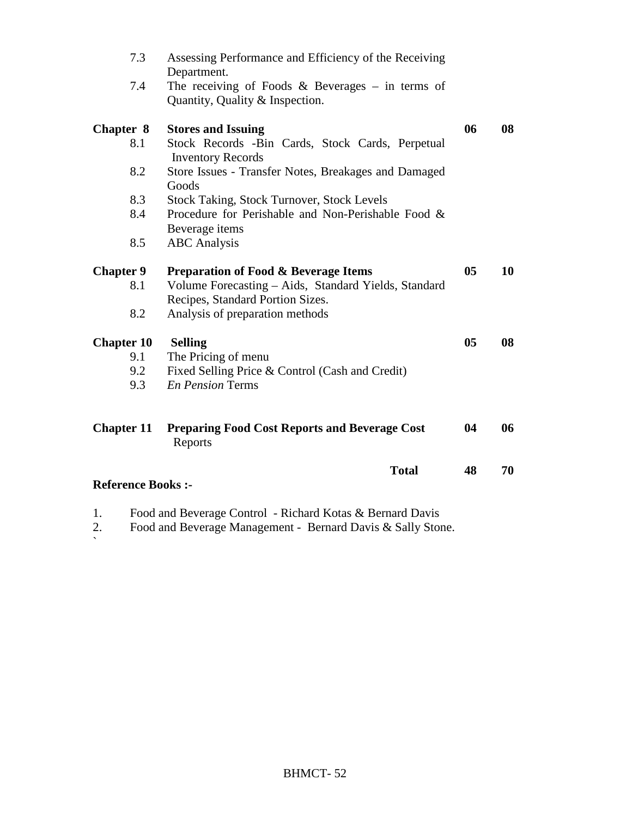| 7.3                       | Assessing Performance and Efficiency of the Receiving<br>Department.                     |                |    |
|---------------------------|------------------------------------------------------------------------------------------|----------------|----|
| 7.4                       | The receiving of Foods & Beverages $-$ in terms of<br>Quantity, Quality & Inspection.    |                |    |
| <b>Chapter 8</b>          | <b>Stores and Issuing</b>                                                                | 06             | 08 |
| 8.1                       | Stock Records -Bin Cards, Stock Cards, Perpetual<br><b>Inventory Records</b>             |                |    |
| 8.2                       | Store Issues - Transfer Notes, Breakages and Damaged<br>Goods                            |                |    |
| 8.3                       | <b>Stock Taking, Stock Turnover, Stock Levels</b>                                        |                |    |
| 8.4                       | Procedure for Perishable and Non-Perishable Food &                                       |                |    |
|                           | Beverage items                                                                           |                |    |
| 8.5                       | <b>ABC</b> Analysis                                                                      |                |    |
| <b>Chapter 9</b>          | <b>Preparation of Food &amp; Beverage Items</b>                                          | 05             | 10 |
| 8.1                       | Volume Forecasting - Aids, Standard Yields, Standard<br>Recipes, Standard Portion Sizes. |                |    |
| 8.2                       | Analysis of preparation methods                                                          |                |    |
| <b>Chapter 10</b>         | <b>Selling</b>                                                                           | 0 <sub>5</sub> | 08 |
| 9.1                       | The Pricing of menu                                                                      |                |    |
| 9.2                       | Fixed Selling Price & Control (Cash and Credit)                                          |                |    |
| 9.3                       | <b>En Pension Terms</b>                                                                  |                |    |
| <b>Chapter 11</b>         | <b>Preparing Food Cost Reports and Beverage Cost</b><br>Reports                          | 04             | 06 |
|                           | <b>Total</b>                                                                             | 48             | 70 |
| <b>Reference Books :-</b> |                                                                                          |                |    |

1. Food and Beverage Control - Richard Kotas & Bernard Davis

2. Food and Beverage Management - Bernard Davis & Sally Stone.  $\overline{2}$ .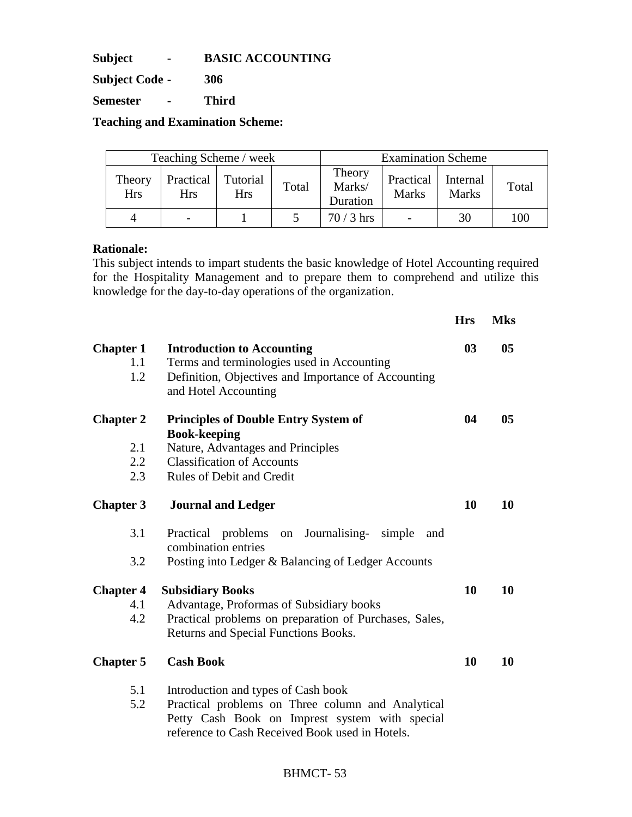**Subject - BASIC ACCOUNTING** 

**Subject Code - 306** 

**Semester - Third** 

**Teaching and Examination Scheme:** 

| Teaching Scheme / week |                         |                        |       |                              | <b>Examination Scheme</b> |                          |       |
|------------------------|-------------------------|------------------------|-------|------------------------------|---------------------------|--------------------------|-------|
| Theory<br><b>Hrs</b>   | Practical<br><b>Hrs</b> | Tutorial<br><b>Hrs</b> | Total | Theory<br>Marks/<br>Duration | Practical<br><b>Marks</b> | Internal<br><b>Marks</b> | Total |
| 4                      |                         |                        |       | $70/3$ hrs                   |                           | 30                       | 100   |

#### **Rationale:**

This subject intends to impart students the basic knowledge of Hotel Accounting required for the Hospitality Management and to prepare them to comprehend and utilize this knowledge for the day-to-day operations of the organization.

|                                |                                                                                                                                                                                               | <b>Hrs</b>     | <b>Mks</b>     |
|--------------------------------|-----------------------------------------------------------------------------------------------------------------------------------------------------------------------------------------------|----------------|----------------|
| <b>Chapter 1</b><br>1.1<br>1.2 | <b>Introduction to Accounting</b><br>Terms and terminologies used in Accounting<br>Definition, Objectives and Importance of Accounting<br>and Hotel Accounting                                | 0 <sub>3</sub> | 0 <sub>5</sub> |
| <b>Chapter 2</b>               | <b>Principles of Double Entry System of</b>                                                                                                                                                   | 04             | 0 <sub>5</sub> |
| 2.1<br>2.2<br>2.3              | <b>Book-keeping</b><br>Nature, Advantages and Principles<br><b>Classification of Accounts</b><br><b>Rules of Debit and Credit</b>                                                             |                |                |
| <b>Chapter 3</b>               | <b>Journal and Ledger</b>                                                                                                                                                                     | 10             | 10             |
| 3.1<br>3.2                     | Journalising- simple<br>Practical problems on<br>and<br>combination entries<br>Posting into Ledger & Balancing of Ledger Accounts                                                             |                |                |
| <b>Chapter 4</b><br>4.1<br>4.2 | <b>Subsidiary Books</b><br>Advantage, Proformas of Subsidiary books<br>Practical problems on preparation of Purchases, Sales,<br>Returns and Special Functions Books.                         | 10             | 10             |
| <b>Chapter 5</b>               | <b>Cash Book</b>                                                                                                                                                                              | 10             | 10             |
| 5.1<br>5.2                     | Introduction and types of Cash book<br>Practical problems on Three column and Analytical<br>Petty Cash Book on Imprest system with special<br>reference to Cash Received Book used in Hotels. |                |                |

# BHMCT- 53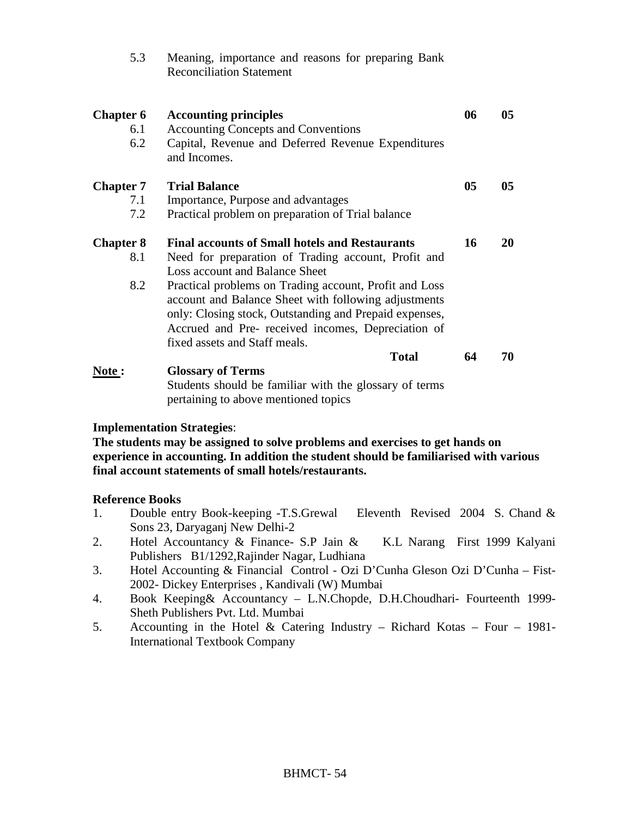| 5.3                            | Meaning, importance and reasons for preparing Bank<br><b>Reconciliation Statement</b>                                                                                                                                                                                                                                                                                                                             |    |                 |
|--------------------------------|-------------------------------------------------------------------------------------------------------------------------------------------------------------------------------------------------------------------------------------------------------------------------------------------------------------------------------------------------------------------------------------------------------------------|----|-----------------|
| <b>Chapter 6</b><br>6.1<br>6.2 | <b>Accounting principles</b><br><b>Accounting Concepts and Conventions</b><br>Capital, Revenue and Deferred Revenue Expenditures<br>and Incomes.                                                                                                                                                                                                                                                                  | 06 | 05              |
| <b>Chapter 7</b><br>7.1<br>7.2 | <b>Trial Balance</b><br>Importance, Purpose and advantages<br>Practical problem on preparation of Trial balance                                                                                                                                                                                                                                                                                                   | 05 | 05 <sub>1</sub> |
| <b>Chapter 8</b><br>8.1<br>8.2 | <b>Final accounts of Small hotels and Restaurants</b><br>Need for preparation of Trading account, Profit and<br>Loss account and Balance Sheet<br>Practical problems on Trading account, Profit and Loss<br>account and Balance Sheet with following adjustments<br>only: Closing stock, Outstanding and Prepaid expenses,<br>Accrued and Pre- received incomes, Depreciation of<br>fixed assets and Staff meals. | 16 | 20              |
| Note:                          | <b>Total</b><br><b>Glossary of Terms</b><br>Students should be familiar with the glossary of terms<br>pertaining to above mentioned topics                                                                                                                                                                                                                                                                        | 64 | 70              |

#### **Implementation Strategies**:

**The students may be assigned to solve problems and exercises to get hands on experience in accounting. In addition the student should be familiarised with various final account statements of small hotels/restaurants.** 

- 1. Double entry Book-keeping -T.S.Grewal Eleventh Revised 2004 S. Chand & Sons 23, Daryaganj New Delhi-2
- 2. Hotel Accountancy & Finance- S.P Jain & K.L Narang First 1999 Kalyani Publishers B1/1292,Rajinder Nagar, Ludhiana
- 3. Hotel Accounting & Financial Control Ozi D'Cunha Gleson Ozi D'Cunha Fist-2002- Dickey Enterprises , Kandivali (W) Mumbai
- 4. Book Keeping& Accountancy L.N.Chopde, D.H.Choudhari- Fourteenth 1999- Sheth Publishers Pvt. Ltd. Mumbai
- 5. Accounting in the Hotel & Catering Industry Richard Kotas Four 1981- International Textbook Company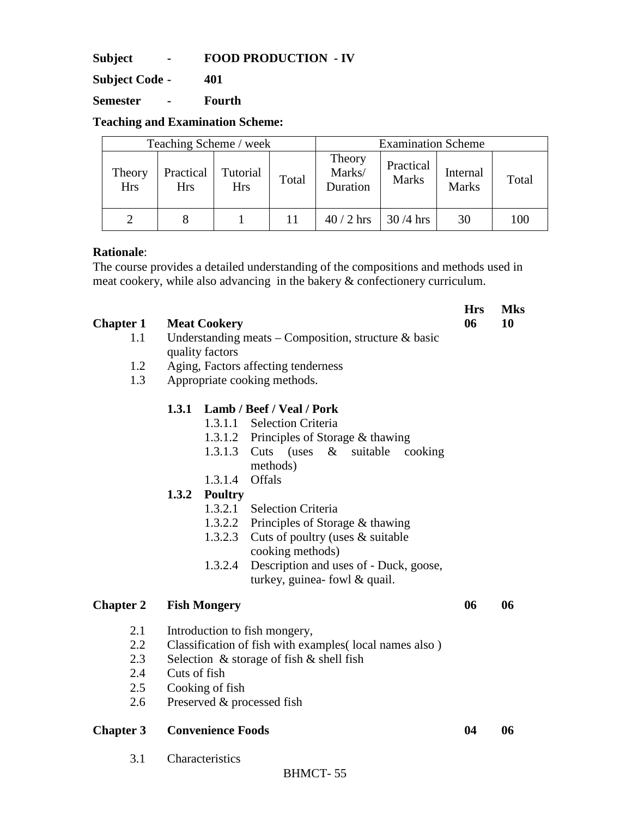**Subject - FOOD PRODUCTION - IV** 

**Subject Code - 401** 

**Semester - Fourth** 

**Teaching and Examination Scheme:** 

|                      | <b>Examination Scheme</b><br>Teaching Scheme / week |                        |       |                              |                           |                          |       |
|----------------------|-----------------------------------------------------|------------------------|-------|------------------------------|---------------------------|--------------------------|-------|
| Theory<br><b>Hrs</b> | Practical<br><b>Hrs</b>                             | Tutorial<br><b>Hrs</b> | Total | Theory<br>Marks/<br>Duration | Practical<br><b>Marks</b> | Internal<br><b>Marks</b> | Total |
|                      |                                                     |                        | 11    | $40/2$ hrs                   | $30/4$ hrs                | 30                       | 100   |

#### **Rationale**:

The course provides a detailed understanding of the compositions and methods used in meat cookery, while also advancing in the bakery & confectionery curriculum.

| <b>Chapter 1</b><br>1.1<br>1.2<br>1.3            | <b>Meat Cookery</b><br>Understanding meats - Composition, structure $\&$ basic<br>quality factors<br>Aging, Factors affecting tenderness<br>Appropriate cooking methods.<br>Lamb / Beef / Veal / Pork<br>1.3.1                                                                                                                                                                                                                                    | <b>Hrs</b><br>06 | <b>Mks</b><br>10 |
|--------------------------------------------------|---------------------------------------------------------------------------------------------------------------------------------------------------------------------------------------------------------------------------------------------------------------------------------------------------------------------------------------------------------------------------------------------------------------------------------------------------|------------------|------------------|
|                                                  | 1.3.1.1<br><b>Selection Criteria</b><br>Principles of Storage & thawing<br>1.3.1.2<br>1.3.1.3<br>Cuts<br>(uses<br>$\&$<br>suitable<br>cooking<br>methods)<br>1.3.1.4<br>Offals<br>1.3.2<br><b>Poultry</b><br>1.3.2.1<br>Selection Criteria<br>1.3.2.2<br>Principles of Storage & thawing<br>1.3.2.3<br>Cuts of poultry (uses & suitable<br>cooking methods)<br>Description and uses of - Duck, goose,<br>1.3.2.4<br>turkey, guinea- fowl & quail. |                  |                  |
| <b>Chapter 2</b>                                 | <b>Fish Mongery</b>                                                                                                                                                                                                                                                                                                                                                                                                                               | 06               | 06               |
| 2.1<br>$2.2^{\circ}$<br>2.3<br>2.4<br>2.5<br>2.6 | Introduction to fish mongery,<br>Classification of fish with examples (local names also)<br>Selection $\&$ storage of fish $\&$ shell fish<br>Cuts of fish<br>Cooking of fish<br>Preserved & processed fish                                                                                                                                                                                                                                       |                  |                  |
| <b>Chapter 3</b>                                 | <b>Convenience Foods</b>                                                                                                                                                                                                                                                                                                                                                                                                                          | 04               | 06               |

3.1 Characteristics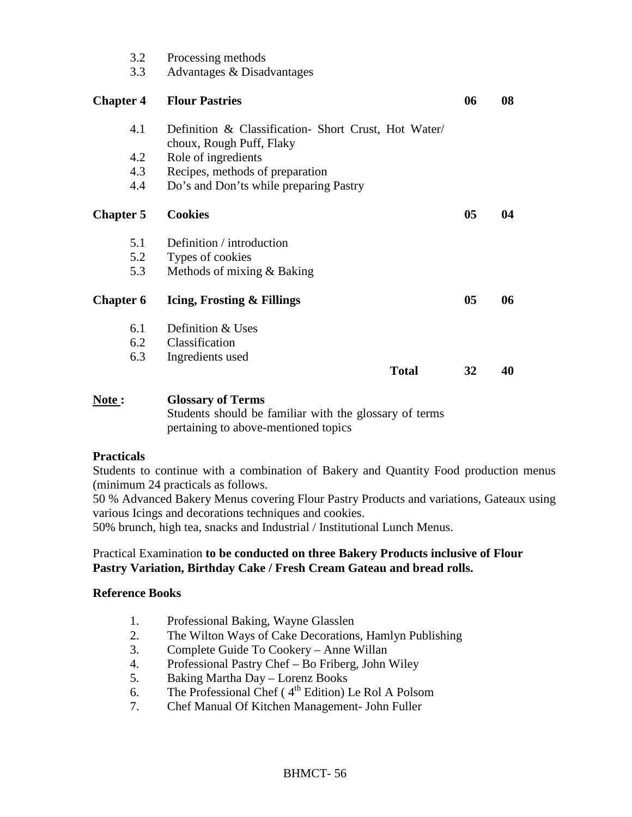| 3.2<br>3.3       | Processing methods<br>Advantages & Disadvantages     |                |    |
|------------------|------------------------------------------------------|----------------|----|
| <b>Chapter 4</b> | <b>Flour Pastries</b>                                | 06             | 08 |
| 4.1              | Definition & Classification- Short Crust, Hot Water/ |                |    |
| 4.2              | choux, Rough Puff, Flaky<br>Role of ingredients      |                |    |
| 4.3              | Recipes, methods of preparation                      |                |    |
| 4.4              | Do's and Don'ts while preparing Pastry               |                |    |
| <b>Chapter 5</b> | <b>Cookies</b>                                       | 0 <sub>5</sub> | 04 |
| 5.1              | Definition / introduction                            |                |    |
| 5.2              | Types of cookies                                     |                |    |
| 5.3              | Methods of mixing & Baking                           |                |    |
| <b>Chapter 6</b> | Icing, Frosting & Fillings                           | 0 <sub>5</sub> | 06 |
| 6.1              | Definition & Uses                                    |                |    |
| 6.2              | Classification                                       |                |    |
| 6.3              | Ingredients used                                     |                |    |
|                  | <b>Total</b>                                         | 32             | 40 |
|                  |                                                      |                |    |

#### **Note : Glossary of Terms**  Students should be familiar with the glossary of terms pertaining to above-mentioned topics

# **Practicals**

Students to continue with a combination of Bakery and Quantity Food production menus (minimum 24 practicals as follows.

50 % Advanced Bakery Menus covering Flour Pastry Products and variations, Gateaux using various Icings and decorations techniques and cookies.

50% brunch, high tea, snacks and Industrial / Institutional Lunch Menus.

# Practical Examination **to be conducted on three Bakery Products inclusive of Flour Pastry Variation, Birthday Cake / Fresh Cream Gateau and bread rolls.**

- 1. Professional Baking, Wayne Glasslen
- 2. The Wilton Ways of Cake Decorations, Hamlyn Publishing
- 3. Complete Guide To Cookery Anne Willan
- 4. Professional Pastry Chef Bo Friberg, John Wiley
- 5. Baking Martha Day Lorenz Books
- 6. The Professional Chef ( $4<sup>th</sup>$  Edition) Le Rol A Polsom
- 7. Chef Manual Of Kitchen Management- John Fuller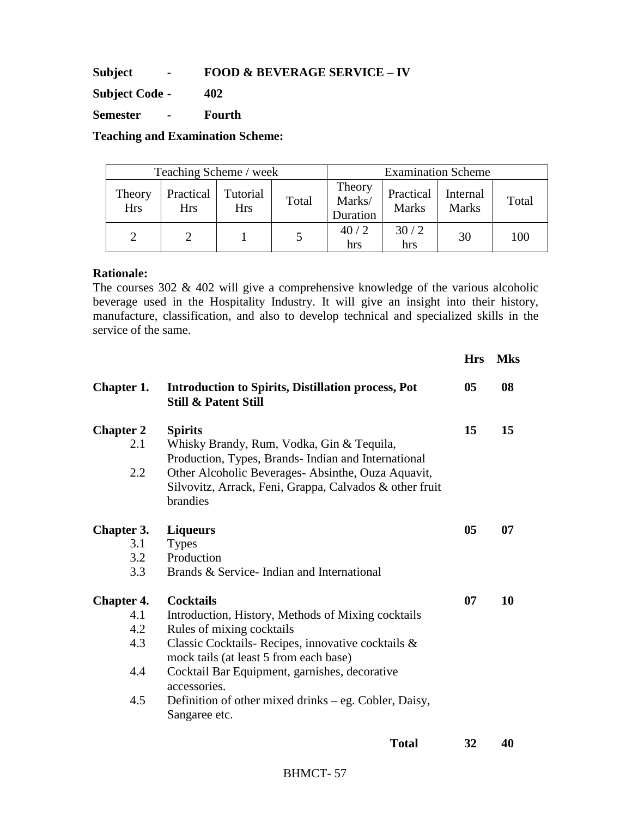**Subject - FOOD & BEVERAGE SERVICE – IV** 

**Subject Code - 402** 

**Semester - Fourth** 

**Teaching and Examination Scheme:** 

| Teaching Scheme / week |                         |                        |       | <b>Examination Scheme</b>    |                           |                          |       |
|------------------------|-------------------------|------------------------|-------|------------------------------|---------------------------|--------------------------|-------|
| Theory<br><b>Hrs</b>   | Practical<br><b>Hrs</b> | Tutorial<br><b>Hrs</b> | Total | Theory<br>Marks/<br>Duration | Practical<br><b>Marks</b> | Internal<br><b>Marks</b> | Total |
|                        |                         |                        |       | 40/2<br>hrs                  | 30/2<br>hrs               | 30                       | 100   |

#### **Rationale:**

The courses 302 & 402 will give a comprehensive knowledge of the various alcoholic beverage used in the Hospitality Industry. It will give an insight into their history, manufacture, classification, and also to develop technical and specialized skills in the service of the same.

|                                                      |                                                                                                                                                                                                                                                                                                                                               | <b>Hrs</b>     | <b>Mks</b> |
|------------------------------------------------------|-----------------------------------------------------------------------------------------------------------------------------------------------------------------------------------------------------------------------------------------------------------------------------------------------------------------------------------------------|----------------|------------|
| Chapter 1.                                           | <b>Introduction to Spirits, Distillation process, Pot</b><br><b>Still &amp; Patent Still</b>                                                                                                                                                                                                                                                  | 0 <sub>5</sub> | 08         |
| <b>Chapter 2</b><br>2.1<br>2.2                       | <b>Spirits</b><br>Whisky Brandy, Rum, Vodka, Gin & Tequila,<br>Production, Types, Brands-Indian and International<br>Other Alcoholic Beverages-Absinthe, Ouza Aquavit,<br>Silvovitz, Arrack, Feni, Grappa, Calvados & other fruit<br>brandies                                                                                                 | 15             | 15         |
| <b>Chapter 3.</b><br>3.1<br>3.2<br>3.3               | <b>Liqueurs</b><br><b>Types</b><br>Production<br>Brands & Service - Indian and International                                                                                                                                                                                                                                                  | 0 <sub>5</sub> | 07         |
| <b>Chapter 4.</b><br>4.1<br>4.2<br>4.3<br>4.4<br>4.5 | <b>Cocktails</b><br>Introduction, History, Methods of Mixing cocktails<br>Rules of mixing cocktails<br>Classic Cocktails-Recipes, innovative cocktails &<br>mock tails (at least 5 from each base)<br>Cocktail Bar Equipment, garnishes, decorative<br>accessories.<br>Definition of other mixed drinks – eg. Cobler, Daisy,<br>Sangaree etc. | 07             | 10         |
|                                                      |                                                                                                                                                                                                                                                                                                                                               |                |            |

**Total 32 40**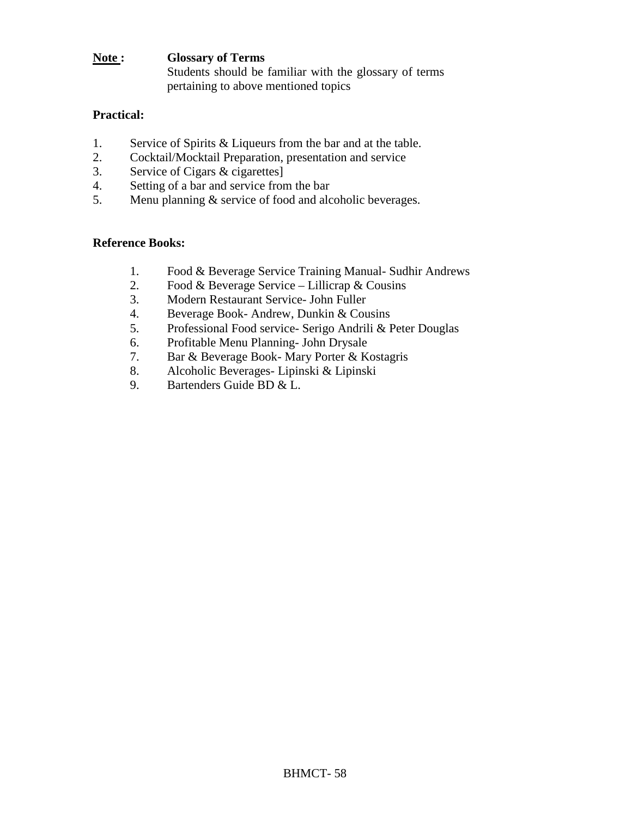#### **Note : Glossary of Terms**  Students should be familiar with the glossary of terms pertaining to above mentioned topics

#### **Practical:**

- 1. Service of Spirits & Liqueurs from the bar and at the table.
- 2. Cocktail/Mocktail Preparation, presentation and service
- 3. Service of Cigars & cigarettes]
- 4. Setting of a bar and service from the bar
- 5. Menu planning & service of food and alcoholic beverages.

- 1. Food & Beverage Service Training Manual- Sudhir Andrews
- 2. Food & Beverage Service Lillicrap & Cousins
- 3. Modern Restaurant Service- John Fuller
- 4. Beverage Book- Andrew, Dunkin & Cousins
- 5. Professional Food service- Serigo Andrili & Peter Douglas
- 6. Profitable Menu Planning- John Drysale
- 7. Bar & Beverage Book- Mary Porter & Kostagris
- 8. Alcoholic Beverages- Lipinski & Lipinski
- 9. Bartenders Guide BD & L.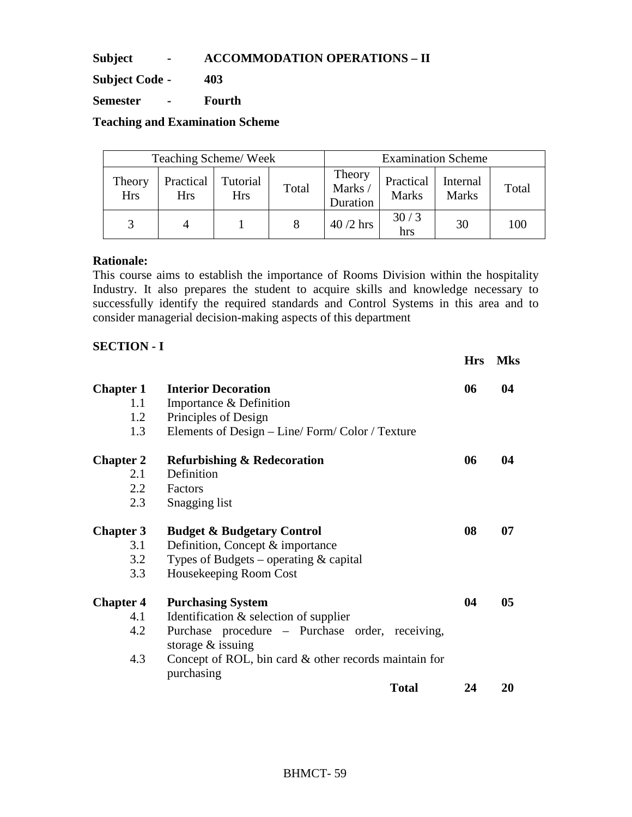**Subject - ACCOMMODATION OPERATIONS – II** 

**Subject Code - 403** 

**Semester - Fourth** 

**Teaching and Examination Scheme** 

|                      |                  | Teaching Scheme/Week |       | <b>Examination Scheme</b>    |                           |                          |       |
|----------------------|------------------|----------------------|-------|------------------------------|---------------------------|--------------------------|-------|
| Theory<br><b>Hrs</b> | Practical<br>Hrs | Tutorial<br>Hrs      | Total | Theory<br>Marks/<br>Duration | Practical<br><b>Marks</b> | Internal<br><b>Marks</b> | Total |
|                      |                  |                      |       | $40/2$ hrs                   | 30/3<br>hrs               | 30                       | 100   |

#### **Rationale:**

This course aims to establish the importance of Rooms Division within the hospitality Industry. It also prepares the student to acquire skills and knowledge necessary to successfully identify the required standards and Control Systems in this area and to consider managerial decision-making aspects of this department

# **SECTION - I**

|                  |                                                                        | <b>Hrs</b> | <b>Mks</b> |
|------------------|------------------------------------------------------------------------|------------|------------|
| <b>Chapter 1</b> | <b>Interior Decoration</b>                                             | 06         | 04         |
| 1.1              | Importance & Definition                                                |            |            |
| 1.2              | Principles of Design                                                   |            |            |
| 1.3              | Elements of Design – Line/Form/Color / Texture                         |            |            |
| <b>Chapter 2</b> | <b>Refurbishing &amp; Redecoration</b>                                 | 06         | 04         |
| 2.1              | Definition                                                             |            |            |
| 2.2              | Factors                                                                |            |            |
| 2.3              | Snagging list                                                          |            |            |
| <b>Chapter 3</b> | <b>Budget &amp; Budgetary Control</b>                                  | 08         | 07         |
| 3.1              | Definition, Concept & importance                                       |            |            |
| 3.2              | Types of Budgets – operating $\&$ capital                              |            |            |
| 3.3              | Housekeeping Room Cost                                                 |            |            |
| <b>Chapter 4</b> | <b>Purchasing System</b>                                               | 04         | 05         |
| 4.1              | Identification $&$ selection of supplier                               |            |            |
| 4.2              | Purchase procedure – Purchase order, receiving,<br>storage $&$ issuing |            |            |
| 4.3              | Concept of ROL, bin card & other records maintain for<br>purchasing    |            |            |
|                  | <b>Total</b>                                                           | 24         | 20         |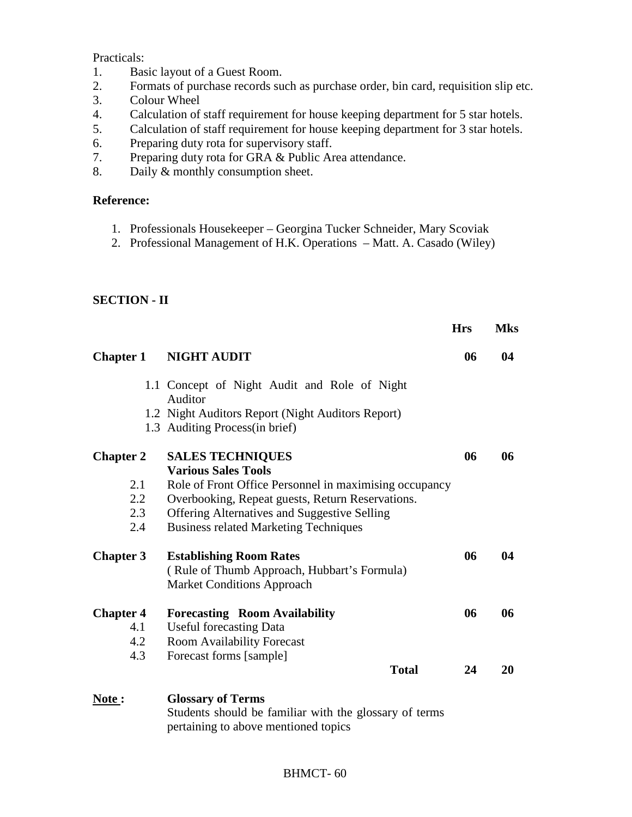Practicals:

- 1. Basic layout of a Guest Room.
- 2. Formats of purchase records such as purchase order, bin card, requisition slip etc.
- 3. Colour Wheel<br>4. Calculation of
- Calculation of staff requirement for house keeping department for 5 star hotels.
- 5. Calculation of staff requirement for house keeping department for 3 star hotels.
- 6. Preparing duty rota for supervisory staff.
- 7. Preparing duty rota for GRA & Public Area attendance.
- 8. Daily & monthly consumption sheet.

#### **Reference:**

- 1. Professionals Housekeeper Georgina Tucker Schneider, Mary Scoviak
- 2. Professional Management of H.K. Operations Matt. A. Casado (Wiley)

#### **SECTION - II**

|                  |                                                                                                                            | <b>Hrs</b> | <b>Mks</b> |
|------------------|----------------------------------------------------------------------------------------------------------------------------|------------|------------|
| <b>Chapter 1</b> | <b>NIGHT AUDIT</b>                                                                                                         | 06         | 04         |
|                  | 1.1 Concept of Night Audit and Role of Night<br>Auditor                                                                    |            |            |
|                  | 1.2 Night Auditors Report (Night Auditors Report)<br>1.3 Auditing Process(in brief)                                        |            |            |
| <b>Chapter 2</b> | <b>SALES TECHNIQUES</b>                                                                                                    | 06         | 06         |
|                  | <b>Various Sales Tools</b>                                                                                                 |            |            |
| 2.1              | Role of Front Office Personnel in maximising occupancy                                                                     |            |            |
| $2.2\,$          | Overbooking, Repeat guests, Return Reservations.                                                                           |            |            |
| 2.3              | <b>Offering Alternatives and Suggestive Selling</b>                                                                        |            |            |
| 2.4              | <b>Business related Marketing Techniques</b>                                                                               |            |            |
| <b>Chapter 3</b> | <b>Establishing Room Rates</b>                                                                                             | 06         | 04         |
|                  | (Rule of Thumb Approach, Hubbart's Formula)<br><b>Market Conditions Approach</b>                                           |            |            |
| <b>Chapter 4</b> | <b>Forecasting Room Availability</b>                                                                                       | 06         | 06         |
| 4.1              | <b>Useful forecasting Data</b>                                                                                             |            |            |
| 4.2              | Room Availability Forecast                                                                                                 |            |            |
| 4.3              | Forecast forms [sample]                                                                                                    |            |            |
|                  | <b>Total</b>                                                                                                               | 24         | 20         |
| Note:            | <b>Glossary of Terms</b><br>Students should be familiar with the glossary of terms<br>pertaining to above mentioned topics |            |            |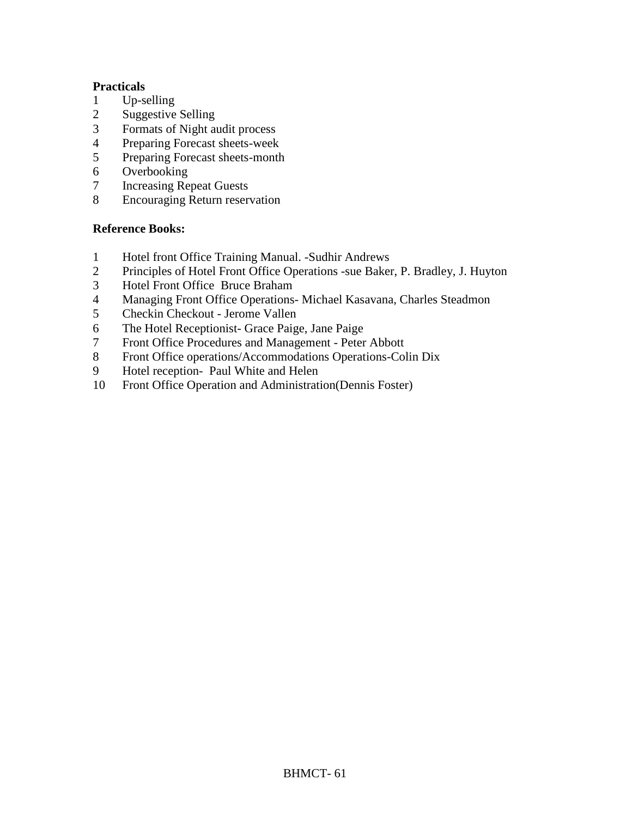#### **Practicals**

- 
- 1 Up-selling<br>2 Suggestive Suggestive Selling
- Formats of Night audit process
- Preparing Forecast sheets-week
- Preparing Forecast sheets-month
- Overbooking
- Increasing Repeat Guests
- Encouraging Return reservation

- Hotel front Office Training Manual. -Sudhir Andrews
- Principles of Hotel Front Office Operations -sue Baker, P. Bradley, J. Huyton
- Hotel Front Office Bruce Braham
- Managing Front Office Operations- Michael Kasavana, Charles Steadmon
- Checkin Checkout Jerome Vallen
- The Hotel Receptionist- Grace Paige, Jane Paige
- Front Office Procedures and Management Peter Abbott
- Front Office operations/Accommodations Operations-Colin Dix
- Hotel reception- Paul White and Helen
- Front Office Operation and Administration(Dennis Foster)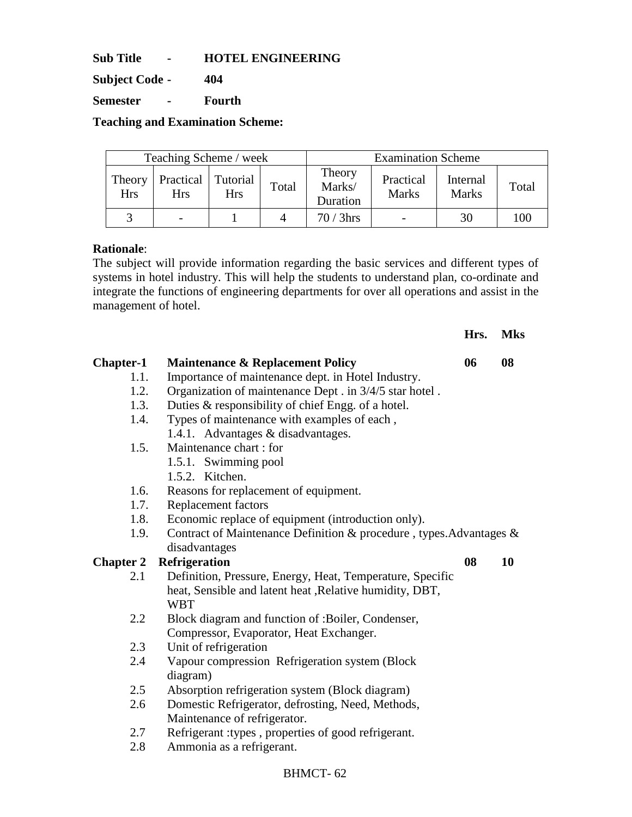**Sub Title - HOTEL ENGINEERING** 

**Subject Code - 404** 

**Semester - Fourth** 

**Teaching and Examination Scheme:** 

| Teaching Scheme / week |                                    |            |       | <b>Examination Scheme</b>    |                           |                          |       |  |
|------------------------|------------------------------------|------------|-------|------------------------------|---------------------------|--------------------------|-------|--|
| Theory<br><b>Hrs</b>   | Practical   Tutorial<br><b>Hrs</b> | <b>Hrs</b> | Total | Theory<br>Marks/<br>Duration | Practical<br><b>Marks</b> | Internal<br><b>Marks</b> | Total |  |
|                        |                                    |            |       | $70/3$ hrs                   |                           | 30                       | 100   |  |

#### **Rationale**:

The subject will provide information regarding the basic services and different types of systems in hotel industry. This will help the students to understand plan, co-ordinate and integrate the functions of engineering departments for over all operations and assist in the management of hotel.

**Hrs. Mks** 

| <b>Chapter-1</b> | <b>Maintenance &amp; Replacement Policy</b>                         | 06 | 08 |
|------------------|---------------------------------------------------------------------|----|----|
| 1.1.             | Importance of maintenance dept. in Hotel Industry.                  |    |    |
| 1.2.             | Organization of maintenance Dept . in 3/4/5 star hotel.             |    |    |
| 1.3.             | Duties & responsibility of chief Engg. of a hotel.                  |    |    |
| 1.4.             | Types of maintenance with examples of each,                         |    |    |
|                  | 1.4.1. Advantages & disadvantages.                                  |    |    |
| 1.5.             | Maintenance chart: for                                              |    |    |
|                  | 1.5.1. Swimming pool                                                |    |    |
|                  | 1.5.2. Kitchen.                                                     |    |    |
| 1.6.             | Reasons for replacement of equipment.                               |    |    |
| 1.7.             | <b>Replacement factors</b>                                          |    |    |
| 1.8.             | Economic replace of equipment (introduction only).                  |    |    |
| 1.9.             | Contract of Maintenance Definition & procedure, types. Advantages & |    |    |
|                  | disadvantages                                                       |    |    |
| <b>Chapter 2</b> | <b>Refrigeration</b>                                                | 08 | 10 |
| 2.1              | Definition, Pressure, Energy, Heat, Temperature, Specific           |    |    |
|                  | heat, Sensible and latent heat , Relative humidity, DBT,            |    |    |
|                  |                                                                     |    |    |
|                  | <b>WBT</b>                                                          |    |    |
| 2.2              | Block diagram and function of :Boiler, Condenser,                   |    |    |
|                  | Compressor, Evaporator, Heat Exchanger.                             |    |    |
| 2.3              | Unit of refrigeration                                               |    |    |
| 2.4              | Vapour compression Refrigeration system (Block                      |    |    |
|                  | diagram)                                                            |    |    |
| 2.5              | Absorption refrigeration system (Block diagram)                     |    |    |
| 2.6              | Domestic Refrigerator, defrosting, Need, Methods,                   |    |    |
|                  | Maintenance of refrigerator.                                        |    |    |
| 2.7              | Refrigerant : types, properties of good refrigerant.                |    |    |
| 2.8              | Ammonia as a refrigerant.                                           |    |    |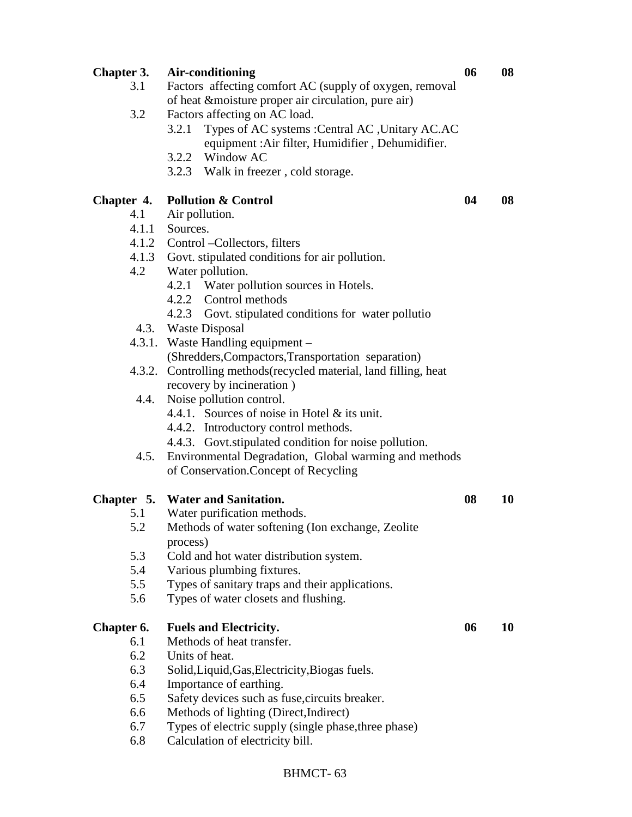| <b>Chapter 3.</b> | Air-conditioning                                                  | 06 | 08 |
|-------------------|-------------------------------------------------------------------|----|----|
| 3.1               | Factors affecting comfort AC (supply of oxygen, removal           |    |    |
|                   | of heat &moisture proper air circulation, pure air)               |    |    |
| 3.2               | Factors affecting on AC load.                                     |    |    |
|                   | Types of AC systems : Central AC , Unitary AC.AC<br>3.2.1         |    |    |
|                   | equipment : Air filter, Humidifier, Dehumidifier.                 |    |    |
|                   | 3.2.2 Window AC                                                   |    |    |
|                   | 3.2.3 Walk in freezer, cold storage.                              |    |    |
| Chapter 4.        | <b>Pollution &amp; Control</b>                                    | 04 | 08 |
| 4.1               | Air pollution.                                                    |    |    |
|                   | 4.1.1 Sources.                                                    |    |    |
|                   | 4.1.2 Control - Collectors, filters                               |    |    |
|                   | 4.1.3 Govt. stipulated conditions for air pollution.              |    |    |
| 4.2               | Water pollution.                                                  |    |    |
|                   | 4.2.1 Water pollution sources in Hotels.                          |    |    |
|                   | 4.2.2 Control methods                                             |    |    |
|                   | 4.2.3 Govt. stipulated conditions for water pollutio              |    |    |
|                   | 4.3. Waste Disposal                                               |    |    |
|                   | 4.3.1. Waste Handling equipment –                                 |    |    |
|                   | (Shredders, Compactors, Transportation separation)                |    |    |
|                   | 4.3.2. Controlling methods (recycled material, land filling, heat |    |    |
|                   | recovery by incineration)                                         |    |    |
| 4.4.              | Noise pollution control.                                          |    |    |
|                   | 4.4.1. Sources of noise in Hotel & its unit.                      |    |    |
|                   | 4.4.2. Introductory control methods.                              |    |    |
|                   | 4.4.3. Govt.stipulated condition for noise pollution.             |    |    |
| 4.5.              | Environmental Degradation, Global warming and methods             |    |    |
|                   | of Conservation. Concept of Recycling                             |    |    |
|                   | Chapter 5. Water and Sanitation.                                  | 08 | 10 |
| 5.1               | Water purification methods.                                       |    |    |
| 5.2               | Methods of water softening (Ion exchange, Zeolite                 |    |    |
|                   | process)                                                          |    |    |
| 5.3               | Cold and hot water distribution system.                           |    |    |
| 5.4               | Various plumbing fixtures.                                        |    |    |
| 5.5               | Types of sanitary traps and their applications.                   |    |    |
| 5.6               | Types of water closets and flushing.                              |    |    |
| Chapter 6.        | <b>Fuels and Electricity.</b>                                     | 06 | 10 |
| 6.1               | Methods of heat transfer.                                         |    |    |
| 6.2               | Units of heat.                                                    |    |    |
| 6.3               | Solid, Liquid, Gas, Electricity, Biogas fuels.                    |    |    |
| 6.4               | Importance of earthing.                                           |    |    |
| 6.5               | Safety devices such as fuse, circuits breaker.                    |    |    |
| 6.6               | Methods of lighting (Direct, Indirect)                            |    |    |
| 6.7               | Types of electric supply (single phase, three phase)              |    |    |
| 6.8               | Calculation of electricity bill.                                  |    |    |
|                   |                                                                   |    |    |
|                   |                                                                   |    |    |

# BHMCT- 63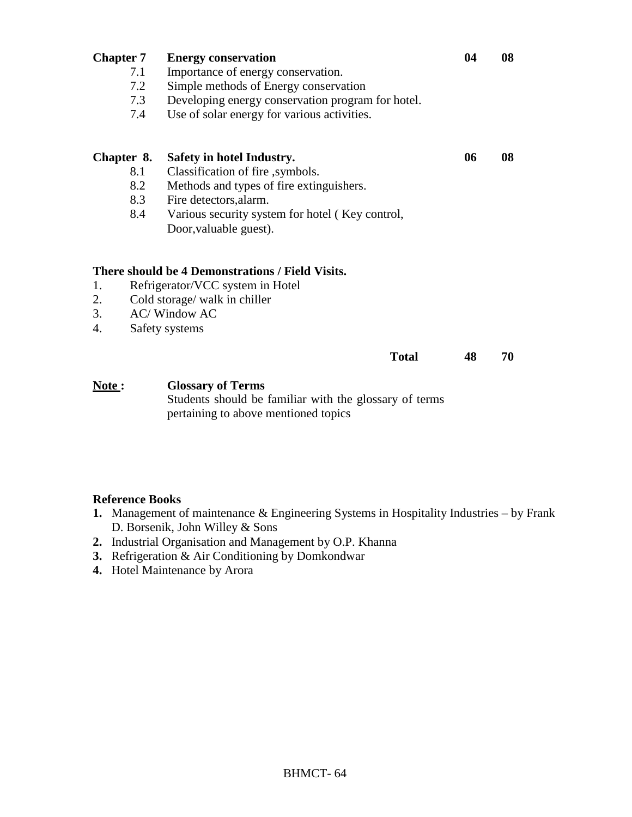| <b>Chapter 7</b> |     | <b>Energy conservation</b>                                                         | 04 | 08 |
|------------------|-----|------------------------------------------------------------------------------------|----|----|
|                  | 7.1 | Importance of energy conservation.                                                 |    |    |
|                  | 7.2 | Simple methods of Energy conservation                                              |    |    |
|                  | 7.3 | Developing energy conservation program for hotel.                                  |    |    |
|                  | 7.4 | Use of solar energy for various activities.                                        |    |    |
| Chapter 8.       |     | Safety in hotel Industry.                                                          | 06 | 08 |
|                  | 8.1 | Classification of fire, symbols.                                                   |    |    |
|                  | 8.2 | Methods and types of fire extinguishers.                                           |    |    |
|                  | 8.3 | Fire detectors, alarm.                                                             |    |    |
|                  | 8.4 | Various security system for hotel (Key control,                                    |    |    |
|                  |     | Door, valuable guest).                                                             |    |    |
|                  |     | There should be 4 Demonstrations / Field Visits.                                   |    |    |
| 1.               |     | Refrigerator/VCC system in Hotel                                                   |    |    |
| 2.               |     | Cold storage/ walk in chiller                                                      |    |    |
| 3.               |     | <b>AC/Window AC</b>                                                                |    |    |
| 4.               |     | Safety systems                                                                     |    |    |
|                  |     | <b>Total</b>                                                                       | 48 | 70 |
| Note:            |     | <b>Glossary of Terms</b><br>Students should be familiar with the glossary of terms |    |    |

pertaining to above mentioned topics

- **1.** Management of maintenance & Engineering Systems in Hospitality Industries by Frank D. Borsenik, John Willey & Sons
- **2.** Industrial Organisation and Management by O.P. Khanna
- **3.** Refrigeration & Air Conditioning by Domkondwar
- **4.** Hotel Maintenance by Arora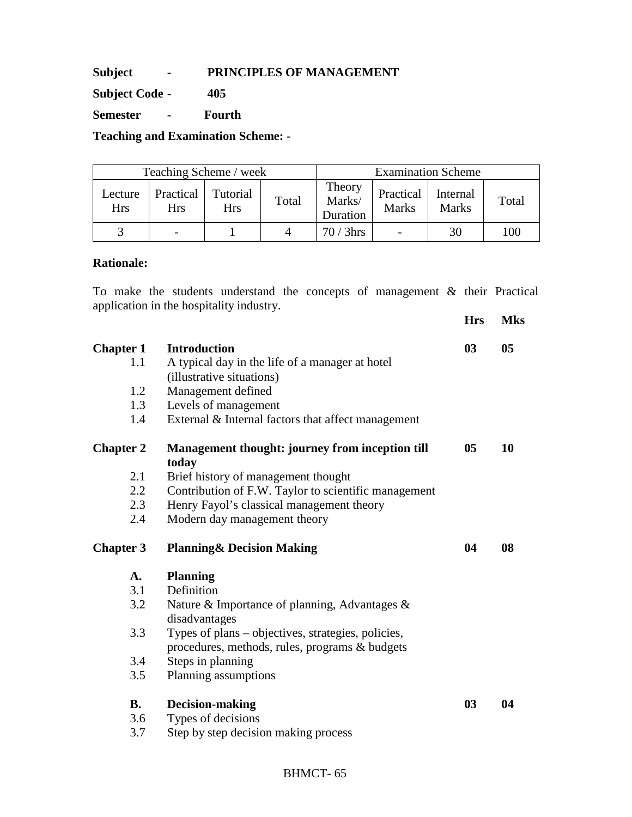#### **Subject - PRINCIPLES OF MANAGEMENT**

**Subject Code - 405** 

**Semester - Fourth** 

**Teaching and Examination Scheme: -** 

| Teaching Scheme / week |                         |                        |       | <b>Examination Scheme</b>    |                           |                          |       |  |
|------------------------|-------------------------|------------------------|-------|------------------------------|---------------------------|--------------------------|-------|--|
| Lecture<br><b>Hrs</b>  | Practical<br><b>Hrs</b> | Tutorial<br><b>Hrs</b> | Total | Theory<br>Marks/<br>Duration | Practical<br><b>Marks</b> | Internal<br><b>Marks</b> | Total |  |
|                        |                         |                        |       | $70/3$ hrs                   |                           | 30                       | 100   |  |

#### **Rationale:**

To make the students understand the concepts of management & their Practical application in the hospitality industry.

|                  |                                                        | <b>Hrs</b>     | <b>Mks</b>     |
|------------------|--------------------------------------------------------|----------------|----------------|
| <b>Chapter 1</b> | <b>Introduction</b>                                    | 0 <sub>3</sub> | 0 <sub>5</sub> |
| 1.1              | A typical day in the life of a manager at hotel        |                |                |
|                  | (illustrative situations)                              |                |                |
| 1.2              | Management defined                                     |                |                |
| 1.3              | Levels of management                                   |                |                |
| 1.4              | External & Internal factors that affect management     |                |                |
| <b>Chapter 2</b> | <b>Management thought: journey from inception till</b> | 05             | 10             |
|                  | today                                                  |                |                |
| 2.1              | Brief history of management thought                    |                |                |
| 2.2              | Contribution of F.W. Taylor to scientific management   |                |                |
| 2.3              | Henry Fayol's classical management theory              |                |                |
| 2.4              | Modern day management theory                           |                |                |
| <b>Chapter 3</b> | <b>Planning&amp; Decision Making</b>                   | 04             | 08             |
| $\mathbf{A}$ .   | <b>Planning</b>                                        |                |                |
| 3.1              | Definition                                             |                |                |
| 3.2              | Nature & Importance of planning, Advantages &          |                |                |
|                  | disadvantages                                          |                |                |
| 3.3              | Types of plans - objectives, strategies, policies,     |                |                |
|                  | procedures, methods, rules, programs & budgets         |                |                |
| 3.4              | Steps in planning                                      |                |                |
| 3.5              | Planning assumptions                                   |                |                |
| <b>B.</b>        | <b>Decision-making</b>                                 | 0 <sub>3</sub> | 04             |
| 3.6              | Types of decisions                                     |                |                |
| 3.7              | Step by step decision making process                   |                |                |
|                  |                                                        |                |                |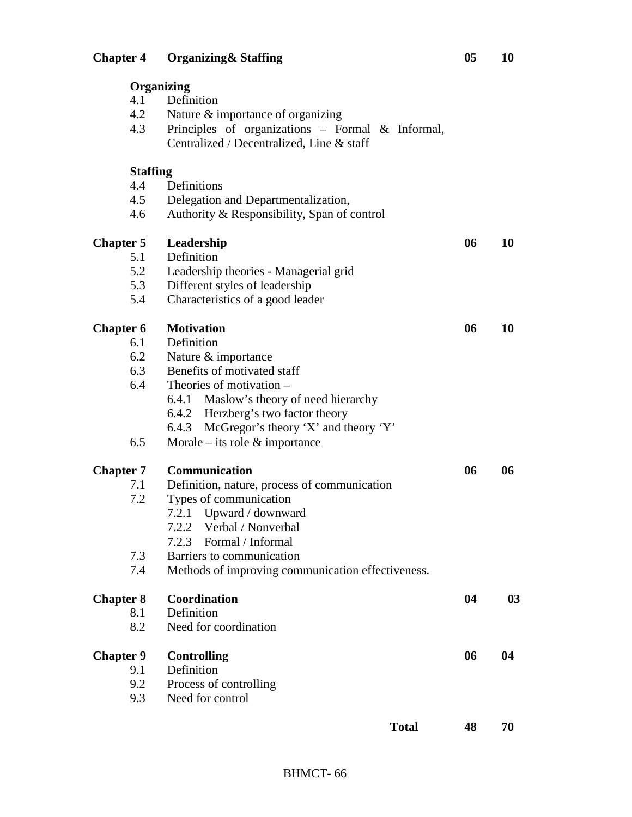|                  | Organizing                                        |    |           |
|------------------|---------------------------------------------------|----|-----------|
| 4.1              | Definition                                        |    |           |
| 4.2              | Nature & importance of organizing                 |    |           |
| 4.3              | Principles of organizations - Formal & Informal,  |    |           |
|                  | Centralized / Decentralized, Line & staff         |    |           |
| <b>Staffing</b>  |                                                   |    |           |
| 4.4              | Definitions                                       |    |           |
| 4.5              | Delegation and Departmentalization,               |    |           |
| 4.6              | Authority & Responsibility, Span of control       |    |           |
| <b>Chapter 5</b> | Leadership                                        | 06 | 10        |
| 5.1              | Definition                                        |    |           |
| 5.2              | Leadership theories - Managerial grid             |    |           |
| 5.3              | Different styles of leadership                    |    |           |
| 5.4              | Characteristics of a good leader                  |    |           |
| <b>Chapter 6</b> | <b>Motivation</b>                                 | 06 | <b>10</b> |
| 6.1              | Definition                                        |    |           |
| 6.2              | Nature & importance                               |    |           |
| 6.3              | Benefits of motivated staff                       |    |           |
| 6.4              | Theories of motivation –                          |    |           |
|                  | 6.4.1 Maslow's theory of need hierarchy           |    |           |
|                  | 6.4.2 Herzberg's two factor theory                |    |           |
|                  | McGregor's theory 'X' and theory 'Y'<br>6.4.3     |    |           |
| 6.5              | Morale – its role $\&$ importance                 |    |           |
| <b>Chapter 7</b> | Communication                                     | 06 | 06        |
| 7.1              | Definition, nature, process of communication      |    |           |
| 7.2              | Types of communication                            |    |           |
|                  | 7.2.1 Upward / downward                           |    |           |
|                  | 7.2.2 Verbal / Nonverbal                          |    |           |
|                  | 7.2.3 Formal / Informal                           |    |           |
| 7.3              | Barriers to communication                         |    |           |
| 7.4              | Methods of improving communication effectiveness. |    |           |
|                  |                                                   |    |           |
| <b>Chapter 8</b> | Coordination                                      | 04 | 03        |
| 8.1              | Definition                                        |    |           |
| 8.2              | Need for coordination                             |    |           |
| <b>Chapter 9</b> | <b>Controlling</b>                                | 06 | 04        |
| 9.1              | Definition                                        |    |           |
| 9.2              | Process of controlling                            |    |           |
| 9.3              | Need for control                                  |    |           |
|                  | <b>Total</b>                                      | 48 | 70        |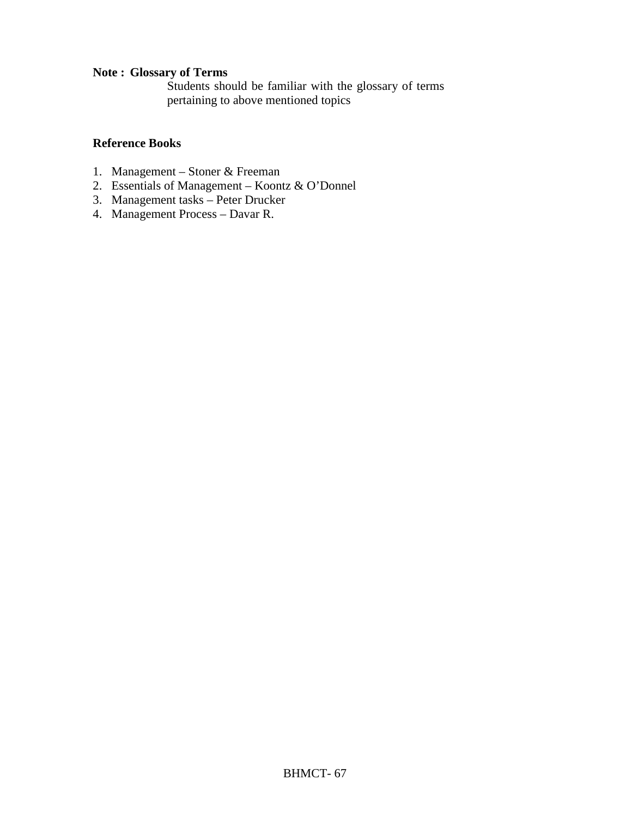#### **Note : Glossary of Terms**

Students should be familiar with the glossary of terms pertaining to above mentioned topics

- 1. Management Stoner & Freeman
- 2. Essentials of Management Koontz & O'Donnel
- 3. Management tasks Peter Drucker
- 4. Management Process Davar R.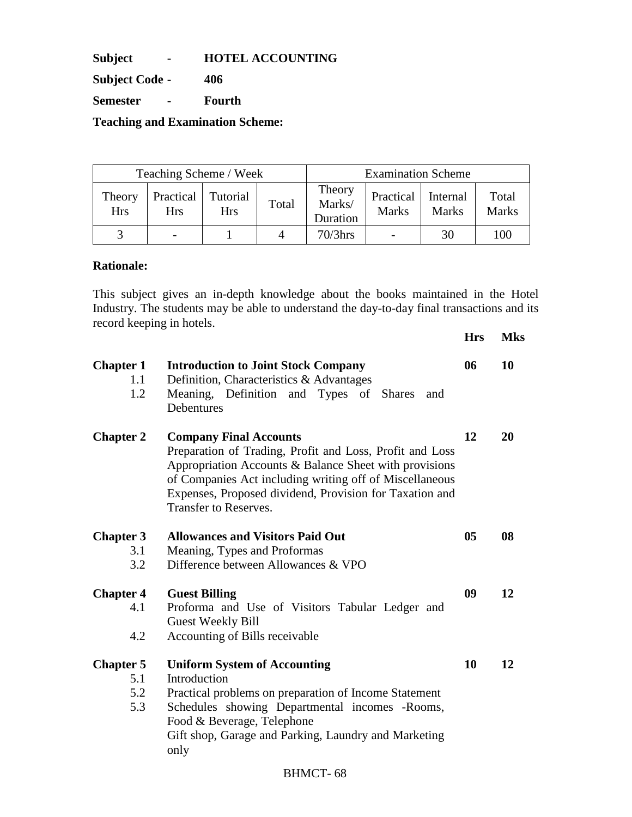**Subject - HOTEL ACCOUNTING** 

**Subject Code - 406** 

**Semester - Fourth** 

**Teaching and Examination Scheme:** 

| Teaching Scheme / Week |                         |                               | <b>Examination Scheme</b> |                              |                           |                          |                       |
|------------------------|-------------------------|-------------------------------|---------------------------|------------------------------|---------------------------|--------------------------|-----------------------|
| Theory<br><b>Hrs</b>   | Practical<br><b>Hrs</b> | <b>Tutorial</b><br><b>Hrs</b> | Total                     | Theory<br>Marks/<br>Duration | Practical<br><b>Marks</b> | Internal<br><b>Marks</b> | Total<br><b>Marks</b> |
|                        |                         |                               |                           | $70/3$ hrs                   |                           | 30                       | 100                   |

#### **Rationale:**

This subject gives an in-depth knowledge about the books maintained in the Hotel Industry. The students may be able to understand the day-to-day final transactions and its record keeping in hotels.

|                                |                                                                                                                                                                                                                                                                                                           | <b>Hrs</b> | <b>Mks</b> |
|--------------------------------|-----------------------------------------------------------------------------------------------------------------------------------------------------------------------------------------------------------------------------------------------------------------------------------------------------------|------------|------------|
| <b>Chapter 1</b><br>1.1<br>1.2 | <b>Introduction to Joint Stock Company</b><br>Definition, Characteristics & Advantages<br>Meaning, Definition and Types of Shares<br>and<br>Debentures                                                                                                                                                    | 06         | 10         |
| <b>Chapter 2</b>               | <b>Company Final Accounts</b><br>Preparation of Trading, Profit and Loss, Profit and Loss<br>Appropriation Accounts & Balance Sheet with provisions<br>of Companies Act including writing off of Miscellaneous<br>Expenses, Proposed dividend, Provision for Taxation and<br><b>Transfer to Reserves.</b> | 12         | 20         |
| <b>Chapter 3</b>               | <b>Allowances and Visitors Paid Out</b>                                                                                                                                                                                                                                                                   | 05         | 08         |
| 3.1                            | Meaning, Types and Proformas                                                                                                                                                                                                                                                                              |            |            |
| 3.2                            | Difference between Allowances & VPO                                                                                                                                                                                                                                                                       |            |            |
| <b>Chapter 4</b>               | <b>Guest Billing</b>                                                                                                                                                                                                                                                                                      | 09         | 12         |
| 4.1                            | Proforma and Use of Visitors Tabular Ledger and                                                                                                                                                                                                                                                           |            |            |
| 4.2                            | <b>Guest Weekly Bill</b><br>Accounting of Bills receivable                                                                                                                                                                                                                                                |            |            |
|                                |                                                                                                                                                                                                                                                                                                           |            |            |
| <b>Chapter 5</b>               | <b>Uniform System of Accounting</b>                                                                                                                                                                                                                                                                       | 10         | 12         |
| 5.1                            | Introduction                                                                                                                                                                                                                                                                                              |            |            |
| 5.2                            | Practical problems on preparation of Income Statement                                                                                                                                                                                                                                                     |            |            |
| 5.3                            | Schedules showing Departmental incomes -Rooms,                                                                                                                                                                                                                                                            |            |            |
|                                | Food & Beverage, Telephone                                                                                                                                                                                                                                                                                |            |            |
|                                | Gift shop, Garage and Parking, Laundry and Marketing<br>only                                                                                                                                                                                                                                              |            |            |
|                                |                                                                                                                                                                                                                                                                                                           |            |            |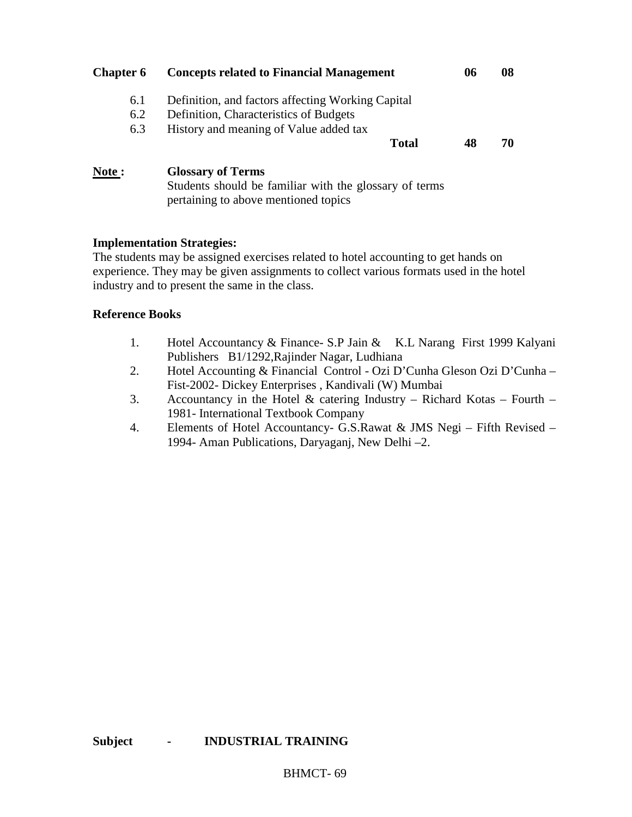| <b>Chapter 6</b> | <b>Concepts related to Financial Management</b>   | 06 | 08 |
|------------------|---------------------------------------------------|----|----|
| 6.1              | Definition, and factors affecting Working Capital |    |    |
| 6.2              | Definition, Characteristics of Budgets            |    |    |
| 6.3              | History and meaning of Value added tax            |    |    |
|                  | <b>Total</b>                                      | 48 | 70 |
| Note:            | <b>Glossary of Terms</b>                          |    |    |

Students should be familiar with the glossary of terms pertaining to above mentioned topics

#### **Implementation Strategies:**

The students may be assigned exercises related to hotel accounting to get hands on experience. They may be given assignments to collect various formats used in the hotel industry and to present the same in the class.

- 1. Hotel Accountancy & Finance- S.P Jain & K.L Narang First 1999 Kalyani Publishers B1/1292,Rajinder Nagar, Ludhiana
- 2. Hotel Accounting & Financial Control Ozi D'Cunha Gleson Ozi D'Cunha Fist-2002- Dickey Enterprises , Kandivali (W) Mumbai
- 3. Accountancy in the Hotel  $\&$  catering Industry Richard Kotas Fourth 1981- International Textbook Company
- 4. Elements of Hotel Accountancy- G.S.Rawat & JMS Negi Fifth Revised 1994- Aman Publications, Daryaganj, New Delhi –2.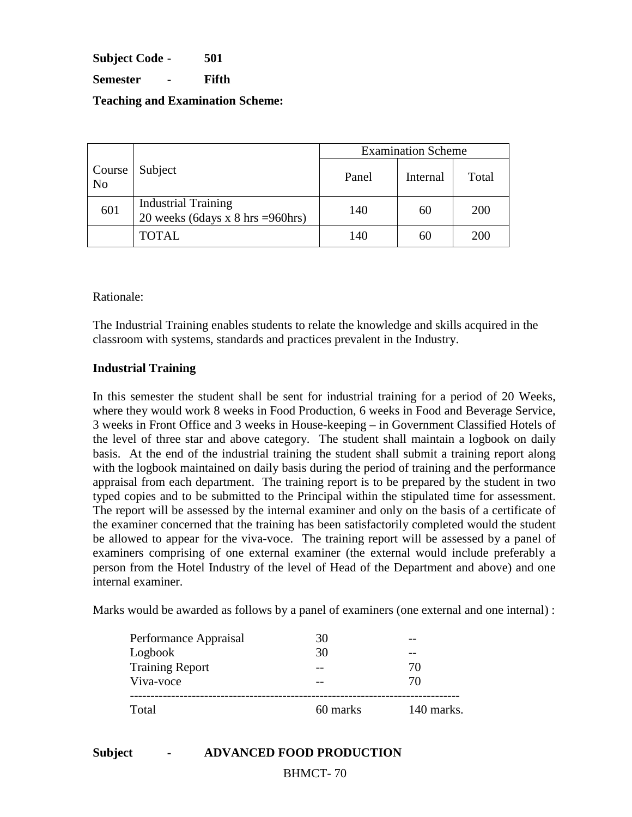**Subject Code - 501** 

**Semester - Fifth** 

**Teaching and Examination Scheme:** 

|                          |                                                                                    | <b>Examination Scheme</b> |          |       |  |
|--------------------------|------------------------------------------------------------------------------------|---------------------------|----------|-------|--|
| Course<br>N <sub>o</sub> | Subject                                                                            | Panel                     | Internal | Total |  |
| 601                      | <b>Industrial Training</b><br>20 weeks (6days x $8 \text{ hrs} = 960 \text{hrs}$ ) | 140                       | 60       | 200   |  |
|                          | <b>TOTAL</b>                                                                       | 140                       | 60       | 200   |  |

Rationale:

The Industrial Training enables students to relate the knowledge and skills acquired in the classroom with systems, standards and practices prevalent in the Industry.

#### **Industrial Training**

In this semester the student shall be sent for industrial training for a period of 20 Weeks, where they would work 8 weeks in Food Production, 6 weeks in Food and Beverage Service, 3 weeks in Front Office and 3 weeks in House-keeping – in Government Classified Hotels of the level of three star and above category. The student shall maintain a logbook on daily basis. At the end of the industrial training the student shall submit a training report along with the logbook maintained on daily basis during the period of training and the performance appraisal from each department. The training report is to be prepared by the student in two typed copies and to be submitted to the Principal within the stipulated time for assessment. The report will be assessed by the internal examiner and only on the basis of a certificate of the examiner concerned that the training has been satisfactorily completed would the student be allowed to appear for the viva-voce. The training report will be assessed by a panel of examiners comprising of one external examiner (the external would include preferably a person from the Hotel Industry of the level of Head of the Department and above) and one internal examiner.

Marks would be awarded as follows by a panel of examiners (one external and one internal) :

| Total                  | 60 marks | 140 marks. |
|------------------------|----------|------------|
| Viva-voce              |          | 70         |
| <b>Training Report</b> |          | 70         |
| Logbook                | 30       |            |
| Performance Appraisal  |          |            |

# **Subject - ADVANCED FOOD PRODUCTION**

BHMCT- 70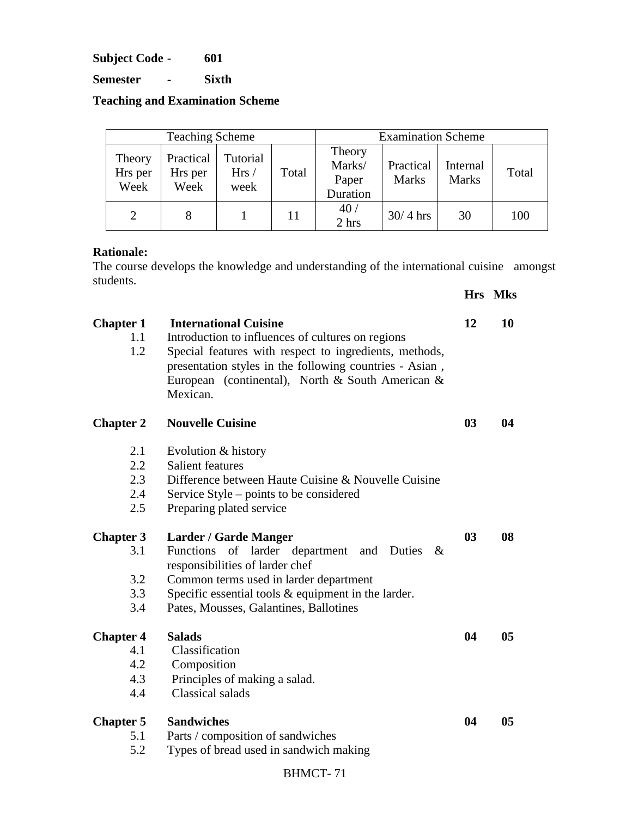**Subject Code - 601** 

**Semester - Sixth** 

**Teaching and Examination Scheme** 

| <b>Teaching Scheme</b>    |                              |                          | <b>Examination Scheme</b> |                                       |                           |                          |       |
|---------------------------|------------------------------|--------------------------|---------------------------|---------------------------------------|---------------------------|--------------------------|-------|
| Theory<br>Hrs per<br>Week | Practical<br>Hrs per<br>Week | Tutorial<br>Hrs/<br>week | Total                     | Theory<br>Marks/<br>Paper<br>Duration | Practical<br><b>Marks</b> | Internal<br><b>Marks</b> | Total |
| $\mathcal{D}$             |                              |                          | 11                        | 40/<br>2 hrs                          | $30/4$ hrs                | 30                       | 100   |

#### **Rationale:**

The course develops the knowledge and understanding of the international cuisine amongst students. **Hrs Mks**

| <b>Chapter 1</b><br>1.1<br>1.2 | <b>International Cuisine</b><br>Introduction to influences of cultures on regions<br>Special features with respect to ingredients, methods,<br>presentation styles in the following countries - Asian,<br>European (continental), North & South American &<br>Mexican. | 12             | 10             |
|--------------------------------|------------------------------------------------------------------------------------------------------------------------------------------------------------------------------------------------------------------------------------------------------------------------|----------------|----------------|
| <b>Chapter 2</b>               | <b>Nouvelle Cuisine</b>                                                                                                                                                                                                                                                | 0 <sub>3</sub> | 04             |
| 2.1                            | Evolution & history                                                                                                                                                                                                                                                    |                |                |
| 2.2                            | Salient features                                                                                                                                                                                                                                                       |                |                |
| 2.3                            | Difference between Haute Cuisine & Nouvelle Cuisine                                                                                                                                                                                                                    |                |                |
| 2.4                            | Service Style – points to be considered                                                                                                                                                                                                                                |                |                |
| 2.5                            | Preparing plated service                                                                                                                                                                                                                                               |                |                |
| <b>Chapter 3</b>               | <b>Larder / Garde Manger</b>                                                                                                                                                                                                                                           | 0 <sub>3</sub> | 08             |
| 3.1                            | <b>Functions</b><br>of larder department<br>and<br>Duties<br>$\&$<br>responsibilities of larder chef                                                                                                                                                                   |                |                |
| 3.2                            | Common terms used in larder department                                                                                                                                                                                                                                 |                |                |
| 3.3                            | Specific essential tools $&$ equipment in the larder.                                                                                                                                                                                                                  |                |                |
| 3.4                            | Pates, Mousses, Galantines, Ballotines                                                                                                                                                                                                                                 |                |                |
| <b>Chapter 4</b>               | <b>Salads</b>                                                                                                                                                                                                                                                          | 04             | 0 <sub>5</sub> |
| 4.1                            | Classification                                                                                                                                                                                                                                                         |                |                |
| 4.2                            | Composition                                                                                                                                                                                                                                                            |                |                |
| 4.3                            | Principles of making a salad.                                                                                                                                                                                                                                          |                |                |
| 4.4                            | Classical salads                                                                                                                                                                                                                                                       |                |                |
| <b>Chapter 5</b>               | <b>Sandwiches</b>                                                                                                                                                                                                                                                      | 04             | 0 <sub>5</sub> |
| 5.1                            | Parts / composition of sandwiches                                                                                                                                                                                                                                      |                |                |
| 5.2                            | Types of bread used in sandwich making                                                                                                                                                                                                                                 |                |                |
|                                |                                                                                                                                                                                                                                                                        |                |                |

# BHMCT- 71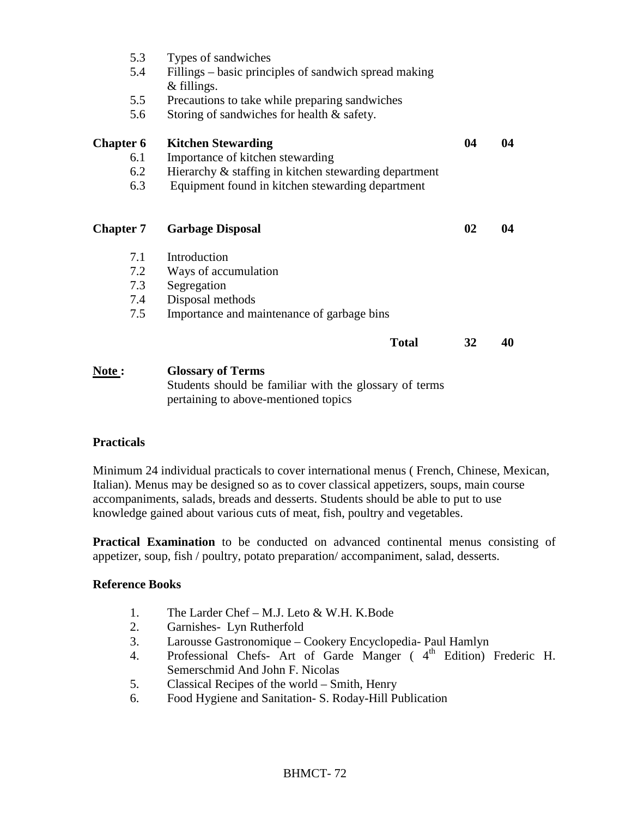| 5.3<br>5.4<br>5.5 | Types of sandwiches<br>Fillings – basic principles of sandwich spread making<br>$&$ fillings.<br>Precautions to take while preparing sandwiches |    |    |
|-------------------|-------------------------------------------------------------------------------------------------------------------------------------------------|----|----|
| 5.6               | Storing of sandwiches for health & safety.                                                                                                      |    |    |
| <b>Chapter 6</b>  | <b>Kitchen Stewarding</b>                                                                                                                       | 04 | 04 |
| 6.1               | Importance of kitchen stewarding                                                                                                                |    |    |
| 6.2               | Hierarchy & staffing in kitchen stewarding department                                                                                           |    |    |
| 6.3               | Equipment found in kitchen stewarding department                                                                                                |    |    |
| <b>Chapter 7</b>  | <b>Garbage Disposal</b>                                                                                                                         | 02 | 04 |
| 7.1               | Introduction                                                                                                                                    |    |    |
| 7.2               | Ways of accumulation                                                                                                                            |    |    |
| 7.3               | Segregation                                                                                                                                     |    |    |
| 7.4               | Disposal methods                                                                                                                                |    |    |
| 7.5               | Importance and maintenance of garbage bins                                                                                                      |    |    |
|                   | <b>Total</b>                                                                                                                                    | 32 | 40 |
| <b>Note :</b>     | <b>Glossary of Terms</b>                                                                                                                        |    |    |
|                   | $\Omega_{\rm{tot}}$ denote the self-distribution of $\Omega_{\rm{tot}}$ . The compact of $\Omega_{\rm{tot}}$                                    |    |    |

Students should be familiar with the glossary of terms pertaining to above-mentioned topics

#### **Practicals**

Minimum 24 individual practicals to cover international menus ( French, Chinese, Mexican, Italian). Menus may be designed so as to cover classical appetizers, soups, main course accompaniments, salads, breads and desserts. Students should be able to put to use knowledge gained about various cuts of meat, fish, poultry and vegetables.

**Practical Examination** to be conducted on advanced continental menus consisting of appetizer, soup, fish / poultry, potato preparation/ accompaniment, salad, desserts.

- 1. The Larder Chef M.J. Leto & W.H. K.Bode
- 2. Garnishes- Lyn Rutherfold
- 3. Larousse Gastronomique Cookery Encyclopedia- Paul Hamlyn
- 4. Professional Chefs- Art of Garde Manger (4<sup>th</sup> Edition) Frederic H. Semerschmid And John F. Nicolas
- 5. Classical Recipes of the world Smith, Henry
- 6. Food Hygiene and Sanitation- S. Roday-Hill Publication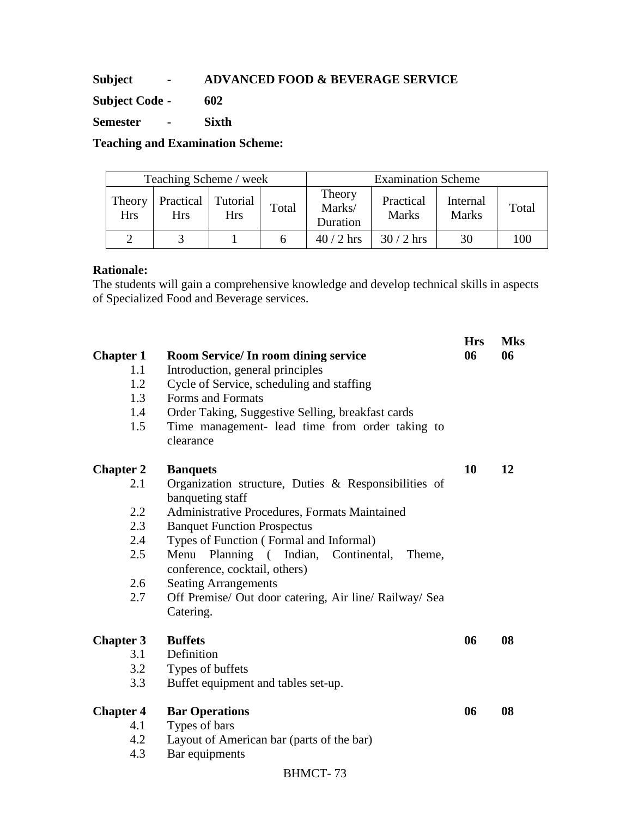# **Subject - ADVANCED FOOD & BEVERAGE SERVICE**

**Subject Code - 602** 

**Semester - Sixth** 

**Teaching and Examination Scheme:** 

| Teaching Scheme / week |                  |                        |       | <b>Examination Scheme</b>    |                           |                          |       |
|------------------------|------------------|------------------------|-------|------------------------------|---------------------------|--------------------------|-------|
| Theory<br><b>Hrs</b>   | Practical<br>Hrs | Tutorial<br><b>Hrs</b> | Total | Theory<br>Marks/<br>Duration | Practical<br><b>Marks</b> | Internal<br><b>Marks</b> | Total |
|                        |                  |                        |       | $40/2$ hrs                   | $30/2$ hrs                | 30                       | 100   |

### **Rationale:**

The students will gain a comprehensive knowledge and develop technical skills in aspects of Specialized Food and Beverage services.

| <b>Chapter 1</b><br>1.1<br>1.2<br>1.3<br>1.4<br>1.5               | <b>Room Service/In room dining service</b><br>Introduction, general principles<br>Cycle of Service, scheduling and staffing<br>Forms and Formats<br>Order Taking, Suggestive Selling, breakfast cards<br>Time management- lead time from order taking to<br>clearance                                                                                                                                                    | <b>Hrs</b><br>06 | <b>Mks</b><br>06 |
|-------------------------------------------------------------------|--------------------------------------------------------------------------------------------------------------------------------------------------------------------------------------------------------------------------------------------------------------------------------------------------------------------------------------------------------------------------------------------------------------------------|------------------|------------------|
| <b>Chapter 2</b><br>2.1<br>2.2<br>2.3<br>2.4<br>2.5<br>2.6<br>2.7 | <b>Banquets</b><br>Organization structure, Duties & Responsibilities of<br>banqueting staff<br>Administrative Procedures, Formats Maintained<br><b>Banquet Function Prospectus</b><br>Types of Function (Formal and Informal)<br>Planning (Indian, Continental,<br>Menu<br>Theme,<br>conference, cocktail, others)<br><b>Seating Arrangements</b><br>Off Premise/ Out door catering, Air line/ Railway/ Sea<br>Catering. | 10               | 12               |
| <b>Chapter 3</b><br>3.1<br>3.2<br>3.3                             | <b>Buffets</b><br>Definition<br>Types of buffets<br>Buffet equipment and tables set-up.                                                                                                                                                                                                                                                                                                                                  | 06               | 08               |
| <b>Chapter 4</b><br>4.1<br>4.2<br>4.3                             | <b>Bar Operations</b><br>Types of bars<br>Layout of American bar (parts of the bar)<br>Bar equipments<br><b>BHMCT-73</b>                                                                                                                                                                                                                                                                                                 | 06               | 08               |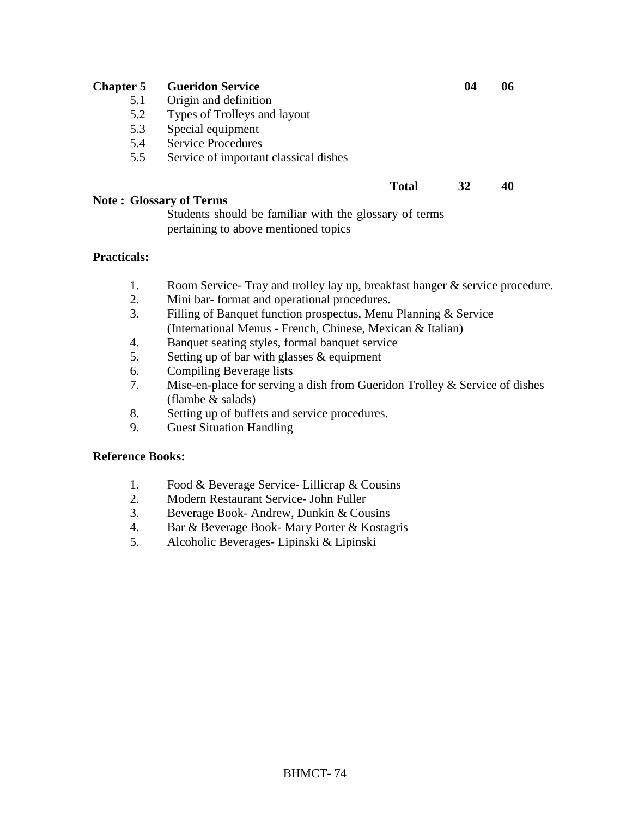| <b>Chapter 5</b> | <b>Gueridon Service</b>                                                                        | 04 | 06 |
|------------------|------------------------------------------------------------------------------------------------|----|----|
|                  | 5.1<br>Origin and definition                                                                   |    |    |
|                  | 5.2<br>Types of Trolleys and layout                                                            |    |    |
|                  | Special equipment<br>5.3                                                                       |    |    |
|                  | <b>Service Procedures</b><br>5.4                                                               |    |    |
|                  | Service of important classical dishes<br>5.5                                                   |    |    |
|                  | <b>Total</b>                                                                                   | 32 | 40 |
|                  | <b>Note: Glossary of Terms</b>                                                                 |    |    |
|                  | Students should be familiar with the glossary of terms<br>pertaining to above mentioned topics |    |    |

## **Practicals:**

- 1. Room Service- Tray and trolley lay up, breakfast hanger & service procedure.
- 2. Mini bar- format and operational procedures.
- 3. Filling of Banquet function prospectus, Menu Planning & Service (International Menus - French, Chinese, Mexican & Italian)
- 4. Banquet seating styles, formal banquet service
- 5. Setting up of bar with glasses & equipment
- 6. Compiling Beverage lists
- 7. Mise-en-place for serving a dish from Gueridon Trolley & Service of dishes (flambe & salads)
- 8. Setting up of buffets and service procedures.
- 9. Guest Situation Handling

## **Reference Books:**

- 1. Food & Beverage Service- Lillicrap & Cousins
- 2. Modern Restaurant Service- John Fuller
- 3. Beverage Book- Andrew, Dunkin & Cousins
- 4. Bar & Beverage Book- Mary Porter & Kostagris
- 5. Alcoholic Beverages- Lipinski & Lipinski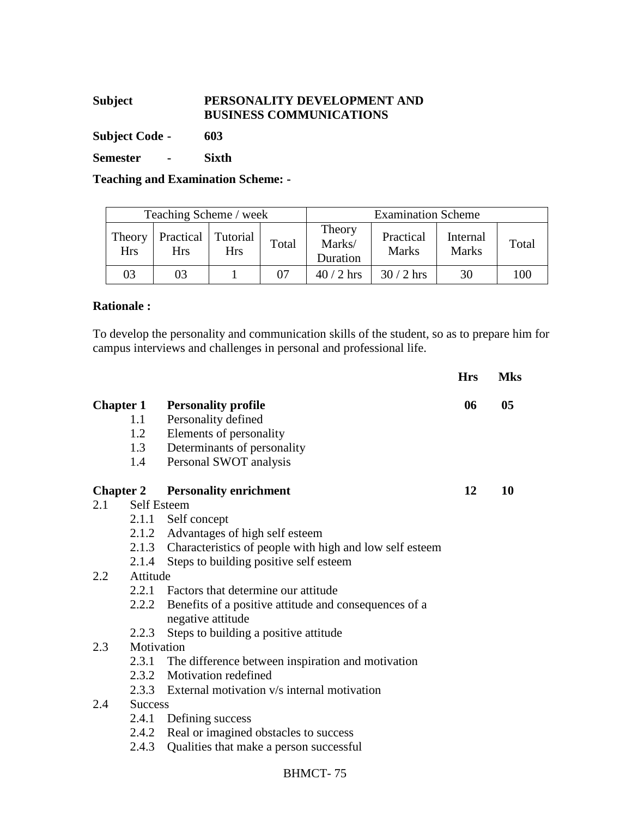# **Subject PERSONALITY DEVELOPMENT AND BUSINESS COMMUNICATIONS**

**Subject Code - 603** 

**Semester - Sixth** 

**Teaching and Examination Scheme: -** 

| Teaching Scheme / week |                         |                 |       | <b>Examination Scheme</b>    |                           |                          |       |
|------------------------|-------------------------|-----------------|-------|------------------------------|---------------------------|--------------------------|-------|
| Theory<br><b>Hrs</b>   | Practical<br><b>Hrs</b> | Tutorial<br>Hrs | Total | Theory<br>Marks/<br>Duration | Practical<br><b>Marks</b> | Internal<br><b>Marks</b> | Total |
| 03                     | 03                      |                 | 07    | $40/2$ hrs                   | $30/2$ hrs                | 30                       | 100   |

### **Rationale :**

To develop the personality and communication skills of the student, so as to prepare him for campus interviews and challenges in personal and professional life.

**Hrs Mks** 

| <b>Chapter 1</b> |                    | <b>Personality profile</b>                                    | 06 | 0 <sub>5</sub> |
|------------------|--------------------|---------------------------------------------------------------|----|----------------|
| 1.1              |                    | Personality defined                                           |    |                |
|                  | 1.2                | Elements of personality                                       |    |                |
|                  | 1.3                | Determinants of personality                                   |    |                |
|                  | 1.4                | Personal SWOT analysis                                        |    |                |
| <b>Chapter 2</b> |                    | <b>Personality enrichment</b>                                 | 12 | 10             |
| 2.1              | <b>Self Esteem</b> |                                                               |    |                |
|                  |                    | 2.1.1 Self concept                                            |    |                |
|                  |                    | 2.1.2 Advantages of high self esteem                          |    |                |
|                  |                    | 2.1.3 Characteristics of people with high and low self esteem |    |                |
|                  |                    | 2.1.4 Steps to building positive self esteem                  |    |                |
| 2.2              | Attitude           |                                                               |    |                |
|                  |                    | 2.2.1 Factors that determine our attitude                     |    |                |
|                  |                    | 2.2.2 Benefits of a positive attitude and consequences of a   |    |                |
|                  |                    | negative attitude                                             |    |                |
|                  | 2.2.3              | Steps to building a positive attitude                         |    |                |
| 2.3              | Motivation         |                                                               |    |                |
|                  |                    | 2.3.1 The difference between inspiration and motivation       |    |                |
|                  |                    | 2.3.2 Motivation redefined                                    |    |                |
|                  |                    | 2.3.3 External motivation v/s internal motivation             |    |                |
| 2.4              | <b>Success</b>     |                                                               |    |                |
|                  |                    | 2.4.1 Defining success                                        |    |                |
|                  |                    | 2.4.2 Real or imagined obstacles to success                   |    |                |
|                  |                    | 2.4.3 Qualities that make a person successful                 |    |                |
|                  |                    |                                                               |    |                |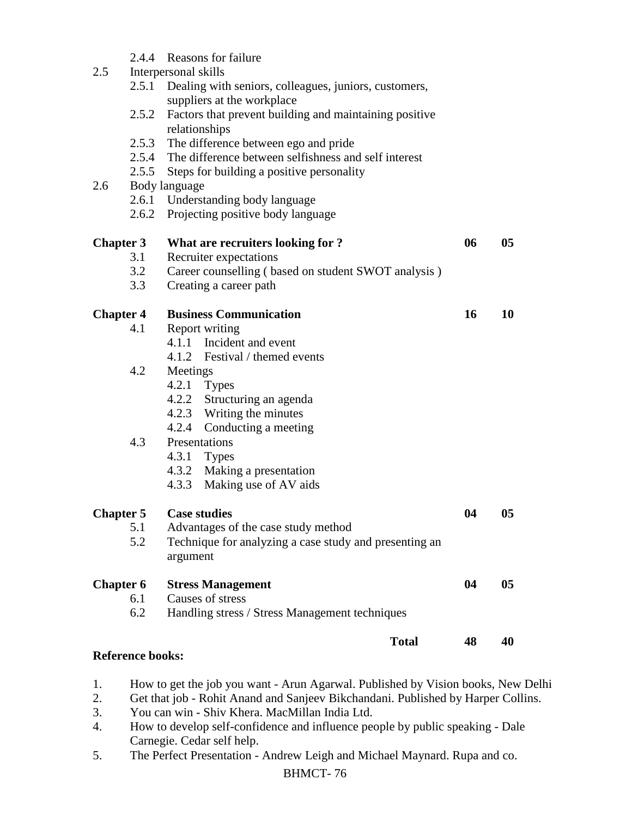| 2.5              |                         | 2.4.4 Reasons for failure<br>Interpersonal skills                                         |    |                |
|------------------|-------------------------|-------------------------------------------------------------------------------------------|----|----------------|
|                  |                         | 2.5.1 Dealing with seniors, colleagues, juniors, customers,<br>suppliers at the workplace |    |                |
|                  | 2.5.2                   | Factors that prevent building and maintaining positive<br>relationships                   |    |                |
|                  |                         | 2.5.3 The difference between ego and pride                                                |    |                |
|                  |                         | 2.5.4 The difference between selfishness and self interest                                |    |                |
|                  |                         | 2.5.5 Steps for building a positive personality                                           |    |                |
| 2.6              |                         | Body language                                                                             |    |                |
|                  |                         | 2.6.1 Understanding body language                                                         |    |                |
|                  |                         | 2.6.2 Projecting positive body language                                                   |    |                |
| <b>Chapter 3</b> |                         | What are recruiters looking for ?                                                         | 06 | 0 <sub>5</sub> |
|                  | 3.1                     | Recruiter expectations                                                                    |    |                |
|                  | 3.2                     | Career counselling (based on student SWOT analysis)                                       |    |                |
|                  | 3.3                     | Creating a career path                                                                    |    |                |
| <b>Chapter 4</b> |                         | <b>Business Communication</b>                                                             | 16 | 10             |
|                  | 4.1                     | Report writing                                                                            |    |                |
|                  |                         | 4.1.1 Incident and event                                                                  |    |                |
|                  |                         | 4.1.2 Festival / themed events                                                            |    |                |
|                  | 4.2                     | Meetings                                                                                  |    |                |
|                  |                         | $4.2.1$ Types                                                                             |    |                |
|                  |                         | 4.2.2 Structuring an agenda                                                               |    |                |
|                  |                         | 4.2.3 Writing the minutes                                                                 |    |                |
|                  |                         | 4.2.4<br>Conducting a meeting                                                             |    |                |
|                  | 4.3                     | Presentations                                                                             |    |                |
|                  |                         | $4.3.1$ Types                                                                             |    |                |
|                  |                         | 4.3.2 Making a presentation                                                               |    |                |
|                  |                         | Making use of AV aids<br>4.3.3                                                            |    |                |
| <b>Chapter 5</b> |                         | <b>Case studies</b>                                                                       | 04 | 05             |
|                  | 5.1                     | Advantages of the case study method                                                       |    |                |
|                  | 5.2                     | Technique for analyzing a case study and presenting an                                    |    |                |
|                  |                         | argument                                                                                  |    |                |
| <b>Chapter 6</b> |                         | <b>Stress Management</b>                                                                  | 04 | 05             |
|                  | 6.1                     | Causes of stress                                                                          |    |                |
|                  | 6.2                     | Handling stress / Stress Management techniques                                            |    |                |
|                  |                         | <b>Total</b>                                                                              | 48 | 40             |
|                  | <b>Reference books:</b> |                                                                                           |    |                |

- 1. How to get the job you want Arun Agarwal. Published by Vision books, New Delhi
- 2. Get that job Rohit Anand and Sanjeev Bikchandani. Published by Harper Collins.
- 3. You can win Shiv Khera. MacMillan India Ltd.
- 4. How to develop self-confidence and influence people by public speaking Dale Carnegie. Cedar self help.
- 5. The Perfect Presentation Andrew Leigh and Michael Maynard. Rupa and co.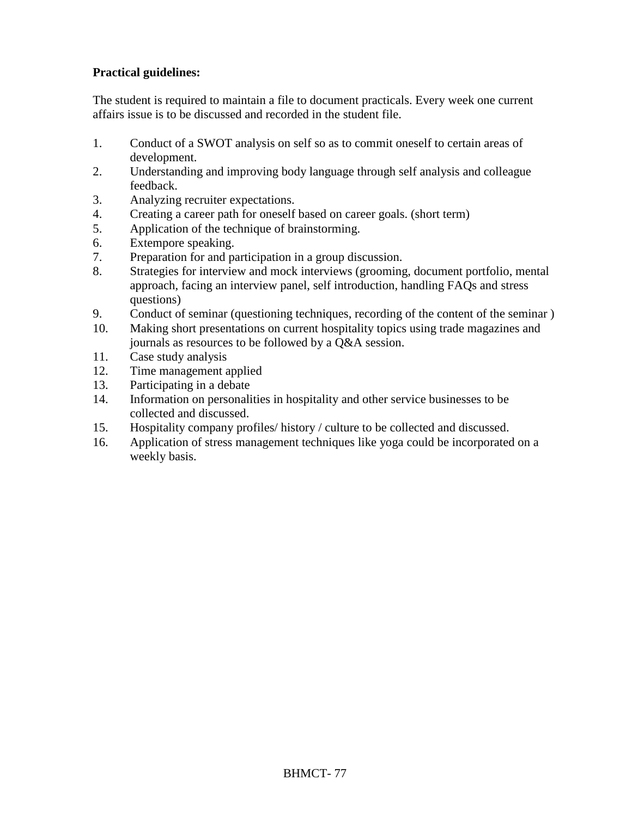## **Practical guidelines:**

The student is required to maintain a file to document practicals. Every week one current affairs issue is to be discussed and recorded in the student file.

- 1. Conduct of a SWOT analysis on self so as to commit oneself to certain areas of development.
- 2. Understanding and improving body language through self analysis and colleague feedback.
- 3. Analyzing recruiter expectations.
- 4. Creating a career path for oneself based on career goals. (short term)
- 5. Application of the technique of brainstorming.
- 6. Extempore speaking.
- 7. Preparation for and participation in a group discussion.
- 8. Strategies for interview and mock interviews (grooming, document portfolio, mental approach, facing an interview panel, self introduction, handling FAQs and stress questions)
- 9. Conduct of seminar (questioning techniques, recording of the content of the seminar )
- 10. Making short presentations on current hospitality topics using trade magazines and journals as resources to be followed by a Q&A session.
- 11. Case study analysis
- 12. Time management applied
- 13. Participating in a debate
- 14. Information on personalities in hospitality and other service businesses to be collected and discussed.
- 15. Hospitality company profiles/ history / culture to be collected and discussed.
- 16. Application of stress management techniques like yoga could be incorporated on a weekly basis.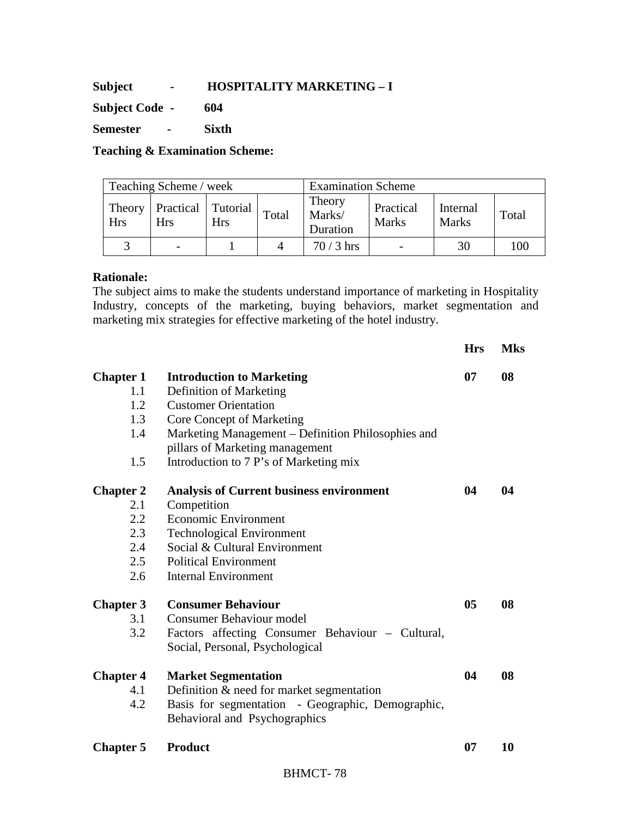**Subject - HOSPITALITY MARKETING – I** 

**Subject Code - 604** 

**Semester - Sixth** 

**Teaching & Examination Scheme:** 

| Teaching Scheme / week |                                  |     |       | <b>Examination Scheme</b>    |                           |                          |       |
|------------------------|----------------------------------|-----|-------|------------------------------|---------------------------|--------------------------|-------|
| Theory<br><b>Hrs</b>   | Practical Tutorial<br><b>Hrs</b> | Hrs | Total | Theory<br>Marks/<br>Duration | Practical<br><b>Marks</b> | Internal<br><b>Marks</b> | Total |
|                        |                                  |     |       | $70/3$ hrs                   | $\overline{\phantom{0}}$  | 30                       | 100   |

### **Rationale:**

The subject aims to make the students understand importance of marketing in Hospitality Industry, concepts of the marketing, buying behaviors, market segmentation and marketing mix strategies for effective marketing of the hotel industry.

|                  |                                                    | <b>Hrs</b>     | <b>Mks</b> |
|------------------|----------------------------------------------------|----------------|------------|
| <b>Chapter 1</b> | <b>Introduction to Marketing</b>                   | 07             | 08         |
| 1.1              | Definition of Marketing                            |                |            |
| 1.2              | <b>Customer Orientation</b>                        |                |            |
| 1.3              | Core Concept of Marketing                          |                |            |
| 1.4              | Marketing Management - Definition Philosophies and |                |            |
|                  | pillars of Marketing management                    |                |            |
| 1.5              | Introduction to 7 P's of Marketing mix             |                |            |
| <b>Chapter 2</b> | <b>Analysis of Current business environment</b>    | 04             | 04         |
| 2.1              | Competition                                        |                |            |
| 2.2              | <b>Economic Environment</b>                        |                |            |
| 2.3              | <b>Technological Environment</b>                   |                |            |
| 2.4              | Social & Cultural Environment                      |                |            |
| 2.5              | <b>Political Environment</b>                       |                |            |
| 2.6              | <b>Internal Environment</b>                        |                |            |
| <b>Chapter 3</b> | <b>Consumer Behaviour</b>                          | 0 <sub>5</sub> | 08         |
| 3.1              | <b>Consumer Behaviour model</b>                    |                |            |
| 3.2              | Factors affecting Consumer Behaviour - Cultural,   |                |            |
|                  | Social, Personal, Psychological                    |                |            |
| <b>Chapter 4</b> | <b>Market Segmentation</b>                         | 04             | 08         |
| 4.1              | Definition $& need for market segmentation$        |                |            |
| 4.2              | Basis for segmentation - Geographic, Demographic,  |                |            |
|                  | Behavioral and Psychographics                      |                |            |
| <b>Chapter 5</b> | <b>Product</b>                                     | 07             | 10         |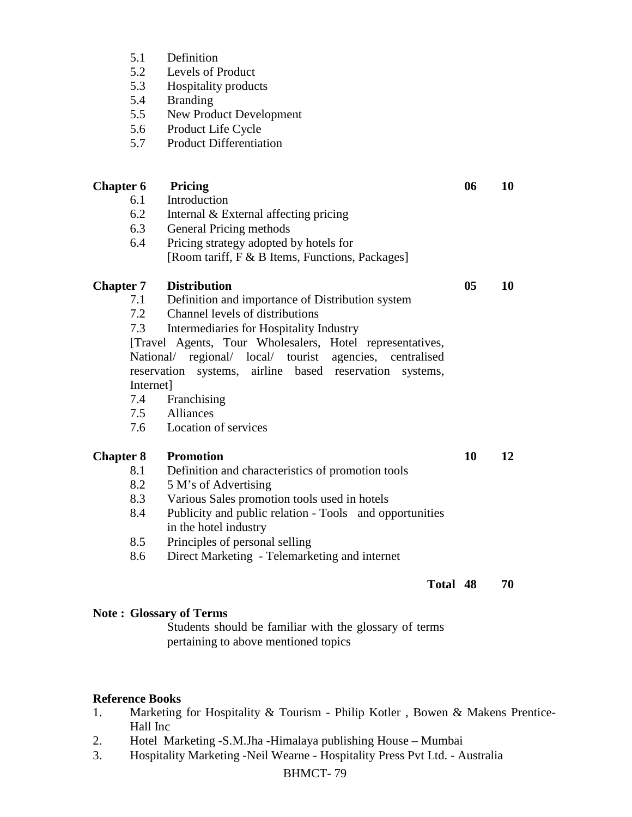- 5.1 Definition
- 5.2 Levels of Product
- 5.3 Hospitality products
- 5.4 Branding<br>5.5 New Prod
- New Product Development
- 5.6 Product Life Cycle
- 5.7 Product Differentiation

| <b>Chapter 6</b> |             | Pricing                                                                          | 06             | 10 |
|------------------|-------------|----------------------------------------------------------------------------------|----------------|----|
|                  | 6.1         | Introduction                                                                     |                |    |
|                  | 6.2         | Internal & External affecting pricing                                            |                |    |
|                  | 6.3         | General Pricing methods                                                          |                |    |
|                  | 6.4         | Pricing strategy adopted by hotels for                                           |                |    |
|                  |             | [Room tariff, F & B Items, Functions, Packages]                                  |                |    |
| <b>Chapter 7</b> |             | <b>Distribution</b>                                                              | 0 <sub>5</sub> | 10 |
|                  | 7.1         | Definition and importance of Distribution system                                 |                |    |
|                  | 7.2         | Channel levels of distributions                                                  |                |    |
|                  | 7.3         | Intermediaries for Hospitality Industry                                          |                |    |
|                  |             | [Travel Agents, Tour Wholesalers, Hotel representatives,                         |                |    |
|                  |             | National/ regional/ local/ tourist agencies, centralised                         |                |    |
|                  | reservation | systems, airline based reservation<br>systems,                                   |                |    |
|                  | Internet]   |                                                                                  |                |    |
|                  | 7.4         | Franchising                                                                      |                |    |
|                  |             | 7.5 Alliances                                                                    |                |    |
|                  |             | 7.6 Location of services                                                         |                |    |
| <b>Chapter 8</b> |             | <b>Promotion</b>                                                                 | 10             | 12 |
|                  | 8.1         | Definition and characteristics of promotion tools                                |                |    |
|                  | 8.2         | 5 M's of Advertising                                                             |                |    |
|                  | 8.3         | Various Sales promotion tools used in hotels                                     |                |    |
|                  | 8.4         | Publicity and public relation - Tools and opportunities<br>in the hotel industry |                |    |
|                  | 8.5         | Principles of personal selling                                                   |                |    |
|                  | 8.6         | Direct Marketing - Telemarketing and internet                                    |                |    |
|                  |             | Total 48                                                                         |                | 70 |
|                  |             |                                                                                  |                |    |

## **Note : Glossary of Terms**

Students should be familiar with the glossary of terms pertaining to above mentioned topics

### **Reference Books**

- 1. Marketing for Hospitality & Tourism Philip Kotler , Bowen & Makens Prentice-Hall Inc
- 2. Hotel Marketing -S.M.Jha -Himalaya publishing House Mumbai
- 3. Hospitality Marketing -Neil Wearne Hospitality Press Pvt Ltd. Australia

## BHMCT- 79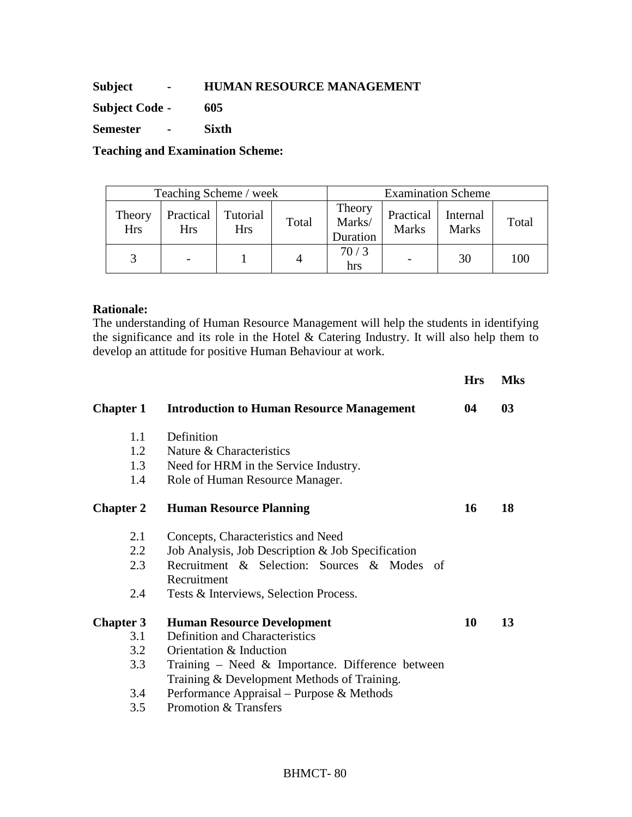## **Subject - HUMAN RESOURCE MANAGEMENT**

**Subject Code - 605** 

**Semester - Sixth** 

**Teaching and Examination Scheme:** 

| Teaching Scheme / week |                         |                        |       | <b>Examination Scheme</b>    |                           |                          |       |
|------------------------|-------------------------|------------------------|-------|------------------------------|---------------------------|--------------------------|-------|
| Theory<br><b>Hrs</b>   | Practical<br><b>Hrs</b> | Tutorial<br><b>Hrs</b> | Total | Theory<br>Marks/<br>Duration | Practical<br><b>Marks</b> | Internal<br><b>Marks</b> | Total |
|                        |                         |                        |       | 70/3<br>hrs                  |                           | 30                       | 100   |

### **Rationale:**

The understanding of Human Resource Management will help the students in identifying the significance and its role in the Hotel & Catering Industry. It will also help them to develop an attitude for positive Human Behaviour at work.

|                  |                                                     | <b>Hrs</b> | <b>Mks</b> |
|------------------|-----------------------------------------------------|------------|------------|
| <b>Chapter 1</b> | <b>Introduction to Human Resource Management</b>    | 04         | 03         |
| 1.1              | Definition                                          |            |            |
| 1.2              | Nature & Characteristics                            |            |            |
| 1.3              | Need for HRM in the Service Industry.               |            |            |
| 1.4              | Role of Human Resource Manager.                     |            |            |
| <b>Chapter 2</b> | <b>Human Resource Planning</b>                      | 16         | 18         |
| 2.1              | Concepts, Characteristics and Need                  |            |            |
| 2.2              | Job Analysis, Job Description & Job Specification   |            |            |
| 2.3              | Recruitment & Selection: Sources & Modes of         |            |            |
|                  | Recruitment                                         |            |            |
| 2.4              | Tests & Interviews, Selection Process.              |            |            |
| <b>Chapter 3</b> | <b>Human Resource Development</b>                   | 10         | 13         |
| 3.1              | <b>Definition and Characteristics</b>               |            |            |
| 3.2              | Orientation & Induction                             |            |            |
| 3.3              | Training – Need $\&$ Importance. Difference between |            |            |
|                  | Training & Development Methods of Training.         |            |            |
| 3.4              | Performance Appraisal – Purpose & Methods           |            |            |
| 3.5              | Promotion & Transfers                               |            |            |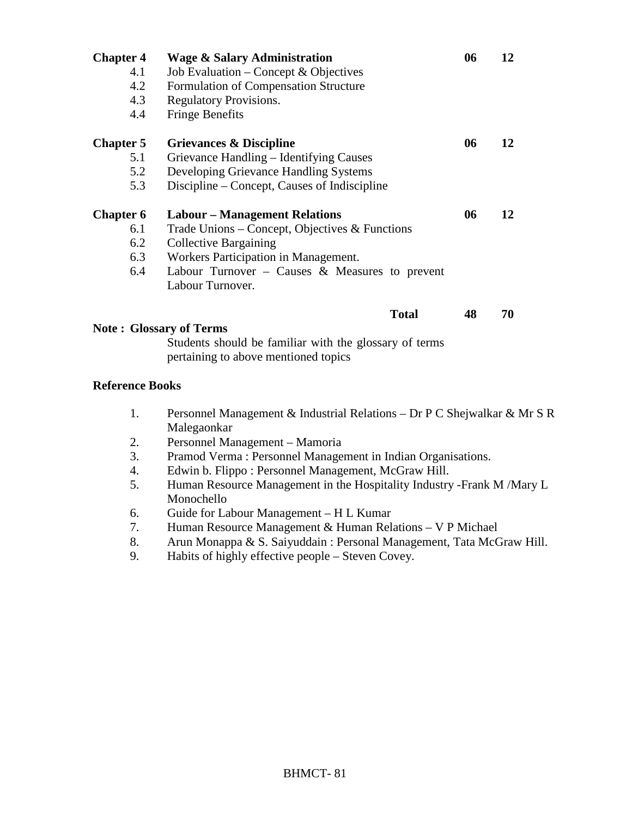| <b>Chapter 4</b>               | <b>Wage &amp; Salary Administration</b>                                                        | 06 | 12 |
|--------------------------------|------------------------------------------------------------------------------------------------|----|----|
| 4.1                            | Job Evaluation – Concept $&$ Objectives                                                        |    |    |
| 4.2                            | Formulation of Compensation Structure                                                          |    |    |
| 4.3                            | <b>Regulatory Provisions.</b>                                                                  |    |    |
| 4.4                            | <b>Fringe Benefits</b>                                                                         |    |    |
| <b>Chapter 5</b>               | Grievances & Discipline                                                                        | 06 | 12 |
| 5.1                            | Grievance Handling – Identifying Causes                                                        |    |    |
| 5.2                            | Developing Grievance Handling Systems                                                          |    |    |
| 5.3                            | Discipline – Concept, Causes of Indiscipline                                                   |    |    |
| <b>Chapter 6</b>               | <b>Labour</b> – Management Relations                                                           | 06 | 12 |
| 6.1                            | Trade Unions – Concept, Objectives & Functions                                                 |    |    |
| 6.2                            | <b>Collective Bargaining</b>                                                                   |    |    |
| 6.3                            | Workers Participation in Management.                                                           |    |    |
| 6.4                            | Labour Turnover – Causes $\&$ Measures to prevent                                              |    |    |
|                                | Labour Turnover.                                                                               |    |    |
|                                | <b>Total</b>                                                                                   | 48 | 70 |
| <b>Note: Glossary of Terms</b> |                                                                                                |    |    |
|                                | Students should be familiar with the glossary of terms<br>pertaining to above mentioned topics |    |    |

### **Reference Books**

- 1. Personnel Management & Industrial Relations Dr P C Shejwalkar & Mr S R Malegaonkar
- 2. Personnel Management Mamoria
- 3. Pramod Verma : Personnel Management in Indian Organisations.
- 4. Edwin b. Flippo : Personnel Management, McGraw Hill.
- 5. Human Resource Management in the Hospitality Industry -Frank M /Mary L Monochello
- 6. Guide for Labour Management H L Kumar
- 7. Human Resource Management & Human Relations V P Michael
- 8. Arun Monappa & S. Saiyuddain : Personal Management, Tata McGraw Hill.
- 9. Habits of highly effective people Steven Covey.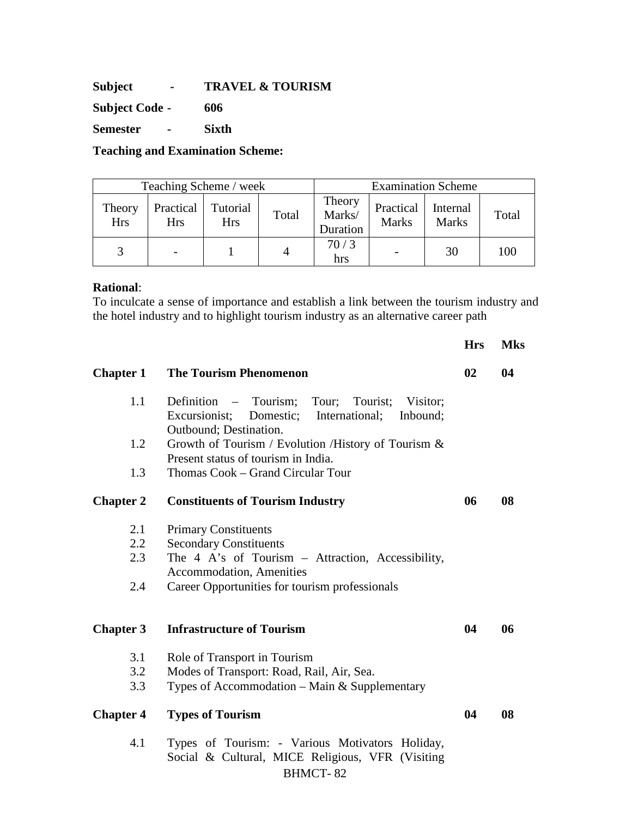**Subject - TRAVEL & TOURISM** 

**Subject Code - 606** 

**Semester - Sixth** 

**Teaching and Examination Scheme:** 

| Teaching Scheme / week |                         |                        |       | <b>Examination Scheme</b>    |                           |                          |       |
|------------------------|-------------------------|------------------------|-------|------------------------------|---------------------------|--------------------------|-------|
| Theory<br><b>Hrs</b>   | Practical<br><b>Hrs</b> | Tutorial<br><b>Hrs</b> | Total | Theory<br>Marks/<br>Duration | Practical<br><b>Marks</b> | Internal<br><b>Marks</b> | Total |
|                        |                         |                        | 4     | 70/3<br>hrs                  |                           | 30                       | 100   |

### **Rational**:

To inculcate a sense of importance and establish a link between the tourism industry and the hotel industry and to highlight tourism industry as an alternative career path

|                  |                                                                                                                                           | <b>Hrs</b> | <b>Mks</b> |
|------------------|-------------------------------------------------------------------------------------------------------------------------------------------|------------|------------|
| <b>Chapter 1</b> | <b>The Tourism Phenomenon</b>                                                                                                             | 02         | 04         |
| 1.1              | Definition – Tourism;<br>Tour;<br>Tourist;<br>Visitor;<br>Excursionist; Domestic;<br>International;<br>Inbound;<br>Outbound; Destination. |            |            |
| 1.2              | Growth of Tourism / Evolution / History of Tourism &                                                                                      |            |            |
|                  | Present status of tourism in India.                                                                                                       |            |            |
| 1.3              | Thomas Cook - Grand Circular Tour                                                                                                         |            |            |
| <b>Chapter 2</b> | <b>Constituents of Tourism Industry</b>                                                                                                   | 06         | 08         |
| 2.1              | <b>Primary Constituents</b>                                                                                                               |            |            |
| $2.2\,$          | <b>Secondary Constituents</b>                                                                                                             |            |            |
| 2.3              | The 4 A's of Tourism - Attraction, Accessibility,                                                                                         |            |            |
|                  | <b>Accommodation</b> , Amenities                                                                                                          |            |            |
| 2.4              | Career Opportunities for tourism professionals                                                                                            |            |            |
| <b>Chapter 3</b> | <b>Infrastructure of Tourism</b>                                                                                                          | 04         | 06         |
| 3.1              | Role of Transport in Tourism                                                                                                              |            |            |
| 3.2              | Modes of Transport: Road, Rail, Air, Sea.                                                                                                 |            |            |
| 3.3              | Types of Accommodation $-$ Main & Supplementary                                                                                           |            |            |
| <b>Chapter 4</b> | <b>Types of Tourism</b>                                                                                                                   | 04         | 08         |
| 4.1              | Types of Tourism: - Various Motivators Holiday,<br>Social & Cultural, MICE Religious, VFR (Visiting<br><b>BHMCT-82</b>                    |            |            |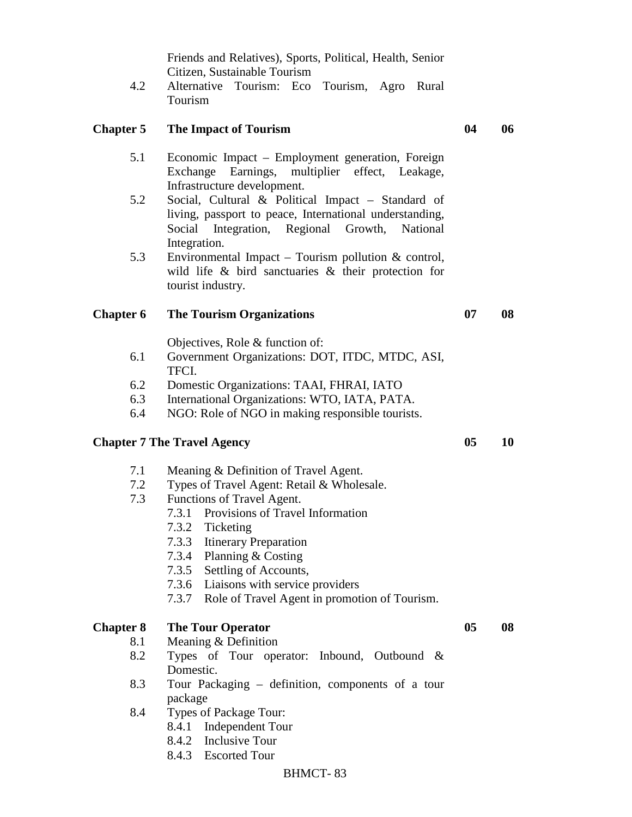Friends and Relatives), Sports, Political, Health, Senior Citizen, Sustainable Tourism

4.2 Alternative Tourism: Eco Tourism, Agro Rural Tourism

### **Chapter 5 The Impact of Tourism 04 06**

- 5.1 Economic Impact Employment generation, Foreign Exchange Earnings, multiplier effect, Leakage, Infrastructure development.
- 5.2 Social, Cultural & Political Impact Standard of living, passport to peace, International understanding, Social Integration, Regional Growth, National Integration.
- 5.3 Environmental Impact Tourism pollution & control, wild life & bird sanctuaries & their protection for tourist industry.

#### **Chapter 6 The Tourism Organizations 07 08**

Objectives, Role & function of:

- 6.1 Government Organizations: DOT, ITDC, MTDC, ASI, TFCI.
- 6.2 Domestic Organizations: TAAI, FHRAI, IATO
- 6.3 International Organizations: WTO, IATA, PATA.
- 6.4 NGO: Role of NGO in making responsible tourists.

### **Chapter 7 The Travel Agency** 05 10

- 7.1 Meaning & Definition of Travel Agent.
- 7.2 Types of Travel Agent: Retail & Wholesale.
- 7.3 Functions of Travel Agent.
	- 7.3.1 Provisions of Travel Information
	- 7.3.2 Ticketing
	- 7.3.3 Itinerary Preparation
	- 7.3.4 Planning & Costing
	- 7.3.5 Settling of Accounts,
	- 7.3.6 Liaisons with service providers
	- 7.3.7 Role of Travel Agent in promotion of Tourism.

### **Chapter 8 The Tour Operator 05 08**

- 8.1 Meaning & Definition
- 8.2 Types of Tour operator: Inbound, Outbound & Domestic.
- 8.3 Tour Packaging definition, components of a tour package
- 8.4 Types of Package Tour:
	- 8.4.1 Independent Tour
	- 8.4.2 Inclusive Tour
	- 8.4.3 Escorted Tour

#### BHMCT- 83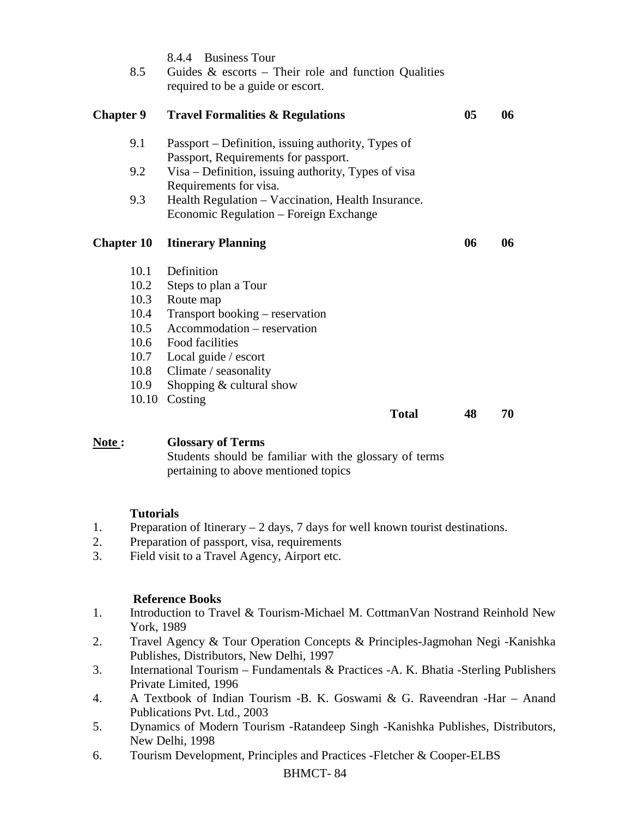| 8.5               | <b>Business Tour</b><br>8.4.4<br>Guides $\&$ escorts – Their role and function Qualities<br>required to be a guide or escort. |    |    |
|-------------------|-------------------------------------------------------------------------------------------------------------------------------|----|----|
| <b>Chapter 9</b>  | <b>Travel Formalities &amp; Regulations</b>                                                                                   | 05 | 06 |
| 9.1               | Passport – Definition, issuing authority, Types of<br>Passport, Requirements for passport.                                    |    |    |
| 9.2               | Visa – Definition, issuing authority, Types of visa<br>Requirements for visa.                                                 |    |    |
| 9.3               | Health Regulation – Vaccination, Health Insurance.<br>Economic Regulation – Foreign Exchange                                  |    |    |
| <b>Chapter 10</b> | <b>Itinerary Planning</b>                                                                                                     | 06 | 06 |
|                   |                                                                                                                               |    |    |
| 10.1              | Definition                                                                                                                    |    |    |
| 10.2              | Steps to plan a Tour                                                                                                          |    |    |
| 10.3              | Route map                                                                                                                     |    |    |
| 10.4              | Transport booking – reservation                                                                                               |    |    |
| 10.5              | Accommodation – reservation                                                                                                   |    |    |
| 10.6              | Food facilities                                                                                                               |    |    |
| 10.7              | Local guide / escort                                                                                                          |    |    |
| 10.8              | Climate / seasonality                                                                                                         |    |    |

10.10 Costing

**Total 48 70** 

## **Note : Glossary of Terms**

Students should be familiar with the glossary of terms pertaining to above mentioned topics

## **Tutorials**

- 1. Preparation of Itinerary 2 days, 7 days for well known tourist destinations.
- 2. Preparation of passport, visa, requirements
- 3. Field visit to a Travel Agency, Airport etc.

### **Reference Books**

- 1. Introduction to Travel & Tourism-Michael M. CottmanVan Nostrand Reinhold New York, 1989
- 2. Travel Agency & Tour Operation Concepts & Principles-Jagmohan Negi -Kanishka Publishes, Distributors, New Delhi, 1997
- 3. International Tourism Fundamentals & Practices -A. K. Bhatia -Sterling Publishers Private Limited, 1996
- 4. A Textbook of Indian Tourism -B. K. Goswami & G. Raveendran -Har Anand Publications Pvt. Ltd., 2003
- 5. Dynamics of Modern Tourism -Ratandeep Singh -Kanishka Publishes, Distributors, New Delhi, 1998
- 6. Tourism Development, Principles and Practices -Fletcher & Cooper-ELBS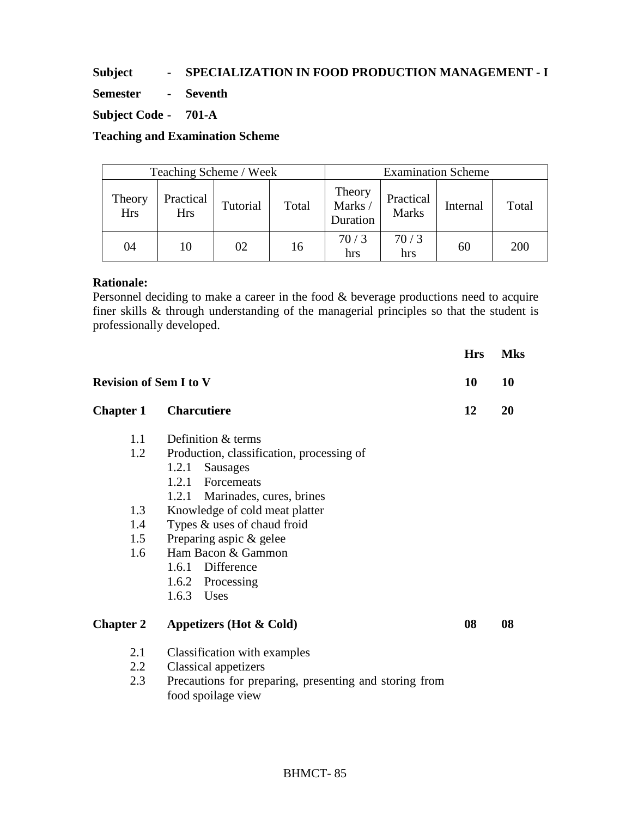## **Subject - SPECIALIZATION IN FOOD PRODUCTION MANAGEMENT - I**

**Semester - Seventh** 

## **Subject Code - 701-A**

**Teaching and Examination Scheme** 

| Teaching Scheme / Week |                         |          |       | <b>Examination Scheme</b>    |                           |          |       |
|------------------------|-------------------------|----------|-------|------------------------------|---------------------------|----------|-------|
| Theory<br><b>Hrs</b>   | Practical<br><b>Hrs</b> | Tutorial | Total | Theory<br>Marks/<br>Duration | Practical<br><b>Marks</b> | Internal | Total |
| 04                     | 10                      | 02       | 16    | 70/3<br>hrs                  | 70/3<br>hrs               | 60       | 200   |

## **Rationale:**

Personnel deciding to make a career in the food & beverage productions need to acquire finer skills & through understanding of the managerial principles so that the student is professionally developed.

|                               |                                                        | <b>Hrs</b> | <b>Mks</b> |
|-------------------------------|--------------------------------------------------------|------------|------------|
| <b>Revision of Sem I to V</b> |                                                        | 10         | 10         |
| <b>Chapter 1</b>              | <b>Charcutiere</b>                                     | 12         | 20         |
| 1.1                           | Definition & terms                                     |            |            |
| 1.2                           | Production, classification, processing of              |            |            |
|                               | Sausages<br>1.2.1                                      |            |            |
|                               | 1.2.1 Forcemeats                                       |            |            |
|                               | 1.2.1 Marinades, cures, brines                         |            |            |
| 1.3                           | Knowledge of cold meat platter                         |            |            |
| 1.4                           | Types & uses of chaud froid                            |            |            |
| 1.5                           | Preparing aspic & gelee                                |            |            |
| 1.6                           | Ham Bacon & Gammon                                     |            |            |
|                               | 1.6.1 Difference                                       |            |            |
|                               | 1.6.2 Processing                                       |            |            |
|                               | 1.6.3 Uses                                             |            |            |
| <b>Chapter 2</b>              | Appetizers (Hot & Cold)                                | 08         | 08         |
| 2.1                           | Classification with examples                           |            |            |
| 2.2                           | <b>Classical appetizers</b>                            |            |            |
| 2.3                           | Precautions for preparing, presenting and storing from |            |            |
|                               | food spoilage view                                     |            |            |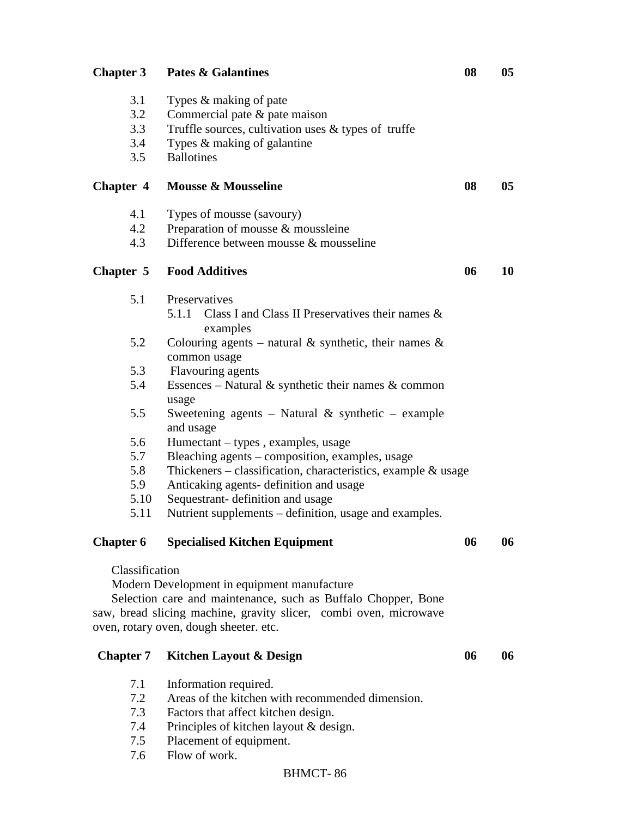| <b>Chapter 3</b> | <b>Pates &amp; Galantines</b>                                     | 08 | 0 <sub>5</sub> |
|------------------|-------------------------------------------------------------------|----|----------------|
| 3.1              | Types & making of pate                                            |    |                |
| 3.2              | Commercial pate $\&$ pate maison                                  |    |                |
| 3.3              | Truffle sources, cultivation uses & types of truffe               |    |                |
| 3.4              | Types & making of galantine                                       |    |                |
| 3.5              | <b>Ballotines</b>                                                 |    |                |
| <b>Chapter 4</b> | <b>Mousse &amp; Mousseline</b>                                    | 08 | 0 <sub>5</sub> |
|                  |                                                                   |    |                |
| 4.1              | Types of mousse (savoury)                                         |    |                |
| 4.2              | Preparation of mousse & moussleine                                |    |                |
| 4.3              | Difference between mousse & mousseline                            |    |                |
| Chapter 5        | <b>Food Additives</b>                                             | 06 | 10             |
| 5.1              | Preservatives                                                     |    |                |
|                  | Class I and Class II Preservatives their names $\&$<br>5.1.1      |    |                |
|                  | examples                                                          |    |                |
| 5.2              | Colouring agents – natural & synthetic, their names $\&$          |    |                |
|                  | common usage                                                      |    |                |
| 5.3              | Flavouring agents                                                 |    |                |
| 5.4              | Essences – Natural & synthetic their names & common               |    |                |
| 5.5              | usage<br>Sweetening agents - Natural & synthetic - example        |    |                |
|                  | and usage                                                         |    |                |
| 5.6              | Humectant – types, examples, usage                                |    |                |
| 5.7              | Bleaching agents – composition, examples, usage                   |    |                |
| 5.8              | Thickeners – classification, characteristics, example $\&$ usage  |    |                |
| 5.9              | Anticaking agents- definition and usage                           |    |                |
| 5.10             | Sequestrant- definition and usage                                 |    |                |
| 5.11             | Nutrient supplements – definition, usage and examples.            |    |                |
| <b>Chapter 6</b> | <b>Specialised Kitchen Equipment</b>                              | 06 | 06             |
|                  |                                                                   |    |                |
| Classification   |                                                                   |    |                |
|                  | Modern Development in equipment manufacture                       |    |                |
|                  | Selection care and maintenance, such as Buffalo Chopper, Bone     |    |                |
|                  | saw, bread slicing machine, gravity slicer, combi oven, microwave |    |                |
|                  | oven, rotary oven, dough sheeter. etc.                            |    |                |
|                  |                                                                   |    |                |
| <b>Chapter 7</b> | <b>Kitchen Layout &amp; Design</b>                                | 06 | 06             |
| 7.1              | Information required.                                             |    |                |
| 7.2              | Areas of the kitchen with recommended dimension.                  |    |                |
| 7.3              | Factors that affect kitchen design.                               |    |                |
| 7.4              | Principles of kitchen layout & design.                            |    |                |
| 7.5              | Placement of equipment.                                           |    |                |
| 7.6              | Flow of work.                                                     |    |                |
|                  |                                                                   |    |                |

#### BHMCT- 86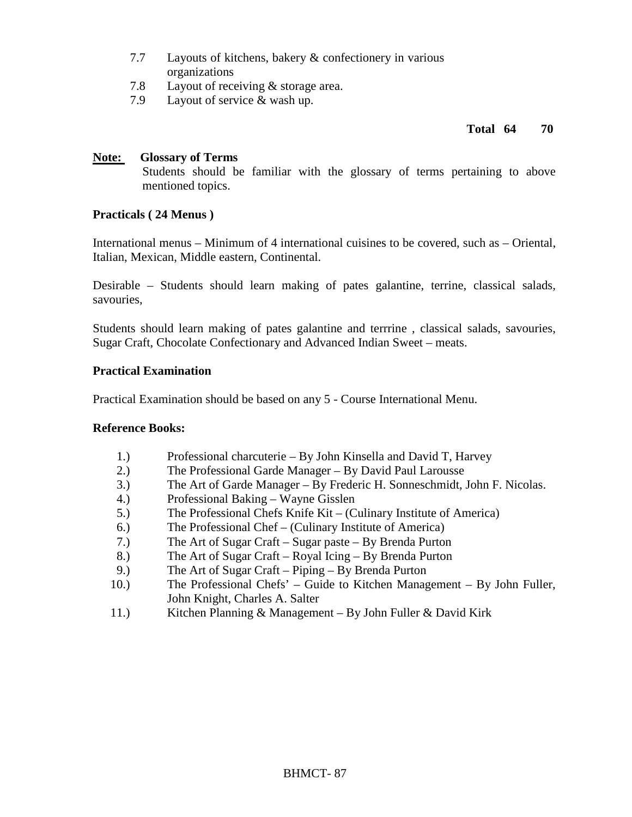- 7.7 Layouts of kitchens, bakery & confectionery in various organizations
- 7.8 Layout of receiving & storage area.
- 7.9 Layout of service & wash up.

### **Total 64 70**

### **Note: Glossary of Terms**

Students should be familiar with the glossary of terms pertaining to above mentioned topics.

### **Practicals ( 24 Menus )**

International menus – Minimum of 4 international cuisines to be covered, such as – Oriental, Italian, Mexican, Middle eastern, Continental.

Desirable – Students should learn making of pates galantine, terrine, classical salads, savouries,

Students should learn making of pates galantine and terrrine , classical salads, savouries, Sugar Craft, Chocolate Confectionary and Advanced Indian Sweet – meats.

### **Practical Examination**

Practical Examination should be based on any 5 - Course International Menu.

### **Reference Books:**

- 1.) Professional charcuterie By John Kinsella and David T, Harvey
- 2.) The Professional Garde Manager By David Paul Larousse
- 3.) The Art of Garde Manager By Frederic H. Sonneschmidt, John F. Nicolas.
- 4.) Professional Baking Wayne Gisslen
- 5.) The Professional Chefs Knife Kit (Culinary Institute of America)
- 6.) The Professional Chef (Culinary Institute of America)
- 7.) The Art of Sugar Craft Sugar paste By Brenda Purton
- 8.) The Art of Sugar Craft Royal Icing By Brenda Purton
- 9.) The Art of Sugar Craft Piping By Brenda Purton
- 10.) The Professional Chefs' Guide to Kitchen Management By John Fuller, John Knight, Charles A. Salter
- 11.) Kitchen Planning & Management By John Fuller & David Kirk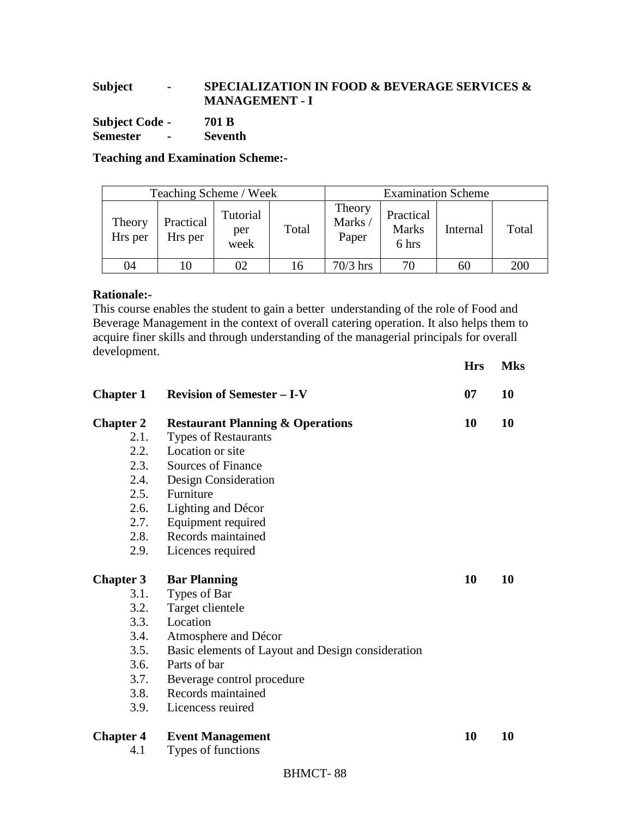## **Subject - SPECIALIZATION IN FOOD & BEVERAGE SERVICES & MANAGEMENT - I**

**Subject Code - 701 B Semester - Seventh** 

**Teaching and Examination Scheme:-** 

| Teaching Scheme / Week |                      |                         |       | <b>Examination Scheme</b> |                                    |          |       |
|------------------------|----------------------|-------------------------|-------|---------------------------|------------------------------------|----------|-------|
| Theory<br>Hrs per      | Practical<br>Hrs per | Tutorial<br>per<br>week | Total | Theory<br>Marks/<br>Paper | Practical<br><b>Marks</b><br>6 hrs | Internal | Total |
| 04                     | 10                   | 02                      |       | $70/3$ hrs                | 70                                 | 60       | 200   |

## **Rationale:-**

This course enables the student to gain a better understanding of the role of Food and Beverage Management in the context of overall catering operation. It also helps them to acquire finer skills and through understanding of the managerial principals for overall development.

**Hrs Mks** 

| <b>Chapter 1</b> | <b>Revision of Semester - I-V</b>                 | 07 | 10 |
|------------------|---------------------------------------------------|----|----|
| <b>Chapter 2</b> | <b>Restaurant Planning &amp; Operations</b>       | 10 | 10 |
| 2.1.             | <b>Types of Restaurants</b>                       |    |    |
| 2.2.             | Location or site                                  |    |    |
| 2.3.             | Sources of Finance                                |    |    |
| 2.4.             | Design Consideration                              |    |    |
| 2.5.             | Furniture                                         |    |    |
| 2.6.             | Lighting and Décor                                |    |    |
| 2.7.             | Equipment required                                |    |    |
| 2.8.             | Records maintained                                |    |    |
| 2.9.             | Licences required                                 |    |    |
| <b>Chapter 3</b> | <b>Bar Planning</b>                               | 10 | 10 |
| 3.1.             | Types of Bar                                      |    |    |
| 3.2.             | Target clientele                                  |    |    |
| 3.3.             | Location                                          |    |    |
| 3.4.             | Atmosphere and Décor                              |    |    |
| 3.5.             | Basic elements of Layout and Design consideration |    |    |
| 3.6.             | Parts of bar                                      |    |    |
| 3.7.             | Beverage control procedure                        |    |    |
| 3.8.             | Records maintained                                |    |    |
| 3.9.             | Licencess reuired                                 |    |    |
| <b>Chapter 4</b> | <b>Event Management</b>                           | 10 | 10 |
| 4.1              | Types of functions                                |    |    |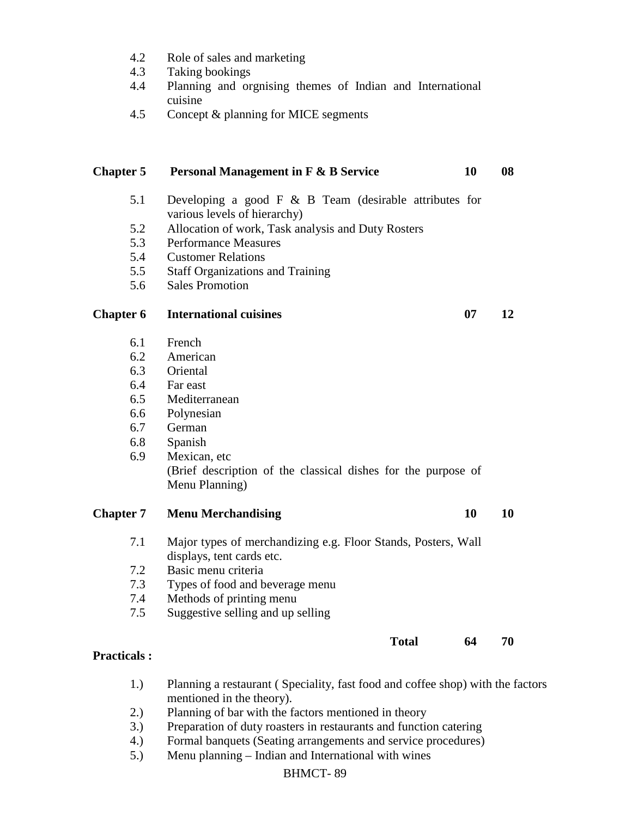- 4.2 Role of sales and marketing
- 4.3 Taking bookings
- 4.4 Planning and orgnising themes of Indian and International cuisine
- 4.5 Concept & planning for MICE segments

# **Chapter 5 Personal Management in F & B Service 10 08**  5.1 Developing a good F & B Team (desirable attributes for various levels of hierarchy) 5.2 Allocation of work, Task analysis and Duty Rosters 5.3 Performance Measures 5.4 Customer Relations 5.5 Staff Organizations and Training 5.6 Sales Promotion **Chapter 6** International cuisines 07 12 6.1 French 6.2 American 6.3 Oriental 6.4 Far east 6.5 Mediterranean 6.6 Polynesian 6.7 German 6.8 Spanish 6.9 Mexican, etc (Brief description of the classical dishes for the purpose of Menu Planning) **Chapter 7** Menu Merchandising 10 10 10 7.1 Major types of merchandizing e.g. Floor Stands, Posters, Wall displays, tent cards etc. 7.2 Basic menu criteria 7.3 Types of food and beverage menu 7.4 Methods of printing menu 7.5 Suggestive selling and up selling **Total 64 70**

## **Practicals :**

- 1.) Planning a restaurant ( Speciality, fast food and coffee shop) with the factors mentioned in the theory).
- 2.) Planning of bar with the factors mentioned in theory
- 3.) Preparation of duty roasters in restaurants and function catering
- 4.) Formal banquets (Seating arrangements and service procedures)
- 5.) Menu planning Indian and International with wines

### BHMCT- 89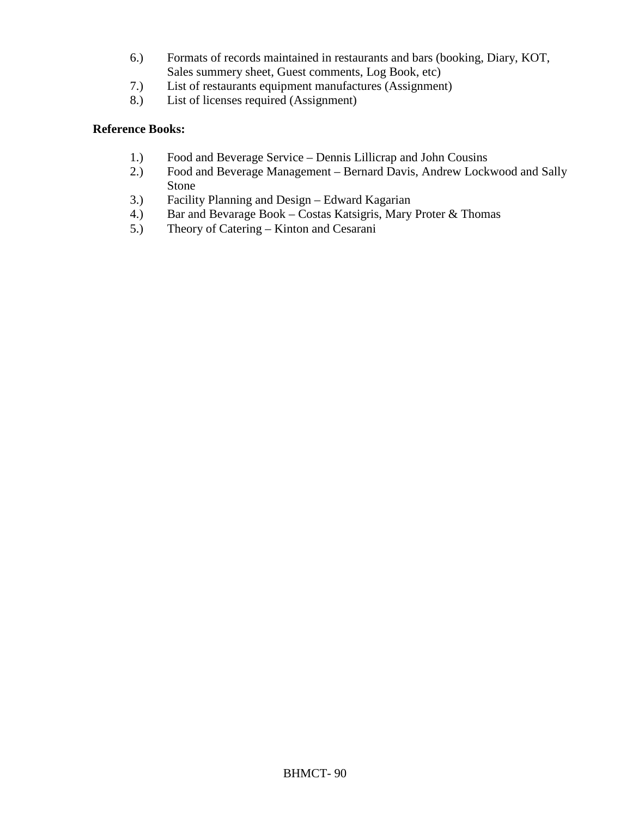- 6.) Formats of records maintained in restaurants and bars (booking, Diary, KOT, Sales summery sheet, Guest comments, Log Book, etc)
- 7.) List of restaurants equipment manufactures (Assignment)
- 8.) List of licenses required (Assignment)

### **Reference Books:**

- 1.) Food and Beverage Service Dennis Lillicrap and John Cousins
- 2.) Food and Beverage Management Bernard Davis, Andrew Lockwood and Sally Stone
- 3.) Facility Planning and Design Edward Kagarian
- 4.) Bar and Bevarage Book Costas Katsigris, Mary Proter & Thomas<br>5.) Theory of Catering Kinton and Cesarani
- 5.) Theory of Catering Kinton and Cesarani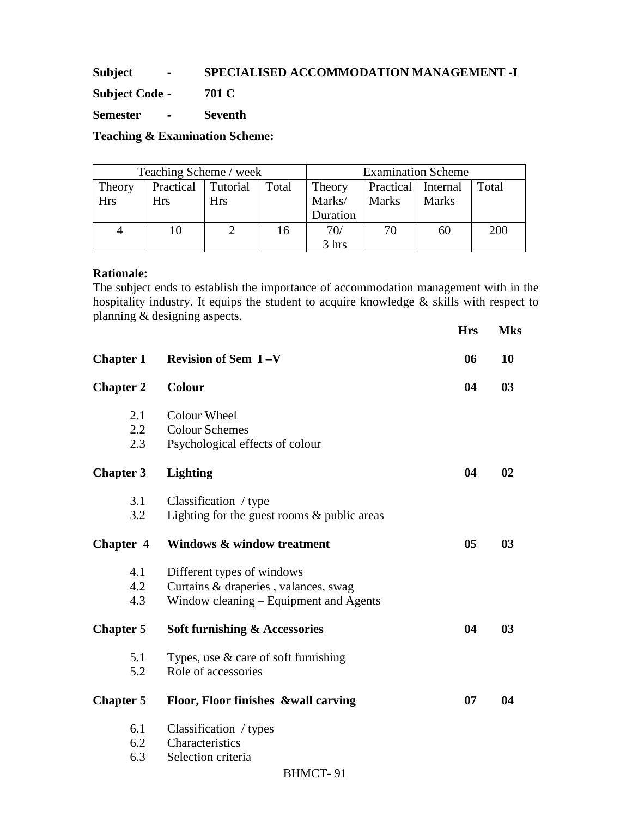## **Subject - SPECIALISED ACCOMMODATION MANAGEMENT -I**

**Subject Code - 701 C** 

**Semester - Seventh** 

**Teaching & Examination Scheme:** 

| Teaching Scheme / week |           |          |       | <b>Examination Scheme</b> |                      |              |       |
|------------------------|-----------|----------|-------|---------------------------|----------------------|--------------|-------|
| Theory                 | Practical | Tutorial | Total | Theory                    | Practical   Internal |              | Total |
| <b>Hrs</b>             | Hrs       | Hrs      |       | Marks/                    | <b>Marks</b>         | <b>Marks</b> |       |
|                        |           |          |       | Duration                  |                      |              |       |
| 4                      | 10        |          | 16    | 70/                       |                      | 60           | 200   |
|                        |           |          |       | 3 hrs                     |                      |              |       |

## **Rationale:**

The subject ends to establish the importance of accommodation management with in the hospitality industry. It equips the student to acquire knowledge & skills with respect to planning & designing aspects.

|                  |                                                          | <b>Hrs</b> | <b>Mks</b>     |
|------------------|----------------------------------------------------------|------------|----------------|
| <b>Chapter 1</b> | <b>Revision of Sem I-V</b>                               | 06         | 10             |
| <b>Chapter 2</b> | <b>Colour</b>                                            | 04         | 0 <sub>3</sub> |
| 2.1              | Colour Wheel                                             |            |                |
| 2.2<br>2.3       | <b>Colour Schemes</b><br>Psychological effects of colour |            |                |
| <b>Chapter 3</b> | <b>Lighting</b>                                          | 04         | 02             |
| 3.1              | Classification / type                                    |            |                |
| 3.2              | Lighting for the guest rooms $&$ public areas            |            |                |
| Chapter 4        | <b>Windows &amp; window treatment</b>                    | 05         | 0 <sub>3</sub> |
| 4.1              | Different types of windows                               |            |                |
| 4.2              | Curtains & draperies, valances, swag                     |            |                |
| 4.3              | Window cleaning – Equipment and Agents                   |            |                |
| <b>Chapter 5</b> | <b>Soft furnishing &amp; Accessories</b>                 | 04         | 0 <sub>3</sub> |
| 5.1              | Types, use & care of soft furnishing                     |            |                |
| 5.2              | Role of accessories                                      |            |                |
| <b>Chapter 5</b> | Floor, Floor finishes &wall carving                      | 07         | 04             |
| 6.1              | Classification / types                                   |            |                |
| 6.2              | Characteristics                                          |            |                |
| 6.3              | Selection criteria                                       |            |                |
|                  | <b>BHMCT-91</b>                                          |            |                |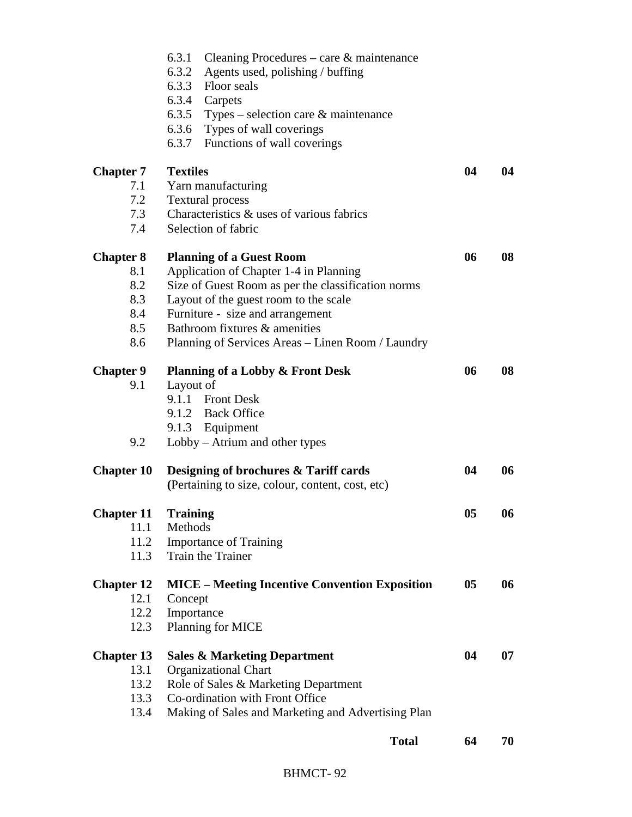|                   | 6.3.1<br>Cleaning Procedures – care $\&$ maintenance  |    |    |
|-------------------|-------------------------------------------------------|----|----|
|                   | 6.3.2<br>Agents used, polishing / buffing             |    |    |
|                   | 6.3.3 Floor seals                                     |    |    |
|                   | 6.3.4 Carpets                                         |    |    |
|                   | 6.3.5 Types – selection care $\&$ maintenance         |    |    |
|                   | 6.3.6 Types of wall coverings                         |    |    |
|                   | 6.3.7 Functions of wall coverings                     |    |    |
| <b>Chapter 7</b>  | <b>Textiles</b>                                       | 04 | 04 |
| 7.1               | Yarn manufacturing                                    |    |    |
| 7.2               | <b>Textural process</b>                               |    |    |
| 7.3               | Characteristics & uses of various fabrics             |    |    |
| 7.4               | Selection of fabric                                   |    |    |
| <b>Chapter 8</b>  | <b>Planning of a Guest Room</b>                       | 06 | 08 |
| 8.1               | Application of Chapter 1-4 in Planning                |    |    |
| 8.2               | Size of Guest Room as per the classification norms    |    |    |
| 8.3               | Layout of the guest room to the scale                 |    |    |
| 8.4               | Furniture - size and arrangement                      |    |    |
| 8.5               | Bathroom fixtures & amenities                         |    |    |
| 8.6               | Planning of Services Areas - Linen Room / Laundry     |    |    |
| <b>Chapter 9</b>  | <b>Planning of a Lobby &amp; Front Desk</b>           | 06 | 08 |
| 9.1               | Layout of                                             |    |    |
|                   | 9.1.1 Front Desk                                      |    |    |
|                   | 9.1.2 Back Office                                     |    |    |
|                   | 9.1.3 Equipment                                       |    |    |
| 9.2               | Lobby – Atrium and other types                        |    |    |
| <b>Chapter 10</b> | Designing of brochures & Tariff cards                 | 04 | 06 |
|                   | (Pertaining to size, colour, content, cost, etc)      |    |    |
| <b>Chapter 11</b> | <b>Training</b>                                       | 05 | 06 |
| 11.1              | Methods                                               |    |    |
| 11.2              | <b>Importance of Training</b>                         |    |    |
| 11.3              | Train the Trainer                                     |    |    |
| <b>Chapter 12</b> | <b>MICE – Meeting Incentive Convention Exposition</b> | 05 | 06 |
| 12.1              | Concept                                               |    |    |
| 12.2              | Importance                                            |    |    |
| 12.3              | Planning for MICE                                     |    |    |
| <b>Chapter 13</b> | <b>Sales &amp; Marketing Department</b>               | 04 | 07 |
| 13.1              | <b>Organizational Chart</b>                           |    |    |
| 13.2              | Role of Sales & Marketing Department                  |    |    |
| 13.3              | Co-ordination with Front Office                       |    |    |
| 13.4              | Making of Sales and Marketing and Advertising Plan    |    |    |
|                   | <b>Total</b>                                          | 64 | 70 |
|                   |                                                       |    |    |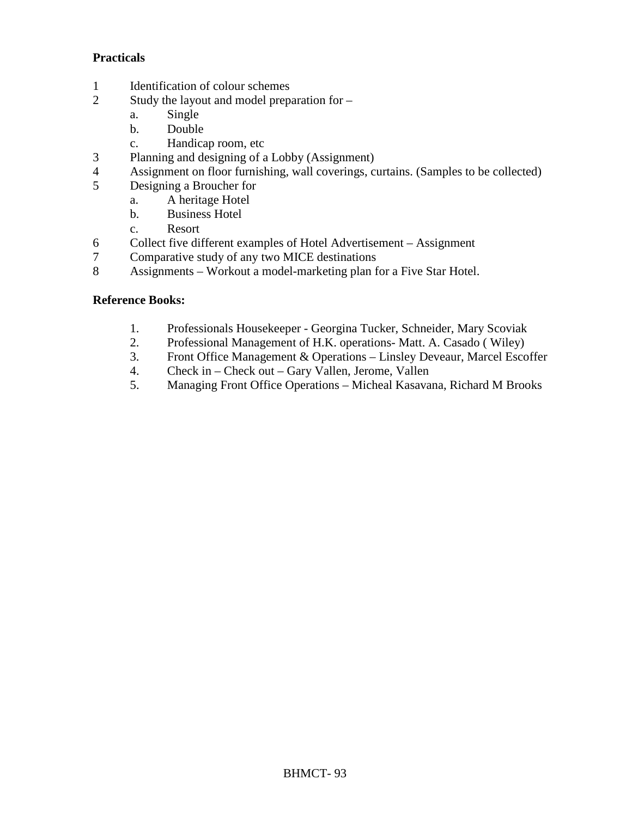## **Practicals**

- 1 Identification of colour schemes
- 2 Study the layout and model preparation for
	- a. Single
	- b. Double
	- c. Handicap room, etc
- 3 Planning and designing of a Lobby (Assignment)
- 4 Assignment on floor furnishing, wall coverings, curtains. (Samples to be collected)<br>5 Designing a Broucher for
- 5 Designing a Broucher for
	- a. A heritage Hotel
		- b. Business Hotel
		- c. Resort
- 6 Collect five different examples of Hotel Advertisement Assignment<br>7 Comparative study of any two MICE destinations
- 7 Comparative study of any two MICE destinations
- 8 Assignments Workout a model-marketing plan for a Five Star Hotel.

## **Reference Books:**

- 1. Professionals Housekeeper Georgina Tucker, Schneider, Mary Scoviak
- 2. Professional Management of H.K. operations- Matt. A. Casado ( Wiley)
- 3. Front Office Management & Operations Linsley Deveaur, Marcel Escoffer
- 4. Check in Check out Gary Vallen, Jerome, Vallen
- 5. Managing Front Office Operations Micheal Kasavana, Richard M Brooks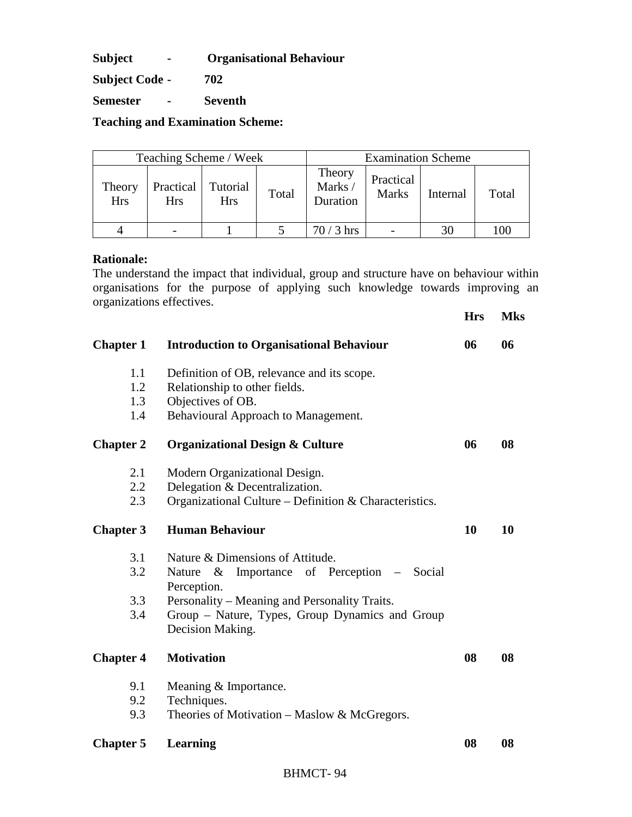**Subject - Organisational Behaviour** 

**Subject Code - 702** 

**Semester - Seventh** 

**Teaching and Examination Scheme:** 

| Teaching Scheme / Week |                         |                        |       | <b>Examination Scheme</b>   |                           |          |       |
|------------------------|-------------------------|------------------------|-------|-----------------------------|---------------------------|----------|-------|
| Theory<br><b>Hrs</b>   | Practical<br><b>Hrs</b> | Tutorial<br><b>Hrs</b> | Total | Theory<br>Marks<br>Duration | Practical<br><b>Marks</b> | Internal | Total |
|                        |                         |                        |       | $70/3$ hrs                  |                           | 30       | 100   |

### **Rationale:**

The understand the impact that individual, group and structure have on behaviour within organisations for the purpose of applying such knowledge towards improving an organizations effectives.

**Hrs Mks** 

| <b>Chapter 1</b> | <b>Introduction to Organisational Behaviour</b>                     | 06 | 06 |
|------------------|---------------------------------------------------------------------|----|----|
| 1.1              | Definition of OB, relevance and its scope.                          |    |    |
| 1.2              | Relationship to other fields.                                       |    |    |
| 1.3              | Objectives of OB.                                                   |    |    |
| 1.4              | Behavioural Approach to Management.                                 |    |    |
| <b>Chapter 2</b> | <b>Organizational Design &amp; Culture</b>                          | 06 | 08 |
| 2.1              | Modern Organizational Design.                                       |    |    |
| $2.2\,$          | Delegation & Decentralization.                                      |    |    |
| 2.3              | Organizational Culture - Definition & Characteristics.              |    |    |
| <b>Chapter 3</b> | <b>Human Behaviour</b>                                              | 10 | 10 |
| 3.1              | Nature & Dimensions of Attitude.                                    |    |    |
| 3.2              | Importance of Perception – Social<br>Nature $\&$<br>Perception.     |    |    |
| 3.3              | Personality – Meaning and Personality Traits.                       |    |    |
| 3.4              | Group - Nature, Types, Group Dynamics and Group<br>Decision Making. |    |    |
| <b>Chapter 4</b> | <b>Motivation</b>                                                   | 08 | 08 |
| 9.1              | Meaning & Importance.                                               |    |    |
| 9.2              | Techniques.                                                         |    |    |
| 9.3              | Theories of Motivation - Maslow & McGregors.                        |    |    |
| <b>Chapter 5</b> | Learning                                                            | 08 | 08 |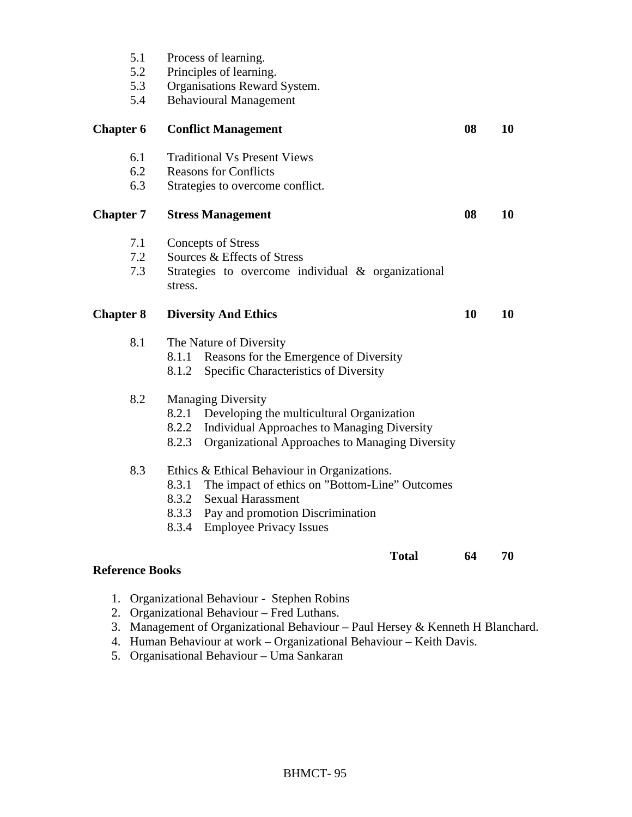| 5.1                    | Process of learning.                                          |    |    |  |
|------------------------|---------------------------------------------------------------|----|----|--|
| 5.2                    | Principles of learning.                                       |    |    |  |
| 5.3                    | Organisations Reward System.                                  |    |    |  |
| 5.4                    | <b>Behavioural Management</b>                                 |    |    |  |
| <b>Chapter 6</b>       | <b>Conflict Management</b>                                    | 08 | 10 |  |
| 6.1                    | <b>Traditional Vs Present Views</b>                           |    |    |  |
| 6.2                    | <b>Reasons for Conflicts</b>                                  |    |    |  |
| 6.3                    | Strategies to overcome conflict.                              |    |    |  |
| <b>Chapter 7</b>       | <b>Stress Management</b>                                      |    |    |  |
| 7.1                    | <b>Concepts of Stress</b>                                     |    |    |  |
| 7.2                    | Sources & Effects of Stress                                   |    |    |  |
| 7.3                    | Strategies to overcome individual & organizational<br>stress. |    |    |  |
| <b>Chapter 8</b>       | <b>Diversity And Ethics</b>                                   | 10 | 10 |  |
| 8.1                    | The Nature of Diversity                                       |    |    |  |
|                        | Reasons for the Emergence of Diversity<br>8.1.1               |    |    |  |
|                        | Specific Characteristics of Diversity<br>8.1.2                |    |    |  |
| 8.2                    | <b>Managing Diversity</b>                                     |    |    |  |
|                        | Developing the multicultural Organization<br>8.2.1            |    |    |  |
|                        | 8.2.2<br>Individual Approaches to Managing Diversity          |    |    |  |
|                        | 8.2.3<br>Organizational Approaches to Managing Diversity      |    |    |  |
| 8.3                    | Ethics & Ethical Behaviour in Organizations.                  |    |    |  |
|                        | 8.3.1<br>The impact of ethics on "Bottom-Line" Outcomes       |    |    |  |
|                        | 8.3.2<br><b>Sexual Harassment</b>                             |    |    |  |
|                        | 8.3.3<br>Pay and promotion Discrimination                     |    |    |  |
|                        | 8.3.4<br><b>Employee Privacy Issues</b>                       |    |    |  |
|                        | <b>Total</b>                                                  | 64 | 70 |  |
| <b>Reference Books</b> |                                                               |    |    |  |

- 1. Organizational Behaviour Stephen Robins
- 2. Organizational Behaviour Fred Luthans.
- 3. Management of Organizational Behaviour Paul Hersey & Kenneth H Blanchard.
- 4. Human Behaviour at work Organizational Behaviour Keith Davis.
- 5. Organisational Behaviour Uma Sankaran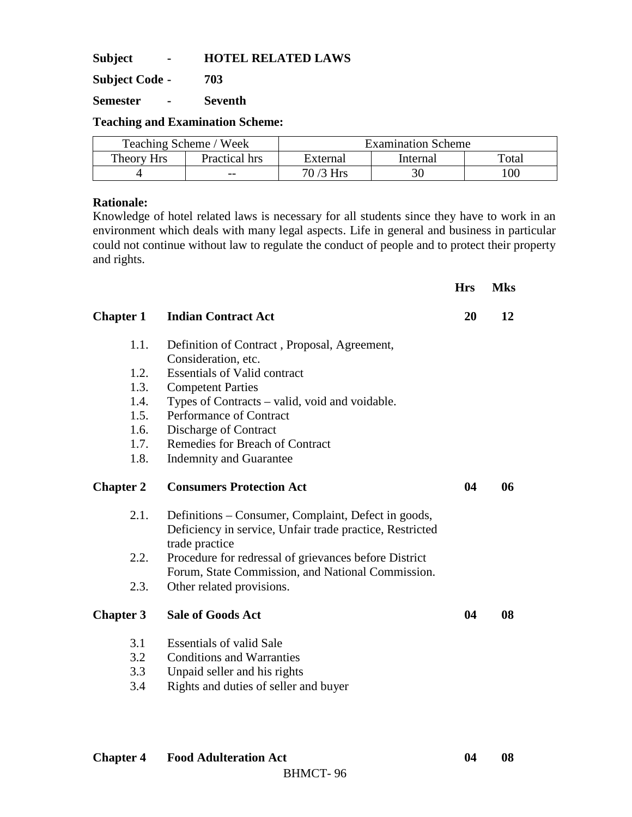**Subject - HOTEL RELATED LAWS** 

**Subject Code - 703** 

**Semester - Seventh** 

**Teaching and Examination Scheme:** 

|            | Teaching Scheme / Week |            | Examination Scheme |     |
|------------|------------------------|------------|--------------------|-----|
| Theory Hrs | Practical hrs          | External   | Total              |     |
|            | $- -$                  | $70/3$ Hrs | 30                 | 100 |

### **Rationale:**

Knowledge of hotel related laws is necessary for all students since they have to work in an environment which deals with many legal aspects. Life in general and business in particular could not continue without law to regulate the conduct of people and to protect their property and rights.

|                  |                                                                                                                                   | <b>Hrs</b> | <b>Mks</b> |
|------------------|-----------------------------------------------------------------------------------------------------------------------------------|------------|------------|
| <b>Chapter 1</b> | <b>Indian Contract Act</b>                                                                                                        | 20         | 12         |
| 1.1.             | Definition of Contract, Proposal, Agreement,                                                                                      |            |            |
|                  | Consideration, etc.                                                                                                               |            |            |
| 1.2.             | <b>Essentials of Valid contract</b>                                                                                               |            |            |
| 1.3.             | <b>Competent Parties</b>                                                                                                          |            |            |
| 1.4.             | Types of Contracts – valid, void and voidable.                                                                                    |            |            |
| 1.5.             | Performance of Contract                                                                                                           |            |            |
| 1.6.             | Discharge of Contract                                                                                                             |            |            |
| 1.7.             | <b>Remedies for Breach of Contract</b>                                                                                            |            |            |
| 1.8.             | <b>Indemnity and Guarantee</b>                                                                                                    |            |            |
| <b>Chapter 2</b> | <b>Consumers Protection Act</b>                                                                                                   | 04         | 06         |
| 2.1.             | Definitions – Consumer, Complaint, Defect in goods,<br>Deficiency in service, Unfair trade practice, Restricted<br>trade practice |            |            |
| 2.2.             | Procedure for redressal of grievances before District                                                                             |            |            |
|                  | Forum, State Commission, and National Commission.                                                                                 |            |            |
| 2.3.             | Other related provisions.                                                                                                         |            |            |
| <b>Chapter 3</b> | <b>Sale of Goods Act</b>                                                                                                          | 04         | 08         |
| 3.1              | <b>Essentials of valid Sale</b>                                                                                                   |            |            |
| 3.2              | <b>Conditions and Warranties</b>                                                                                                  |            |            |
| 3.3              | Unpaid seller and his rights                                                                                                      |            |            |
| 3.4              | Rights and duties of seller and buyer                                                                                             |            |            |
|                  |                                                                                                                                   |            |            |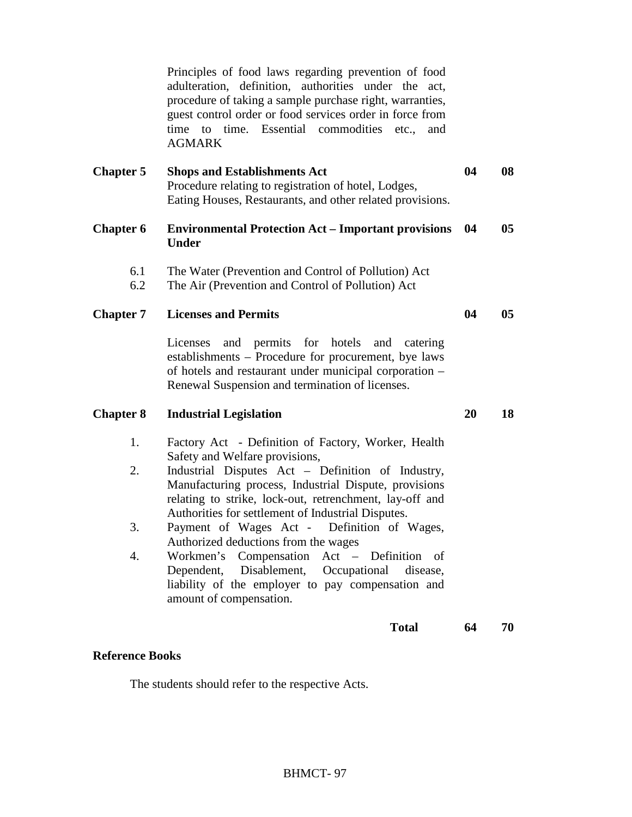Principles of food laws regarding prevention of food adulteration, definition, authorities under the act, procedure of taking a sample purchase right, warranties, guest control order or food services order in force from time to time. Essential commodities etc., and AGMARK

| <b>Chapter 5</b> | <b>Shops and Establishments Act</b>                       | 04 | 08 |
|------------------|-----------------------------------------------------------|----|----|
|                  | Procedure relating to registration of hotel, Lodges,      |    |    |
|                  | Eating Houses, Restaurants, and other related provisions. |    |    |

### **Chapter 6 Environmental Protection Act – Important provisions 04 05 Under**

- 6.1 The Water (Prevention and Control of Pollution) Act
- 6.2 The Air (Prevention and Control of Pollution) Act

### **Chapter 7** Licenses and Permits 04 05

Licenses and permits for hotels and catering establishments – Procedure for procurement, bye laws of hotels and restaurant under municipal corporation – Renewal Suspension and termination of licenses.

### **Chapter 8 Industrial Legislation 20 18**

- 1. Factory Act Definition of Factory, Worker, Health Safety and Welfare provisions,
- 2. Industrial Disputes Act Definition of Industry, Manufacturing process, Industrial Dispute, provisions relating to strike, lock-out, retrenchment, lay-off and Authorities for settlement of Industrial Disputes.
- 3. Payment of Wages Act Definition of Wages, Authorized deductions from the wages
- 4. Workmen's Compensation Act Definition of Dependent, Disablement, Occupational disease, liability of the employer to pay compensation and amount of compensation.

#### **Total 64 70**

#### **Reference Books**

The students should refer to the respective Acts.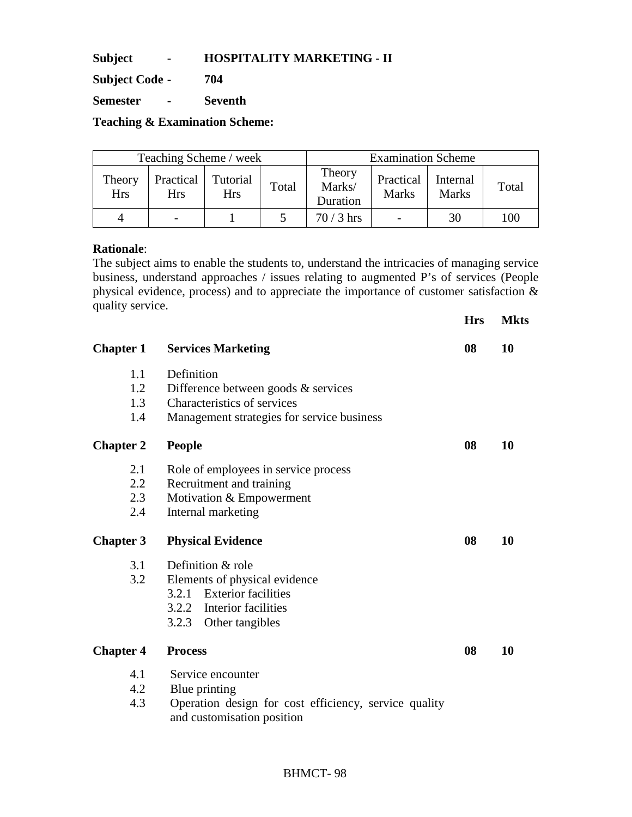**Subject - HOSPITALITY MARKETING - II** 

**Subject Code - 704** 

**Semester - Seventh** 

**Teaching & Examination Scheme:** 

| Teaching Scheme / week |                         |                        |       |                              | <b>Examination Scheme</b> |                          |       |
|------------------------|-------------------------|------------------------|-------|------------------------------|---------------------------|--------------------------|-------|
| Theory<br><b>Hrs</b>   | Practical<br><b>Hrs</b> | Tutorial<br><b>Hrs</b> | Total | Theory<br>Marks/<br>Duration | Practical<br><b>Marks</b> | Internal<br><b>Marks</b> | Total |
| 4                      |                         |                        |       | $70/3$ hrs                   | $\overline{\phantom{0}}$  | 30                       | 100   |

### **Rationale**:

The subject aims to enable the students to, understand the intricacies of managing service business, understand approaches / issues relating to augmented P's of services (People physical evidence, process) and to appreciate the importance of customer satisfaction & quality service.

|                  |                                                                                     | <b>Hrs</b> | <b>Mkts</b> |
|------------------|-------------------------------------------------------------------------------------|------------|-------------|
| <b>Chapter 1</b> | <b>Services Marketing</b>                                                           | 08         | 10          |
| 1.1              | Definition                                                                          |            |             |
| 1.2              | Difference between goods & services                                                 |            |             |
| 1.3              | Characteristics of services                                                         |            |             |
| 1.4              | Management strategies for service business                                          |            |             |
| <b>Chapter 2</b> | <b>People</b>                                                                       | 08         | <b>10</b>   |
| 2.1              | Role of employees in service process                                                |            |             |
| 2.2              | Recruitment and training                                                            |            |             |
| 2.3              | Motivation & Empowerment                                                            |            |             |
| 2.4              | Internal marketing                                                                  |            |             |
| <b>Chapter 3</b> | <b>Physical Evidence</b>                                                            | 08         | 10          |
| 3.1              | Definition & role                                                                   |            |             |
| 3.2              | Elements of physical evidence                                                       |            |             |
|                  | 3.2.1 Exterior facilities                                                           |            |             |
|                  | 3.2.2 Interior facilities                                                           |            |             |
|                  | 3.2.3<br>Other tangibles                                                            |            |             |
| <b>Chapter 4</b> | <b>Process</b>                                                                      | 08         | 10          |
| 4.1              | Service encounter                                                                   |            |             |
| 4.2              | Blue printing                                                                       |            |             |
| 4.3              | Operation design for cost efficiency, service quality<br>and customisation position |            |             |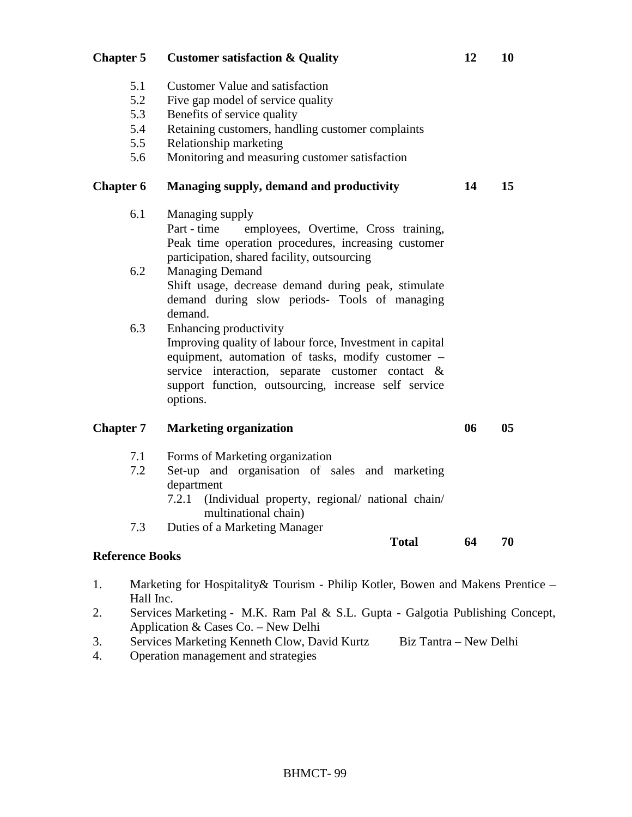BHMCT- 99

5.1 Customer Value and satisfaction 5.2 Five gap model of service quality 5.3 Benefits of service quality 5.4 Retaining customers, handling customer complaints 5.5 Relationship marketing 5.6 Monitoring and measuring customer satisfaction **Chapter 6 Managing supply, demand and productivity 14 15**  6.1 Managing supply Part - time employees, Overtime, Cross training, Peak time operation procedures, increasing customer participation, shared facility, outsourcing 6.2 Managing Demand Shift usage, decrease demand during peak, stimulate demand during slow periods- Tools of managing demand. 6.3 Enhancing productivity Improving quality of labour force, Investment in capital equipment, automation of tasks, modify customer – service interaction, separate customer contact & support function, outsourcing, increase self service options. **Chapter 7** Marketing organization 06 05 7.1 Forms of Marketing organization 7.2 Set-up and organisation of sales and marketing department 7.2.1 (Individual property, regional/ national chain/ multinational chain) 7.3 Duties of a Marketing Manager **Total 64 70 Reference Books**  1. Marketing for Hospitality& Tourism - Philip Kotler, Bowen and Makens Prentice –

- Hall Inc. 2. Services Marketing - M.K. Ram Pal & S.L. Gupta - Galgotia Publishing Concept,
- Application & Cases Co. New Delhi
- 3. Services Marketing Kenneth Clow, David Kurtz Biz Tantra New Delhi
- 4. Operation management and strategies

# **Chapter 5 Customer satisfaction & Quality 12 10**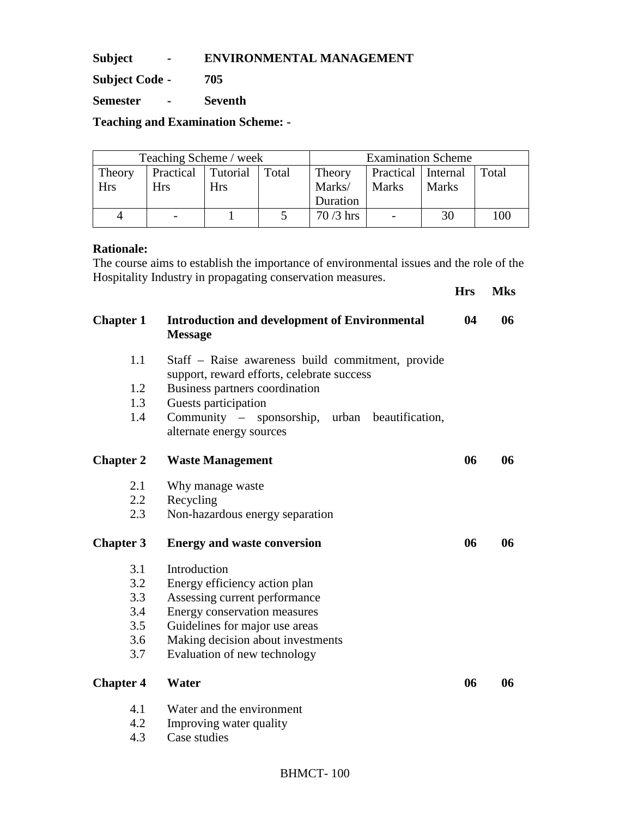**Subject - ENVIRONMENTAL MANAGEMENT** 

**Subject Code - 705** 

**Semester - Seventh** 

**Teaching and Examination Scheme: -** 

| Teaching Scheme / week |                    |            |       |                                         | <b>Examination Scheme</b> |              |     |
|------------------------|--------------------|------------|-------|-----------------------------------------|---------------------------|--------------|-----|
| Theory                 | Practical Tutorial |            | Total | Theory<br>Practical   Internal<br>Total |                           |              |     |
| <b>Hrs</b>             | <b>Hrs</b>         | <b>Hrs</b> |       | Marks/                                  | Marks                     | <b>Marks</b> |     |
|                        |                    |            |       | Duration                                |                           |              |     |
| 4                      |                    |            |       | $70/3$ hrs                              | $\overline{\phantom{0}}$  | 30           | 100 |

### **Rationale:**

The course aims to establish the importance of environmental issues and the role of the Hospitality Industry in propagating conservation measures. **Hrs Mks** 

| <b>Chapter 1</b> | <b>Introduction and development of Environmental</b><br><b>Message</b>                          | 04 | 06 |
|------------------|-------------------------------------------------------------------------------------------------|----|----|
| 1.1              | Staff – Raise awareness build commitment, provide<br>support, reward efforts, celebrate success |    |    |
| 1.2              | Business partners coordination                                                                  |    |    |
| 1.3              | Guests participation                                                                            |    |    |
| 1.4              | Community - sponsorship, urban beautification,<br>alternate energy sources                      |    |    |
| <b>Chapter 2</b> | <b>Waste Management</b>                                                                         | 06 | 06 |
| 2.1              | Why manage waste                                                                                |    |    |
| 2.2              | Recycling                                                                                       |    |    |
| 2.3              | Non-hazardous energy separation                                                                 |    |    |
| <b>Chapter 3</b> | <b>Energy and waste conversion</b>                                                              | 06 | 06 |
| 3.1              | Introduction                                                                                    |    |    |
| 3.2              | Energy efficiency action plan                                                                   |    |    |
| 3.3              | Assessing current performance                                                                   |    |    |
| 3.4              | Energy conservation measures                                                                    |    |    |
| 3.5              | Guidelines for major use areas                                                                  |    |    |
| 3.6              | Making decision about investments                                                               |    |    |
| 3.7              | Evaluation of new technology                                                                    |    |    |
| <b>Chapter 4</b> | Water                                                                                           | 06 | 06 |
| 4.1              | Water and the environment                                                                       |    |    |
| 4.2              | Improving water quality                                                                         |    |    |
| 4.3              | Case studies                                                                                    |    |    |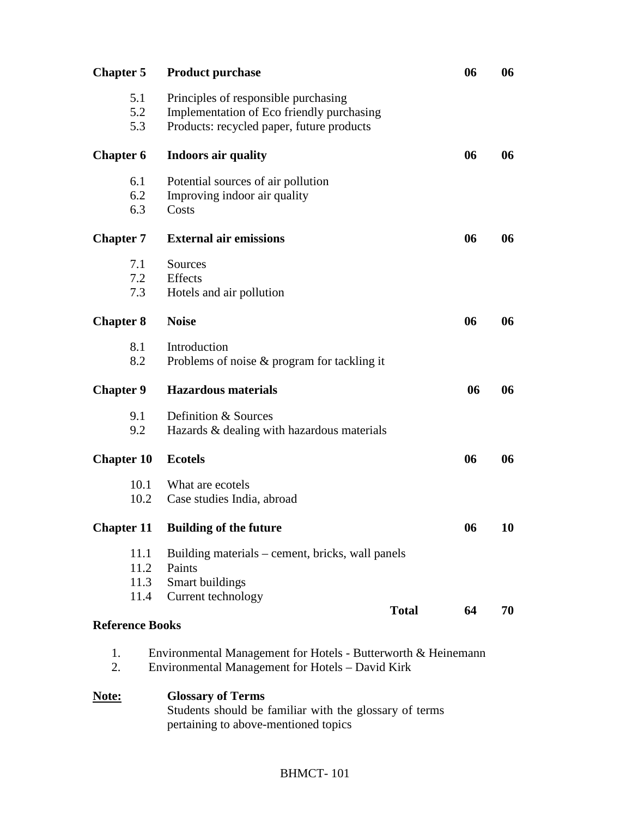| <b>Chapter 5</b>       |      | <b>Product purchase</b>                                                                                           | 06 | 06 |
|------------------------|------|-------------------------------------------------------------------------------------------------------------------|----|----|
|                        | 5.1  | Principles of responsible purchasing                                                                              |    |    |
|                        | 5.2  | Implementation of Eco friendly purchasing                                                                         |    |    |
|                        | 5.3  | Products: recycled paper, future products                                                                         |    |    |
| <b>Chapter 6</b>       |      | <b>Indoors air quality</b>                                                                                        | 06 | 06 |
|                        | 6.1  | Potential sources of air pollution                                                                                |    |    |
|                        | 6.2  | Improving indoor air quality                                                                                      |    |    |
|                        | 6.3  | Costs                                                                                                             |    |    |
| <b>Chapter 7</b>       |      | <b>External air emissions</b>                                                                                     | 06 | 06 |
|                        | 7.1  | Sources                                                                                                           |    |    |
|                        | 7.2  | Effects                                                                                                           |    |    |
|                        | 7.3  | Hotels and air pollution                                                                                          |    |    |
| <b>Chapter 8</b>       |      | <b>Noise</b>                                                                                                      | 06 | 06 |
|                        | 8.1  | Introduction                                                                                                      |    |    |
|                        | 8.2  | Problems of noise $\&$ program for tackling it                                                                    |    |    |
| <b>Chapter 9</b>       |      | <b>Hazardous</b> materials                                                                                        | 06 | 06 |
|                        | 9.1  | Definition & Sources                                                                                              |    |    |
|                        | 9.2  | Hazards & dealing with hazardous materials                                                                        |    |    |
| <b>Chapter 10</b>      |      | <b>Ecotels</b>                                                                                                    | 06 | 06 |
|                        | 10.1 | What are ecotels                                                                                                  |    |    |
|                        | 10.2 | Case studies India, abroad                                                                                        |    |    |
|                        |      | <b>Chapter 11 Building of the future</b>                                                                          | 06 | 10 |
|                        | 11.1 | Building materials – cement, bricks, wall panels                                                                  |    |    |
|                        | 11.2 | Paints                                                                                                            |    |    |
|                        | 11.3 | Smart buildings                                                                                                   |    |    |
|                        | 11.4 | Current technology                                                                                                |    |    |
| <b>Reference Books</b> |      | <b>Total</b>                                                                                                      | 64 | 70 |
| 1.<br>2.               |      | Environmental Management for Hotels - Butterworth & Heinemann<br>Environmental Management for Hotels - David Kirk |    |    |
| Note:                  |      | <b>Glossary of Terms</b>                                                                                          |    |    |
|                        |      | Students should be familiar with the glossary of terms<br>pertaining to above-mentioned topics                    |    |    |

# BHMCT- 101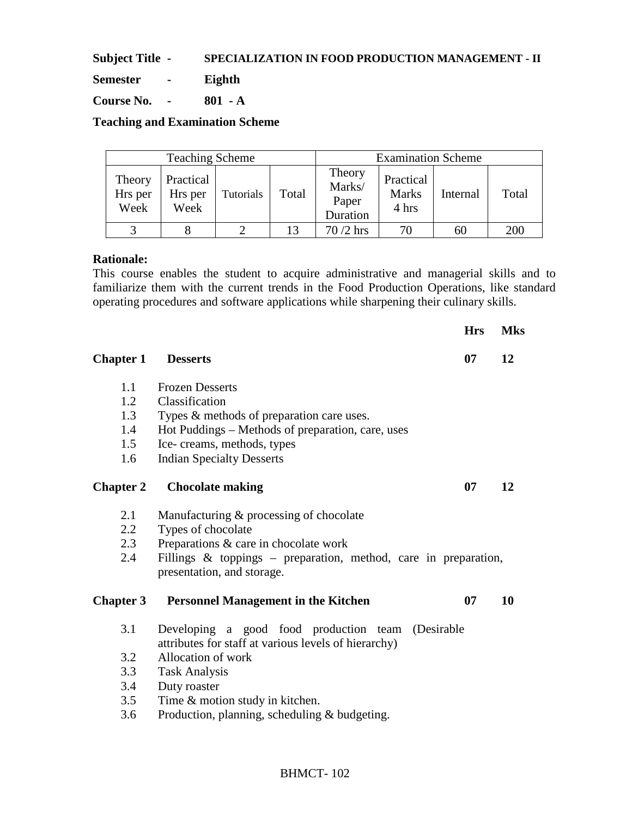**Subject Title - SPECIALIZATION IN FOOD PRODUCTION MANAGEMENT - II**

**Semester - Eighth** 

**Course No. - 801 - A** 

**Teaching and Examination Scheme** 

| <b>Teaching Scheme</b>    |                              |           |       |                                       | <b>Examination Scheme</b>          |          |       |
|---------------------------|------------------------------|-----------|-------|---------------------------------------|------------------------------------|----------|-------|
| Theory<br>Hrs per<br>Week | Practical<br>Hrs per<br>Week | Tutorials | Total | Theory<br>Marks/<br>Paper<br>Duration | Practical<br><b>Marks</b><br>4 hrs | Internal | Total |
|                           |                              |           |       | $70/2$ hrs                            |                                    | 60       | 200   |

### **Rationale:**

This course enables the student to acquire administrative and managerial skills and to familiarize them with the current trends in the Food Production Operations, like standard operating procedures and software applications while sharpening their culinary skills.

|                  |                                                                                                           | <b>Hrs</b> | <b>Mks</b> |
|------------------|-----------------------------------------------------------------------------------------------------------|------------|------------|
| <b>Chapter 1</b> | <b>Desserts</b>                                                                                           | 07         | 12         |
| 1.1              | <b>Frozen Desserts</b>                                                                                    |            |            |
| 1.2              | Classification                                                                                            |            |            |
| 1.3              | Types & methods of preparation care uses.                                                                 |            |            |
| 1.4              | Hot Puddings – Methods of preparation, care, uses                                                         |            |            |
| 1.5              | Ice-creams, methods, types                                                                                |            |            |
| 1.6              | <b>Indian Specialty Desserts</b>                                                                          |            |            |
| <b>Chapter 2</b> | <b>Chocolate making</b>                                                                                   | 07         | 12         |
| 2.1              | Manufacturing & processing of chocolate                                                                   |            |            |
| 2.2              | Types of chocolate                                                                                        |            |            |
| 2.3              | Preparations & care in chocolate work                                                                     |            |            |
| 2.4              | Fillings & toppings - preparation, method, care in preparation,<br>presentation, and storage.             |            |            |
| <b>Chapter 3</b> | <b>Personnel Management in the Kitchen</b>                                                                | 07         | 10         |
| 3.1              | Developing a good food production team (Desirable<br>attributes for staff at various levels of hierarchy) |            |            |
| 3.2              | Allocation of work                                                                                        |            |            |
| 3.3              | <b>Task Analysis</b>                                                                                      |            |            |
| 3.4              | Duty roaster                                                                                              |            |            |
| 3.5              | Time & motion study in kitchen.                                                                           |            |            |
| 3.6              | Production, planning, scheduling & budgeting.                                                             |            |            |

## BHMCT- 102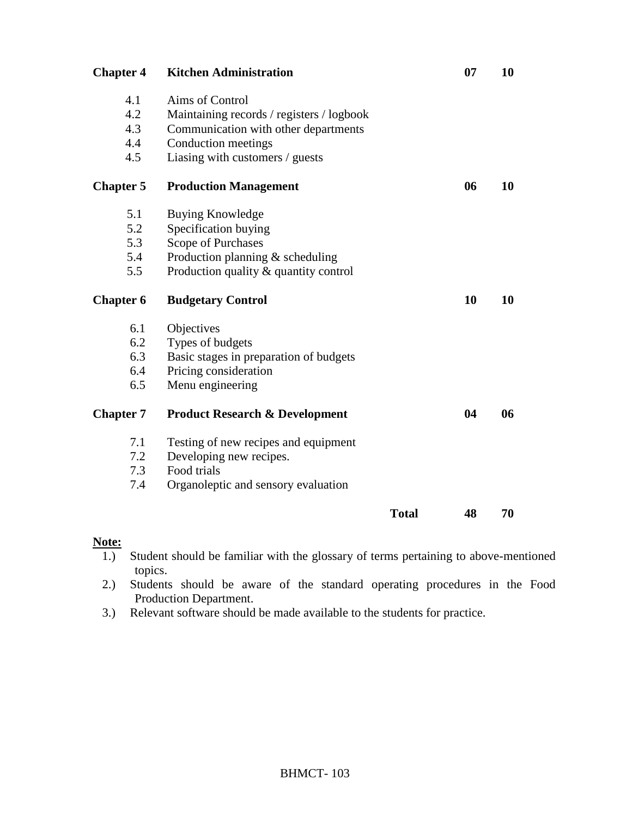| <b>Chapter 4</b> | <b>Kitchen Administration</b>             |              | 07 | 10 |
|------------------|-------------------------------------------|--------------|----|----|
| 4.1              | Aims of Control                           |              |    |    |
| 4.2              | Maintaining records / registers / logbook |              |    |    |
| 4.3              | Communication with other departments      |              |    |    |
| 4.4              | Conduction meetings                       |              |    |    |
| 4.5              | Liasing with customers / guests           |              |    |    |
| <b>Chapter 5</b> | <b>Production Management</b>              |              | 06 | 10 |
| 5.1              | <b>Buying Knowledge</b>                   |              |    |    |
| 5.2              | Specification buying                      |              |    |    |
| 5.3              | Scope of Purchases                        |              |    |    |
| 5.4              | Production planning $&$ scheduling        |              |    |    |
| 5.5              | Production quality & quantity control     |              |    |    |
| <b>Chapter 6</b> | <b>Budgetary Control</b>                  |              | 10 | 10 |
| 6.1              | Objectives                                |              |    |    |
| 6.2              | Types of budgets                          |              |    |    |
| 6.3              | Basic stages in preparation of budgets    |              |    |    |
| 6.4              | Pricing consideration                     |              |    |    |
| 6.5              | Menu engineering                          |              |    |    |
| <b>Chapter 7</b> | <b>Product Research &amp; Development</b> |              | 04 | 06 |
| 7.1              | Testing of new recipes and equipment      |              |    |    |
| 7.2              | Developing new recipes.                   |              |    |    |
| 7.3              | Food trials                               |              |    |    |
| 7.4              | Organoleptic and sensory evaluation       |              |    |    |
|                  |                                           | <b>Total</b> | 48 | 70 |

## **Note:**

- 1.) Student should be familiar with the glossary of terms pertaining to above-mentioned topics.
- 2.) Students should be aware of the standard operating procedures in the Food Production Department.
- 3.) Relevant software should be made available to the students for practice.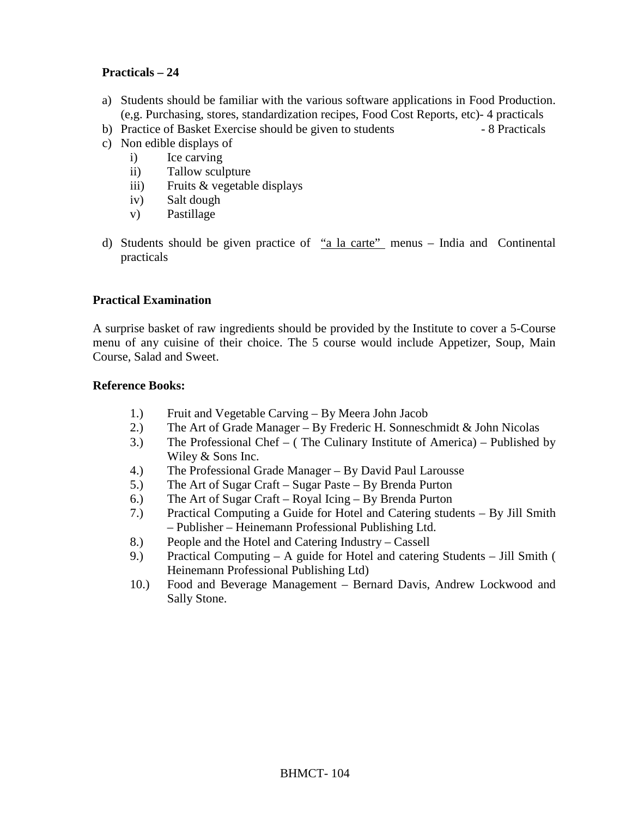## **Practicals – 24**

- a) Students should be familiar with the various software applications in Food Production. (e,g. Purchasing, stores, standardization recipes, Food Cost Reports, etc)- 4 practicals
- b) Practice of Basket Exercise should be given to students 8 Practicals
- c) Non edible displays of
	- i) Ice carving
	- ii) Tallow sculpture
	- iii) Fruits & vegetable displays
	- iv) Salt dough
	- v) Pastillage
- d) Students should be given practice of "a la carte" menus India and Continental practicals

## **Practical Examination**

A surprise basket of raw ingredients should be provided by the Institute to cover a 5-Course menu of any cuisine of their choice. The 5 course would include Appetizer, Soup, Main Course, Salad and Sweet.

### **Reference Books:**

- 1.) Fruit and Vegetable Carving By Meera John Jacob
- 2.) The Art of Grade Manager By Frederic H. Sonneschmidt & John Nicolas
- 3.) The Professional Chef ( The Culinary Institute of America) Published by Wiley & Sons Inc.
- 4.) The Professional Grade Manager By David Paul Larousse
- 5.) The Art of Sugar Craft Sugar Paste By Brenda Purton
- 6.) The Art of Sugar Craft Royal Icing By Brenda Purton
- 7.) Practical Computing a Guide for Hotel and Catering students By Jill Smith – Publisher – Heinemann Professional Publishing Ltd.
- 8.) People and the Hotel and Catering Industry Cassell
- 9.) Practical Computing A guide for Hotel and catering Students Jill Smith ( Heinemann Professional Publishing Ltd)
- 10.) Food and Beverage Management Bernard Davis, Andrew Lockwood and Sally Stone.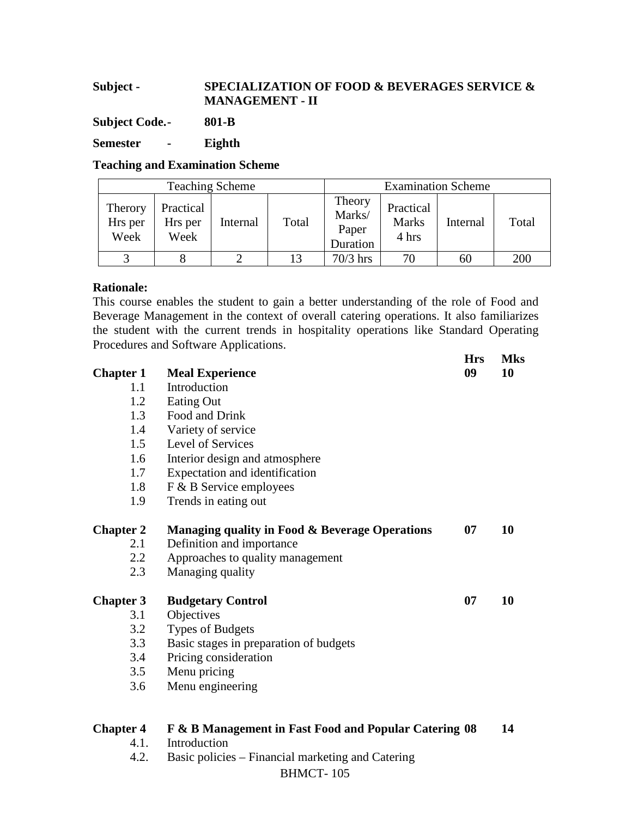# **Subject - SPECIALIZATION OF FOOD & BEVERAGES SERVICE & MANAGEMENT - II**

**Subject Code. - 801-B** 

**Semester - Eighth** 

**Teaching and Examination Scheme** 

| <b>Teaching Scheme</b>     |                              |          |       | <b>Examination Scheme</b>             |                                    |          |       |
|----------------------------|------------------------------|----------|-------|---------------------------------------|------------------------------------|----------|-------|
| Therory<br>Hrs per<br>Week | Practical<br>Hrs per<br>Week | Internal | Total | Theory<br>Marks/<br>Paper<br>Duration | Practical<br><b>Marks</b><br>4 hrs | Internal | Total |
|                            |                              |          | 13    | $70/3$ hrs                            | 70                                 | 60       | 200   |

## **Rationale:**

This course enables the student to gain a better understanding of the role of Food and Beverage Management in the context of overall catering operations. It also familiarizes the student with the current trends in hospitality operations like Standard Operating Procedures and Software Applications.

| <b>Chapter 1</b> | <b>Meal Experience</b>                                | <b>Hrs</b><br>09 | <b>Mks</b><br>10 |
|------------------|-------------------------------------------------------|------------------|------------------|
| 1.1              | Introduction                                          |                  |                  |
| 1.2              | <b>Eating Out</b>                                     |                  |                  |
| 1.3              | Food and Drink                                        |                  |                  |
| 1.4              | Variety of service                                    |                  |                  |
| 1.5              | Level of Services                                     |                  |                  |
| 1.6              | Interior design and atmosphere                        |                  |                  |
| 1.7              | Expectation and identification                        |                  |                  |
| 1.8              | F & B Service employees                               |                  |                  |
| 1.9              | Trends in eating out                                  |                  |                  |
| <b>Chapter 2</b> | Managing quality in Food & Beverage Operations        | 07               | 10               |
| 2.1              | Definition and importance                             |                  |                  |
| 2.2              | Approaches to quality management                      |                  |                  |
| 2.3              | Managing quality                                      |                  |                  |
| <b>Chapter 3</b> | <b>Budgetary Control</b>                              | 07               | 10               |
| 3.1              | Objectives                                            |                  |                  |
| 3.2              | <b>Types of Budgets</b>                               |                  |                  |
| 3.3              | Basic stages in preparation of budgets                |                  |                  |
| 3.4              | Pricing consideration                                 |                  |                  |
| 3.5              | Menu pricing                                          |                  |                  |
| 3.6              | Menu engineering                                      |                  |                  |
| <b>Chapter 4</b> | F & B Management in Fast Food and Popular Catering 08 |                  | 14               |
| 4.1.             | Introduction                                          |                  |                  |
| 4.2.             | Basic policies – Financial marketing and Catering     |                  |                  |
|                  | <b>BHMCT-105</b>                                      |                  |                  |
|                  |                                                       |                  |                  |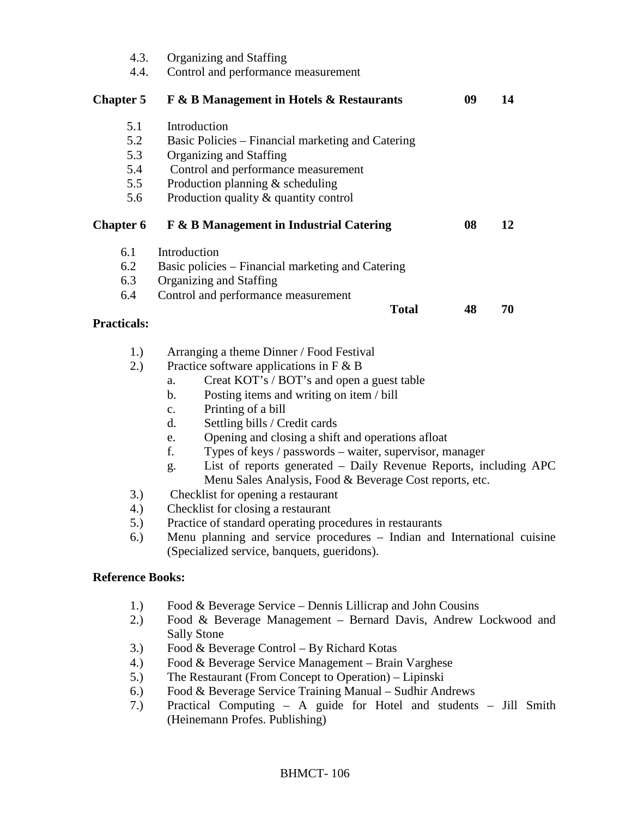| 4.3.<br>4.4.                           | Organizing and Staffing<br>Control and performance measurement                                                                                                                                                                                                                                                                                                                                                                                                                                                                                                                                                                                                                                                                                                                                                 |    |    |  |
|----------------------------------------|----------------------------------------------------------------------------------------------------------------------------------------------------------------------------------------------------------------------------------------------------------------------------------------------------------------------------------------------------------------------------------------------------------------------------------------------------------------------------------------------------------------------------------------------------------------------------------------------------------------------------------------------------------------------------------------------------------------------------------------------------------------------------------------------------------------|----|----|--|
| <b>Chapter 5</b>                       | <b>F &amp; B Management in Hotels &amp; Restaurants</b>                                                                                                                                                                                                                                                                                                                                                                                                                                                                                                                                                                                                                                                                                                                                                        | 09 | 14 |  |
| 5.1<br>5.2<br>5.3<br>5.4<br>5.5<br>5.6 | Introduction<br>Basic Policies - Financial marketing and Catering<br>Organizing and Staffing<br>Control and performance measurement<br>Production planning $&$ scheduling<br>Production quality & quantity control                                                                                                                                                                                                                                                                                                                                                                                                                                                                                                                                                                                             |    |    |  |
| <b>Chapter 6</b>                       | F & B Management in Industrial Catering                                                                                                                                                                                                                                                                                                                                                                                                                                                                                                                                                                                                                                                                                                                                                                        | 08 | 12 |  |
| 6.1<br>6.2<br>6.3<br>6.4               | Introduction<br>Basic policies - Financial marketing and Catering<br>Organizing and Staffing<br>Control and performance measurement<br><b>Total</b>                                                                                                                                                                                                                                                                                                                                                                                                                                                                                                                                                                                                                                                            | 48 | 70 |  |
| <b>Practicals:</b>                     |                                                                                                                                                                                                                                                                                                                                                                                                                                                                                                                                                                                                                                                                                                                                                                                                                |    |    |  |
| 1.)<br>2.)<br>3.)<br>4.)<br>5.)<br>6.) | Arranging a theme Dinner / Food Festival<br>Practice software applications in $F \& B$<br>Creat KOT's / BOT's and open a guest table<br>a.<br>Posting items and writing on item / bill<br>b.<br>Printing of a bill<br>$\mathbf{c}$ .<br>Settling bills / Credit cards<br>d.<br>Opening and closing a shift and operations afloat<br>e.<br>f.<br>Types of keys / passwords – waiter, supervisor, manager<br>List of reports generated - Daily Revenue Reports, including APC<br>g.<br>Menu Sales Analysis, Food & Beverage Cost reports, etc.<br>Checklist for opening a restaurant<br>Checklist for closing a restaurant<br>Practice of standard operating procedures in restaurants<br>Menu planning and service procedures – Indian and International cuisine<br>(Specialized service, banquets, gueridons). |    |    |  |
| <b>Reference Books:</b>                |                                                                                                                                                                                                                                                                                                                                                                                                                                                                                                                                                                                                                                                                                                                                                                                                                |    |    |  |
| 1.)<br>2.)<br>3.)<br>4.)<br>5.)        | Food $&$ Beverage Service – Dennis Lillicrap and John Cousins<br>Food & Beverage Management - Bernard Davis, Andrew Lockwood and<br><b>Sally Stone</b><br>Food & Beverage Control – By Richard Kotas<br>Food & Beverage Service Management - Brain Varghese<br>The Restaurant (From Concept to Operation) – Lipinski                                                                                                                                                                                                                                                                                                                                                                                                                                                                                           |    |    |  |

- 6.) Food & Beverage Service Training Manual Sudhir Andrews
- 7.) Practical Computing A guide for Hotel and students Jill Smith (Heinemann Profes. Publishing)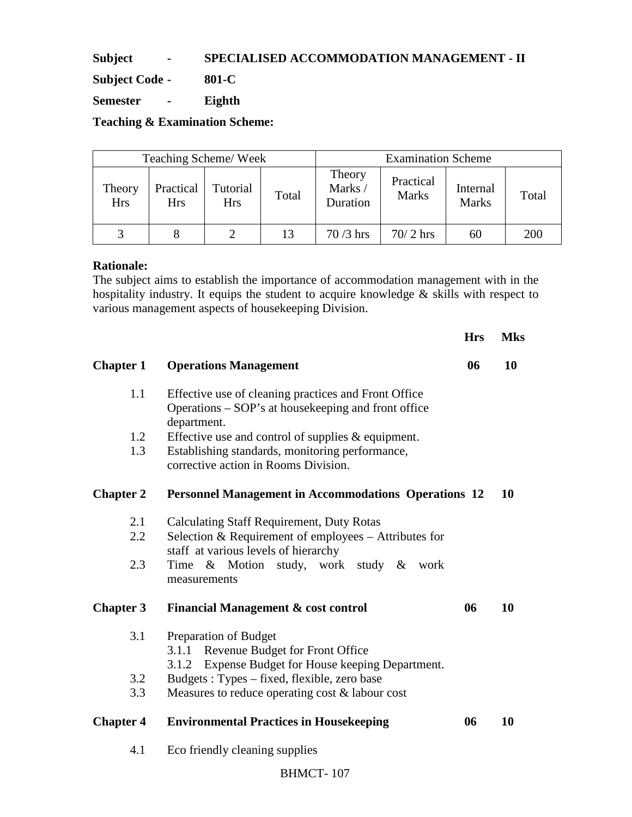**Subject - SPECIALISED ACCOMMODATION MANAGEMENT - II**

**Subject Code - 801-C** 

**Semester - Eighth** 

**Teaching & Examination Scheme:** 

| Teaching Scheme/Week |                         |                        |       | <b>Examination Scheme</b>    |                           |                          |       |
|----------------------|-------------------------|------------------------|-------|------------------------------|---------------------------|--------------------------|-------|
| Theory<br><b>Hrs</b> | Practical<br><b>Hrs</b> | Tutorial<br><b>Hrs</b> | Total | Theory<br>Marks/<br>Duration | Practical<br><b>Marks</b> | Internal<br><b>Marks</b> | Total |
|                      |                         |                        | 13    | $70/3$ hrs                   | $70/2$ hrs                | 60                       | 200   |

## **Rationale:**

The subject aims to establish the importance of accommodation management with in the hospitality industry. It equips the student to acquire knowledge & skills with respect to various management aspects of housekeeping Division.

|                  |                                                                                                                            | <b>Hrs</b> | <b>Mks</b> |
|------------------|----------------------------------------------------------------------------------------------------------------------------|------------|------------|
| <b>Chapter 1</b> | <b>Operations Management</b>                                                                                               | 06         | 10         |
| 1.1              | Effective use of cleaning practices and Front Office<br>Operations – SOP's at housekeeping and front office<br>department. |            |            |
| 1.2              | Effective use and control of supplies $&$ equipment.                                                                       |            |            |
| 1.3              | Establishing standards, monitoring performance,<br>corrective action in Rooms Division.                                    |            |            |
| <b>Chapter 2</b> | <b>Personnel Management in Accommodations Operations 12</b>                                                                |            | 10         |
| 2.1              | <b>Calculating Staff Requirement, Duty Rotas</b>                                                                           |            |            |
| 2.2              | Selection & Requirement of employees - Attributes for                                                                      |            |            |
|                  | staff at various levels of hierarchy                                                                                       |            |            |
| 2.3              | Time & Motion<br>study, work study & work<br>measurements                                                                  |            |            |
| <b>Chapter 3</b> | <b>Financial Management &amp; cost control</b>                                                                             | 06         | 10         |
| 3.1              | Preparation of Budget<br>Revenue Budget for Front Office<br>3.1.1                                                          |            |            |
| 3.2              | Expense Budget for House keeping Department.<br>3.1.2<br>Budgets: Types – fixed, flexible, zero base                       |            |            |
| 3.3              | Measures to reduce operating cost & labour cost                                                                            |            |            |
|                  |                                                                                                                            |            |            |
| <b>Chapter 4</b> | <b>Environmental Practices in Housekeeping</b>                                                                             | 06         | 10         |
| 4.1              | Eco friendly cleaning supplies                                                                                             |            |            |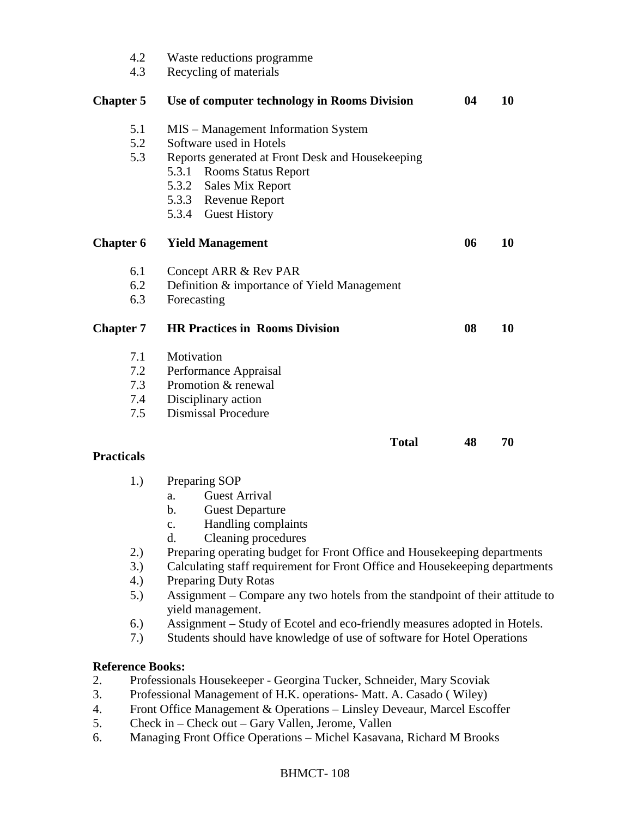| 4.2<br>4.3        | Waste reductions programme<br>Recycling of materials                                                                                                                                                                                         |    |    |
|-------------------|----------------------------------------------------------------------------------------------------------------------------------------------------------------------------------------------------------------------------------------------|----|----|
| <b>Chapter 5</b>  | Use of computer technology in Rooms Division                                                                                                                                                                                                 | 04 | 10 |
| 5.1<br>5.2<br>5.3 | MIS – Management Information System<br>Software used in Hotels<br>Reports generated at Front Desk and Housekeeping<br>5.3.1<br><b>Rooms Status Report</b><br><b>Sales Mix Report</b><br>5.3.2<br>5.3.3 Revenue Report<br>5.3.4 Guest History |    |    |
| <b>Chapter 6</b>  | <b>Yield Management</b>                                                                                                                                                                                                                      | 06 | 10 |
| 6.1               | Concept ARR & Rev PAR                                                                                                                                                                                                                        |    |    |
| 6.2               | Definition & importance of Yield Management                                                                                                                                                                                                  |    |    |
| 6.3               | Forecasting                                                                                                                                                                                                                                  |    |    |
| <b>Chapter 7</b>  | <b>HR Practices in Rooms Division</b>                                                                                                                                                                                                        | 08 | 10 |
| 7.1               | Motivation                                                                                                                                                                                                                                   |    |    |
| 7.2               | Performance Appraisal                                                                                                                                                                                                                        |    |    |
| 7.3               | Promotion & renewal                                                                                                                                                                                                                          |    |    |
| 7.4               | Disciplinary action                                                                                                                                                                                                                          |    |    |
| 7.5               | <b>Dismissal Procedure</b>                                                                                                                                                                                                                   |    |    |
|                   | <b>Total</b>                                                                                                                                                                                                                                 | 48 | 70 |
| <b>Practicals</b> |                                                                                                                                                                                                                                              |    |    |
| 1.)               | Preparing SOP                                                                                                                                                                                                                                |    |    |
|                   | <b>Guest Arrival</b><br>a.                                                                                                                                                                                                                   |    |    |
|                   | <b>Guest Departure</b><br>$\mathbf b$ .                                                                                                                                                                                                      |    |    |
|                   | Handling complaints<br>$\mathbf{c}$ .                                                                                                                                                                                                        |    |    |
|                   | $\mathbf{d}$ .<br>Cleaning procedures                                                                                                                                                                                                        |    |    |

- 2.) Preparing operating budget for Front Office and Housekeeping departments
- 3.) Calculating staff requirement for Front Office and Housekeeping departments
- 4.) Preparing Duty Rotas
- 5.) Assignment Compare any two hotels from the standpoint of their attitude to yield management.
- 6.) Assignment Study of Ecotel and eco-friendly measures adopted in Hotels.
- 7.) Students should have knowledge of use of software for Hotel Operations

# **Reference Books:**

- 2. Professionals Housekeeper Georgina Tucker, Schneider, Mary Scoviak
- 3. Professional Management of H.K. operations- Matt. A. Casado ( Wiley)
- 4. Front Office Management & Operations Linsley Deveaur, Marcel Escoffer
- 5. Check in Check out Gary Vallen, Jerome, Vallen
- 6. Managing Front Office Operations Michel Kasavana, Richard M Brooks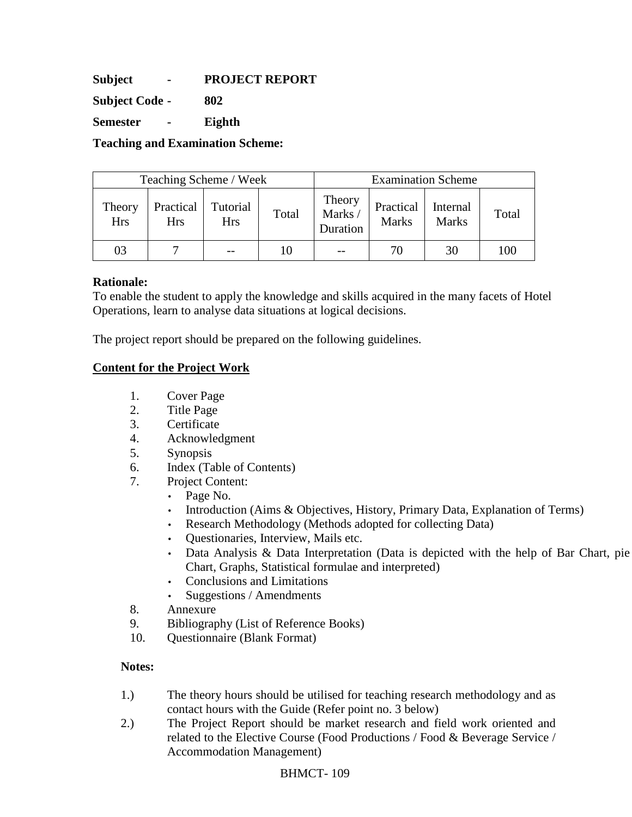**Subject - PROJECT REPORT** 

**Subject Code - 802** 

**Semester - Eighth** 

**Teaching and Examination Scheme:** 

| Teaching Scheme / Week |                         |                        |       |                               |                           | <b>Examination Scheme</b> |       |
|------------------------|-------------------------|------------------------|-------|-------------------------------|---------------------------|---------------------------|-------|
| Theory<br><b>Hrs</b>   | Practical<br><b>Hrs</b> | Tutorial<br><b>Hrs</b> | Total | Theory<br>Marks /<br>Duration | Practical<br><b>Marks</b> | Internal<br><b>Marks</b>  | Total |
| 03                     |                         |                        |       |                               | 70                        | 30                        | 100   |

## **Rationale:**

To enable the student to apply the knowledge and skills acquired in the many facets of Hotel Operations, learn to analyse data situations at logical decisions.

The project report should be prepared on the following guidelines.

## **Content for the Project Work**

- 1. Cover Page
- 2. Title Page
- 3. Certificate
- 4. Acknowledgment
- 5. Synopsis
- 6. Index (Table of Contents)
- 7. Project Content:
	- Page No.
	- Introduction (Aims & Objectives, History, Primary Data, Explanation of Terms)
	- Research Methodology (Methods adopted for collecting Data)
	- Questionaries, Interview, Mails etc.
	- Data Analysis & Data Interpretation (Data is depicted with the help of Bar Chart, pie Chart, Graphs, Statistical formulae and interpreted)
	- Conclusions and Limitations
	- Suggestions / Amendments
- 8. Annexure
- 9. Bibliography (List of Reference Books)
- 10. Questionnaire (Blank Format)

### **Notes:**

- 1.) The theory hours should be utilised for teaching research methodology and as contact hours with the Guide (Refer point no. 3 below)
- 2.) The Project Report should be market research and field work oriented and related to the Elective Course (Food Productions / Food & Beverage Service / Accommodation Management)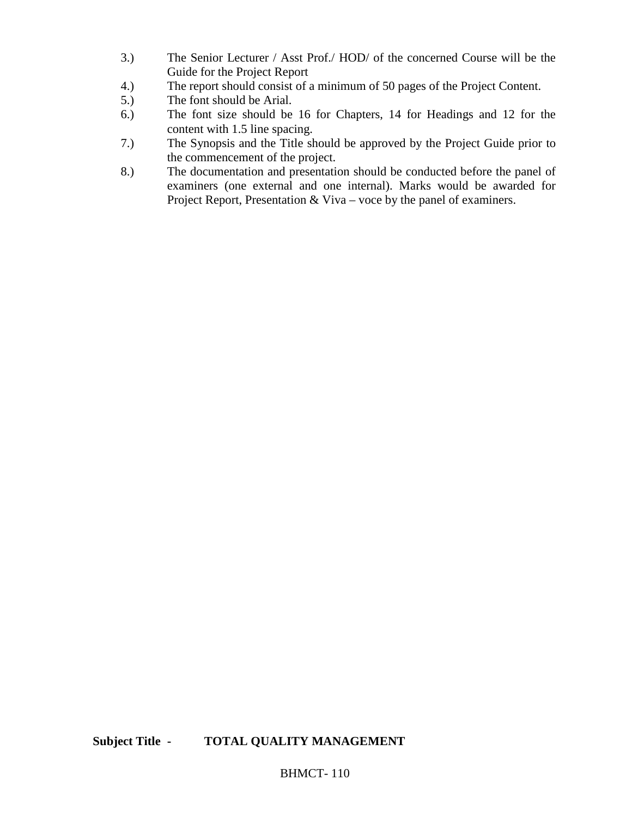- 3.) The Senior Lecturer / Asst Prof./ HOD/ of the concerned Course will be the Guide for the Project Report
- 4.) The report should consist of a minimum of 50 pages of the Project Content.
- 5.) The font should be Arial.
- 6.) The font size should be 16 for Chapters, 14 for Headings and 12 for the content with 1.5 line spacing.
- 7.) The Synopsis and the Title should be approved by the Project Guide prior to the commencement of the project.
- 8.) The documentation and presentation should be conducted before the panel of examiners (one external and one internal). Marks would be awarded for Project Report, Presentation & Viva – voce by the panel of examiners.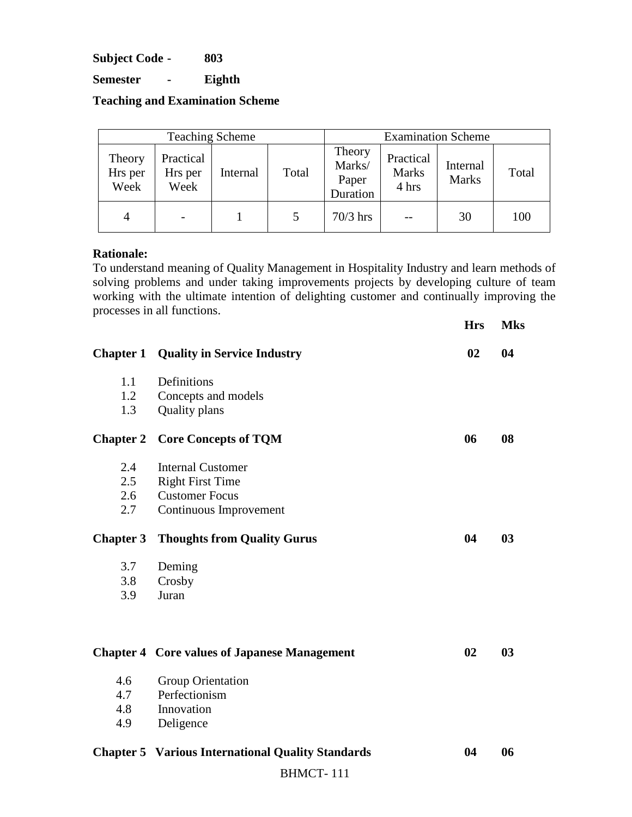**Subject Code - 803** 

**Semester - Eighth** 

**Teaching and Examination Scheme** 

|                           |                              | <b>Teaching Scheme</b> |       | <b>Examination Scheme</b>             |                                    |                          |       |  |
|---------------------------|------------------------------|------------------------|-------|---------------------------------------|------------------------------------|--------------------------|-------|--|
| Theory<br>Hrs per<br>Week | Practical<br>Hrs per<br>Week | Internal               | Total | Theory<br>Marks/<br>Paper<br>Duration | Practical<br><b>Marks</b><br>4 hrs | Internal<br><b>Marks</b> | Total |  |
| $\overline{4}$            | $\overline{\phantom{m}}$     |                        |       | $70/3$ hrs                            |                                    | 30                       | 100   |  |

### **Rationale:**

To understand meaning of Quality Management in Hospitality Industry and learn methods of solving problems and under taking improvements projects by developing culture of team working with the ultimate intention of delighting customer and continually improving the processes in all functions.

|                  | processes in an ranctions.                               | <b>Hrs</b> | <b>Mks</b>     |
|------------------|----------------------------------------------------------|------------|----------------|
| <b>Chapter 1</b> | <b>Quality in Service Industry</b>                       | 02         | 04             |
| 1.1              | Definitions                                              |            |                |
| 1.2              | Concepts and models                                      |            |                |
| 1.3              | Quality plans                                            |            |                |
| <b>Chapter 2</b> | <b>Core Concepts of TQM</b>                              | 06         | 08             |
| 2.4              | <b>Internal Customer</b>                                 |            |                |
| 2.5              | <b>Right First Time</b>                                  |            |                |
| 2.6              | <b>Customer Focus</b>                                    |            |                |
| 2.7              | Continuous Improvement                                   |            |                |
| <b>Chapter 3</b> | <b>Thoughts from Quality Gurus</b>                       | 04         | 0 <sub>3</sub> |
| 3.7              | Deming                                                   |            |                |
| 3.8              | Crosby                                                   |            |                |
| 3.9              | Juran                                                    |            |                |
|                  |                                                          |            |                |
|                  | <b>Chapter 4 Core values of Japanese Management</b>      | 02         | 0 <sub>3</sub> |
| 4.6              | <b>Group Orientation</b>                                 |            |                |
| 4.7              | Perfectionism                                            |            |                |
| 4.8              | Innovation                                               |            |                |
| 4.9              | Deligence                                                |            |                |
|                  | <b>Chapter 5 Various International Quality Standards</b> | 04         | 06             |
|                  | <b>BHMCT-111</b>                                         |            |                |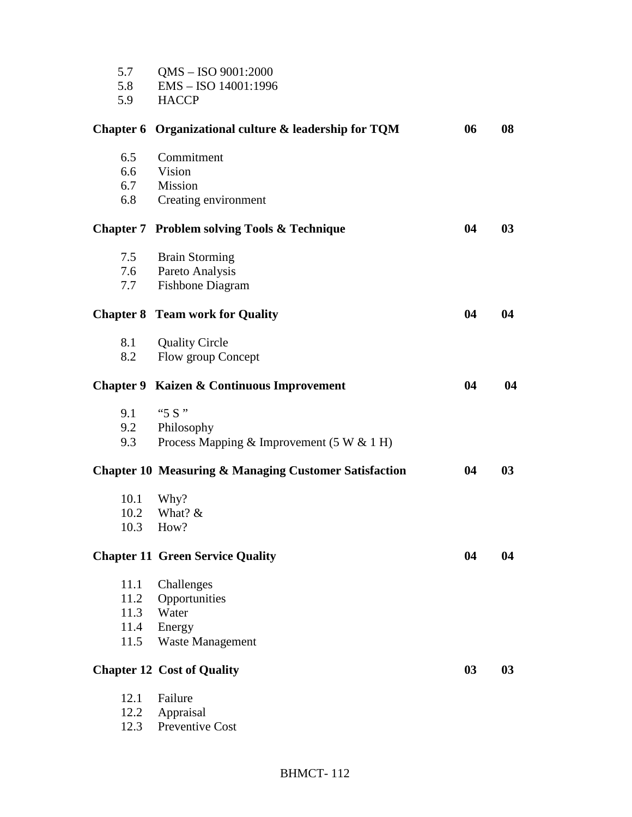| 5.7<br>5.8<br>5.9 | QMS - ISO 9001:2000<br>EMS-ISO 14001:1996<br><b>HACCP</b>        |                |    |
|-------------------|------------------------------------------------------------------|----------------|----|
|                   | Chapter 6 Organizational culture & leadership for TQM            | 06             | 08 |
| 6.5               | Commitment                                                       |                |    |
|                   | 6.6 Vision                                                       |                |    |
|                   | 6.7 Mission                                                      |                |    |
| 6.8               | Creating environment                                             |                |    |
|                   | <b>Chapter 7 Problem solving Tools &amp; Technique</b>           | 04             | 03 |
| 7.5               | <b>Brain Storming</b>                                            |                |    |
| 7.6               | Pareto Analysis                                                  |                |    |
| 7.7               | <b>Fishbone Diagram</b>                                          |                |    |
|                   | <b>Chapter 8 Team work for Quality</b>                           | 04             | 04 |
| 8.1               | <b>Quality Circle</b>                                            |                |    |
| 8.2               | Flow group Concept                                               |                |    |
|                   | <b>Chapter 9 Kaizen &amp; Continuous Improvement</b>             | 04             | 04 |
| 9.1               | " $5S$ "                                                         |                |    |
| 9.2               | Philosophy                                                       |                |    |
| 9.3               | Process Mapping & Improvement $(5 W & 1 H)$                      |                |    |
|                   | <b>Chapter 10 Measuring &amp; Managing Customer Satisfaction</b> | 04             | 03 |
| 10.1              | Why?                                                             |                |    |
| 10.2              | What? $&$                                                        |                |    |
| 10.3              | How?                                                             |                |    |
|                   | <b>Chapter 11 Green Service Quality</b>                          | 04             | 04 |
| 11.1              | Challenges                                                       |                |    |
| 11.2              | Opportunities                                                    |                |    |
| 11.3              | Water                                                            |                |    |
|                   | 11.4 Energy                                                      |                |    |
| 11.5              | <b>Waste Management</b>                                          |                |    |
|                   | <b>Chapter 12 Cost of Quality</b>                                | 0 <sub>3</sub> | 03 |
| 12.1              | Failure                                                          |                |    |
| 12.2              | Appraisal                                                        |                |    |
| 12.3              | Preventive Cost                                                  |                |    |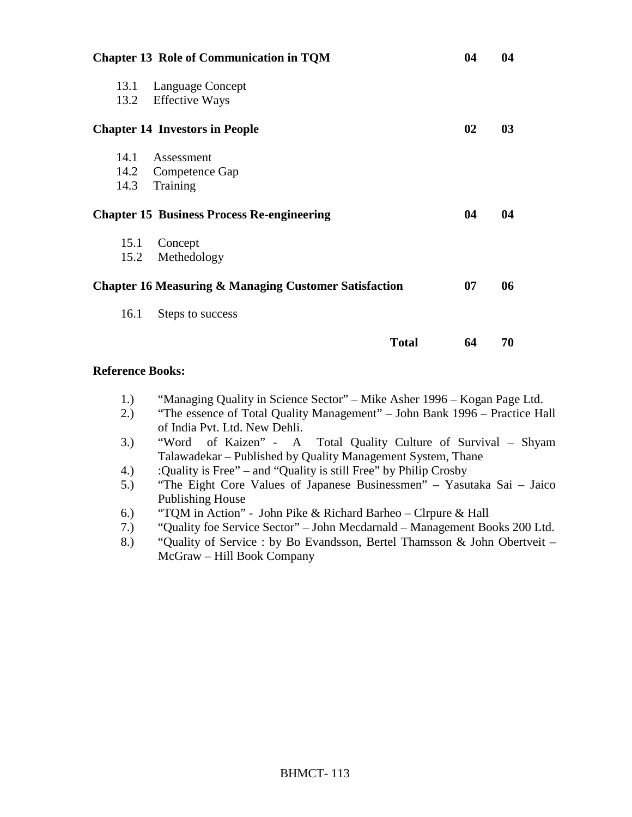|              | <b>Chapter 13 Role of Communication in TQM</b>                   |    |                |  |
|--------------|------------------------------------------------------------------|----|----------------|--|
| 13.1<br>13.2 | Language Concept<br><b>Effective Ways</b>                        |    |                |  |
|              | <b>Chapter 14 Investors in People</b>                            | 02 | 0 <sub>3</sub> |  |
| 14.1<br>14.3 | Assessment<br>14.2 Competence Gap<br>Training                    |    |                |  |
|              | <b>Chapter 15 Business Process Re-engineering</b>                | 04 | 04             |  |
| 15.1<br>15.2 | Concept<br>Methedology                                           |    |                |  |
|              | <b>Chapter 16 Measuring &amp; Managing Customer Satisfaction</b> | 07 | 06             |  |
| 16.1         | Steps to success                                                 |    |                |  |
|              | <b>Total</b>                                                     | 64 | 70             |  |

#### **Reference Books:**

- 1.) "Managing Quality in Science Sector" Mike Asher 1996 Kogan Page Ltd.
- 2.) "The essence of Total Quality Management" John Bank 1996 Practice Hall of India Pvt. Ltd. New Dehli.
- 3.) "Word of Kaizen" A Total Quality Culture of Survival Shyam Talawadekar – Published by Quality Management System, Thane
- 4.) :Quality is Free" and "Quality is still Free" by Philip Crosby
- 5.) "The Eight Core Values of Japanese Businessmen" Yasutaka Sai Jaico Publishing House
- 6.) "TQM in Action" John Pike & Richard Barheo Clrpure & Hall
- 7.) "Quality foe Service Sector" John Mecdarnald Management Books 200 Ltd.
- 8.) "Quality of Service : by Bo Evandsson, Bertel Thamsson & John Obertveit McGraw – Hill Book Company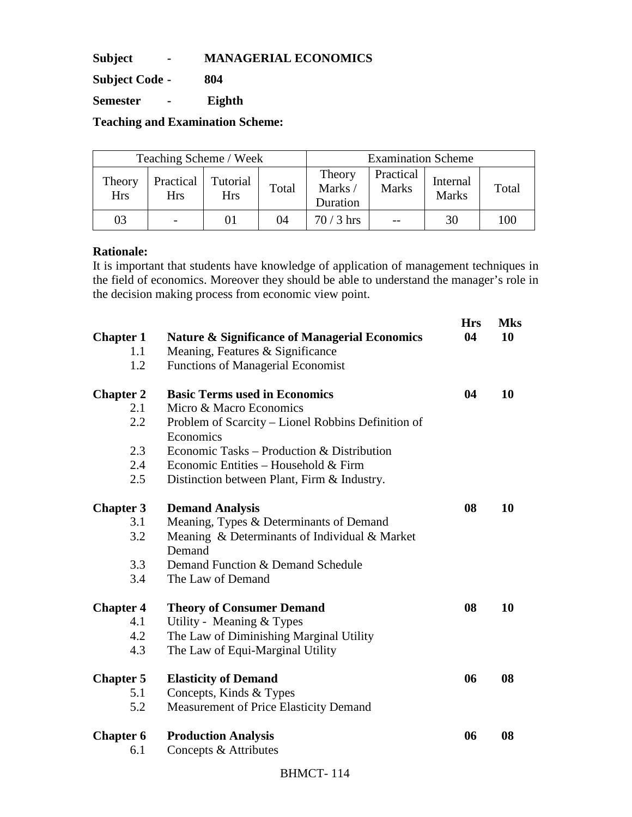**Subject - MANAGERIAL ECONOMICS** 

**Subject Code - 804** 

**Semester - Eighth** 

**Teaching and Examination Scheme:** 

| Teaching Scheme / Week |                         |                 |       |                              | <b>Examination Scheme</b> |                          |       |
|------------------------|-------------------------|-----------------|-------|------------------------------|---------------------------|--------------------------|-------|
| Theory<br><b>Hrs</b>   | Practical<br><b>Hrs</b> | Tutorial<br>Hrs | Total | Theory<br>Marks/<br>Duration | Practical<br><b>Marks</b> | Internal<br><b>Marks</b> | Total |
| 03                     |                         |                 | 04    | $70/3$ hrs                   |                           | 30                       | 100   |

# **Rationale:**

It is important that students have knowledge of application of management techniques in the field of economics. Moreover they should be able to understand the manager's role in the decision making process from economic view point.

| <b>Chapter 1</b> | <b>Nature &amp; Significance of Managerial Economics</b> | <b>Hrs</b><br>04 | <b>Mks</b><br>10 |
|------------------|----------------------------------------------------------|------------------|------------------|
| 1.1              | Meaning, Features & Significance                         |                  |                  |
| 1.2              | <b>Functions of Managerial Economist</b>                 |                  |                  |
| <b>Chapter 2</b> | <b>Basic Terms used in Economics</b>                     | 04               | <b>10</b>        |
| 2.1              | Micro & Macro Economics                                  |                  |                  |
| 2.2              | Problem of Scarcity - Lionel Robbins Definition of       |                  |                  |
|                  | Economics                                                |                  |                  |
| 2.3              | Economic Tasks – Production & Distribution               |                  |                  |
| 2.4              | Economic Entities – Household & Firm                     |                  |                  |
| 2.5              | Distinction between Plant, Firm & Industry.              |                  |                  |
| <b>Chapter 3</b> | <b>Demand Analysis</b>                                   | 08               | 10               |
| 3.1              | Meaning, Types & Determinants of Demand                  |                  |                  |
| 3.2              | Meaning & Determinants of Individual & Market            |                  |                  |
|                  | Demand                                                   |                  |                  |
| 3.3              | Demand Function & Demand Schedule                        |                  |                  |
| 3.4              | The Law of Demand                                        |                  |                  |
| <b>Chapter 4</b> | <b>Theory of Consumer Demand</b>                         | 08               | 10               |
| 4.1              | Utility - Meaning & Types                                |                  |                  |
| 4.2              | The Law of Diminishing Marginal Utility                  |                  |                  |
| 4.3              | The Law of Equi-Marginal Utility                         |                  |                  |
| <b>Chapter 5</b> | <b>Elasticity of Demand</b>                              | 06               | 08               |
| 5.1              | Concepts, Kinds & Types                                  |                  |                  |
| 5.2              | Measurement of Price Elasticity Demand                   |                  |                  |
| <b>Chapter 6</b> | <b>Production Analysis</b>                               | 06               | 08               |
| 6.1              | Concepts & Attributes                                    |                  |                  |
|                  |                                                          |                  |                  |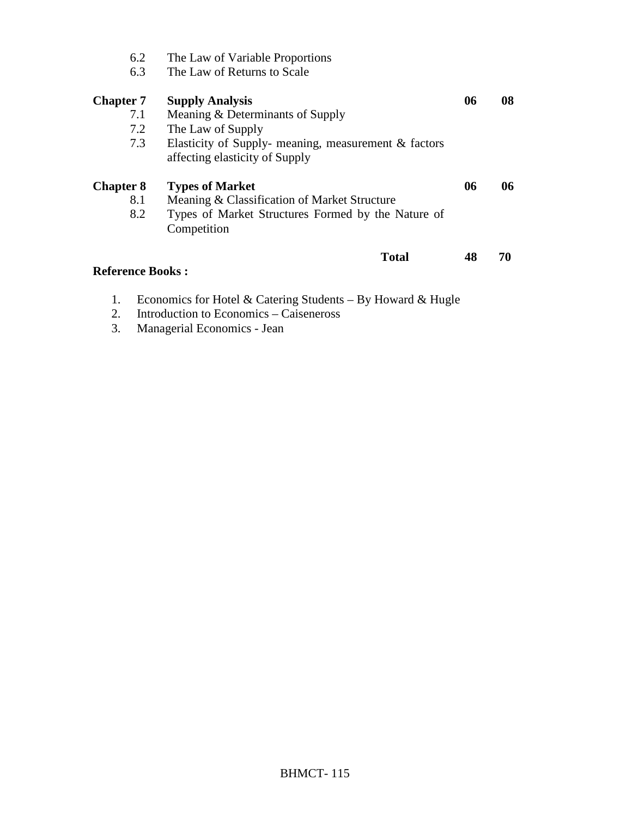| 6.2<br>6.3                            | The Law of Variable Proportions<br>The Law of Returns to Scale                                                                                                               |    |    |
|---------------------------------------|------------------------------------------------------------------------------------------------------------------------------------------------------------------------------|----|----|
| <b>Chapter 7</b><br>7.1<br>7.2<br>7.3 | <b>Supply Analysis</b><br>Meaning & Determinants of Supply<br>The Law of Supply<br>Elasticity of Supply- meaning, measurement $\&$ factors<br>affecting elasticity of Supply | 06 | 08 |
| <b>Chapter 8</b><br>8.1<br>8.2        | <b>Types of Market</b><br>Meaning & Classification of Market Structure<br>Types of Market Structures Formed by the Nature of<br>Competition                                  | 06 | 06 |
| <b>Reference Books:</b>               | <b>Total</b>                                                                                                                                                                 | 48 | 70 |

- 1. Economics for Hotel & Catering Students By Howard & Hugle
- 2. Introduction to Economics Caiseneross
- 3. Managerial Economics Jean